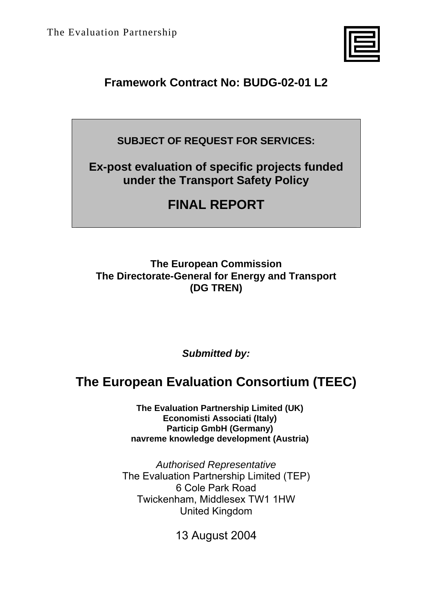

# **Framework Contract No: BUDG-02-01 L2**

**SUBJECT OF REQUEST FOR SERVICES:** 

**Ex-post evaluation of specific projects funded under the Transport Safety Policy** 

# **FINAL REPORT**

## **The European Commission The Directorate-General for Energy and Transport (DG TREN)**

*Submitted by:* 

# **The European Evaluation Consortium (TEEC)**

**The Evaluation Partnership Limited (UK) Economisti Associati (Italy) Particip GmbH (Germany) navreme knowledge development (Austria)** 

*Authorised Representative*  The Evaluation Partnership Limited (TEP) 6 Cole Park Road Twickenham, Middlesex TW1 1HW United Kingdom

13 August 2004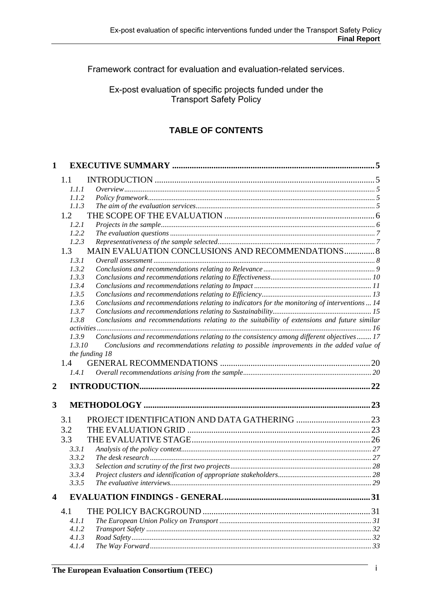Framework contract for evaluation and evaluation-related services.

### Ex-post evaluation of specific projects funded under the Transport Safety Policy

## **TABLE OF CONTENTS**

| 1                |                                                                                                                                     |  |
|------------------|-------------------------------------------------------------------------------------------------------------------------------------|--|
|                  | 1.1                                                                                                                                 |  |
|                  | 1.1.1                                                                                                                               |  |
|                  | 1.1.2                                                                                                                               |  |
|                  | 1.1.3                                                                                                                               |  |
|                  | 1.2                                                                                                                                 |  |
|                  | 1.2.1                                                                                                                               |  |
|                  | 1.2.2                                                                                                                               |  |
|                  | 1.2.3                                                                                                                               |  |
|                  | MAIN EVALUATION CONCLUSIONS AND RECOMMENDATIONS 8<br>1.3                                                                            |  |
|                  | 1.3.1                                                                                                                               |  |
|                  | 1.3.2                                                                                                                               |  |
|                  | 1.3.3                                                                                                                               |  |
|                  | 1.3.4                                                                                                                               |  |
|                  | 1.3.5                                                                                                                               |  |
|                  | Conclusions and recommendations relating to indicators for the monitoring of interventions  14<br>1.3.6                             |  |
|                  | 1.3.7                                                                                                                               |  |
|                  | Conclusions and recommendations relating to the suitability of extensions and future similar<br>1.3.8                               |  |
|                  | Conclusions and recommendations relating to the consistency among different objectives 17<br>1.3.9                                  |  |
|                  | 1.3.10<br>Conclusions and recommendations relating to possible improvements in the added value of<br>the funding 18<br>1.4<br>1.4.1 |  |
| $\boldsymbol{2}$ |                                                                                                                                     |  |
| 3                |                                                                                                                                     |  |
|                  |                                                                                                                                     |  |
|                  | 3.1                                                                                                                                 |  |
|                  | 3.2                                                                                                                                 |  |
|                  | 3.3                                                                                                                                 |  |
|                  | 3.3.1                                                                                                                               |  |
|                  | 3.3.2                                                                                                                               |  |
|                  | 3.3.3                                                                                                                               |  |
|                  | 3.3.4                                                                                                                               |  |
|                  | 335                                                                                                                                 |  |
| 4                |                                                                                                                                     |  |
|                  | 4.1                                                                                                                                 |  |
|                  | 4.1.1                                                                                                                               |  |
|                  | 4.1.2                                                                                                                               |  |
|                  | 4.1.3                                                                                                                               |  |
|                  | 4.1.4                                                                                                                               |  |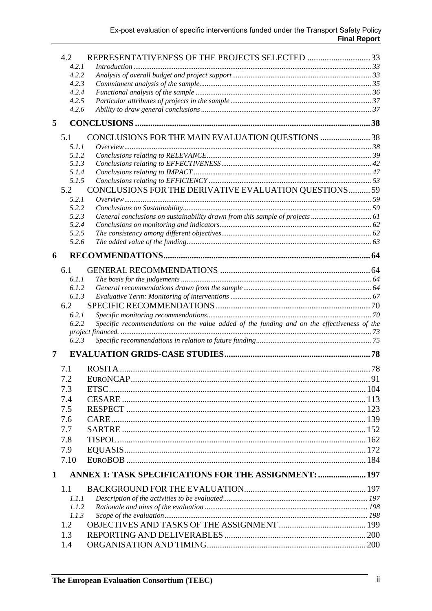|             | 4.2            | REPRESENTATIVENESS OF THE PROJECTS SELECTED 33                                             |  |
|-------------|----------------|--------------------------------------------------------------------------------------------|--|
|             | 4.2.1<br>4.2.2 |                                                                                            |  |
|             | 4.2.3          |                                                                                            |  |
|             | 4.2.4          |                                                                                            |  |
|             | 4.2.5          |                                                                                            |  |
|             | 4.2.6          |                                                                                            |  |
| 5           |                |                                                                                            |  |
|             | 5.1            | CONCLUSIONS FOR THE MAIN EVALUATION QUESTIONS 38                                           |  |
|             | 5.1.1          |                                                                                            |  |
|             | 5.1.2          |                                                                                            |  |
|             | 5.1.3          |                                                                                            |  |
|             | 5.1.4          |                                                                                            |  |
|             | 5.1.5          |                                                                                            |  |
|             | 5.2            | CONCLUSIONS FOR THE DERIVATIVE EVALUATION QUESTIONS 59                                     |  |
|             | 5.2.1          |                                                                                            |  |
|             | 5.2.2<br>5.2.3 |                                                                                            |  |
|             | 5.2.4          |                                                                                            |  |
|             | 5.2.5          |                                                                                            |  |
|             | 5.2.6          |                                                                                            |  |
| 6           |                |                                                                                            |  |
|             | 6.1            |                                                                                            |  |
|             | 6.1.1          |                                                                                            |  |
|             | 6.1.2          |                                                                                            |  |
|             | 6.1.3          |                                                                                            |  |
|             | 6.2            |                                                                                            |  |
|             | 6.2.1          |                                                                                            |  |
|             | 6.2.2          | Specific recommendations on the value added of the funding and on the effectiveness of the |  |
|             | 6.2.3          |                                                                                            |  |
| 7           |                |                                                                                            |  |
|             | 7.1            |                                                                                            |  |
|             | 7.2            |                                                                                            |  |
|             | 7.3            |                                                                                            |  |
|             | 7.4            |                                                                                            |  |
|             | 7.5            |                                                                                            |  |
|             | 7.6            |                                                                                            |  |
|             |                |                                                                                            |  |
|             | 7.7            |                                                                                            |  |
|             | 7.8            |                                                                                            |  |
|             | 7.9<br>7.10    |                                                                                            |  |
|             |                | ANNEX 1: TASK SPECIFICATIONS FOR THE ASSIGNMENT:  197                                      |  |
| $\mathbf 1$ |                |                                                                                            |  |
|             | 1.1            |                                                                                            |  |
|             | 1.1.1<br>1.1.2 |                                                                                            |  |
|             | 1.1.3          |                                                                                            |  |
|             | 1.2            |                                                                                            |  |
|             | 1.3            |                                                                                            |  |
|             | 1.4            |                                                                                            |  |
|             |                |                                                                                            |  |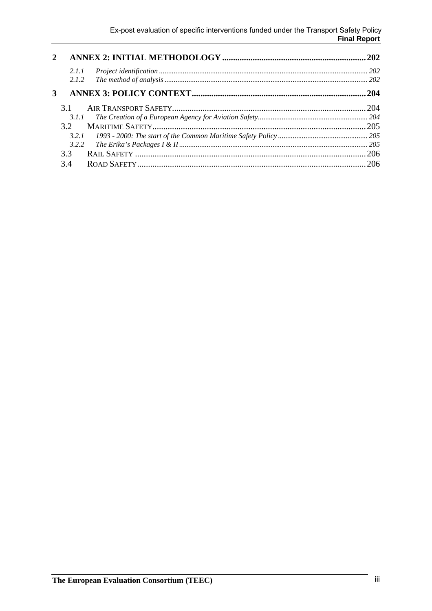| $\mathbf{2}$ |       | .202 |
|--------------|-------|------|
|              | 2.1.1 | 202  |
|              | 2.1.2 | 202  |
| 3            |       | 204  |
|              | 31    | 204  |
|              | 3.1.1 |      |
|              | 32    | .205 |
|              |       |      |
|              | 3.2.2 |      |
|              | 3.3   | .206 |
|              | 3.4   | 206  |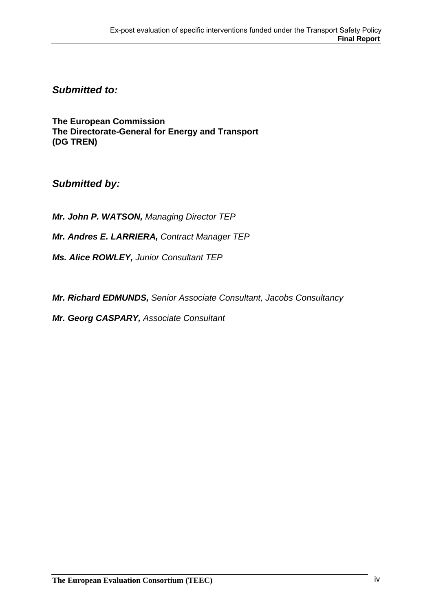*Submitted to:* 

**The European Commission The Directorate-General for Energy and Transport (DG TREN)**

*Submitted by:* 

*Mr. John P. WATSON, Managing Director TEP*

*Mr. Andres E. LARRIERA, Contract Manager TEP*

*Ms. Alice ROWLEY, Junior Consultant TEP* 

*Mr. Richard EDMUNDS, Senior Associate Consultant, Jacobs Consultancy* 

*Mr. Georg CASPARY, Associate Consultant*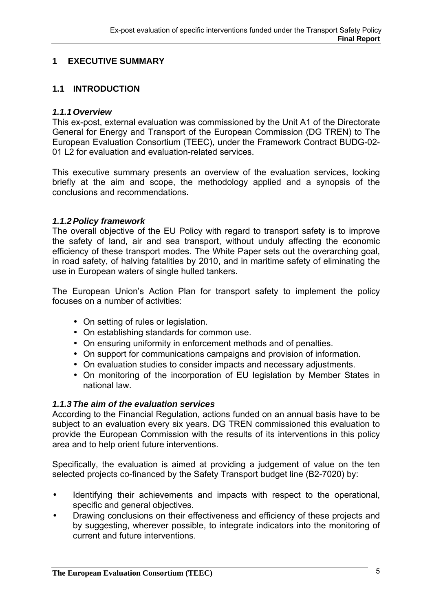### **1 EXECUTIVE SUMMARY**

### **1.1 INTRODUCTION**

### *1.1.1 Overview*

This ex-post, external evaluation was commissioned by the Unit A1 of the Directorate General for Energy and Transport of the European Commission (DG TREN) to The European Evaluation Consortium (TEEC), under the Framework Contract BUDG-02- 01 L2 for evaluation and evaluation-related services.

This executive summary presents an overview of the evaluation services, looking briefly at the aim and scope, the methodology applied and a synopsis of the conclusions and recommendations.

### *1.1.2 Policy framework*

The overall objective of the EU Policy with regard to transport safety is to improve the safety of land, air and sea transport, without unduly affecting the economic efficiency of these transport modes. The White Paper sets out the overarching goal, in road safety, of halving fatalities by 2010, and in maritime safety of eliminating the use in European waters of single hulled tankers.

The European Union's Action Plan for transport safety to implement the policy focuses on a number of activities:

- On setting of rules or legislation.
- On establishing standards for common use.
- On ensuring uniformity in enforcement methods and of penalties.
- On support for communications campaigns and provision of information.
- On evaluation studies to consider impacts and necessary adjustments.
- On monitoring of the incorporation of EU legislation by Member States in national law.

### *1.1.3 The aim of the evaluation services*

According to the Financial Regulation, actions funded on an annual basis have to be subject to an evaluation every six years. DG TREN commissioned this evaluation to provide the European Commission with the results of its interventions in this policy area and to help orient future interventions.

Specifically, the evaluation is aimed at providing a judgement of value on the ten selected projects co-financed by the Safety Transport budget line (B2-7020) by:

- Identifying their achievements and impacts with respect to the operational, specific and general objectives.
- Drawing conclusions on their effectiveness and efficiency of these projects and by suggesting, wherever possible, to integrate indicators into the monitoring of current and future interventions.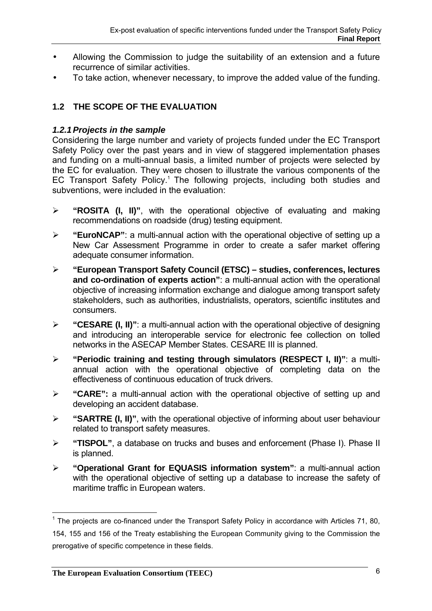- Allowing the Commission to judge the suitability of an extension and a future recurrence of similar activities.
- To take action, whenever necessary, to improve the added value of the funding.

### **1.2 THE SCOPE OF THE EVALUATION**

### *1.2.1 Projects in the sample*

Considering the large number and variety of projects funded under the EC Transport Safety Policy over the past years and in view of staggered implementation phases and funding on a multi-annual basis, a limited number of projects were selected by the EC for evaluation. They were chosen to illustrate the various components of the EC Transport Safety Policy.<sup>1</sup> The following projects, including both studies and subventions, were included in the evaluation:

- ¾ **"ROSITA (I, II)"**, with the operational objective of evaluating and making recommendations on roadside (drug) testing equipment.
- ¾ **"EuroNCAP"**: a multi-annual action with the operational objective of setting up a New Car Assessment Programme in order to create a safer market offering adequate consumer information.
- ¾ **"European Transport Safety Council (ETSC) studies, conferences, lectures and co-ordination of experts action"**: a multi-annual action with the operational objective of increasing information exchange and dialogue among transport safety stakeholders, such as authorities, industrialists, operators, scientific institutes and consumers.
- ¾ **"CESARE (I, II)"**: a multi-annual action with the operational objective of designing and introducing an interoperable service for electronic fee collection on tolled networks in the ASECAP Member States. CESARE III is planned.
- ¾ **"Periodic training and testing through simulators (RESPECT I, II)"**: a multiannual action with the operational objective of completing data on the effectiveness of continuous education of truck drivers.
- ¾ **"CARE":** a multi-annual action with the operational objective of setting up and developing an accident database.
- ¾ **"SARTRE (I, II)"**, with the operational objective of informing about user behaviour related to transport safety measures.
- ¾ **"TISPOL"**, a database on trucks and buses and enforcement (Phase I). Phase II is planned.
- ¾ **"Operational Grant for EQUASIS information system"**: a multi-annual action with the operational objective of setting up a database to increase the safety of maritime traffic in European waters.

 $\overline{a}$ <sup>1</sup> The projects are co-financed under the Transport Safety Policy in accordance with Articles 71, 80, 154, 155 and 156 of the Treaty establishing the European Community giving to the Commission the prerogative of specific competence in these fields.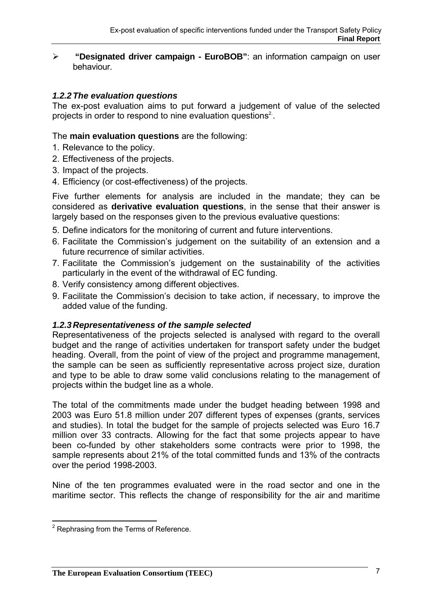¾ **"Designated driver campaign - EuroBOB"**: an information campaign on user behaviour.

### *1.2.2 The evaluation questions*

The ex-post evaluation aims to put forward a judgement of value of the selected projects in order to respond to nine evaluation questions<sup>2</sup>.

The **main evaluation questions** are the following:

- 1. Relevance to the policy.
- 2. Effectiveness of the projects.
- 3. Impact of the projects.
- 4. Efficiency (or cost-effectiveness) of the projects.

Five further elements for analysis are included in the mandate; they can be considered as **derivative evaluation questions**, in the sense that their answer is largely based on the responses given to the previous evaluative questions:

- 5. Define indicators for the monitoring of current and future interventions.
- 6. Facilitate the Commission's judgement on the suitability of an extension and a future recurrence of similar activities.
- 7. Facilitate the Commission's judgement on the sustainability of the activities particularly in the event of the withdrawal of EC funding.
- 8. Verify consistency among different objectives.
- 9. Facilitate the Commission's decision to take action, if necessary, to improve the added value of the funding.

### *1.2.3 Representativeness of the sample selected*

Representativeness of the projects selected is analysed with regard to the overall budget and the range of activities undertaken for transport safety under the budget heading. Overall, from the point of view of the project and programme management, the sample can be seen as sufficiently representative across project size, duration and type to be able to draw some valid conclusions relating to the management of projects within the budget line as a whole.

The total of the commitments made under the budget heading between 1998 and 2003 was Euro 51.8 million under 207 different types of expenses (grants, services and studies). In total the budget for the sample of projects selected was Euro 16.7 million over 33 contracts. Allowing for the fact that some projects appear to have been co-funded by other stakeholders some contracts were prior to 1998, the sample represents about 21% of the total committed funds and 13% of the contracts over the period 1998-2003.

Nine of the ten programmes evaluated were in the road sector and one in the maritime sector. This reflects the change of responsibility for the air and maritime

 2 Rephrasing from the Terms of Reference.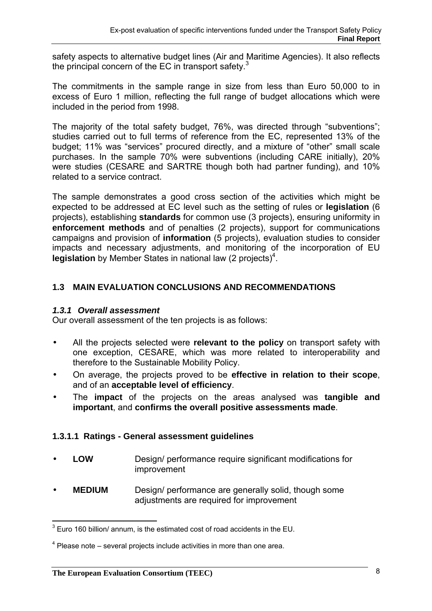safety aspects to alternative budget lines (Air and Maritime Agencies). It also reflects the principal concern of the EC in transport safety. $3$ 

The commitments in the sample range in size from less than Euro 50,000 to in excess of Euro 1 million, reflecting the full range of budget allocations which were included in the period from 1998.

The majority of the total safety budget, 76%, was directed through "subventions"; studies carried out to full terms of reference from the EC, represented 13% of the budget; 11% was "services" procured directly, and a mixture of "other" small scale purchases. In the sample 70% were subventions (including CARE initially), 20% were studies (CESARE and SARTRE though both had partner funding), and 10% related to a service contract.

The sample demonstrates a good cross section of the activities which might be expected to be addressed at EC level such as the setting of rules or **legislation** (6 projects), establishing **standards** for common use (3 projects), ensuring uniformity in **enforcement methods** and of penalties (2 projects), support for communications campaigns and provision of **information** (5 projects), evaluation studies to consider impacts and necessary adjustments, and monitoring of the incorporation of EU legislation by Member States in national law (2 projects)<sup>4</sup>.

### **1.3 MAIN EVALUATION CONCLUSIONS AND RECOMMENDATIONS**

### *1.3.1 Overall assessment*

Our overall assessment of the ten projects is as follows:

- All the projects selected were **relevant to the policy** on transport safety with one exception, CESARE, which was more related to interoperability and therefore to the Sustainable Mobility Policy.
- On average, the projects proved to be **effective in relation to their scope**, and of an **acceptable level of efficiency**.
- The **impact** of the projects on the areas analysed was **tangible and important**, and **confirms the overall positive assessments made**.

### **1.3.1.1 Ratings - General assessment guidelines**

- **LOW** Design/ performance require significant modifications for improvement
- **MEDIUM** Design/ performance are generally solid, though some adjustments are required for improvement

 $\overline{a}$  $3$  Euro 160 billion/ annum, is the estimated cost of road accidents in the EU.

 $4$  Please note – several projects include activities in more than one area.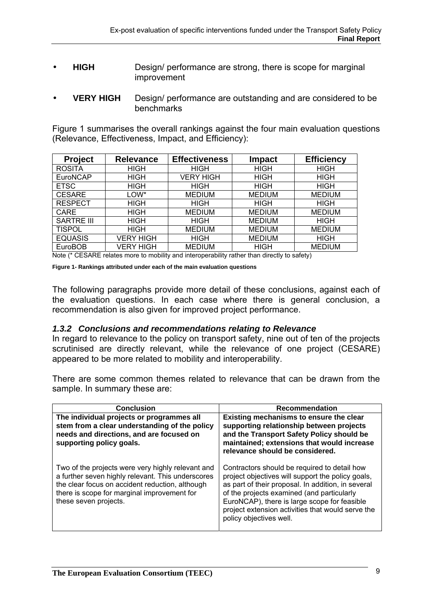- **HIGH** Design/ performance are strong, there is scope for marginal improvement
- **VERY HIGH** Design/ performance are outstanding and are considered to be benchmarks

Figure 1 summarises the overall rankings against the four main evaluation questions (Relevance, Effectiveness, Impact, and Efficiency):

| <b>Project</b>    | <b>Relevance</b> | <b>Effectiveness</b> | Impact        | <b>Efficiency</b> |
|-------------------|------------------|----------------------|---------------|-------------------|
| <b>ROSITA</b>     | <b>HIGH</b>      | <b>HIGH</b>          | <b>HIGH</b>   | <b>HIGH</b>       |
| EuroNCAP          | <b>HIGH</b>      | <b>VERY HIGH</b>     | <b>HIGH</b>   | <b>HIGH</b>       |
| <b>ETSC</b>       | <b>HIGH</b>      | <b>HIGH</b>          | <b>HIGH</b>   | HIGH              |
| <b>CESARE</b>     | LOW*             | <b>MEDIUM</b>        | <b>MEDIUM</b> | <b>MEDIUM</b>     |
| <b>RESPECT</b>    | <b>HIGH</b>      | <b>HIGH</b>          | <b>HIGH</b>   | <b>HIGH</b>       |
| <b>CARE</b>       | <b>HIGH</b>      | <b>MEDIUM</b>        | <b>MEDIUM</b> | <b>MEDIUM</b>     |
| <b>SARTRE III</b> | <b>HIGH</b>      | <b>HIGH</b>          | <b>MEDIUM</b> | <b>HIGH</b>       |
| <b>TISPOL</b>     | <b>HIGH</b>      | <b>MEDIUM</b>        | <b>MEDIUM</b> | <b>MEDIUM</b>     |
| <b>EQUASIS</b>    | VERY HIGH        | <b>HIGH</b>          | <b>MEDIUM</b> | <b>HIGH</b>       |
| <b>EuroBOB</b>    | VERY HIGH        | <b>MEDIUM</b>        | <b>HIGH</b>   | <b>MEDIUM</b>     |

Note (\* CESARE relates more to mobility and interoperability rather than directly to safety)

**Figure 1- Rankings attributed under each of the main evaluation questions** 

The following paragraphs provide more detail of these conclusions, against each of the evaluation questions. In each case where there is general conclusion, a recommendation is also given for improved project performance.

### *1.3.2 Conclusions and recommendations relating to Relevance*

In regard to relevance to the policy on transport safety, nine out of ten of the projects scrutinised are directly relevant, while the relevance of one project (CESARE) appeared to be more related to mobility and interoperability.

There are some common themes related to relevance that can be drawn from the sample. In summary these are:

| <b>Conclusion</b>                                                                                                                                                                                                                 | <b>Recommendation</b>                                                                                                                                                                                                                                                                                                                 |
|-----------------------------------------------------------------------------------------------------------------------------------------------------------------------------------------------------------------------------------|---------------------------------------------------------------------------------------------------------------------------------------------------------------------------------------------------------------------------------------------------------------------------------------------------------------------------------------|
| The individual projects or programmes all<br>stem from a clear understanding of the policy<br>needs and directions, and are focused on<br>supporting policy goals.                                                                | Existing mechanisms to ensure the clear<br>supporting relationship between projects<br>and the Transport Safety Policy should be<br>maintained; extensions that would increase<br>relevance should be considered.                                                                                                                     |
| Two of the projects were very highly relevant and<br>a further seven highly relevant. This underscores<br>the clear focus on accident reduction, although<br>there is scope for marginal improvement for<br>these seven projects. | Contractors should be required to detail how<br>project objectives will support the policy goals,<br>as part of their proposal. In addition, in several<br>of the projects examined (and particularly<br>EuroNCAP), there is large scope for feasible<br>project extension activities that would serve the<br>policy objectives well. |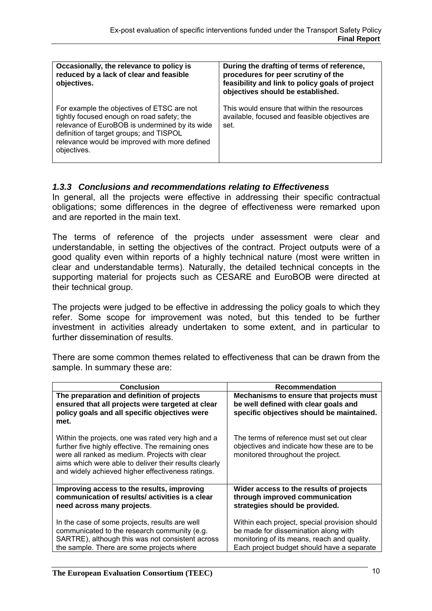| Occasionally, the relevance to policy is<br>reduced by a lack of clear and feasible<br>objectives.                                                                                                                                                    | During the drafting of terms of reference,<br>procedures for peer scrutiny of the<br>feasibility and link to policy goals of project<br>objectives should be established. |
|-------------------------------------------------------------------------------------------------------------------------------------------------------------------------------------------------------------------------------------------------------|---------------------------------------------------------------------------------------------------------------------------------------------------------------------------|
| For example the objectives of ETSC are not<br>tightly focused enough on road safety; the<br>relevance of EuroBOB is undermined by its wide<br>definition of target groups; and TISPOL<br>relevance would be improved with more defined<br>objectives. | This would ensure that within the resources<br>available, focused and feasible objectives are<br>set.                                                                     |

### *1.3.3 Conclusions and recommendations relating to Effectiveness*

In general, all the projects were effective in addressing their specific contractual obligations; some differences in the degree of effectiveness were remarked upon and are reported in the main text.

The terms of reference of the projects under assessment were clear and understandable, in setting the objectives of the contract. Project outputs were of a good quality even within reports of a highly technical nature (most were written in clear and understandable terms). Naturally, the detailed technical concepts in the supporting material for projects such as CESARE and EuroBOB were directed at their technical group.

The projects were judged to be effective in addressing the policy goals to which they refer. Some scope for improvement was noted, but this tended to be further investment in activities already undertaken to some extent, and in particular to further dissemination of results.

There are some common themes related to effectiveness that can be drawn from the sample. In summary these are:

| <b>Conclusion</b>                                                                                                                                                                                                                                                       | <b>Recommendation</b>                                                                                                                                                              |
|-------------------------------------------------------------------------------------------------------------------------------------------------------------------------------------------------------------------------------------------------------------------------|------------------------------------------------------------------------------------------------------------------------------------------------------------------------------------|
| The preparation and definition of projects<br>ensured that all projects were targeted at clear<br>policy goals and all specific objectives were<br>met.                                                                                                                 | Mechanisms to ensure that projects must<br>be well defined with clear goals and<br>specific objectives should be maintained.                                                       |
| Within the projects, one was rated very high and a<br>further five highly effective. The remaining ones<br>were all ranked as medium. Projects with clear<br>aims which were able to deliver their results clearly<br>and widely achieved higher effectiveness ratings. | The terms of reference must set out clear<br>objectives and indicate how these are to be<br>monitored throughout the project.                                                      |
| Improving access to the results, improving<br>communication of results/activities is a clear<br>need across many projects.                                                                                                                                              | Wider access to the results of projects<br>through improved communication<br>strategies should be provided.                                                                        |
| In the case of some projects, results are well<br>communicated to the research community (e.g.<br>SARTRE), although this was not consistent across<br>the sample. There are some projects where                                                                         | Within each project, special provision should<br>be made for dissemination along with<br>monitoring of its means, reach and quality.<br>Each project budget should have a separate |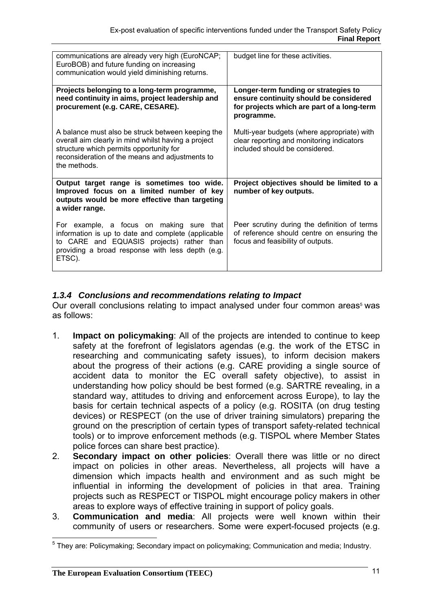| communications are already very high (EuroNCAP;<br>EuroBOB) and future funding on increasing<br>communication would yield diminishing returns.                                                                         | budget line for these activities.                                                                                                          |
|------------------------------------------------------------------------------------------------------------------------------------------------------------------------------------------------------------------------|--------------------------------------------------------------------------------------------------------------------------------------------|
| Projects belonging to a long-term programme,<br>need continuity in aims, project leadership and<br>procurement (e.g. CARE, CESARE).                                                                                    | Longer-term funding or strategies to<br>ensure continuity should be considered<br>for projects which are part of a long-term<br>programme. |
| A balance must also be struck between keeping the<br>overall aim clearly in mind whilst having a project<br>structure which permits opportunity for<br>reconsideration of the means and adjustments to<br>the methods. | Multi-year budgets (where appropriate) with<br>clear reporting and monitoring indicators<br>included should be considered.                 |
| Output target range is sometimes too wide.<br>Improved focus on a limited number of key<br>outputs would be more effective than targeting<br>a wider range.                                                            | Project objectives should be limited to a<br>number of key outputs.                                                                        |
| For example, a focus on making sure that<br>information is up to date and complete (applicable<br>to CARE and EQUASIS projects) rather than<br>providing a broad response with less depth (e.g.<br>ETSC).              | Peer scrutiny during the definition of terms<br>of reference should centre on ensuring the<br>focus and feasibility of outputs.            |

### *1.3.4 Conclusions and recommendations relating to Impact*

Our overall conclusions relating to impact analysed under four common areas<sup>5</sup> was as follows:

- 1. **Impact on policymaking**: All of the projects are intended to continue to keep safety at the forefront of legislators agendas (e.g. the work of the ETSC in researching and communicating safety issues), to inform decision makers about the progress of their actions (e.g. CARE providing a single source of accident data to monitor the EC overall safety objective), to assist in understanding how policy should be best formed (e.g. SARTRE revealing, in a standard way, attitudes to driving and enforcement across Europe), to lay the basis for certain technical aspects of a policy (e.g. ROSITA (on drug testing devices) or RESPECT (on the use of driver training simulators) preparing the ground on the prescription of certain types of transport safety-related technical tools) or to improve enforcement methods (e.g. TISPOL where Member States police forces can share best practice).
- 2. **Secondary impact on other policies**: Overall there was little or no direct impact on policies in other areas. Nevertheless, all projects will have a dimension which impacts health and environment and as such might be influential in informing the development of policies in that area. Training projects such as RESPECT or TISPOL might encourage policy makers in other areas to explore ways of effective training in support of policy goals.
- 3. **Communication and media**: All projects were well known within their community of users or researchers. Some were expert-focused projects (e.g.

 $\overline{a}$ <sup>5</sup> They are: Policymaking; Secondary impact on policymaking; Communication and media; Industry.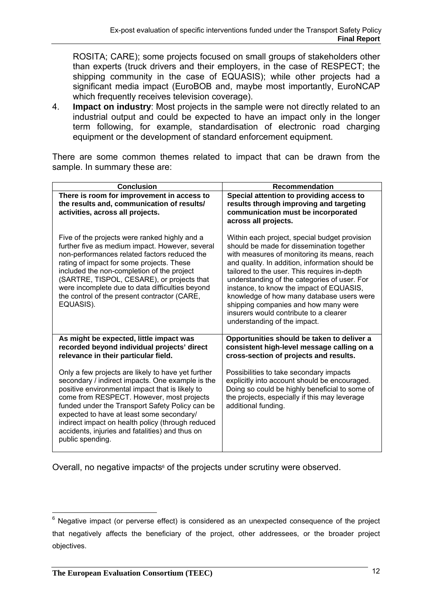ROSITA; CARE); some projects focused on small groups of stakeholders other than experts (truck drivers and their employers, in the case of RESPECT; the shipping community in the case of EQUASIS); while other projects had a significant media impact (EuroBOB and, maybe most importantly, EuroNCAP which frequently receives television coverage).

4. **Impact on industry**: Most projects in the sample were not directly related to an industrial output and could be expected to have an impact only in the longer term following, for example, standardisation of electronic road charging equipment or the development of standard enforcement equipment.

There are some common themes related to impact that can be drawn from the sample. In summary these are:

| <b>Conclusion</b>                                                                                                                                                                                                                                                                                                                                                                                                                  | <b>Recommendation</b>                                                                                                                                                                                                                                                                                                                                                                                                                                                                                    |
|------------------------------------------------------------------------------------------------------------------------------------------------------------------------------------------------------------------------------------------------------------------------------------------------------------------------------------------------------------------------------------------------------------------------------------|----------------------------------------------------------------------------------------------------------------------------------------------------------------------------------------------------------------------------------------------------------------------------------------------------------------------------------------------------------------------------------------------------------------------------------------------------------------------------------------------------------|
| There is room for improvement in access to<br>the results and, communication of results/<br>activities, across all projects.                                                                                                                                                                                                                                                                                                       | Special attention to providing access to<br>results through improving and targeting<br>communication must be incorporated<br>across all projects.                                                                                                                                                                                                                                                                                                                                                        |
| Five of the projects were ranked highly and a<br>further five as medium impact. However, several<br>non-performances related factors reduced the<br>rating of impact for some projects. These<br>included the non-completion of the project<br>(SARTRE, TISPOL, CESARE), or projects that<br>were incomplete due to data difficulties beyond<br>the control of the present contractor (CARE,<br>EQUASIS).                          | Within each project, special budget provision<br>should be made for dissemination together<br>with measures of monitoring its means, reach<br>and quality. In addition, information should be<br>tailored to the user. This requires in-depth<br>understanding of the categories of user. For<br>instance, to know the impact of EQUASIS,<br>knowledge of how many database users were<br>shipping companies and how many were<br>insurers would contribute to a clearer<br>understanding of the impact. |
| As might be expected, little impact was<br>recorded beyond individual projects' direct<br>relevance in their particular field.                                                                                                                                                                                                                                                                                                     | Opportunities should be taken to deliver a<br>consistent high-level message calling on a<br>cross-section of projects and results.                                                                                                                                                                                                                                                                                                                                                                       |
| Only a few projects are likely to have yet further<br>secondary / indirect impacts. One example is the<br>positive environmental impact that is likely to<br>come from RESPECT. However, most projects<br>funded under the Transport Safety Policy can be<br>expected to have at least some secondary/<br>indirect impact on health policy (through reduced<br>accidents, injuries and fatalities) and thus on<br>public spending. | Possibilities to take secondary impacts<br>explicitly into account should be encouraged.<br>Doing so could be highly beneficial to some of<br>the projects, especially if this may leverage<br>additional funding.                                                                                                                                                                                                                                                                                       |

Overall, no negative impacts<sup>6</sup> of the projects under scrutiny were observed.

 $\overline{a}$  $6$  Negative impact (or perverse effect) is considered as an unexpected consequence of the project that negatively affects the beneficiary of the project, other addressees, or the broader project objectives.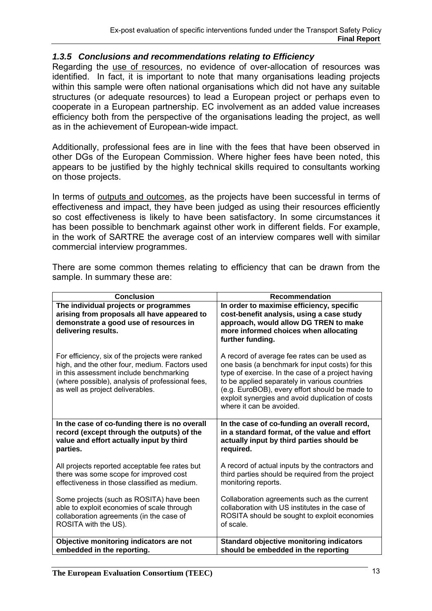### *1.3.5 Conclusions and recommendations relating to Efficiency*

Regarding the use of resources, no evidence of over-allocation of resources was identified. In fact, it is important to note that many organisations leading projects within this sample were often national organisations which did not have any suitable structures (or adequate resources) to lead a European project or perhaps even to cooperate in a European partnership. EC involvement as an added value increases efficiency both from the perspective of the organisations leading the project, as well as in the achievement of European-wide impact.

Additionally, professional fees are in line with the fees that have been observed in other DGs of the European Commission. Where higher fees have been noted, this appears to be justified by the highly technical skills required to consultants working on those projects.

In terms of outputs and outcomes, as the projects have been successful in terms of effectiveness and impact, they have been judged as using their resources efficiently so cost effectiveness is likely to have been satisfactory. In some circumstances it has been possible to benchmark against other work in different fields. For example, in the work of SARTRE the average cost of an interview compares well with similar commercial interview programmes.

There are some common themes relating to efficiency that can be drawn from the sample. In summary these are:

| <b>Conclusion</b>                                                                                                                                                                                                                    | <b>Recommendation</b>                                                                                                                                                                                                                                                                                                                    |
|--------------------------------------------------------------------------------------------------------------------------------------------------------------------------------------------------------------------------------------|------------------------------------------------------------------------------------------------------------------------------------------------------------------------------------------------------------------------------------------------------------------------------------------------------------------------------------------|
| The individual projects or programmes<br>arising from proposals all have appeared to<br>demonstrate a good use of resources in<br>delivering results.                                                                                | In order to maximise efficiency, specific<br>cost-benefit analysis, using a case study<br>approach, would allow DG TREN to make<br>more informed choices when allocating<br>further funding.                                                                                                                                             |
| For efficiency, six of the projects were ranked<br>high, and the other four, medium. Factors used<br>in this assessment include benchmarking<br>(where possible), analysis of professional fees,<br>as well as project deliverables. | A record of average fee rates can be used as<br>one basis (a benchmark for input costs) for this<br>type of exercise. In the case of a project having<br>to be applied separately in various countries<br>(e.g. EuroBOB), every effort should be made to<br>exploit synergies and avoid duplication of costs<br>where it can be avoided. |
| In the case of co-funding there is no overall                                                                                                                                                                                        | In the case of co-funding an overall record,                                                                                                                                                                                                                                                                                             |
| record (except through the outputs) of the                                                                                                                                                                                           | in a standard format, of the value and effort                                                                                                                                                                                                                                                                                            |
| value and effort actually input by third                                                                                                                                                                                             | actually input by third parties should be                                                                                                                                                                                                                                                                                                |
| parties.                                                                                                                                                                                                                             | required.                                                                                                                                                                                                                                                                                                                                |
| All projects reported acceptable fee rates but                                                                                                                                                                                       | A record of actual inputs by the contractors and                                                                                                                                                                                                                                                                                         |
| there was some scope for improved cost                                                                                                                                                                                               | third parties should be required from the project                                                                                                                                                                                                                                                                                        |
| effectiveness in those classified as medium.                                                                                                                                                                                         | monitoring reports.                                                                                                                                                                                                                                                                                                                      |
| Some projects (such as ROSITA) have been                                                                                                                                                                                             | Collaboration agreements such as the current                                                                                                                                                                                                                                                                                             |
| able to exploit economies of scale through                                                                                                                                                                                           | collaboration with US institutes in the case of                                                                                                                                                                                                                                                                                          |
| collaboration agreements (in the case of                                                                                                                                                                                             | ROSITA should be sought to exploit economies                                                                                                                                                                                                                                                                                             |
| ROSITA with the US).                                                                                                                                                                                                                 | of scale.                                                                                                                                                                                                                                                                                                                                |
| Objective monitoring indicators are not                                                                                                                                                                                              | <b>Standard objective monitoring indicators</b>                                                                                                                                                                                                                                                                                          |
| embedded in the reporting.                                                                                                                                                                                                           | should be embedded in the reporting                                                                                                                                                                                                                                                                                                      |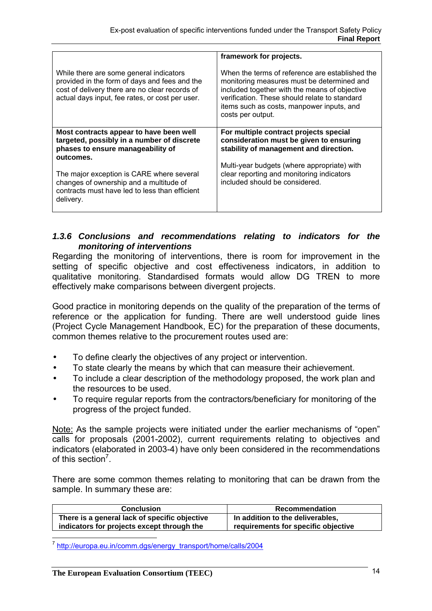| While there are some general indicators<br>provided in the form of days and fees and the<br>cost of delivery there are no clear records of<br>actual days input, fee rates, or cost per user.                                                                                                  | framework for projects.<br>When the terms of reference are established the<br>monitoring measures must be determined and<br>included together with the means of objective<br>verification. These should relate to standard<br>items such as costs, manpower inputs, and<br>costs per output. |
|------------------------------------------------------------------------------------------------------------------------------------------------------------------------------------------------------------------------------------------------------------------------------------------------|----------------------------------------------------------------------------------------------------------------------------------------------------------------------------------------------------------------------------------------------------------------------------------------------|
| Most contracts appear to have been well<br>targeted, possibly in a number of discrete<br>phases to ensure manageability of<br>outcomes.<br>The major exception is CARE where several<br>changes of ownership and a multitude of<br>contracts must have led to less than efficient<br>delivery. | For multiple contract projects special<br>consideration must be given to ensuring<br>stability of management and direction.<br>Multi-year budgets (where appropriate) with<br>clear reporting and monitoring indicators<br>included should be considered.                                    |

### *1.3.6 Conclusions and recommendations relating to indicators for the monitoring of interventions*

Regarding the monitoring of interventions, there is room for improvement in the setting of specific objective and cost effectiveness indicators, in addition to qualitative monitoring. Standardised formats would allow DG TREN to more effectively make comparisons between divergent projects.

Good practice in monitoring depends on the quality of the preparation of the terms of reference or the application for funding. There are well understood guide lines (Project Cycle Management Handbook, EC) for the preparation of these documents, common themes relative to the procurement routes used are:

- To define clearly the objectives of any project or intervention.
- To state clearly the means by which that can measure their achievement.
- To include a clear description of the methodology proposed, the work plan and the resources to be used.
- To require regular reports from the contractors/beneficiary for monitoring of the progress of the project funded.

Note: As the sample projects were initiated under the earlier mechanisms of "open" calls for proposals (2001-2002), current requirements relating to objectives and indicators (elaborated in 2003-4) have only been considered in the recommendations of this section<sup>7</sup>.

There are some common themes relating to monitoring that can be drawn from the sample. In summary these are:

| <b>Conclusion</b>                             | <b>Recommendation</b>               |
|-----------------------------------------------|-------------------------------------|
| There is a general lack of specific objective | In addition to the deliverables,    |
| indicators for projects except through the    | requirements for specific objective |

 $\overline{a}$ <sup>7</sup> http://europa.eu.in/comm.dgs/energy\_transport/home/calls/2004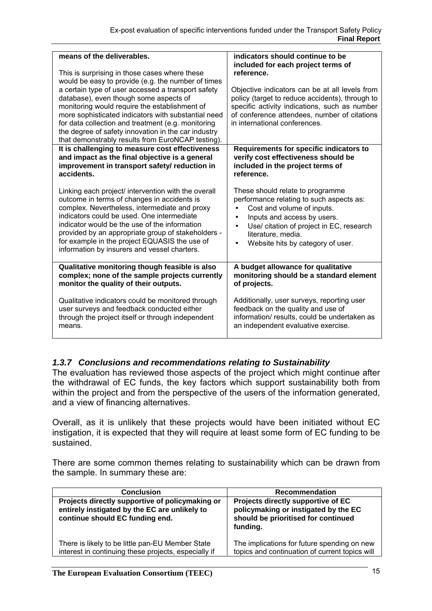| means of the deliverables.<br>This is surprising in those cases where these<br>would be easy to provide (e.g. the number of times<br>a certain type of user accessed a transport safety<br>database), even though some aspects of<br>monitoring would require the establishment of<br>more sophisticated indicators with substantial need<br>for data collection and treatment (e.g. monitoring<br>the degree of safety innovation in the car industry<br>that demonstrably results from EuroNCAP testing). | indicators should continue to be<br>included for each project terms of<br>reference.<br>Objective indicators can be at all levels from<br>policy (target to reduce accidents), through to<br>specific activity indications, such as number<br>of conference attendees, number of citations<br>in international conferences. |
|-------------------------------------------------------------------------------------------------------------------------------------------------------------------------------------------------------------------------------------------------------------------------------------------------------------------------------------------------------------------------------------------------------------------------------------------------------------------------------------------------------------|-----------------------------------------------------------------------------------------------------------------------------------------------------------------------------------------------------------------------------------------------------------------------------------------------------------------------------|
| It is challenging to measure cost effectiveness                                                                                                                                                                                                                                                                                                                                                                                                                                                             | Requirements for specific indicators to                                                                                                                                                                                                                                                                                     |
| and impact as the final objective is a general                                                                                                                                                                                                                                                                                                                                                                                                                                                              | verify cost effectiveness should be                                                                                                                                                                                                                                                                                         |
| improvement in transport safety/ reduction in                                                                                                                                                                                                                                                                                                                                                                                                                                                               | included in the project terms of                                                                                                                                                                                                                                                                                            |
| accidents.                                                                                                                                                                                                                                                                                                                                                                                                                                                                                                  | reference.                                                                                                                                                                                                                                                                                                                  |
| Linking each project/ intervention with the overall<br>outcome in terms of changes in accidents is<br>complex. Nevertheless, intermediate and proxy<br>indicators could be used. One intermediate<br>indicator would be the use of the information<br>provided by an appropriate group of stakeholders -<br>for example in the project EQUASIS the use of<br>information by insurers and vessel charters.                                                                                                   | These should relate to programme<br>performance relating to such aspects as:<br>Cost and volume of inputs.<br>Inputs and access by users.<br>$\bullet$<br>Use/ citation of project in EC, research<br>$\bullet$<br>literature, media.<br>Website hits by category of user.                                                  |
| Qualitative monitoring though feasible is also                                                                                                                                                                                                                                                                                                                                                                                                                                                              | A budget allowance for qualitative                                                                                                                                                                                                                                                                                          |
| complex; none of the sample projects currently                                                                                                                                                                                                                                                                                                                                                                                                                                                              | monitoring should be a standard element                                                                                                                                                                                                                                                                                     |
| monitor the quality of their outputs.                                                                                                                                                                                                                                                                                                                                                                                                                                                                       | of projects.                                                                                                                                                                                                                                                                                                                |
| Qualitative indicators could be monitored through                                                                                                                                                                                                                                                                                                                                                                                                                                                           | Additionally, user surveys, reporting user                                                                                                                                                                                                                                                                                  |
| user surveys and feedback conducted either                                                                                                                                                                                                                                                                                                                                                                                                                                                                  | feedback on the quality and use of                                                                                                                                                                                                                                                                                          |
| through the project itself or through independent                                                                                                                                                                                                                                                                                                                                                                                                                                                           | information/results, could be undertaken as                                                                                                                                                                                                                                                                                 |
| means.                                                                                                                                                                                                                                                                                                                                                                                                                                                                                                      | an independent evaluative exercise.                                                                                                                                                                                                                                                                                         |

### *1.3.7 Conclusions and recommendations relating to Sustainability*

The evaluation has reviewed those aspects of the project which might continue after the withdrawal of EC funds, the key factors which support sustainability both from within the project and from the perspective of the users of the information generated, and a view of financing alternatives.

Overall, as it is unlikely that these projects would have been initiated without EC instigation, it is expected that they will require at least some form of EC funding to be sustained.

There are some common themes relating to sustainability which can be drawn from the sample. In summary these are:

| <b>Conclusion</b>                                                                                                                   | <b>Recommendation</b>                                                                                                         |
|-------------------------------------------------------------------------------------------------------------------------------------|-------------------------------------------------------------------------------------------------------------------------------|
| Projects directly supportive of policymaking or<br>entirely instigated by the EC are unlikely to<br>continue should EC funding end. | Projects directly supportive of EC<br>policymaking or instigated by the EC<br>should be prioritised for continued<br>funding. |
| There is likely to be little pan-EU Member State<br>interest in continuing these projects, especially if                            | The implications for future spending on new<br>topics and continuation of current topics will                                 |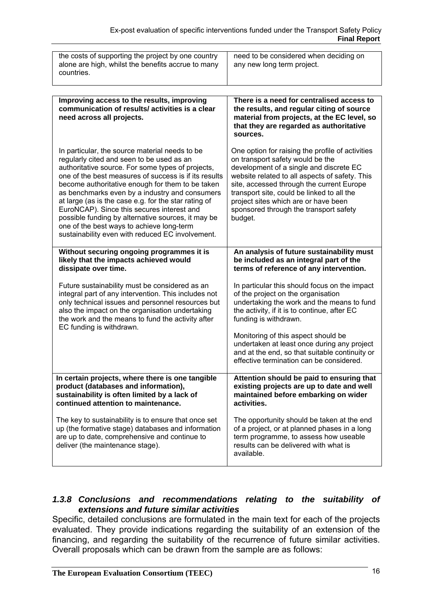| the costs of supporting the project by one country<br>alone are high, whilst the benefits accrue to many<br>countries.                                                                                                                                                                                                                                                                                                                                                                                                                                                       | need to be considered when deciding on<br>any new long term project.                                                                                                                                                                                                                                                                                                      |
|------------------------------------------------------------------------------------------------------------------------------------------------------------------------------------------------------------------------------------------------------------------------------------------------------------------------------------------------------------------------------------------------------------------------------------------------------------------------------------------------------------------------------------------------------------------------------|---------------------------------------------------------------------------------------------------------------------------------------------------------------------------------------------------------------------------------------------------------------------------------------------------------------------------------------------------------------------------|
|                                                                                                                                                                                                                                                                                                                                                                                                                                                                                                                                                                              |                                                                                                                                                                                                                                                                                                                                                                           |
| Improving access to the results, improving<br>communication of results/activities is a clear<br>need across all projects.                                                                                                                                                                                                                                                                                                                                                                                                                                                    | There is a need for centralised access to<br>the results, and regular citing of source<br>material from projects, at the EC level, so<br>that they are regarded as authoritative<br>sources.                                                                                                                                                                              |
| In particular, the source material needs to be<br>regularly cited and seen to be used as an<br>authoritative source. For some types of projects,<br>one of the best measures of success is if its results<br>become authoritative enough for them to be taken<br>as benchmarks even by a industry and consumers<br>at large (as is the case e.g. for the star rating of<br>EuroNCAP). Since this secures interest and<br>possible funding by alternative sources, it may be<br>one of the best ways to achieve long-term<br>sustainability even with reduced EC involvement. | One option for raising the profile of activities<br>on transport safety would be the<br>development of a single and discrete EC<br>website related to all aspects of safety. This<br>site, accessed through the current Europe<br>transport site, could be linked to all the<br>project sites which are or have been<br>sponsored through the transport safety<br>budget. |
| Without securing ongoing programmes it is<br>likely that the impacts achieved would<br>dissipate over time.                                                                                                                                                                                                                                                                                                                                                                                                                                                                  | An analysis of future sustainability must<br>be included as an integral part of the<br>terms of reference of any intervention.                                                                                                                                                                                                                                            |
| Future sustainability must be considered as an<br>integral part of any intervention. This includes not<br>only technical issues and personnel resources but<br>also the impact on the organisation undertaking<br>the work and the means to fund the activity after<br>EC funding is withdrawn.                                                                                                                                                                                                                                                                              | In particular this should focus on the impact<br>of the project on the organisation<br>undertaking the work and the means to fund<br>the activity, if it is to continue, after EC<br>funding is withdrawn.                                                                                                                                                                |
|                                                                                                                                                                                                                                                                                                                                                                                                                                                                                                                                                                              | Monitoring of this aspect should be<br>undertaken at least once during any project<br>and at the end, so that suitable continuity or<br>effective termination can be considered.                                                                                                                                                                                          |
| In certain projects, where there is one tangible<br>product (databases and information),<br>sustainability is often limited by a lack of<br>continued attention to maintenance.                                                                                                                                                                                                                                                                                                                                                                                              | Attention should be paid to ensuring that<br>existing projects are up to date and well<br>maintained before embarking on wider<br>activities.                                                                                                                                                                                                                             |
| The key to sustainability is to ensure that once set<br>up (the formative stage) databases and information<br>are up to date, comprehensive and continue to<br>deliver (the maintenance stage).                                                                                                                                                                                                                                                                                                                                                                              | The opportunity should be taken at the end<br>of a project, or at planned phases in a long<br>term programme, to assess how useable<br>results can be delivered with what is<br>available.                                                                                                                                                                                |

### *1.3.8 Conclusions and recommendations relating to the suitability of extensions and future similar activities*

Specific, detailed conclusions are formulated in the main text for each of the projects evaluated. They provide indications regarding the suitability of an extension of the financing, and regarding the suitability of the recurrence of future similar activities. Overall proposals which can be drawn from the sample are as follows: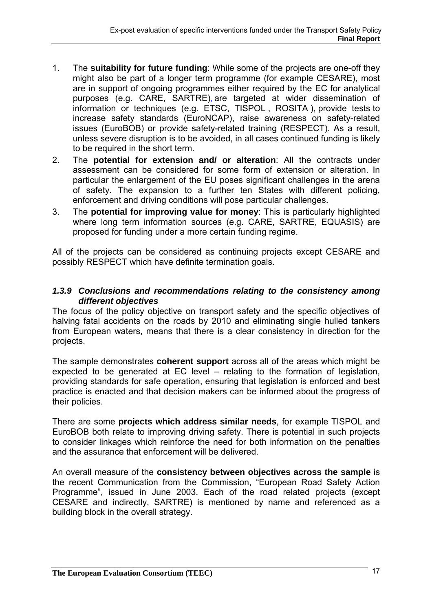- 1. The **suitability for future funding**: While some of the projects are one-off they might also be part of a longer term programme (for example CESARE), most are in support of ongoing programmes either required by the EC for analytical purposes (e.g. CARE, SARTRE), are targeted at wider dissemination of information or techniques (e.g. ETSC, TISPOL , ROSITA ), provide tests to increase safety standards (EuroNCAP), raise awareness on safety-related issues (EuroBOB) or provide safety-related training (RESPECT). As a result, unless severe disruption is to be avoided, in all cases continued funding is likely to be required in the short term.
- 2. The **potential for extension and/ or alteration**: All the contracts under assessment can be considered for some form of extension or alteration. In particular the enlargement of the EU poses significant challenges in the arena of safety. The expansion to a further ten States with different policing, enforcement and driving conditions will pose particular challenges.
- 3. The **potential for improving value for money**: This is particularly highlighted where long term information sources (e.g. CARE, SARTRE, EQUASIS) are proposed for funding under a more certain funding regime.

All of the projects can be considered as continuing projects except CESARE and possibly RESPECT which have definite termination goals.

### *1.3.9 Conclusions and recommendations relating to the consistency among different objectives*

The focus of the policy objective on transport safety and the specific objectives of halving fatal accidents on the roads by 2010 and eliminating single hulled tankers from European waters, means that there is a clear consistency in direction for the projects.

The sample demonstrates **coherent support** across all of the areas which might be expected to be generated at EC level – relating to the formation of legislation, providing standards for safe operation, ensuring that legislation is enforced and best practice is enacted and that decision makers can be informed about the progress of their policies.

There are some **projects which address similar needs**, for example TISPOL and EuroBOB both relate to improving driving safety. There is potential in such projects to consider linkages which reinforce the need for both information on the penalties and the assurance that enforcement will be delivered.

An overall measure of the **consistency between objectives across the sample** is the recent Communication from the Commission, "European Road Safety Action Programme", issued in June 2003. Each of the road related projects (except CESARE and indirectly, SARTRE) is mentioned by name and referenced as a building block in the overall strategy.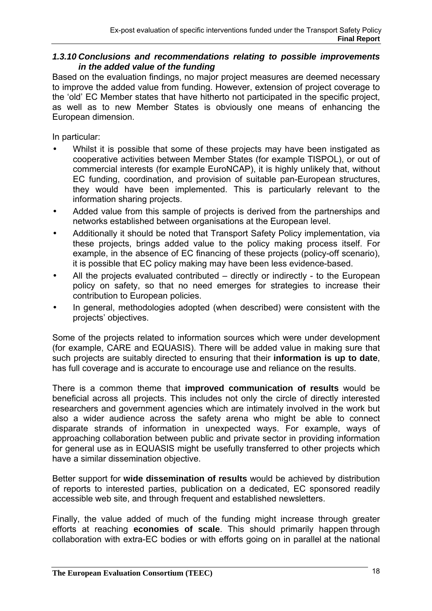### *1.3.10 Conclusions and recommendations relating to possible improvements in the added value of the funding*

Based on the evaluation findings, no major project measures are deemed necessary to improve the added value from funding. However, extension of project coverage to the 'old' EC Member states that have hitherto not participated in the specific project, as well as to new Member States is obviously one means of enhancing the European dimension.

In particular:

- Whilst it is possible that some of these projects may have been instigated as cooperative activities between Member States (for example TISPOL), or out of commercial interests (for example EuroNCAP), it is highly unlikely that, without EC funding, coordination, and provision of suitable pan-European structures, they would have been implemented. This is particularly relevant to the information sharing projects.
- Added value from this sample of projects is derived from the partnerships and networks established between organisations at the European level.
- Additionally it should be noted that Transport Safety Policy implementation, via these projects, brings added value to the policy making process itself. For example, in the absence of EC financing of these projects (policy-off scenario), it is possible that EC policy making may have been less evidence-based.
- All the projects evaluated contributed directly or indirectly to the European policy on safety, so that no need emerges for strategies to increase their contribution to European policies.
- In general, methodologies adopted (when described) were consistent with the projects' objectives.

Some of the projects related to information sources which were under development (for example, CARE and EQUASIS). There will be added value in making sure that such projects are suitably directed to ensuring that their **information is up to date**, has full coverage and is accurate to encourage use and reliance on the results.

There is a common theme that **improved communication of results** would be beneficial across all projects. This includes not only the circle of directly interested researchers and government agencies which are intimately involved in the work but also a wider audience across the safety arena who might be able to connect disparate strands of information in unexpected ways. For example, ways of approaching collaboration between public and private sector in providing information for general use as in EQUASIS might be usefully transferred to other projects which have a similar dissemination objective.

Better support for **wide dissemination of results** would be achieved by distribution of reports to interested parties, publication on a dedicated, EC sponsored readily accessible web site, and through frequent and established newsletters.

Finally, the value added of much of the funding might increase through greater efforts at reaching **economies of scale**. This should primarily happen through collaboration with extra-EC bodies or with efforts going on in parallel at the national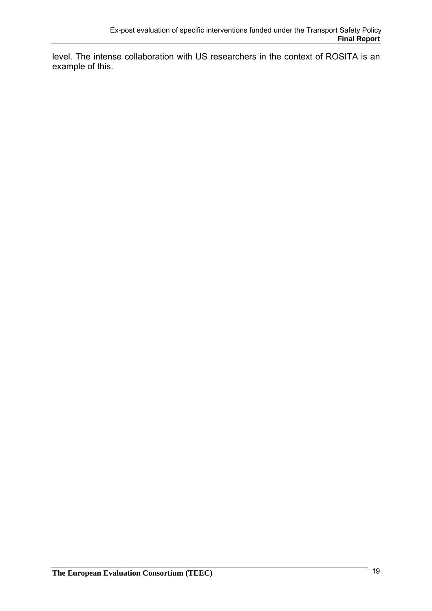level. The intense collaboration with US researchers in the context of ROSITA is an example of this.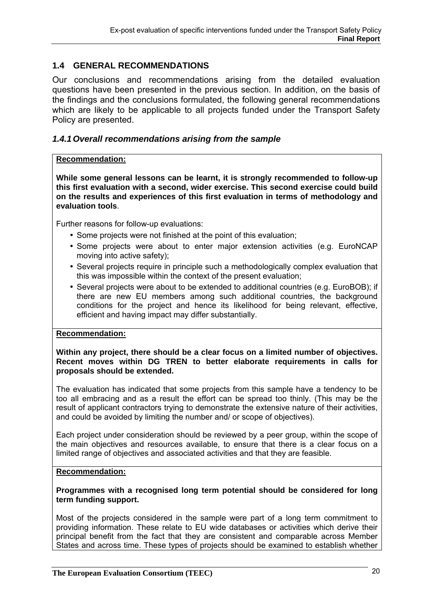### **1.4 GENERAL RECOMMENDATIONS**

Our conclusions and recommendations arising from the detailed evaluation questions have been presented in the previous section. In addition, on the basis of the findings and the conclusions formulated, the following general recommendations which are likely to be applicable to all projects funded under the Transport Safety Policy are presented.

### *1.4.1 Overall recommendations arising from the sample*

#### **Recommendation:**

**While some general lessons can be learnt, it is strongly recommended to follow-up this first evaluation with a second, wider exercise. This second exercise could build on the results and experiences of this first evaluation in terms of methodology and evaluation tools**.

Further reasons for follow-up evaluations:

- Some projects were not finished at the point of this evaluation;
- Some projects were about to enter major extension activities (e.g. EuroNCAP moving into active safety);
- Several projects require in principle such a methodologically complex evaluation that this was impossible within the context of the present evaluation;
- Several projects were about to be extended to additional countries (e.g. EuroBOB); if there are new EU members among such additional countries, the background conditions for the project and hence its likelihood for being relevant, effective, efficient and having impact may differ substantially.

#### **Recommendation:**

**Within any project, there should be a clear focus on a limited number of objectives. Recent moves within DG TREN to better elaborate requirements in calls for proposals should be extended.** 

The evaluation has indicated that some projects from this sample have a tendency to be too all embracing and as a result the effort can be spread too thinly. (This may be the result of applicant contractors trying to demonstrate the extensive nature of their activities, and could be avoided by limiting the number and/ or scope of objectives).

Each project under consideration should be reviewed by a peer group, within the scope of the main objectives and resources available, to ensure that there is a clear focus on a limited range of objectives and associated activities and that they are feasible.

#### **Recommendation:**

#### **Programmes with a recognised long term potential should be considered for long term funding support.**

Most of the projects considered in the sample were part of a long term commitment to providing information. These relate to EU wide databases or activities which derive their principal benefit from the fact that they are consistent and comparable across Member States and across time. These types of projects should be examined to establish whether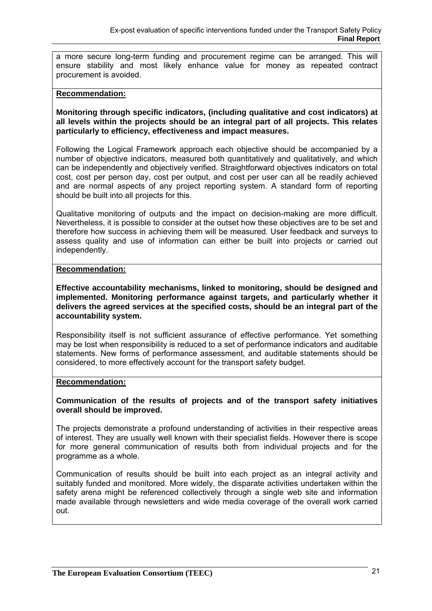a more secure long-term funding and procurement regime can be arranged. This will ensure stability and most likely enhance value for money as repeated contract procurement is avoided.

#### **Recommendation:**

**Monitoring through specific indicators, (including qualitative and cost indicators) at all levels within the projects should be an integral part of all projects. This relates particularly to efficiency, effectiveness and impact measures.** 

Following the Logical Framework approach each objective should be accompanied by a number of objective indicators, measured both quantitatively and qualitatively, and which can be independently and objectively verified. Straightforward objectives indicators on total cost, cost per person day, cost per output, and cost per user can all be readily achieved and are normal aspects of any project reporting system. A standard form of reporting should be built into all projects for this.

Qualitative monitoring of outputs and the impact on decision-making are more difficult. Nevertheless, it is possible to consider at the outset how these objectives are to be set and therefore how success in achieving them will be measured. User feedback and surveys to assess quality and use of information can either be built into projects or carried out independently.

#### **Recommendation:**

**Effective accountability mechanisms, linked to monitoring, should be designed and implemented. Monitoring performance against targets, and particularly whether it delivers the agreed services at the specified costs, should be an integral part of the accountability system.** 

Responsibility itself is not sufficient assurance of effective performance. Yet something may be lost when responsibility is reduced to a set of performance indicators and auditable statements. New forms of performance assessment, and auditable statements should be considered, to more effectively account for the transport safety budget.

#### **Recommendation:**

#### **Communication of the results of projects and of the transport safety initiatives overall should be improved.**

The projects demonstrate a profound understanding of activities in their respective areas of interest. They are usually well known with their specialist fields. However there is scope for more general communication of results both from individual projects and for the programme as a whole.

Communication of results should be built into each project as an integral activity and suitably funded and monitored. More widely, the disparate activities undertaken within the safety arena might be referenced collectively through a single web site and information made available through newsletters and wide media coverage of the overall work carried out.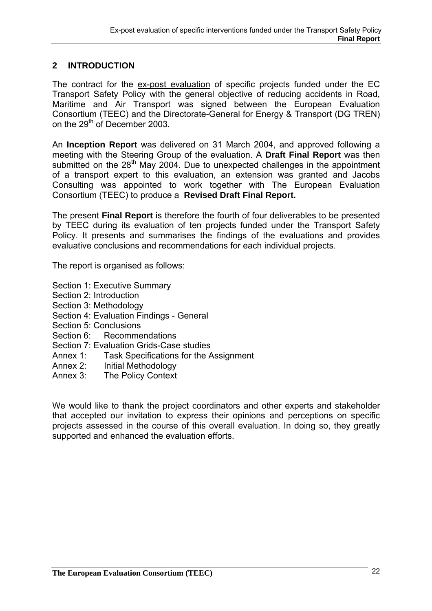### **2 INTRODUCTION**

The contract for the ex-post evaluation of specific projects funded under the EC Transport Safety Policy with the general objective of reducing accidents in Road, Maritime and Air Transport was signed between the European Evaluation Consortium (TEEC) and the Directorate-General for Energy & Transport (DG TREN) on the 29<sup>th</sup> of December 2003.

An **Inception Report** was delivered on 31 March 2004, and approved following a meeting with the Steering Group of the evaluation. A **Draft Final Report** was then submitted on the  $28<sup>th</sup>$  May 2004. Due to unexpected challenges in the appointment of a transport expert to this evaluation, an extension was granted and Jacobs Consulting was appointed to work together with The European Evaluation Consortium (TEEC) to produce a **Revised Draft Final Report.**

The present **Final Report** is therefore the fourth of four deliverables to be presented by TEEC during its evaluation of ten projects funded under the Transport Safety Policy. It presents and summarises the findings of the evaluations and provides evaluative conclusions and recommendations for each individual projects.

The report is organised as follows:

- Section 1: Executive Summary
- Section 2: Introduction
- Section 3: Methodology
- Section 4: Evaluation Findings General
- Section 5: Conclusions
- Section 6: Recommendations
- Section 7: Evaluation Grids-Case studies
- Annex 1: Task Specifications for the Assignment
- Annex 2: Initial Methodology
- Annex 3: The Policy Context

We would like to thank the project coordinators and other experts and stakeholder that accepted our invitation to express their opinions and perceptions on specific projects assessed in the course of this overall evaluation. In doing so, they greatly supported and enhanced the evaluation efforts.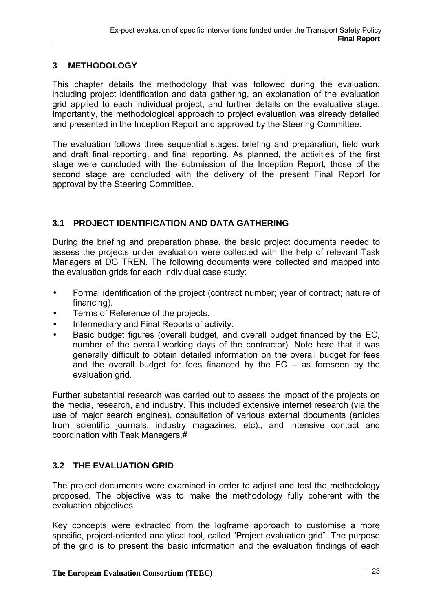### **3 METHODOLOGY**

This chapter details the methodology that was followed during the evaluation, including project identification and data gathering, an explanation of the evaluation grid applied to each individual project, and further details on the evaluative stage. Importantly, the methodological approach to project evaluation was already detailed and presented in the Inception Report and approved by the Steering Committee.

The evaluation follows three sequential stages: briefing and preparation, field work and draft final reporting, and final reporting. As planned, the activities of the first stage were concluded with the submission of the Inception Report; those of the second stage are concluded with the delivery of the present Final Report for approval by the Steering Committee.

### **3.1 PROJECT IDENTIFICATION AND DATA GATHERING**

During the briefing and preparation phase, the basic project documents needed to assess the projects under evaluation were collected with the help of relevant Task Managers at DG TREN. The following documents were collected and mapped into the evaluation grids for each individual case study:

- Formal identification of the project (contract number; year of contract; nature of financing).
- Terms of Reference of the projects.
- Intermediary and Final Reports of activity.
- Basic budget figures (overall budget, and overall budget financed by the EC, number of the overall working days of the contractor). Note here that it was generally difficult to obtain detailed information on the overall budget for fees and the overall budget for fees financed by the  $EC - as$  foreseen by the evaluation grid.

Further substantial research was carried out to assess the impact of the projects on the media, research, and industry. This included extensive internet research (via the use of major search engines), consultation of various external documents (articles from scientific journals, industry magazines, etc)., and intensive contact and coordination with Task Managers.#

### **3.2 THE EVALUATION GRID**

The project documents were examined in order to adjust and test the methodology proposed. The objective was to make the methodology fully coherent with the evaluation objectives.

Key concepts were extracted from the logframe approach to customise a more specific, project-oriented analytical tool, called "Project evaluation grid". The purpose of the grid is to present the basic information and the evaluation findings of each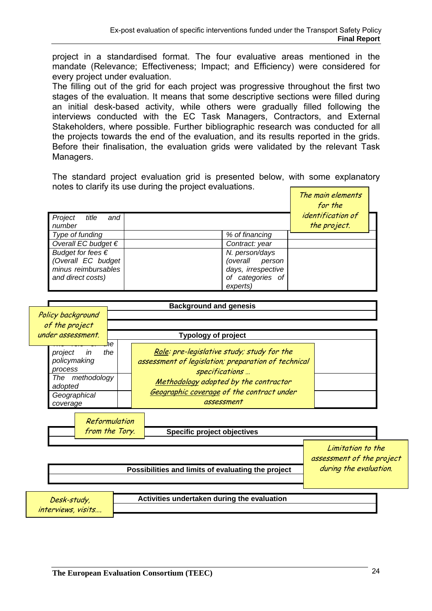project in a standardised format. The four evaluative areas mentioned in the mandate (Relevance; Effectiveness; Impact; and Efficiency) were considered for every project under evaluation.

The filling out of the grid for each project was progressive throughout the first two stages of the evaluation. It means that some descriptive sections were filled during an initial desk-based activity, while others were gradually filled following the interviews conducted with the EC Task Managers, Contractors, and External Stakeholders, where possible. Further bibliographic research was conducted for all the projects towards the end of the evaluation, and its results reported in the grids. Before their finalisation, the evaluation grids were validated by the relevant Task Managers.

The standard project evaluation grid is presented below, with some explanatory notes to clarify its use during the project evaluations.  $\blacksquare$ 

|                                                                                              |                                                                                               | The main elements<br>for the             |  |
|----------------------------------------------------------------------------------------------|-----------------------------------------------------------------------------------------------|------------------------------------------|--|
| Project<br>and<br>title<br>number                                                            |                                                                                               | <i>identification</i> of<br>the project. |  |
| Type of funding                                                                              | % of financing                                                                                |                                          |  |
| Overall EC budget $\epsilon$                                                                 | Contract: year                                                                                |                                          |  |
| Budget for fees $\epsilon$<br>(Overall EC budget<br>minus reimbursables<br>and direct costs) | N. person/days<br>(overall<br>person<br>days, irrespective<br>categories of<br>οf<br>experts) |                                          |  |

|                                      |                                                               |                            | <b>Background and genesis</b>                                                                                                                                                                                           |                                                                          |  |
|--------------------------------------|---------------------------------------------------------------|----------------------------|-------------------------------------------------------------------------------------------------------------------------------------------------------------------------------------------------------------------------|--------------------------------------------------------------------------|--|
|                                      | Policy background                                             |                            |                                                                                                                                                                                                                         |                                                                          |  |
|                                      | of the project                                                |                            |                                                                                                                                                                                                                         |                                                                          |  |
|                                      | under assessment.                                             |                            | <b>Typology of project</b>                                                                                                                                                                                              |                                                                          |  |
| project<br>process<br>The<br>adopted | in<br>policymaking<br>methodology<br>Geographical<br>coverage | he<br>the<br>Reformulation | Role: pre-legislative study; study for the<br>assessment of legislation; preparation of technical<br>specifications<br>Methodology adopted by the contractor<br>Geographic coverage of the contract under<br>assessment |                                                                          |  |
|                                      |                                                               | from the Tory.             | <b>Specific project objectives</b>                                                                                                                                                                                      |                                                                          |  |
|                                      |                                                               |                            | Possibilities and limits of evaluating the project                                                                                                                                                                      | Limitation to the<br>assessment of the project<br>during the evaluation. |  |
|                                      | Desk-study,<br>interviews, visits                             |                            | Activities undertaken during the evaluation                                                                                                                                                                             |                                                                          |  |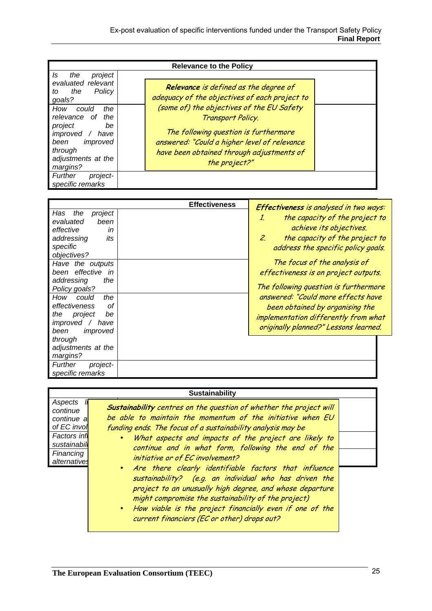| <b>Relevance to the Policy</b>                                                                                                                      |                                                                                                                                                                                                                       |  |  |
|-----------------------------------------------------------------------------------------------------------------------------------------------------|-----------------------------------------------------------------------------------------------------------------------------------------------------------------------------------------------------------------------|--|--|
| the<br>project<br>Is<br>evaluated relevant<br>Policy<br>the<br>to<br>goals?                                                                         | <b>Relevance</b> is defined as the degree of<br>adequacy of the objectives of each project to                                                                                                                         |  |  |
| How<br>the<br>could<br>relevance<br>the<br>οf<br>project<br>be<br>improved<br>have<br>been<br>improved<br>through<br>adjustments at the<br>margins? | (some of) the objectives of the EU Safety<br>Transport Policy.<br>The following question is furthermore<br>answered: "Could a higher level of relevance<br>have been obtained through adjustments of<br>the project?" |  |  |
| Further<br>project-<br>specific remarks                                                                                                             |                                                                                                                                                                                                                       |  |  |

|                                                                                                               | <b>Effectiveness</b> | <b>Effectiveness</b> is analysed in two ways:                                                                                                          |
|---------------------------------------------------------------------------------------------------------------|----------------------|--------------------------------------------------------------------------------------------------------------------------------------------------------|
| Has<br>the<br>project<br>evaluated<br>been<br>effective<br>in<br>addressing<br>its<br>specific<br>objectives? |                      | the capacity of the project to<br>1.<br>achieve its objectives.<br>the capacity of the project to<br>2.<br>address the specific policy goals.          |
| Have the outputs<br>effective<br>been<br>in<br>addressing<br>the<br>Policy goals?                             |                      | The focus of the analysis of<br>effectiveness is on project outputs.<br>The following question is furthermore                                          |
| the<br>How<br>could<br>effectiveness<br>Ωf<br>the<br>project<br>be<br>improved<br>have<br>been<br>improved    |                      | answered: "Could more effects have<br>been obtained by organising the<br>implementation differently from what<br>originally planned?" Lessons learned. |
| through<br>adjustments at the<br>margins?<br>Further<br>project-<br>specific remarks                          |                      |                                                                                                                                                        |

|--|

| Aspects             |                                                                    |  |
|---------------------|--------------------------------------------------------------------|--|
| continue            | Sustainability centres on the question of whether the project will |  |
| continue al         | be able to maintain the momentum of the initiative when EU         |  |
| of EC invol         | funding ends. The focus of a sustainability analysis may be        |  |
| <b>Factors</b> infl | • What aspects and impacts of the project are likely to            |  |
| sustainabill        | continue and in what form, following the end of the                |  |
| Financing           |                                                                    |  |
| alternatives        | initiative or of EC involvement?                                   |  |
|                     | • Are there clearly identifiable factors that influence            |  |
|                     | sustainability? (e.g. an individual who has driven the             |  |
|                     | project to an unusually high degree, and whose departure           |  |
|                     | might compromise the sustainability of the project)                |  |
|                     |                                                                    |  |
|                     | • How viable is the project financially even if one of the         |  |
|                     | current financiers (EC or other) drops out?                        |  |
|                     |                                                                    |  |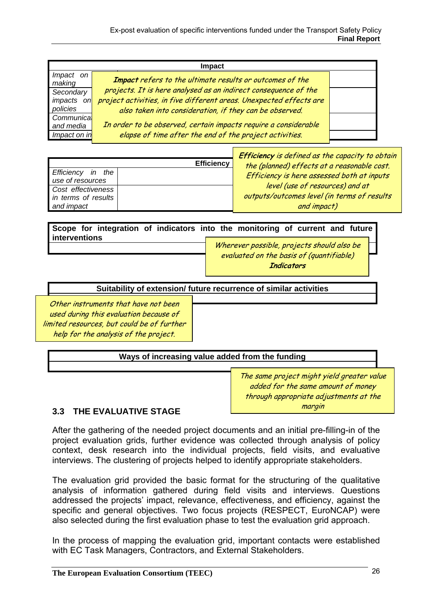| Impact              |                                                                     |  |  |
|---------------------|---------------------------------------------------------------------|--|--|
| Impact on<br>making | Impact refers to the ultimate results or outcomes of the            |  |  |
| Secondary           | projects. It is here analysed as an indirect consequence of the     |  |  |
| impacts on          | project activities, in five different areas. Unexpected effects are |  |  |
| policies            | also taken into consideration, if they can be observed.             |  |  |
| Communica           |                                                                     |  |  |
| and media           | In order to be observed, certain impacts require a considerable     |  |  |
| Impact on in        | elapse of time after the end of the project activities.             |  |  |
|                     |                                                                     |  |  |

|                                                         | <b>Efficiency</b> | <b>Efficiency</b> is defined as the capacity to obtain<br>the (planned) effects at a reasonable cost. |
|---------------------------------------------------------|-------------------|-------------------------------------------------------------------------------------------------------|
| Efficiency in the<br>use of resources                   |                   | Efficiency is here assessed both at inputs                                                            |
| Cost effectiveness<br>in terms of results<br>and impact |                   | level (use of resources) and at<br>outputs/outcomes level (in terms of results<br>and impact)         |

**Scope for integration of indicators into the monitoring of current and future interventions** 

Wherever possible, projects should also be evaluated on the basis of (quantifiable) **Indicators** 

**Suitability of extension/ future recurrence of similar activities** 

Other instruments that have not been used during this evaluation because of limited resources, but could be of further help for the analysis of the project.

**Ways of increasing value added from the funding**

The same project might yield greater value added for the same amount of money through appropriate adjustments at the margin

### **3.3 THE EVALUATIVE STAGE**

After the gathering of the needed project documents and an initial pre-filling-in of the project evaluation grids, further evidence was collected through analysis of policy context, desk research into the individual projects, field visits, and evaluative interviews. The clustering of projects helped to identify appropriate stakeholders.

The evaluation grid provided the basic format for the structuring of the qualitative analysis of information gathered during field visits and interviews. Questions addressed the projects' impact, relevance, effectiveness, and efficiency, against the specific and general objectives. Two focus projects (RESPECT, EuroNCAP) were also selected during the first evaluation phase to test the evaluation grid approach.

In the process of mapping the evaluation grid, important contacts were established with EC Task Managers, Contractors, and External Stakeholders.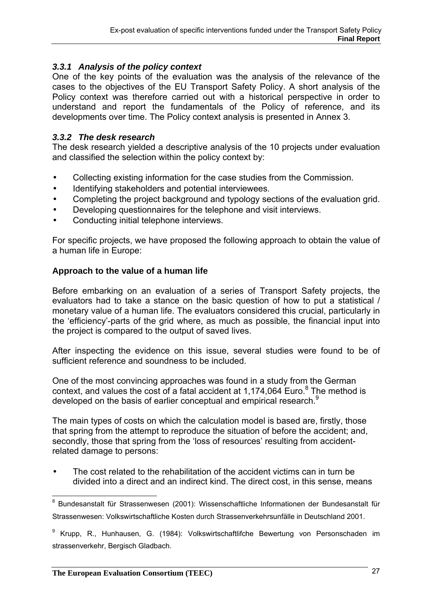### *3.3.1 Analysis of the policy context*

One of the key points of the evaluation was the analysis of the relevance of the cases to the objectives of the EU Transport Safety Policy. A short analysis of the Policy context was therefore carried out with a historical perspective in order to understand and report the fundamentals of the Policy of reference, and its developments over time. The Policy context analysis is presented in Annex 3.

### *3.3.2 The desk research*

The desk research yielded a descriptive analysis of the 10 projects under evaluation and classified the selection within the policy context by:

- Collecting existing information for the case studies from the Commission.
- Identifying stakeholders and potential interviewees.
- Completing the project background and typology sections of the evaluation grid.
- Developing questionnaires for the telephone and visit interviews.
- Conducting initial telephone interviews.

For specific projects, we have proposed the following approach to obtain the value of a human life in Europe:

### **Approach to the value of a human life**

Before embarking on an evaluation of a series of Transport Safety projects, the evaluators had to take a stance on the basic question of how to put a statistical / monetary value of a human life. The evaluators considered this crucial, particularly in the 'efficiency'-parts of the grid where, as much as possible, the financial input into the project is compared to the output of saved lives.

After inspecting the evidence on this issue, several studies were found to be of sufficient reference and soundness to be included.

One of the most convincing approaches was found in a study from the German context, and values the cost of a fatal accident at 1,174,064 Euro. $8$  The method is developed on the basis of earlier conceptual and empirical research.<sup>9</sup>

The main types of costs on which the calculation model is based are, firstly, those that spring from the attempt to reproduce the situation of before the accident; and, secondly, those that spring from the 'loss of resources' resulting from accidentrelated damage to persons:

• The cost related to the rehabilitation of the accident victims can in turn be divided into a direct and an indirect kind. The direct cost, in this sense, means

<sup>9</sup> Krupp, R., Hunhausen, G. (1984): Volkswirtschaftlifche Bewertung von Personschaden im strassenverkehr, Bergisch Gladbach.

 $\overline{a}$ <sup>8</sup> Bundesanstalt für Strassenwesen (2001): Wissenschaftliche Informationen der Bundesanstalt für Strassenwesen: Volkswirtschaftliche Kosten durch Strassenverkehrsunfälle in Deutschland 2001.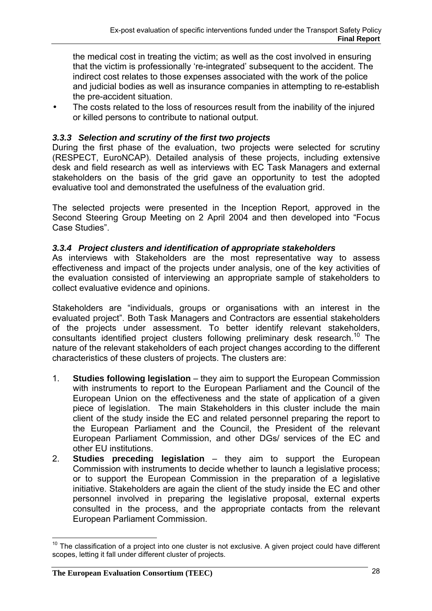the medical cost in treating the victim; as well as the cost involved in ensuring that the victim is professionally 're-integrated' subsequent to the accident. The indirect cost relates to those expenses associated with the work of the police and judicial bodies as well as insurance companies in attempting to re-establish the pre-accident situation.

The costs related to the loss of resources result from the inability of the injured or killed persons to contribute to national output.

### *3.3.3 Selection and scrutiny of the first two projects*

During the first phase of the evaluation, two projects were selected for scrutiny (RESPECT, EuroNCAP). Detailed analysis of these projects, including extensive desk and field research as well as interviews with EC Task Managers and external stakeholders on the basis of the grid gave an opportunity to test the adopted evaluative tool and demonstrated the usefulness of the evaluation grid.

The selected projects were presented in the Inception Report, approved in the Second Steering Group Meeting on 2 April 2004 and then developed into "Focus Case Studies".

### *3.3.4 Project clusters and identification of appropriate stakeholders*

As interviews with Stakeholders are the most representative way to assess effectiveness and impact of the projects under analysis, one of the key activities of the evaluation consisted of interviewing an appropriate sample of stakeholders to collect evaluative evidence and opinions.

Stakeholders are "individuals, groups or organisations with an interest in the evaluated project". Both Task Managers and Contractors are essential stakeholders of the projects under assessment. To better identify relevant stakeholders, consultants identified project clusters following preliminary desk research.<sup>10</sup> The nature of the relevant stakeholders of each project changes according to the different characteristics of these clusters of projects. The clusters are:

- 1. **Studies following legislation** they aim to support the European Commission with instruments to report to the European Parliament and the Council of the European Union on the effectiveness and the state of application of a given piece of legislation. The main Stakeholders in this cluster include the main client of the study inside the EC and related personnel preparing the report to the European Parliament and the Council, the President of the relevant European Parliament Commission, and other DGs/ services of the EC and other EU institutions.
- 2. **Studies preceding legislation** they aim to support the European Commission with instruments to decide whether to launch a legislative process; or to support the European Commission in the preparation of a legislative initiative. Stakeholders are again the client of the study inside the EC and other personnel involved in preparing the legislative proposal, external experts consulted in the process, and the appropriate contacts from the relevant European Parliament Commission.

 $\overline{a}$ 

 $10$  The classification of a project into one cluster is not exclusive. A given project could have different scopes, letting it fall under different cluster of projects.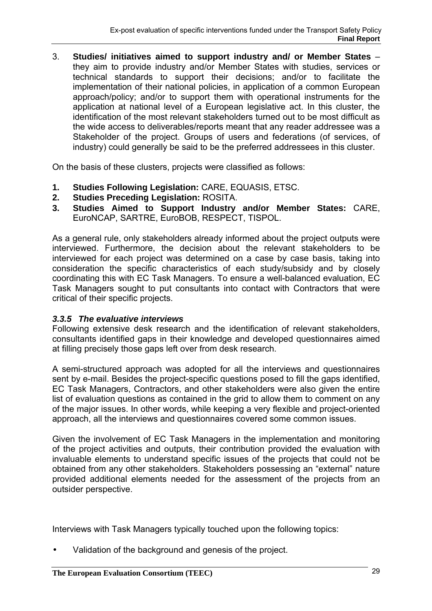3. **Studies/ initiatives aimed to support industry and/ or Member States** – they aim to provide industry and/or Member States with studies, services or technical standards to support their decisions; and/or to facilitate the implementation of their national policies, in application of a common European approach/policy; and/or to support them with operational instruments for the application at national level of a European legislative act. In this cluster, the identification of the most relevant stakeholders turned out to be most difficult as the wide access to deliverables/reports meant that any reader addressee was a Stakeholder of the project. Groups of users and federations (of services, of industry) could generally be said to be the preferred addressees in this cluster.

On the basis of these clusters, projects were classified as follows:

- **1. Studies Following Legislation:** CARE, EQUASIS, ETSC.
- **2. Studies Preceding Legislation:** ROSITA.
- **3. Studies Aimed to Support Industry and/or Member States:** CARE, EuroNCAP, SARTRE, EuroBOB, RESPECT, TISPOL.

As a general rule, only stakeholders already informed about the project outputs were interviewed. Furthermore, the decision about the relevant stakeholders to be interviewed for each project was determined on a case by case basis, taking into consideration the specific characteristics of each study/subsidy and by closely coordinating this with EC Task Managers. To ensure a well-balanced evaluation, EC Task Managers sought to put consultants into contact with Contractors that were critical of their specific projects.

### *3.3.5 The evaluative interviews*

Following extensive desk research and the identification of relevant stakeholders, consultants identified gaps in their knowledge and developed questionnaires aimed at filling precisely those gaps left over from desk research.

A semi-structured approach was adopted for all the interviews and questionnaires sent by e-mail. Besides the project-specific questions posed to fill the gaps identified, EC Task Managers, Contractors, and other stakeholders were also given the entire list of evaluation questions as contained in the grid to allow them to comment on any of the major issues. In other words, while keeping a very flexible and project-oriented approach, all the interviews and questionnaires covered some common issues.

Given the involvement of EC Task Managers in the implementation and monitoring of the project activities and outputs, their contribution provided the evaluation with invaluable elements to understand specific issues of the projects that could not be obtained from any other stakeholders. Stakeholders possessing an "external" nature provided additional elements needed for the assessment of the projects from an outsider perspective.

Interviews with Task Managers typically touched upon the following topics:

• Validation of the background and genesis of the project.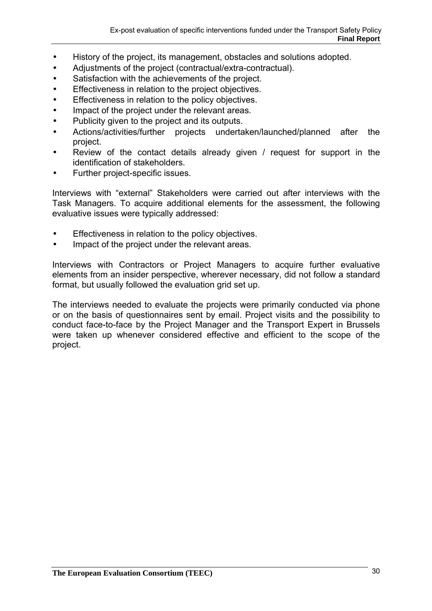- History of the project, its management, obstacles and solutions adopted.
- Adjustments of the project (contractual/extra-contractual).
- Satisfaction with the achievements of the project.
- Effectiveness in relation to the project objectives.
- Effectiveness in relation to the policy objectives.
- Impact of the project under the relevant areas.
- Publicity given to the project and its outputs.
- Actions/activities/further projects undertaken/launched/planned after the project.
- Review of the contact details already given / request for support in the identification of stakeholders.
- Further project-specific issues.

Interviews with "external" Stakeholders were carried out after interviews with the Task Managers. To acquire additional elements for the assessment, the following evaluative issues were typically addressed:

- Effectiveness in relation to the policy objectives.
- Impact of the project under the relevant areas.

Interviews with Contractors or Project Managers to acquire further evaluative elements from an insider perspective, wherever necessary, did not follow a standard format, but usually followed the evaluation grid set up.

The interviews needed to evaluate the projects were primarily conducted via phone or on the basis of questionnaires sent by email. Project visits and the possibility to conduct face-to-face by the Project Manager and the Transport Expert in Brussels were taken up whenever considered effective and efficient to the scope of the project.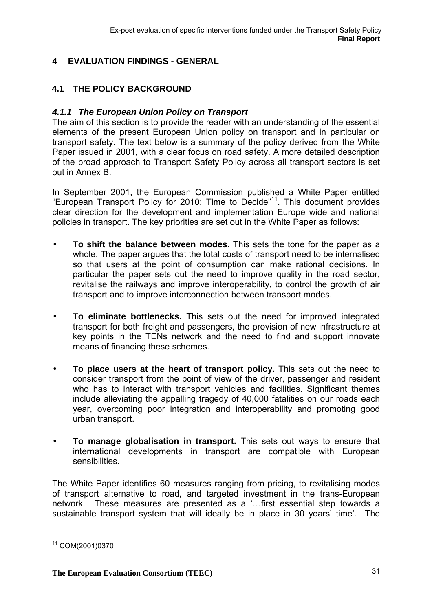### **4 EVALUATION FINDINGS - GENERAL**

### **4.1 THE POLICY BACKGROUND**

### *4.1.1 The European Union Policy on Transport*

The aim of this section is to provide the reader with an understanding of the essential elements of the present European Union policy on transport and in particular on transport safety. The text below is a summary of the policy derived from the White Paper issued in 2001, with a clear focus on road safety. A more detailed description of the broad approach to Transport Safety Policy across all transport sectors is set out in Annex B.

In September 2001, the European Commission published a White Paper entitled "European Transport Policy for 2010: Time to Decide"11. This document provides clear direction for the development and implementation Europe wide and national policies in transport. The key priorities are set out in the White Paper as follows:

- **To shift the balance between modes**. This sets the tone for the paper as a whole. The paper argues that the total costs of transport need to be internalised so that users at the point of consumption can make rational decisions. In particular the paper sets out the need to improve quality in the road sector, revitalise the railways and improve interoperability, to control the growth of air transport and to improve interconnection between transport modes.
- **To eliminate bottlenecks.** This sets out the need for improved integrated transport for both freight and passengers, the provision of new infrastructure at key points in the TENs network and the need to find and support innovate means of financing these schemes.
- **To place users at the heart of transport policy.** This sets out the need to consider transport from the point of view of the driver, passenger and resident who has to interact with transport vehicles and facilities. Significant themes include alleviating the appalling tragedy of 40,000 fatalities on our roads each year, overcoming poor integration and interoperability and promoting good urban transport.
- **To manage globalisation in transport.** This sets out ways to ensure that international developments in transport are compatible with European sensibilities.

The White Paper identifies 60 measures ranging from pricing, to revitalising modes of transport alternative to road, and targeted investment in the trans-European network. These measures are presented as a '…first essential step towards a sustainable transport system that will ideally be in place in 30 years' time'. The

 $\overline{a}$ 11 COM(2001)0370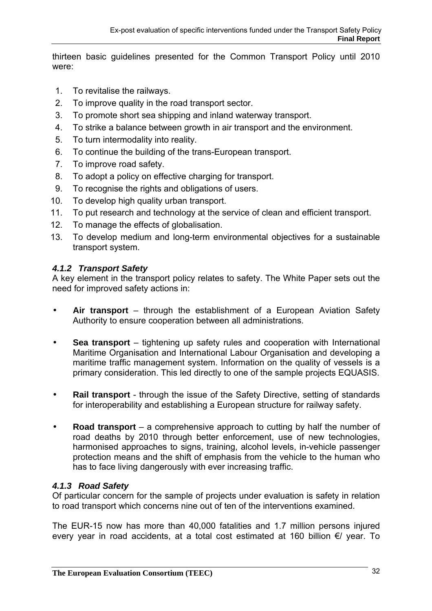thirteen basic guidelines presented for the Common Transport Policy until 2010 were:

- 1. To revitalise the railways.
- 2. To improve quality in the road transport sector.
- 3. To promote short sea shipping and inland waterway transport.
- 4. To strike a balance between growth in air transport and the environment.
- 5. To turn intermodality into reality.
- 6. To continue the building of the trans-European transport.
- 7. To improve road safety.
- 8. To adopt a policy on effective charging for transport.
- 9. To recognise the rights and obligations of users.
- 10. To develop high quality urban transport.
- 11. To put research and technology at the service of clean and efficient transport.
- 12. To manage the effects of globalisation.
- 13. To develop medium and long-term environmental objectives for a sustainable transport system.

### *4.1.2 Transport Safety*

A key element in the transport policy relates to safety. The White Paper sets out the need for improved safety actions in:

- **Air transport** through the establishment of a European Aviation Safety Authority to ensure cooperation between all administrations.
- **Sea transport** tightening up safety rules and cooperation with International Maritime Organisation and International Labour Organisation and developing a maritime traffic management system. Information on the quality of vessels is a primary consideration. This led directly to one of the sample projects EQUASIS.
- **Rail transport** through the issue of the Safety Directive, setting of standards for interoperability and establishing a European structure for railway safety.
- **Road transport** a comprehensive approach to cutting by half the number of road deaths by 2010 through better enforcement, use of new technologies, harmonised approaches to signs, training, alcohol levels, in-vehicle passenger protection means and the shift of emphasis from the vehicle to the human who has to face living dangerously with ever increasing traffic.

### *4.1.3 Road Safety*

Of particular concern for the sample of projects under evaluation is safety in relation to road transport which concerns nine out of ten of the interventions examined.

The EUR-15 now has more than 40,000 fatalities and 1.7 million persons injured every year in road accidents, at a total cost estimated at 160 billion €/ year. To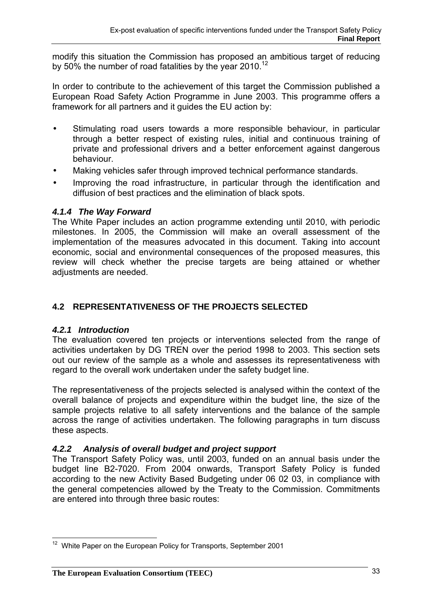modify this situation the Commission has proposed an ambitious target of reducing by 50% the number of road fatalities by the year 2010.<sup>12</sup>

In order to contribute to the achievement of this target the Commission published a European Road Safety Action Programme in June 2003. This programme offers a framework for all partners and it guides the EU action by:

- Stimulating road users towards a more responsible behaviour, in particular through a better respect of existing rules, initial and continuous training of private and professional drivers and a better enforcement against dangerous behaviour.
- Making vehicles safer through improved technical performance standards.
- Improving the road infrastructure, in particular through the identification and diffusion of best practices and the elimination of black spots.

### *4.1.4 The Way Forward*

The White Paper includes an action programme extending until 2010, with periodic milestones. In 2005, the Commission will make an overall assessment of the implementation of the measures advocated in this document. Taking into account economic, social and environmental consequences of the proposed measures, this review will check whether the precise targets are being attained or whether adjustments are needed.

### **4.2 REPRESENTATIVENESS OF THE PROJECTS SELECTED**

### *4.2.1 Introduction*

The evaluation covered ten projects or interventions selected from the range of activities undertaken by DG TREN over the period 1998 to 2003. This section sets out our review of the sample as a whole and assesses its representativeness with regard to the overall work undertaken under the safety budget line.

The representativeness of the projects selected is analysed within the context of the overall balance of projects and expenditure within the budget line, the size of the sample projects relative to all safety interventions and the balance of the sample across the range of activities undertaken. The following paragraphs in turn discuss these aspects.

### *4.2.2 Analysis of overall budget and project support*

The Transport Safety Policy was, until 2003, funded on an annual basis under the budget line B2-7020. From 2004 onwards, Transport Safety Policy is funded according to the new Activity Based Budgeting under 06 02 03, in compliance with the general competencies allowed by the Treaty to the Commission. Commitments are entered into through three basic routes:

 $\overline{a}$  $12$  White Paper on the European Policy for Transports, September 2001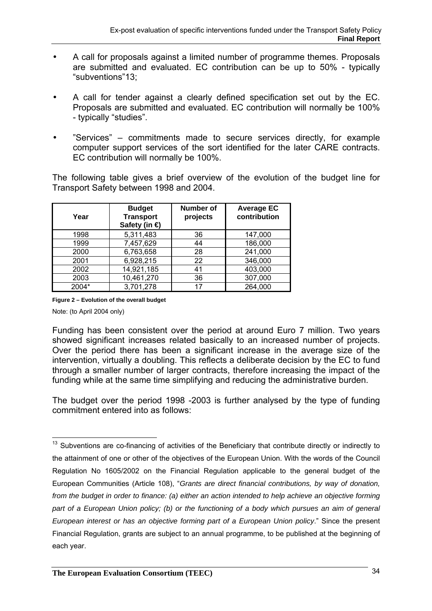- A call for proposals against a limited number of programme themes. Proposals are submitted and evaluated. EC contribution can be up to 50% - typically "subventions"13;
- A call for tender against a clearly defined specification set out by the EC. Proposals are submitted and evaluated. EC contribution will normally be 100% - typically "studies".
- "Services" commitments made to secure services directly, for example computer support services of the sort identified for the later CARE contracts. EC contribution will normally be 100%.

The following table gives a brief overview of the evolution of the budget line for Transport Safety between 1998 and 2004.

| Year  | <b>Budget</b><br><b>Transport</b><br>Safety (in € | Number of<br>projects | <b>Average EC</b><br>contribution |
|-------|---------------------------------------------------|-----------------------|-----------------------------------|
| 1998  | 5,311,483                                         | 36                    | 147,000                           |
| 1999  | 7,457,629                                         | 44                    | 186,000                           |
| 2000  | 6,763,658                                         | 28                    | 241,000                           |
| 2001  | 6,928,215                                         | 22                    | 346,000                           |
| 2002  | 14,921,185                                        | 41                    | 403,000                           |
| 2003  | 10,461,270                                        | 36                    | 307,000                           |
| 2004* | 3,701,278                                         | 17                    | 264,000                           |

**Figure 2 – Evolution of the overall budget** 

Note: (to April 2004 only)

Funding has been consistent over the period at around Euro 7 million. Two years showed significant increases related basically to an increased number of projects. Over the period there has been a significant increase in the average size of the intervention, virtually a doubling. This reflects a deliberate decision by the EC to fund through a smaller number of larger contracts, therefore increasing the impact of the funding while at the same time simplifying and reducing the administrative burden.

The budget over the period 1998 -2003 is further analysed by the type of funding commitment entered into as follows:

 $\overline{a}$  $13$  Subventions are co-financing of activities of the Beneficiary that contribute directly or indirectly to the attainment of one or other of the objectives of the European Union. With the words of the Council Regulation No 1605/2002 on the Financial Regulation applicable to the general budget of the European Communities (Article 108), "*Grants are direct financial contributions, by way of donation, from the budget in order to finance: (a) either an action intended to help achieve an objective forming*  part of a European Union policy; (b) or the functioning of a body which pursues an aim of general *European interest or has an objective forming part of a European Union policy*." Since the present Financial Regulation, grants are subject to an annual programme, to be published at the beginning of each year.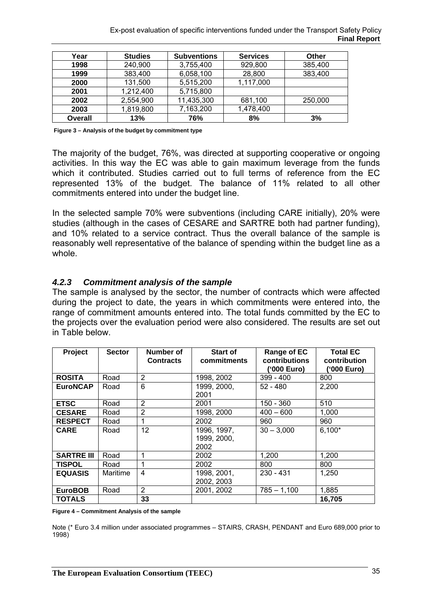| Year    | <b>Studies</b> | <b>Subventions</b> | <b>Services</b> | Other   |
|---------|----------------|--------------------|-----------------|---------|
| 1998    | 240,900        | 3,755,400          | 929,800         | 385,400 |
| 1999    | 383,400        | 6,058,100          | 28,800          | 383,400 |
| 2000    | 131,500        | 5,515,200          | 1,117,000       |         |
| 2001    | 1,212,400      | 5,715,800          |                 |         |
| 2002    | 2,554,900      | 11,435,300         | 681,100         | 250,000 |
| 2003    | 1,819,800      | 7,163,200          | 1,478,400       |         |
| Overall | 13%            | 76%                | 8%              | 3%      |

 **Figure 3 – Analysis of the budget by commitment type** 

The majority of the budget, 76%, was directed at supporting cooperative or ongoing activities. In this way the EC was able to gain maximum leverage from the funds which it contributed. Studies carried out to full terms of reference from the EC represented 13% of the budget. The balance of 11% related to all other commitments entered into under the budget line.

In the selected sample 70% were subventions (including CARE initially), 20% were studies (although in the cases of CESARE and SARTRE both had partner funding), and 10% related to a service contract. Thus the overall balance of the sample is reasonably well representative of the balance of spending within the budget line as a whole.

### *4.2.3 Commitment analysis of the sample*

The sample is analysed by the sector, the number of contracts which were affected during the project to date, the years in which commitments were entered into, the range of commitment amounts entered into. The total funds committed by the EC to the projects over the evaluation period were also considered. The results are set out in Table below.

| Project           | <b>Sector</b> | Number of<br><b>Contracts</b> | <b>Start of</b><br>commitments     | Range of EC<br>contributions<br>('000 Euro) | <b>Total EC</b><br>contribution<br>('000 Euro) |
|-------------------|---------------|-------------------------------|------------------------------------|---------------------------------------------|------------------------------------------------|
| <b>ROSITA</b>     | Road          | $\overline{2}$                | 1998, 2002                         | $399 - 400$                                 | 800                                            |
| <b>EuroNCAP</b>   | Road          | 6                             | 1999, 2000,<br>2001                | $52 - 480$                                  | 2,200                                          |
| <b>ETSC</b>       | Road          | $\overline{2}$                | 2001                               | 150 - 360                                   | 510                                            |
| <b>CESARE</b>     | Road          | $\overline{2}$                | 1998, 2000                         | $400 - 600$                                 | 1,000                                          |
| <b>RESPECT</b>    | Road          | 1                             | 2002                               | 960                                         | 960                                            |
| <b>CARE</b>       | Road          | 12 <sup>2</sup>               | 1996, 1997,<br>1999, 2000,<br>2002 | $30 - 3,000$                                | $6,100*$                                       |
| <b>SARTRE III</b> | Road          |                               | 2002                               | 1,200                                       | 1,200                                          |
| <b>TISPOL</b>     | Road          | 1                             | 2002                               | 800                                         | 800                                            |
| <b>EQUASIS</b>    | Maritime      | 4                             | 1998, 2001,<br>2002, 2003          | 230 - 431                                   | 1,250                                          |
| <b>EuroBOB</b>    | Road          | 2                             | 2001, 2002                         | $785 - 1.100$                               | 1,885                                          |
| <b>TOTALS</b>     |               | 33                            |                                    |                                             | 16,705                                         |

**Figure 4 – Commitment Analysis of the sample** 

Note (\* Euro 3.4 million under associated programmes – STAIRS, CRASH, PENDANT and Euro 689,000 prior to 1998)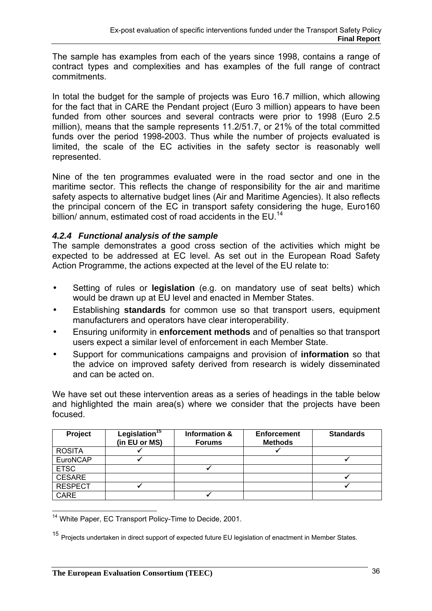The sample has examples from each of the years since 1998, contains a range of contract types and complexities and has examples of the full range of contract commitments.

In total the budget for the sample of projects was Euro 16.7 million, which allowing for the fact that in CARE the Pendant project (Euro 3 million) appears to have been funded from other sources and several contracts were prior to 1998 (Euro 2.5 million), means that the sample represents 11.2/51.7, or 21% of the total committed funds over the period 1998-2003. Thus while the number of projects evaluated is limited, the scale of the EC activities in the safety sector is reasonably well represented.

Nine of the ten programmes evaluated were in the road sector and one in the maritime sector. This reflects the change of responsibility for the air and maritime safety aspects to alternative budget lines (Air and Maritime Agencies). It also reflects the principal concern of the EC in transport safety considering the huge, Euro160 billion/ annum, estimated cost of road accidents in the EU.<sup>14</sup>

## *4.2.4 Functional analysis of the sample*

The sample demonstrates a good cross section of the activities which might be expected to be addressed at EC level. As set out in the European Road Safety Action Programme, the actions expected at the level of the EU relate to:

- Setting of rules or **legislation** (e.g. on mandatory use of seat belts) which would be drawn up at EU level and enacted in Member States.
- Establishing **standards** for common use so that transport users, equipment manufacturers and operators have clear interoperability.
- Ensuring uniformity in **enforcement methods** and of penalties so that transport users expect a similar level of enforcement in each Member State.
- Support for communications campaigns and provision of **information** so that the advice on improved safety derived from research is widely disseminated and can be acted on.

We have set out these intervention areas as a series of headings in the table below and highlighted the main area(s) where we consider that the projects have been focused.

| Project        | Legislation <sup>15</sup><br>(in EU or MS) | Information &<br><b>Forums</b> | <b>Enforcement</b><br><b>Methods</b> | <b>Standards</b> |
|----------------|--------------------------------------------|--------------------------------|--------------------------------------|------------------|
| <b>ROSITA</b>  |                                            |                                |                                      |                  |
| EuroNCAP       |                                            |                                |                                      |                  |
| <b>ETSC</b>    |                                            |                                |                                      |                  |
| <b>CESARE</b>  |                                            |                                |                                      |                  |
| <b>RESPECT</b> |                                            |                                |                                      |                  |
| <b>CARE</b>    |                                            |                                |                                      |                  |

 $\overline{a}$ <sup>14</sup> White Paper, EC Transport Policy-Time to Decide, 2001.

<sup>15</sup> Projects undertaken in direct support of expected future EU legislation of enactment in Member States.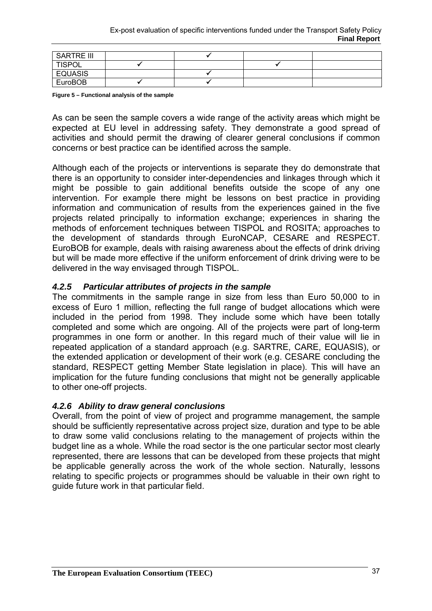| <b>SARTRE III</b> |  |  |
|-------------------|--|--|
| <b>TISPOL</b>     |  |  |
| <b>EQUASIS</b>    |  |  |
| EuroBOB           |  |  |

**Figure 5 – Functional analysis of the sample** 

As can be seen the sample covers a wide range of the activity areas which might be expected at EU level in addressing safety. They demonstrate a good spread of activities and should permit the drawing of clearer general conclusions if common concerns or best practice can be identified across the sample.

Although each of the projects or interventions is separate they do demonstrate that there is an opportunity to consider inter-dependencies and linkages through which it might be possible to gain additional benefits outside the scope of any one intervention. For example there might be lessons on best practice in providing information and communication of results from the experiences gained in the five projects related principally to information exchange; experiences in sharing the methods of enforcement techniques between TISPOL and ROSITA; approaches to the development of standards through EuroNCAP, CESARE and RESPECT. EuroBOB for example, deals with raising awareness about the effects of drink driving but will be made more effective if the uniform enforcement of drink driving were to be delivered in the way envisaged through TISPOL.

### *4.2.5 Particular attributes of projects in the sample*

The commitments in the sample range in size from less than Euro 50,000 to in excess of Euro 1 million, reflecting the full range of budget allocations which were included in the period from 1998. They include some which have been totally completed and some which are ongoing. All of the projects were part of long-term programmes in one form or another. In this regard much of their value will lie in repeated application of a standard approach (e.g. SARTRE, CARE, EQUASIS), or the extended application or development of their work (e.g. CESARE concluding the standard, RESPECT getting Member State legislation in place). This will have an implication for the future funding conclusions that might not be generally applicable to other one-off projects.

#### *4.2.6 Ability to draw general conclusions*

Overall, from the point of view of project and programme management, the sample should be sufficiently representative across project size, duration and type to be able to draw some valid conclusions relating to the management of projects within the budget line as a whole. While the road sector is the one particular sector most clearly represented, there are lessons that can be developed from these projects that might be applicable generally across the work of the whole section. Naturally, lessons relating to specific projects or programmes should be valuable in their own right to guide future work in that particular field.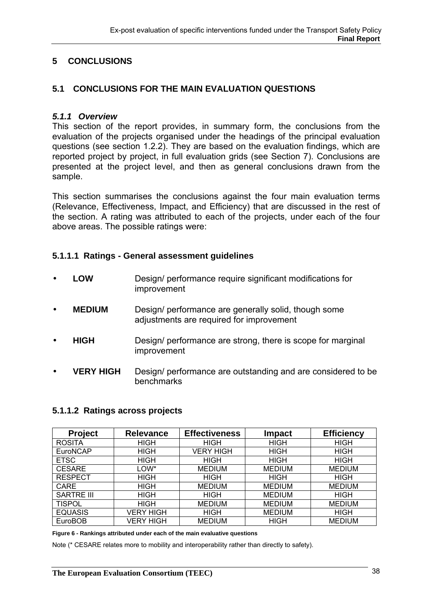# **5 CONCLUSIONS**

### **5.1 CONCLUSIONS FOR THE MAIN EVALUATION QUESTIONS**

#### *5.1.1 Overview*

This section of the report provides, in summary form, the conclusions from the evaluation of the projects organised under the headings of the principal evaluation questions (see section 1.2.2). They are based on the evaluation findings, which are reported project by project, in full evaluation grids (see Section 7). Conclusions are presented at the project level, and then as general conclusions drawn from the sample.

This section summarises the conclusions against the four main evaluation terms (Relevance, Effectiveness, Impact, and Efficiency) that are discussed in the rest of the section. A rating was attributed to each of the projects, under each of the four above areas. The possible ratings were:

#### **5.1.1.1 Ratings - General assessment guidelines**

- **LOW** Design/ performance require significant modifications for improvement
- **MEDIUM** Design/ performance are generally solid, though some adjustments are required for improvement
- **HIGH** Design/ performance are strong, there is scope for marginal improvement
- **VERY HIGH** Design/ performance are outstanding and are considered to be benchmarks

#### **5.1.1.2 Ratings across projects**

| <b>Project</b>    | <b>Relevance</b> | <b>Effectiveness</b> | <b>Impact</b> | <b>Efficiency</b> |
|-------------------|------------------|----------------------|---------------|-------------------|
| <b>ROSITA</b>     | <b>HIGH</b>      | <b>HIGH</b>          | <b>HIGH</b>   | <b>HIGH</b>       |
| EuroNCAP          | <b>HIGH</b>      | <b>VERY HIGH</b>     | <b>HIGH</b>   | <b>HIGH</b>       |
| <b>ETSC</b>       | <b>HIGH</b>      | <b>HIGH</b>          | <b>HIGH</b>   | <b>HIGH</b>       |
| <b>CESARE</b>     | LOW*             | <b>MEDIUM</b>        | <b>MEDIUM</b> | <b>MEDIUM</b>     |
| <b>RESPECT</b>    | <b>HIGH</b>      | <b>HIGH</b>          | <b>HIGH</b>   | <b>HIGH</b>       |
| <b>CARE</b>       | HIGH             | <b>MEDIUM</b>        | <b>MEDIUM</b> | <b>MEDIUM</b>     |
| <b>SARTRE III</b> | <b>HIGH</b>      | <b>HIGH</b>          | <b>MEDIUM</b> | <b>HIGH</b>       |
| <b>TISPOL</b>     | <b>HIGH</b>      | <b>MEDIUM</b>        | <b>MEDIUM</b> | <b>MEDIUM</b>     |
| <b>EQUASIS</b>    | <b>VERY HIGH</b> | <b>HIGH</b>          | <b>MEDIUM</b> | <b>HIGH</b>       |
| <b>EuroBOB</b>    | VERY HIGH        | <b>MEDIUM</b>        | <b>HIGH</b>   | <b>MEDIUM</b>     |

**Figure 6 - Rankings attributed under each of the main evaluative questions** 

Note (\* CESARE relates more to mobility and interoperability rather than directly to safety).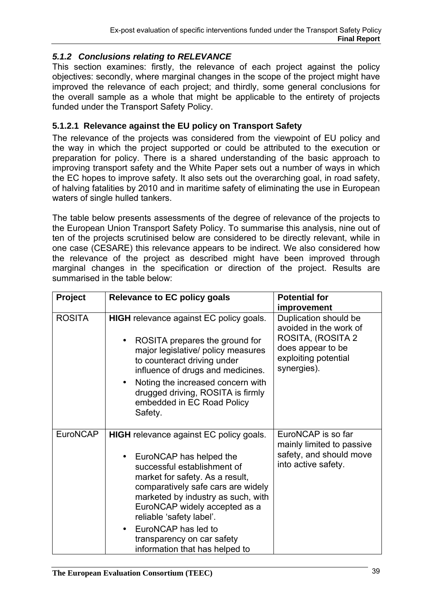# *5.1.2 Conclusions relating to RELEVANCE*

This section examines: firstly, the relevance of each project against the policy objectives: secondly, where marginal changes in the scope of the project might have improved the relevance of each project; and thirdly, some general conclusions for the overall sample as a whole that might be applicable to the entirety of projects funded under the Transport Safety Policy.

## **5.1.2.1 Relevance against the EU policy on Transport Safety**

The relevance of the projects was considered from the viewpoint of EU policy and the way in which the project supported or could be attributed to the execution or preparation for policy. There is a shared understanding of the basic approach to improving transport safety and the White Paper sets out a number of ways in which the EC hopes to improve safety. It also sets out the overarching goal, in road safety, of halving fatalities by 2010 and in maritime safety of eliminating the use in European waters of single hulled tankers.

The table below presents assessments of the degree of relevance of the projects to the European Union Transport Safety Policy. To summarise this analysis, nine out of ten of the projects scrutinised below are considered to be directly relevant, while in one case (CESARE) this relevance appears to be indirect. We also considered how the relevance of the project as described might have been improved through marginal changes in the specification or direction of the project. Results are summarised in the table below:

| <b>Project</b>  | <b>Relevance to EC policy goals</b>                                                                                                                                                                                                                                                                                                                                                                   | <b>Potential for</b><br>improvement                                                                                              |
|-----------------|-------------------------------------------------------------------------------------------------------------------------------------------------------------------------------------------------------------------------------------------------------------------------------------------------------------------------------------------------------------------------------------------------------|----------------------------------------------------------------------------------------------------------------------------------|
| <b>ROSITA</b>   | <b>HIGH</b> relevance against EC policy goals.<br>ROSITA prepares the ground for<br>major legislative/ policy measures<br>to counteract driving under<br>influence of drugs and medicines.<br>Noting the increased concern with<br>$\bullet$<br>drugged driving, ROSITA is firmly<br>embedded in EC Road Policy<br>Safety.                                                                            | Duplication should be<br>avoided in the work of<br>ROSITA, (ROSITA 2<br>does appear to be<br>exploiting potential<br>synergies). |
| <b>EuroNCAP</b> | <b>HIGH</b> relevance against EC policy goals.<br>EuroNCAP has helped the<br>$\bullet$<br>successful establishment of<br>market for safety. As a result,<br>comparatively safe cars are widely<br>marketed by industry as such, with<br>EuroNCAP widely accepted as a<br>reliable 'safety label'.<br>EuroNCAP has led to<br>$\bullet$<br>transparency on car safety<br>information that has helped to | EuroNCAP is so far<br>mainly limited to passive<br>safety, and should move<br>into active safety.                                |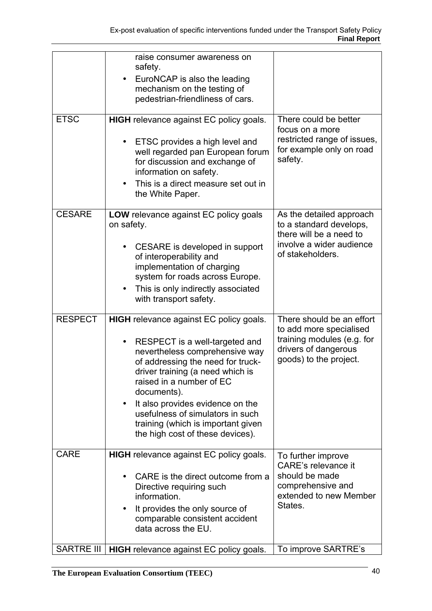| <b>ETSC</b>       | raise consumer awareness on<br>safety.<br>EuroNCAP is also the leading<br>$\bullet$<br>mechanism on the testing of<br>pedestrian-friendliness of cars.<br><b>HIGH</b> relevance against EC policy goals.                                                                                                                                                                                 | There could be better<br>focus on a more<br>restricted range of issues,                                                              |
|-------------------|------------------------------------------------------------------------------------------------------------------------------------------------------------------------------------------------------------------------------------------------------------------------------------------------------------------------------------------------------------------------------------------|--------------------------------------------------------------------------------------------------------------------------------------|
|                   | ETSC provides a high level and<br>well regarded pan European forum<br>for discussion and exchange of<br>information on safety.<br>This is a direct measure set out in<br>the White Paper.                                                                                                                                                                                                | for example only on road<br>safety.                                                                                                  |
| <b>CESARE</b>     | LOW relevance against EC policy goals<br>on safety.<br>CESARE is developed in support<br>of interoperability and<br>implementation of charging<br>system for roads across Europe.<br>This is only indirectly associated<br>$\bullet$<br>with transport safety.                                                                                                                           | As the detailed approach<br>to a standard develops,<br>there will be a need to<br>involve a wider audience<br>of stakeholders.       |
| <b>RESPECT</b>    | <b>HIGH</b> relevance against EC policy goals.<br>RESPECT is a well-targeted and<br>nevertheless comprehensive way<br>of addressing the need for truck-<br>driver training (a need which is<br>raised in a number of EC<br>documents).<br>It also provides evidence on the<br>usefulness of simulators in such<br>training (which is important given<br>the high cost of these devices). | There should be an effort<br>to add more specialised<br>training modules (e.g. for<br>drivers of dangerous<br>goods) to the project. |
| <b>CARE</b>       | <b>HIGH</b> relevance against EC policy goals.<br>CARE is the direct outcome from a<br>Directive requiring such<br>information.<br>It provides the only source of<br>٠<br>comparable consistent accident<br>data across the EU.                                                                                                                                                          | To further improve<br>CARE's relevance it<br>should be made<br>comprehensive and<br>extended to new Member<br>States.                |
| <b>SARTRE III</b> | <b>HIGH</b> relevance against EC policy goals.                                                                                                                                                                                                                                                                                                                                           | To improve SARTRE's                                                                                                                  |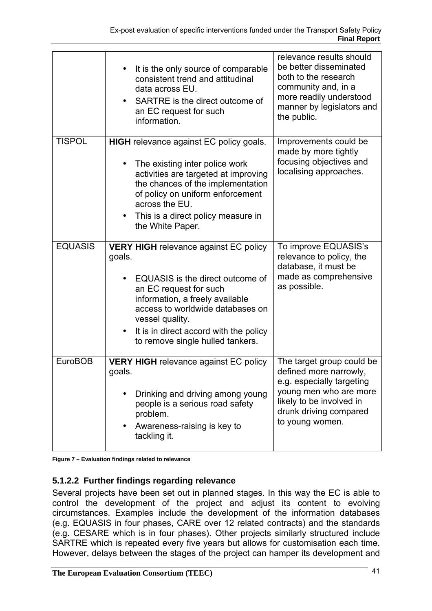|                | It is the only source of comparable<br>$\bullet$<br>consistent trend and attitudinal<br>data across EU.<br>SARTRE is the direct outcome of<br>an EC request for such<br>information.                                                                                                                                   | relevance results should<br>be better disseminated<br>both to the research<br>community and, in a<br>more readily understood<br>manner by legislators and<br>the public.            |
|----------------|------------------------------------------------------------------------------------------------------------------------------------------------------------------------------------------------------------------------------------------------------------------------------------------------------------------------|-------------------------------------------------------------------------------------------------------------------------------------------------------------------------------------|
| <b>TISPOL</b>  | <b>HIGH</b> relevance against EC policy goals.<br>The existing inter police work<br>activities are targeted at improving<br>the chances of the implementation<br>of policy on uniform enforcement<br>across the EU.<br>This is a direct policy measure in<br>$\bullet$<br>the White Paper.                             | Improvements could be<br>made by more tightly<br>focusing objectives and<br>localising approaches.                                                                                  |
| <b>EQUASIS</b> | <b>VERY HIGH</b> relevance against EC policy<br>goals.<br>EQUASIS is the direct outcome of<br>$\bullet$<br>an EC request for such<br>information, a freely available<br>access to worldwide databases on<br>vessel quality.<br>It is in direct accord with the policy<br>$\bullet$<br>to remove single hulled tankers. | To improve EQUASIS's<br>relevance to policy, the<br>database, it must be<br>made as comprehensive<br>as possible.                                                                   |
| <b>EuroBOB</b> | <b>VERY HIGH</b> relevance against EC policy<br>goals.<br>Drinking and driving among young<br>people is a serious road safety<br>problem.<br>Awareness-raising is key to<br>tackling it.                                                                                                                               | The target group could be<br>defined more narrowly,<br>e.g. especially targeting<br>young men who are more<br>likely to be involved in<br>drunk driving compared<br>to young women. |

**Figure 7 – Evaluation findings related to relevance** 

## **5.1.2.2 Further findings regarding relevance**

Several projects have been set out in planned stages. In this way the EC is able to control the development of the project and adjust its content to evolving circumstances. Examples include the development of the information databases (e.g. EQUASIS in four phases, CARE over 12 related contracts) and the standards (e.g. CESARE which is in four phases). Other projects similarly structured include SARTRE which is repeated every five years but allows for customisation each time. However, delays between the stages of the project can hamper its development and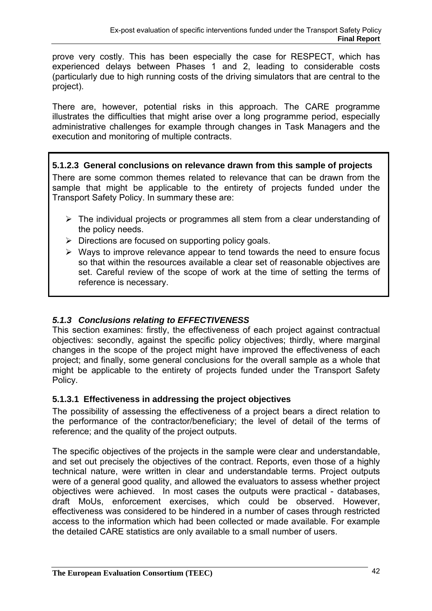prove very costly. This has been especially the case for RESPECT, which has experienced delays between Phases 1 and 2, leading to considerable costs (particularly due to high running costs of the driving simulators that are central to the project).

There are, however, potential risks in this approach. The CARE programme illustrates the difficulties that might arise over a long programme period, especially administrative challenges for example through changes in Task Managers and the execution and monitoring of multiple contracts.

**5.1.2.3 General conclusions on relevance drawn from this sample of projects** 

There are some common themes related to relevance that can be drawn from the sample that might be applicable to the entirety of projects funded under the Transport Safety Policy. In summary these are:

- $\triangleright$  The individual projects or programmes all stem from a clear understanding of the policy needs.
- $\triangleright$  Directions are focused on supporting policy goals.
- $\triangleright$  Ways to improve relevance appear to tend towards the need to ensure focus so that within the resources available a clear set of reasonable objectives are set. Careful review of the scope of work at the time of setting the terms of reference is necessary.

# *5.1.3 Conclusions relating to EFFECTIVENESS*

This section examines: firstly, the effectiveness of each project against contractual objectives: secondly, against the specific policy objectives; thirdly, where marginal changes in the scope of the project might have improved the effectiveness of each project; and finally, some general conclusions for the overall sample as a whole that might be applicable to the entirety of projects funded under the Transport Safety Policy.

## **5.1.3.1 Effectiveness in addressing the project objectives**

The possibility of assessing the effectiveness of a project bears a direct relation to the performance of the contractor/beneficiary; the level of detail of the terms of reference; and the quality of the project outputs.

The specific objectives of the projects in the sample were clear and understandable, and set out precisely the objectives of the contract. Reports, even those of a highly technical nature, were written in clear and understandable terms. Project outputs were of a general good quality, and allowed the evaluators to assess whether project objectives were achieved. In most cases the outputs were practical - databases, draft MoUs, enforcement exercises, which could be observed. However, effectiveness was considered to be hindered in a number of cases through restricted access to the information which had been collected or made available. For example the detailed CARE statistics are only available to a small number of users.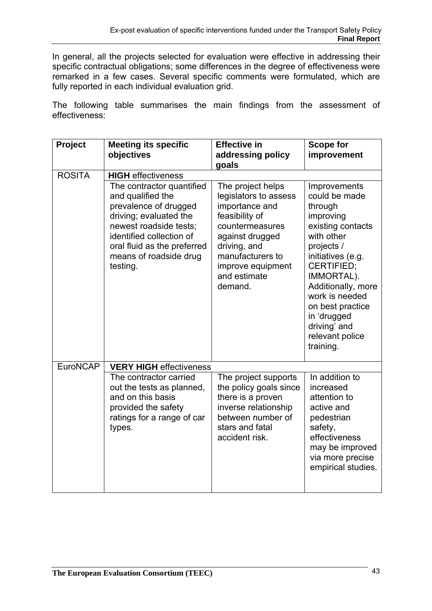In general, all the projects selected for evaluation were effective in addressing their specific contractual obligations; some differences in the degree of effectiveness were remarked in a few cases. Several specific comments were formulated, which are fully reported in each individual evaluation grid.

The following table summarises the main findings from the assessment of effectiveness:

| Project       | <b>Meeting its specific</b>                                                                                                                                                                                                  | <b>Effective in</b>                                                                                                                                                                                      | <b>Scope for</b>                                                                                                                                                                                                                                                                          |
|---------------|------------------------------------------------------------------------------------------------------------------------------------------------------------------------------------------------------------------------------|----------------------------------------------------------------------------------------------------------------------------------------------------------------------------------------------------------|-------------------------------------------------------------------------------------------------------------------------------------------------------------------------------------------------------------------------------------------------------------------------------------------|
|               | objectives                                                                                                                                                                                                                   | addressing policy                                                                                                                                                                                        | improvement                                                                                                                                                                                                                                                                               |
|               |                                                                                                                                                                                                                              | goals                                                                                                                                                                                                    |                                                                                                                                                                                                                                                                                           |
| <b>ROSITA</b> | <b>HIGH</b> effectiveness                                                                                                                                                                                                    |                                                                                                                                                                                                          |                                                                                                                                                                                                                                                                                           |
|               | The contractor quantified<br>and qualified the<br>prevalence of drugged<br>driving; evaluated the<br>newest roadside tests;<br>identified collection of<br>oral fluid as the preferred<br>means of roadside drug<br>testing. | The project helps<br>legislators to assess<br>importance and<br>feasibility of<br>countermeasures<br>against drugged<br>driving, and<br>manufacturers to<br>improve equipment<br>and estimate<br>demand. | Improvements<br>could be made<br>through<br>improving<br>existing contacts<br>with other<br>projects /<br>initiatives (e.g.<br><b>CERTIFIED:</b><br>IMMORTAL).<br>Additionally, more<br>work is needed<br>on best practice<br>in 'drugged<br>driving' and<br>relevant police<br>training. |
| EuroNCAP      | <b>VERY HIGH effectiveness</b>                                                                                                                                                                                               |                                                                                                                                                                                                          |                                                                                                                                                                                                                                                                                           |
|               | The contractor carried<br>out the tests as planned,<br>and on this basis<br>provided the safety<br>ratings for a range of car<br>types.                                                                                      | The project supports<br>the policy goals since<br>there is a proven<br>inverse relationship<br>between number of<br>stars and fatal<br>accident risk.                                                    | In addition to<br>increased<br>attention to<br>active and<br>pedestrian<br>safety,<br>effectiveness<br>may be improved<br>via more precise<br>empirical studies.                                                                                                                          |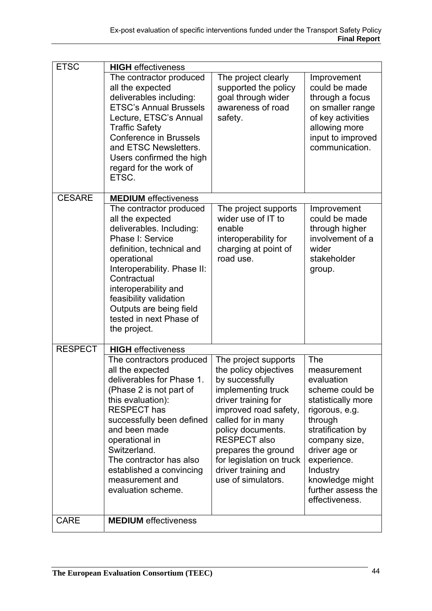| <b>ETSC</b>    | <b>HIGH</b> effectiveness<br>The contractor produced<br>all the expected<br>deliverables including:<br><b>ETSC's Annual Brussels</b><br>Lecture, ETSC's Annual<br><b>Traffic Safety</b><br><b>Conference in Brussels</b><br>and ETSC Newsletters.<br>Users confirmed the high<br>regard for the work of<br>ETSC.                | The project clearly<br>supported the policy<br>goal through wider<br>awareness of road<br>safety.                                                                                                                                                                                                        | Improvement<br>could be made<br>through a focus<br>on smaller range<br>of key activities<br>allowing more<br>input to improved<br>communication.                                                                                                    |
|----------------|---------------------------------------------------------------------------------------------------------------------------------------------------------------------------------------------------------------------------------------------------------------------------------------------------------------------------------|----------------------------------------------------------------------------------------------------------------------------------------------------------------------------------------------------------------------------------------------------------------------------------------------------------|-----------------------------------------------------------------------------------------------------------------------------------------------------------------------------------------------------------------------------------------------------|
| <b>CESARE</b>  | <b>MEDIUM</b> effectiveness                                                                                                                                                                                                                                                                                                     |                                                                                                                                                                                                                                                                                                          |                                                                                                                                                                                                                                                     |
|                | The contractor produced<br>all the expected<br>deliverables. Including:<br>Phase I: Service<br>definition, technical and<br>operational<br>Interoperability. Phase II:<br>Contractual<br>interoperability and<br>feasibility validation<br>Outputs are being field<br>tested in next Phase of<br>the project.                   | The project supports<br>wider use of IT to<br>enable<br>interoperability for<br>charging at point of<br>road use.                                                                                                                                                                                        | Improvement<br>could be made<br>through higher<br>involvement of a<br>wider<br>stakeholder<br>group.                                                                                                                                                |
| <b>RESPECT</b> | <b>HIGH</b> effectiveness                                                                                                                                                                                                                                                                                                       |                                                                                                                                                                                                                                                                                                          |                                                                                                                                                                                                                                                     |
|                | The contractors produced<br>all the expected<br>deliverables for Phase 1.<br>(Phase 2 is not part of<br>this evaluation):<br><b>RESPECT has</b><br>successfully been defined<br>and been made<br>operational in<br>Switzerland.<br>The contractor has also<br>established a convincing<br>measurement and<br>evaluation scheme. | The project supports<br>the policy objectives<br>by successfully<br>implementing truck<br>driver training for<br>improved road safety,<br>called for in many<br>policy documents.<br><b>RESPECT also</b><br>prepares the ground<br>for legislation on truck<br>driver training and<br>use of simulators. | The<br>measurement<br>evaluation<br>scheme could be<br>statistically more<br>rigorous, e.g.<br>through<br>stratification by<br>company size,<br>driver age or<br>experience.<br>Industry<br>knowledge might<br>further assess the<br>effectiveness. |
| <b>CARE</b>    | <b>MEDIUM</b> effectiveness                                                                                                                                                                                                                                                                                                     |                                                                                                                                                                                                                                                                                                          |                                                                                                                                                                                                                                                     |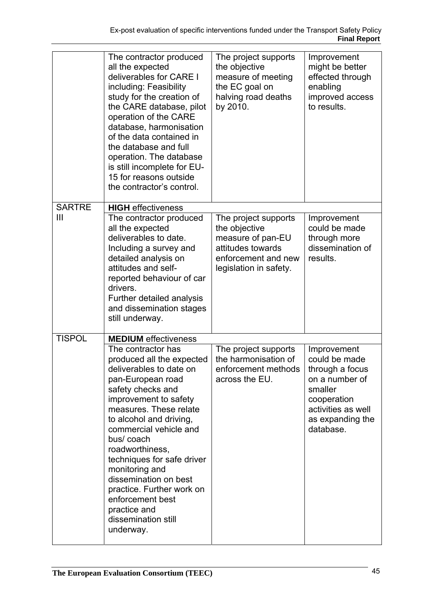|               | The contractor produced<br>all the expected<br>deliverables for CARE I<br>including: Feasibility<br>study for the creation of<br>the CARE database, pilot<br>operation of the CARE<br>database, harmonisation<br>of the data contained in<br>the database and full<br>operation. The database<br>is still incomplete for EU-<br>15 for reasons outside<br>the contractor's control.                                                        | The project supports<br>the objective<br>measure of meeting<br>the EC goal on<br>halving road deaths<br>by 2010.                 | Improvement<br>might be better<br>effected through<br>enabling<br>improved access<br>to results.                                                   |
|---------------|--------------------------------------------------------------------------------------------------------------------------------------------------------------------------------------------------------------------------------------------------------------------------------------------------------------------------------------------------------------------------------------------------------------------------------------------|----------------------------------------------------------------------------------------------------------------------------------|----------------------------------------------------------------------------------------------------------------------------------------------------|
| <b>SARTRE</b> | <b>HIGH</b> effectiveness                                                                                                                                                                                                                                                                                                                                                                                                                  |                                                                                                                                  |                                                                                                                                                    |
| Ш             | The contractor produced<br>all the expected<br>deliverables to date.<br>Including a survey and<br>detailed analysis on<br>attitudes and self-<br>reported behaviour of car<br>drivers.<br>Further detailed analysis<br>and dissemination stages<br>still underway.                                                                                                                                                                         | The project supports<br>the objective<br>measure of pan-EU<br>attitudes towards<br>enforcement and new<br>legislation in safety. | Improvement<br>could be made<br>through more<br>dissemination of<br>results.                                                                       |
| <b>TISPOL</b> | <b>MEDIUM</b> effectiveness                                                                                                                                                                                                                                                                                                                                                                                                                |                                                                                                                                  |                                                                                                                                                    |
|               | The contractor has<br>produced all the expected<br>deliverables to date on<br>pan-European road<br>safety checks and<br>improvement to safety<br>measures. These relate<br>to alcohol and driving,<br>commercial vehicle and<br>bus/coach<br>roadworthiness,<br>techniques for safe driver<br>monitoring and<br>dissemination on best<br>practice. Further work on<br>enforcement best<br>practice and<br>dissemination still<br>underway. | The project supports<br>the harmonisation of<br>enforcement methods<br>across the EU.                                            | Improvement<br>could be made<br>through a focus<br>on a number of<br>smaller<br>cooperation<br>activities as well<br>as expanding the<br>database. |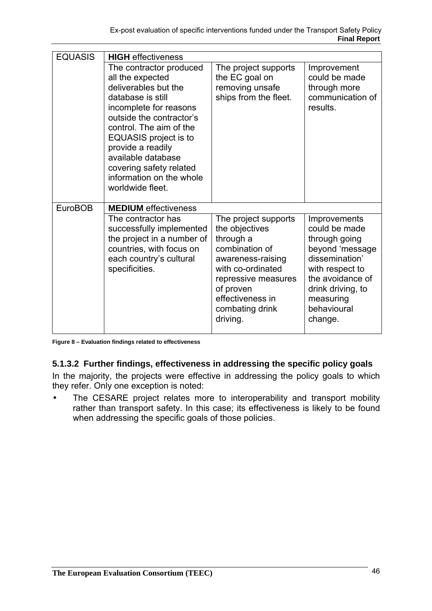| <b>EQUASIS</b> | <b>HIGH</b> effectiveness   |                       |                     |
|----------------|-----------------------------|-----------------------|---------------------|
|                | The contractor produced     | The project supports  | Improvement         |
|                | all the expected            | the EC goal on        | could be made       |
|                | deliverables but the        | removing unsafe       | through more        |
|                | database is still           | ships from the fleet. | communication of    |
|                | incomplete for reasons      |                       | results.            |
|                | outside the contractor's    |                       |                     |
|                | control. The aim of the     |                       |                     |
|                | EQUASIS project is to       |                       |                     |
|                | provide a readily           |                       |                     |
|                | available database          |                       |                     |
|                | covering safety related     |                       |                     |
|                | information on the whole    |                       |                     |
|                | worldwide fleet.            |                       |                     |
|                |                             |                       |                     |
| <b>EuroBOB</b> | <b>MEDIUM</b> effectiveness |                       |                     |
|                | The contractor has          | The project supports  | <b>Improvements</b> |
|                | successfully implemented    | the objectives        | could be made       |
|                | the project in a number of  | through a             | through going       |
|                | countries, with focus on    | combination of        | beyond 'message     |
|                | each country's cultural     | awareness-raising     | dissemination'      |
|                | specificities.              | with co-ordinated     | with respect to     |
|                |                             | repressive measures   | the avoidance of    |
|                |                             | of proven             | drink driving, to   |
|                |                             | effectiveness in      | measuring           |
|                |                             | combating drink       | behavioural         |
|                |                             |                       |                     |
|                |                             | driving.              | change.             |

**Figure 8 – Evaluation findings related to effectiveness** 

## **5.1.3.2 Further findings, effectiveness in addressing the specific policy goals**

In the majority, the projects were effective in addressing the policy goals to which they refer. Only one exception is noted:

• The CESARE project relates more to interoperability and transport mobility rather than transport safety. In this case; its effectiveness is likely to be found when addressing the specific goals of those policies.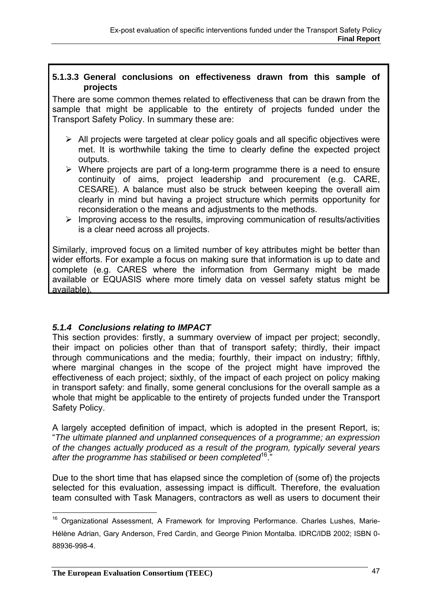### **5.1.3.3 General conclusions on effectiveness drawn from this sample of projects**

There are some common themes related to effectiveness that can be drawn from the sample that might be applicable to the entirety of projects funded under the Transport Safety Policy. In summary these are:

- $\triangleright$  All projects were targeted at clear policy goals and all specific objectives were met. It is worthwhile taking the time to clearly define the expected project outputs.
- $\triangleright$  Where projects are part of a long-term programme there is a need to ensure continuity of aims, project leadership and procurement (e.g. CARE, CESARE). A balance must also be struck between keeping the overall aim clearly in mind but having a project structure which permits opportunity for reconsideration o the means and adjustments to the methods.
- $\triangleright$  Improving access to the results, improving communication of results/activities is a clear need across all projects.

Similarly, improved focus on a limited number of key attributes might be better than wider efforts. For example a focus on making sure that information is up to date and complete (e.g. CARES where the information from Germany might be made available or EQUASIS where more timely data on vessel safety status might be available).

## *5.1.4 Conclusions relating to IMPACT*

This section provides: firstly, a summary overview of impact per project; secondly, their impact on policies other than that of transport safety; thirdly, their impact through communications and the media; fourthly, their impact on industry; fifthly, where marginal changes in the scope of the project might have improved the effectiveness of each project; sixthly, of the impact of each project on policy making in transport safety: and finally, some general conclusions for the overall sample as a whole that might be applicable to the entirety of projects funded under the Transport Safety Policy.

A largely accepted definition of impact, which is adopted in the present Report, is; "*The ultimate planned and unplanned consequences of a programme; an expression of the changes actually produced as a result of the program, typically several years*  after the programme has stabilised or been completed<sup>16</sup>."

Due to the short time that has elapsed since the completion of (some of) the projects selected for this evaluation, assessing impact is difficult. Therefore, the evaluation team consulted with Task Managers, contractors as well as users to document their

 $\overline{a}$ <sup>16</sup> Organizational Assessment, A Framework for Improving Performance. Charles Lushes, Marie-Hélène Adrian, Gary Anderson, Fred Cardin, and George Pinion Montalba. IDRC/IDB 2002; ISBN 0- 88936-998-4.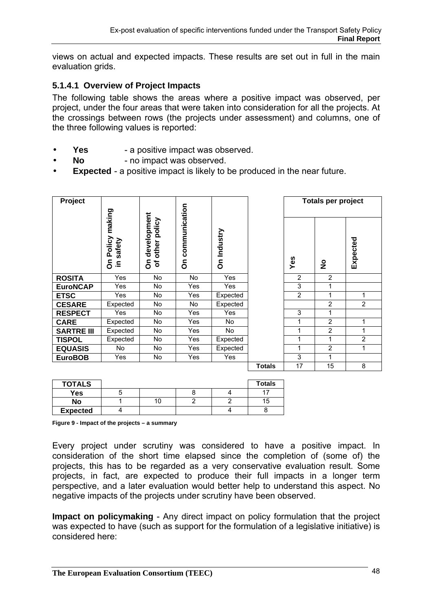views on actual and expected impacts. These results are set out in full in the main evaluation grids.

## **5.1.4.1 Overview of Project Impacts**

The following table shows the areas where a positive impact was observed, per project, under the four areas that were taken into consideration for all the projects. At the crossings between rows (the projects under assessment) and columns, one of the three following values is reported:

- **Yes** a positive impact was observed.
- **No** no impact was observed.
- **Expected** a positive impact is likely to be produced in the near future.

| Project           |                                                   |                                            |                    |             |               | <b>Totals per project</b> |                |          |
|-------------------|---------------------------------------------------|--------------------------------------------|--------------------|-------------|---------------|---------------------------|----------------|----------|
|                   | making<br>Policy<br>safety<br>င်္<br>$\mathbf{a}$ | development<br>policy<br>other<br>৳<br>င်္ | communication<br>å | On Industry |               | Yes                       | $\frac{1}{2}$  | Expected |
| <b>ROSITA</b>     | Yes                                               | No.                                        | No                 | Yes         |               | $\overline{2}$            | $\overline{2}$ |          |
| <b>EuroNCAP</b>   | Yes                                               | No.                                        | Yes                | Yes         |               | 3                         | 1              |          |
| <b>ETSC</b>       | Yes                                               | No.                                        | Yes                | Expected    |               | 2                         | 1              | 1        |
| <b>CESARE</b>     | Expected                                          | <b>No</b>                                  | No                 | Expected    |               |                           | $\overline{2}$ | 2        |
| <b>RESPECT</b>    | Yes                                               | <b>No</b>                                  | <b>Yes</b>         | Yes         |               | 3                         | 1              |          |
| <b>CARE</b>       | Expected                                          | <b>No</b>                                  | <b>Yes</b>         | No.         |               | 1                         | $\overline{2}$ | 1        |
| <b>SARTRE III</b> | Expected                                          | No                                         | Yes                | No          |               | 1                         | $\overline{2}$ | 1        |
| <b>TISPOL</b>     | Expected                                          | No                                         | Yes                | Expected    |               | 1                         | 1              | 2        |
| <b>EQUASIS</b>    | No                                                | No.                                        | Yes                | Expected    |               | $\mathbf{1}$              | 2              | 1        |
| <b>EuroBOB</b>    | Yes                                               | No                                         | Yes                | Yes         |               | 3                         | 1              |          |
|                   |                                                   |                                            |                    |             | <b>Totals</b> | 17                        | 15             | 8        |

| <b>TOTALS</b>   |    |  | <b>Totals</b> |
|-----------------|----|--|---------------|
| Yes             |    |  |               |
| No              | ١U |  | Ð             |
| <b>Expected</b> |    |  |               |

**Figure 9 - Impact of the projects – a summary** 

Every project under scrutiny was considered to have a positive impact. In consideration of the short time elapsed since the completion of (some of) the projects, this has to be regarded as a very conservative evaluation result. Some projects, in fact, are expected to produce their full impacts in a longer term perspective, and a later evaluation would better help to understand this aspect. No negative impacts of the projects under scrutiny have been observed.

**Impact on policymaking** - Any direct impact on policy formulation that the project was expected to have (such as support for the formulation of a legislative initiative) is considered here: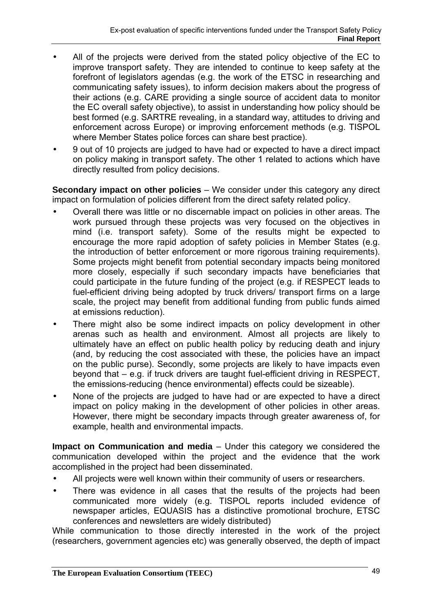- All of the projects were derived from the stated policy objective of the EC to improve transport safety. They are intended to continue to keep safety at the forefront of legislators agendas (e.g. the work of the ETSC in researching and communicating safety issues), to inform decision makers about the progress of their actions (e.g. CARE providing a single source of accident data to monitor the EC overall safety objective), to assist in understanding how policy should be best formed (e.g. SARTRE revealing, in a standard way, attitudes to driving and enforcement across Europe) or improving enforcement methods (e.g. TISPOL where Member States police forces can share best practice).
- 9 out of 10 projects are judged to have had or expected to have a direct impact on policy making in transport safety. The other 1 related to actions which have directly resulted from policy decisions.

**Secondary impact on other policies** – We consider under this category any direct impact on formulation of policies different from the direct safety related policy.

- Overall there was little or no discernable impact on policies in other areas. The work pursued through these projects was very focused on the objectives in mind (i.e. transport safety). Some of the results might be expected to encourage the more rapid adoption of safety policies in Member States (e.g. the introduction of better enforcement or more rigorous training requirements). Some projects might benefit from potential secondary impacts being monitored more closely, especially if such secondary impacts have beneficiaries that could participate in the future funding of the project (e.g. if RESPECT leads to fuel-efficient driving being adopted by truck drivers/ transport firms on a large scale, the project may benefit from additional funding from public funds aimed at emissions reduction).
- There might also be some indirect impacts on policy development in other arenas such as health and environment. Almost all projects are likely to ultimately have an effect on public health policy by reducing death and injury (and, by reducing the cost associated with these, the policies have an impact on the public purse). Secondly, some projects are likely to have impacts even beyond that – e.g. if truck drivers are taught fuel-efficient driving in RESPECT, the emissions-reducing (hence environmental) effects could be sizeable).
- None of the projects are judged to have had or are expected to have a direct impact on policy making in the development of other policies in other areas. However, there might be secondary impacts through greater awareness of, for example, health and environmental impacts.

**Impact on Communication and media** – Under this category we considered the communication developed within the project and the evidence that the work accomplished in the project had been disseminated.

- All projects were well known within their community of users or researchers.
- There was evidence in all cases that the results of the projects had been communicated more widely (e.g. TISPOL reports included evidence of newspaper articles, EQUASIS has a distinctive promotional brochure, ETSC conferences and newsletters are widely distributed)

While communication to those directly interested in the work of the project (researchers, government agencies etc) was generally observed, the depth of impact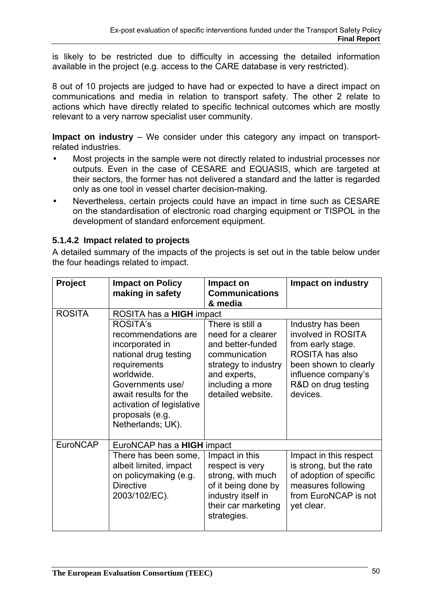is likely to be restricted due to difficulty in accessing the detailed information available in the project (e.g. access to the CARE database is very restricted).

8 out of 10 projects are judged to have had or expected to have a direct impact on communications and media in relation to transport safety. The other 2 relate to actions which have directly related to specific technical outcomes which are mostly relevant to a very narrow specialist user community.

**Impact on industry** – We consider under this category any impact on transportrelated industries.

- Most projects in the sample were not directly related to industrial processes nor outputs. Even in the case of CESARE and EQUASIS, which are targeted at their sectors, the former has not delivered a standard and the latter is regarded only as one tool in vessel charter decision-making.
- Nevertheless, certain projects could have an impact in time such as CESARE on the standardisation of electronic road charging equipment or TISPOL in the development of standard enforcement equipment.

# **5.1.4.2 Impact related to projects**

A detailed summary of the impacts of the projects is set out in the table below under the four headings related to impact.

| Project         | <b>Impact on Policy</b>                                                                                                                                                                                                     | Impact on                                                                                                                                                     | <b>Impact on industry</b>                                                                                                                                          |
|-----------------|-----------------------------------------------------------------------------------------------------------------------------------------------------------------------------------------------------------------------------|---------------------------------------------------------------------------------------------------------------------------------------------------------------|--------------------------------------------------------------------------------------------------------------------------------------------------------------------|
|                 | making in safety                                                                                                                                                                                                            | <b>Communications</b>                                                                                                                                         |                                                                                                                                                                    |
|                 |                                                                                                                                                                                                                             | & media                                                                                                                                                       |                                                                                                                                                                    |
| <b>ROSITA</b>   | ROSITA has a <b>HIGH</b> impact                                                                                                                                                                                             |                                                                                                                                                               |                                                                                                                                                                    |
|                 | ROSITA's<br>recommendations are<br>incorporated in<br>national drug testing<br>requirements<br>worldwide.<br>Governments use/<br>await results for the<br>activation of legislative<br>proposals (e.g.<br>Netherlands; UK). | There is still a<br>need for a clearer<br>and better-funded<br>communication<br>strategy to industry<br>and experts,<br>including a more<br>detailed website. | Industry has been<br>involved in ROSITA<br>from early stage.<br>ROSITA has also<br>been shown to clearly<br>influence company's<br>R&D on drug testing<br>devices. |
| <b>EuroNCAP</b> | EuroNCAP has a <b>HIGH</b> impact                                                                                                                                                                                           |                                                                                                                                                               |                                                                                                                                                                    |
|                 | There has been some,<br>albeit limited, impact<br>on policymaking (e.g.<br><b>Directive</b><br>2003/102/EC).                                                                                                                | Impact in this<br>respect is very<br>strong, with much<br>of it being done by<br>industry itself in<br>their car marketing<br>strategies.                     | Impact in this respect<br>is strong, but the rate<br>of adoption of specific<br>measures following<br>from EuroNCAP is not<br>yet clear.                           |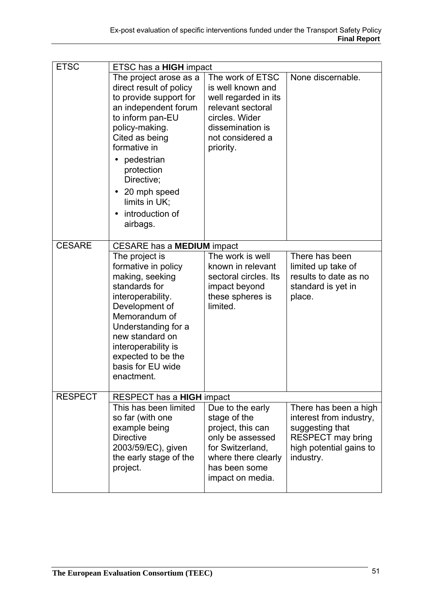| <b>ETSC</b>    | ETSC has a <b>HIGH</b> impact                     |                                                          |                                                  |  |
|----------------|---------------------------------------------------|----------------------------------------------------------|--------------------------------------------------|--|
|                | The project arose as a                            | The work of ETSC                                         | None discernable.                                |  |
|                | direct result of policy<br>to provide support for | is well known and<br>well regarded in its                |                                                  |  |
|                | an independent forum                              | relevant sectoral                                        |                                                  |  |
|                | to inform pan-EU                                  | circles. Wider<br>dissemination is                       |                                                  |  |
|                | policy-making.<br>Cited as being                  | not considered a                                         |                                                  |  |
|                | formative in                                      | priority.                                                |                                                  |  |
|                | pedestrian<br>protection<br>Directive;            |                                                          |                                                  |  |
|                | 20 mph speed<br>$\bullet$<br>limits in UK;        |                                                          |                                                  |  |
|                | introduction of<br>$\bullet$<br>airbags.          |                                                          |                                                  |  |
| <b>CESARE</b>  | CESARE has a MEDIUM impact                        |                                                          |                                                  |  |
|                | The project is                                    | The work is well                                         | There has been                                   |  |
|                | formative in policy<br>making, seeking            | known in relevant<br>sectoral circles. Its               | limited up take of<br>results to date as no      |  |
|                | standards for                                     | impact beyond                                            | standard is yet in                               |  |
|                | interoperability.<br>Development of               | these spheres is<br>limited.                             | place.                                           |  |
|                | Memorandum of                                     |                                                          |                                                  |  |
|                | Understanding for a                               |                                                          |                                                  |  |
|                | new standard on<br>interoperability is            |                                                          |                                                  |  |
|                | expected to be the                                |                                                          |                                                  |  |
|                | basis for EU wide                                 |                                                          |                                                  |  |
|                | enactment.                                        |                                                          |                                                  |  |
| <b>RESPECT</b> | RESPECT has a HIGH impact                         |                                                          |                                                  |  |
|                | This has been limited<br>so far (with one         | Due to the early<br>stage of the                         | There has been a high<br>interest from industry, |  |
|                | example being                                     | project, this can                                        | suggesting that                                  |  |
|                | <b>Directive</b>                                  | only be assessed                                         | <b>RESPECT may bring</b>                         |  |
|                | 2003/59/EC), given                                | for Switzerland,                                         | high potential gains to                          |  |
|                |                                                   |                                                          |                                                  |  |
|                | the early stage of the<br>project.                | where there clearly<br>has been some<br>impact on media. | industry.                                        |  |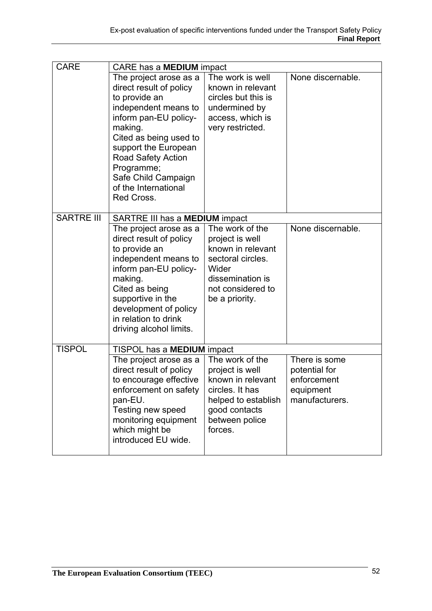| <b>CARE</b>       | CARE has a <b>MEDIUM</b> impact                                                                                                                                                                                                                                                          |                                                                                                                                                  |                                                                              |  |
|-------------------|------------------------------------------------------------------------------------------------------------------------------------------------------------------------------------------------------------------------------------------------------------------------------------------|--------------------------------------------------------------------------------------------------------------------------------------------------|------------------------------------------------------------------------------|--|
|                   | The project arose as a<br>direct result of policy<br>to provide an<br>independent means to<br>inform pan-EU policy-<br>making.<br>Cited as being used to<br>support the European<br><b>Road Safety Action</b><br>Programme;<br>Safe Child Campaign<br>of the International<br>Red Cross. | The work is well<br>known in relevant<br>circles but this is<br>undermined by<br>access, which is<br>very restricted.                            | None discernable.                                                            |  |
| <b>SARTRE III</b> | SARTRE III has a MEDIUM impact                                                                                                                                                                                                                                                           |                                                                                                                                                  |                                                                              |  |
|                   | The project arose as a<br>direct result of policy<br>to provide an<br>independent means to<br>inform pan-EU policy-<br>making.<br>Cited as being<br>supportive in the<br>development of policy<br>in relation to drink<br>driving alcohol limits.                                        | The work of the<br>project is well<br>known in relevant<br>sectoral circles.<br>Wider<br>dissemination is<br>not considered to<br>be a priority. | None discernable.                                                            |  |
| <b>TISPOL</b>     | TISPOL has a <b>MEDIUM</b> impact                                                                                                                                                                                                                                                        |                                                                                                                                                  |                                                                              |  |
|                   | The project arose as a<br>direct result of policy<br>to encourage effective<br>enforcement on safety<br>pan-EU.<br>Testing new speed<br>monitoring equipment<br>which might be<br>introduced EU wide.                                                                                    | The work of the<br>project is well<br>known in relevant<br>circles. It has<br>helped to establish<br>good contacts<br>between police<br>forces.  | There is some<br>potential for<br>enforcement<br>equipment<br>manufacturers. |  |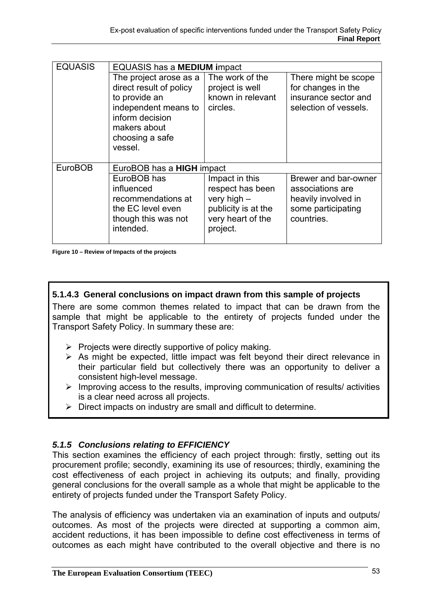| <b>EQUASIS</b> | <b>EQUASIS has a MEDIUM impact</b>                                                                       |                                                                                                             |                                                                                                     |  |
|----------------|----------------------------------------------------------------------------------------------------------|-------------------------------------------------------------------------------------------------------------|-----------------------------------------------------------------------------------------------------|--|
|                | The project arose as a<br>direct result of policy<br>to provide an                                       | The work of the<br>project is well<br>known in relevant                                                     | There might be scope<br>for changes in the<br>insurance sector and                                  |  |
|                | independent means to<br>inform decision<br>makers about<br>choosing a safe<br>vessel.                    | circles.                                                                                                    | selection of vessels.                                                                               |  |
| <b>EuroBOB</b> | EuroBOB has a <b>HIGH</b> impact                                                                         |                                                                                                             |                                                                                                     |  |
|                | EuroBOB has<br>influenced<br>recommendations at<br>the EC level even<br>though this was not<br>intended. | Impact in this<br>respect has been<br>very high $-$<br>publicity is at the<br>very heart of the<br>project. | Brewer and bar-owner<br>associations are<br>heavily involved in<br>some participating<br>countries. |  |

**Figure 10 – Review of Impacts of the projects** 

### **5.1.4.3 General conclusions on impact drawn from this sample of projects**

There are some common themes related to impact that can be drawn from the sample that might be applicable to the entirety of projects funded under the Transport Safety Policy. In summary these are:

- $\triangleright$  Projects were directly supportive of policy making.
- $\triangleright$  As might be expected, little impact was felt beyond their direct relevance in their particular field but collectively there was an opportunity to deliver a consistent high-level message.
- $\triangleright$  Improving access to the results, improving communication of results/ activities is a clear need across all projects.
- $\triangleright$  Direct impacts on industry are small and difficult to determine.

#### *5.1.5 Conclusions relating to EFFICIENCY*

This section examines the efficiency of each project through: firstly, setting out its procurement profile; secondly, examining its use of resources; thirdly, examining the cost effectiveness of each project in achieving its outputs; and finally, providing general conclusions for the overall sample as a whole that might be applicable to the entirety of projects funded under the Transport Safety Policy.

The analysis of efficiency was undertaken via an examination of inputs and outputs/ outcomes. As most of the projects were directed at supporting a common aim, accident reductions, it has been impossible to define cost effectiveness in terms of outcomes as each might have contributed to the overall objective and there is no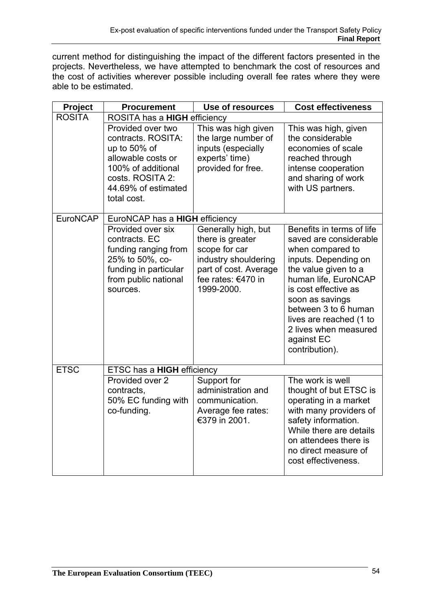current method for distinguishing the impact of the different factors presented in the projects. Nevertheless, we have attempted to benchmark the cost of resources and the cost of activities wherever possible including overall fee rates where they were able to be estimated.

| <b>Project</b>  | <b>Procurement</b>                                                                                                                                            | Use of resources                                                                                                                              | <b>Cost effectiveness</b>                                                                                                                                                                                                                                                                              |
|-----------------|---------------------------------------------------------------------------------------------------------------------------------------------------------------|-----------------------------------------------------------------------------------------------------------------------------------------------|--------------------------------------------------------------------------------------------------------------------------------------------------------------------------------------------------------------------------------------------------------------------------------------------------------|
| <b>ROSITA</b>   | ROSITA has a <b>HIGH</b> efficiency                                                                                                                           |                                                                                                                                               |                                                                                                                                                                                                                                                                                                        |
|                 | Provided over two<br>contracts. ROSITA:<br>up to 50% of<br>allowable costs or<br>100% of additional<br>costs. ROSITA 2:<br>44.69% of estimated<br>total cost. | This was high given<br>the large number of<br>inputs (especially<br>experts' time)<br>provided for free.                                      | This was high, given<br>the considerable<br>economies of scale<br>reached through<br>intense cooperation<br>and sharing of work<br>with US partners.                                                                                                                                                   |
| <b>EuroNCAP</b> | EuroNCAP has a HIGH efficiency                                                                                                                                |                                                                                                                                               |                                                                                                                                                                                                                                                                                                        |
|                 | Provided over six<br>contracts. EC<br>funding ranging from<br>25% to 50%, co-<br>funding in particular<br>from public national<br>sources.                    | Generally high, but<br>there is greater<br>scope for car<br>industry shouldering<br>part of cost. Average<br>fee rates: €470 in<br>1999-2000. | Benefits in terms of life<br>saved are considerable<br>when compared to<br>inputs. Depending on<br>the value given to a<br>human life, EuroNCAP<br>is cost effective as<br>soon as savings<br>between 3 to 6 human<br>lives are reached (1 to<br>2 lives when measured<br>against EC<br>contribution). |
| <b>ETSC</b>     | ETSC has a HIGH efficiency                                                                                                                                    |                                                                                                                                               |                                                                                                                                                                                                                                                                                                        |
|                 | Provided over 2<br>contracts,<br>50% EC funding with<br>co-funding.                                                                                           | Support for<br>administration and<br>communication.<br>Average fee rates:<br>€379 in 2001.                                                    | The work is well<br>thought of but ETSC is<br>operating in a market<br>with many providers of<br>safety information.<br>While there are details<br>on attendees there is<br>no direct measure of<br>cost effectiveness.                                                                                |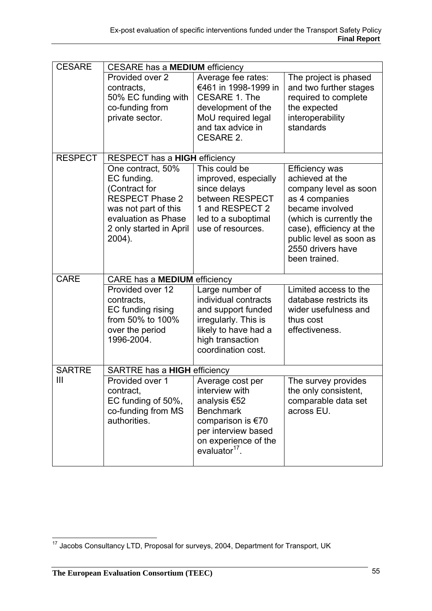| <b>CESARE</b>  | <b>CESARE has a MEDIUM efficiency</b>                                                                                                                           |                                                                                                                                                                         |                                                                                                                                                                                                                         |  |
|----------------|-----------------------------------------------------------------------------------------------------------------------------------------------------------------|-------------------------------------------------------------------------------------------------------------------------------------------------------------------------|-------------------------------------------------------------------------------------------------------------------------------------------------------------------------------------------------------------------------|--|
|                | Provided over 2<br>contracts,<br>50% EC funding with<br>co-funding from<br>private sector.                                                                      | Average fee rates:<br>€461 in 1998-1999 in<br>CESARE 1. The<br>development of the<br>MoU required legal<br>and tax advice in<br><b>CESARE 2.</b>                        | The project is phased<br>and two further stages<br>required to complete<br>the expected<br>interoperability<br>standards                                                                                                |  |
| <b>RESPECT</b> | RESPECT has a HIGH efficiency                                                                                                                                   |                                                                                                                                                                         |                                                                                                                                                                                                                         |  |
|                | One contract, 50%<br>EC funding.<br>(Contract for<br><b>RESPECT Phase 2</b><br>was not part of this<br>evaluation as Phase<br>2 only started in April<br>2004). | This could be<br>improved, especially<br>since delays<br>between RESPECT<br>1 and RESPECT 2<br>led to a suboptimal<br>use of resources.                                 | Efficiency was<br>achieved at the<br>company level as soon<br>as 4 companies<br>became involved<br>(which is currently the<br>case), efficiency at the<br>public level as soon as<br>2550 drivers have<br>been trained. |  |
| <b>CARE</b>    | CARE has a MEDIUM efficiency                                                                                                                                    |                                                                                                                                                                         |                                                                                                                                                                                                                         |  |
|                | Provided over 12<br>contracts,<br>EC funding rising<br>from 50% to 100%<br>over the period<br>1996-2004.                                                        | Large number of<br>individual contracts<br>and support funded<br>irregularly. This is<br>likely to have had a<br>high transaction<br>coordination cost.                 | Limited access to the<br>database restricts its<br>wider usefulness and<br>thus cost<br>effectiveness.                                                                                                                  |  |
| <b>SARTRE</b>  | SARTRE has a <b>HIGH</b> efficiency                                                                                                                             |                                                                                                                                                                         |                                                                                                                                                                                                                         |  |
| III            | Provided over 1<br>contract,<br>EC funding of 50%,<br>co-funding from MS<br>authorities.                                                                        | Average cost per<br>interview with<br>analysis €52<br><b>Benchmark</b><br>comparison is €70<br>per interview based<br>on experience of the<br>evaluator <sup>17</sup> . | The survey provides<br>the only consistent,<br>comparable data set<br>across EU.                                                                                                                                        |  |

 $\overline{a}$  $17$  Jacobs Consultancy LTD, Proposal for surveys, 2004, Department for Transport, UK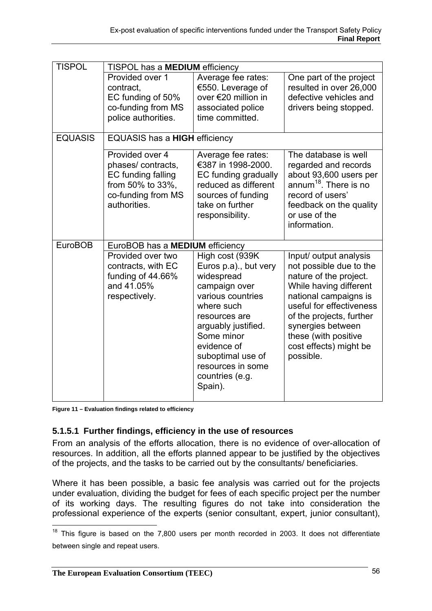| <b>TISPOL</b>  | TISPOL has a MEDIUM efficiency  |                       |                                   |  |
|----------------|---------------------------------|-----------------------|-----------------------------------|--|
|                | Provided over 1                 | Average fee rates:    | One part of the project           |  |
|                | contract,                       | €550. Leverage of     | resulted in over 26,000           |  |
|                | EC funding of 50%               | over €20 million in   | defective vehicles and            |  |
|                | co-funding from MS              | associated police     | drivers being stopped.            |  |
|                | police authorities.             | time committed.       |                                   |  |
| <b>EQUASIS</b> | EQUASIS has a HIGH efficiency   |                       |                                   |  |
|                |                                 |                       |                                   |  |
|                | Provided over 4                 | Average fee rates:    | The database is well              |  |
|                | phases/contracts,               | €387 in 1998-2000.    | regarded and records              |  |
|                | EC funding falling              | EC funding gradually  | about 93,600 users per            |  |
|                | from 50% to 33%,                | reduced as different  | annum <sup>18</sup> . There is no |  |
|                | co-funding from MS              | sources of funding    | record of users'                  |  |
|                | authorities.                    | take on further       | feedback on the quality           |  |
|                |                                 | responsibility.       | or use of the                     |  |
|                |                                 |                       | information.                      |  |
|                |                                 |                       |                                   |  |
| <b>EuroBOB</b> | EuroBOB has a MEDIUM efficiency |                       |                                   |  |
|                | Provided over two               | High cost (939K       | Input/ output analysis            |  |
|                | contracts, with EC              | Euros p.a)., but very | not possible due to the           |  |
|                | funding of 44.66%               | widespread            | nature of the project.            |  |
|                | and 41.05%                      | campaign over         | While having different            |  |
|                | respectively.                   | various countries     | national campaigns is             |  |
|                |                                 |                       |                                   |  |
|                |                                 | where such            | useful for effectiveness          |  |
|                |                                 | resources are         | of the projects, further          |  |
|                |                                 | arguably justified.   | synergies between                 |  |
|                |                                 | Some minor            | these (with positive              |  |
|                |                                 | evidence of           | cost effects) might be            |  |
|                |                                 | suboptimal use of     | possible.                         |  |
|                |                                 | resources in some     |                                   |  |
|                |                                 | countries (e.g.       |                                   |  |
|                |                                 | Spain).               |                                   |  |

**Figure 11 – Evaluation findings related to efficiency** 

## **5.1.5.1 Further findings, efficiency in the use of resources**

From an analysis of the efforts allocation, there is no evidence of over-allocation of resources. In addition, all the efforts planned appear to be justified by the objectives of the projects, and the tasks to be carried out by the consultants/ beneficiaries.

Where it has been possible, a basic fee analysis was carried out for the projects under evaluation, dividing the budget for fees of each specific project per the number of its working days. The resulting figures do not take into consideration the professional experience of the experts (senior consultant, expert, junior consultant),

 $\overline{a}$  $18$  This figure is based on the 7,800 users per month recorded in 2003. It does not differentiate between single and repeat users.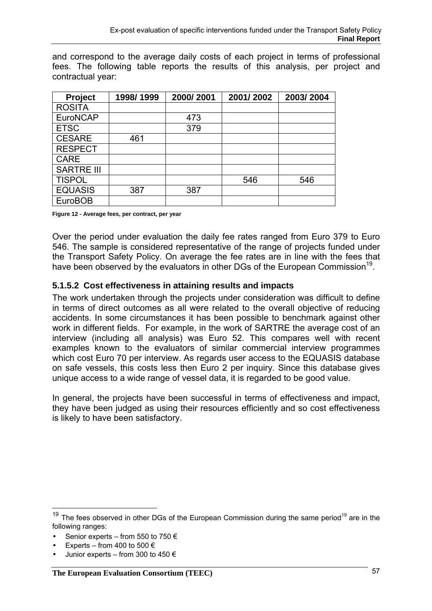and correspond to the average daily costs of each project in terms of professional fees. The following table reports the results of this analysis, per project and contractual year:

| Project           | 1998/1999 | 2000/2001 | 2001/2002 | 2003/2004 |
|-------------------|-----------|-----------|-----------|-----------|
| <b>ROSITA</b>     |           |           |           |           |
| <b>EuroNCAP</b>   |           | 473       |           |           |
| <b>ETSC</b>       |           | 379       |           |           |
| <b>CESARE</b>     | 461       |           |           |           |
| <b>RESPECT</b>    |           |           |           |           |
| <b>CARE</b>       |           |           |           |           |
| <b>SARTRE III</b> |           |           |           |           |
| <b>TISPOL</b>     |           |           | 546       | 546       |
| <b>EQUASIS</b>    | 387       | 387       |           |           |
| <b>EuroBOB</b>    |           |           |           |           |

**Figure 12 - Average fees, per contract, per year** 

Over the period under evaluation the daily fee rates ranged from Euro 379 to Euro 546. The sample is considered representative of the range of projects funded under the Transport Safety Policy. On average the fee rates are in line with the fees that have been observed by the evaluators in other DGs of the European Commission<sup>19</sup>.

### **5.1.5.2 Cost effectiveness in attaining results and impacts**

The work undertaken through the projects under consideration was difficult to define in terms of direct outcomes as all were related to the overall objective of reducing accidents. In some circumstances it has been possible to benchmark against other work in different fields. For example, in the work of SARTRE the average cost of an interview (including all analysis) was Euro 52. This compares well with recent examples known to the evaluators of similar commercial interview programmes which cost Euro 70 per interview. As regards user access to the EQUASIS database on safe vessels, this costs less then Euro 2 per inquiry. Since this database gives unique access to a wide range of vessel data, it is regarded to be good value.

In general, the projects have been successful in terms of effectiveness and impact, they have been judged as using their resources efficiently and so cost effectiveness is likely to have been satisfactory.

Experts – from 400 to 500  $\epsilon$ 

 $\overline{a}$ 

 $19$  The fees observed in other DGs of the European Commission during the same period<sup>19</sup> are in the following ranges:

<sup>•</sup> Senior experts – from 550 to 750  $\epsilon$ 

Junior experts – from 300 to 450  $\in$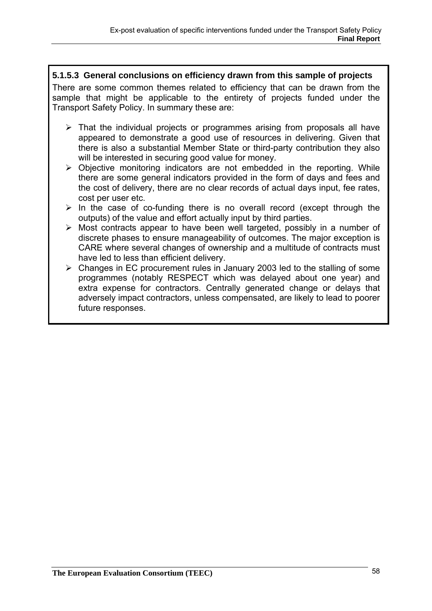## **5.1.5.3 General conclusions on efficiency drawn from this sample of projects**

There are some common themes related to efficiency that can be drawn from the sample that might be applicable to the entirety of projects funded under the Transport Safety Policy. In summary these are:

- $\triangleright$  That the individual projects or programmes arising from proposals all have appeared to demonstrate a good use of resources in delivering. Given that there is also a substantial Member State or third-party contribution they also will be interested in securing good value for money.
- $\triangleright$  Objective monitoring indicators are not embedded in the reporting. While there are some general indicators provided in the form of days and fees and the cost of delivery, there are no clear records of actual days input, fee rates, cost per user etc.
- $\triangleright$  In the case of co-funding there is no overall record (except through the outputs) of the value and effort actually input by third parties.
- $\triangleright$  Most contracts appear to have been well targeted, possibly in a number of discrete phases to ensure manageability of outcomes. The major exception is CARE where several changes of ownership and a multitude of contracts must have led to less than efficient delivery.
- $\triangleright$  Changes in EC procurement rules in January 2003 led to the stalling of some programmes (notably RESPECT which was delayed about one year) and extra expense for contractors. Centrally generated change or delays that adversely impact contractors, unless compensated, are likely to lead to poorer future responses.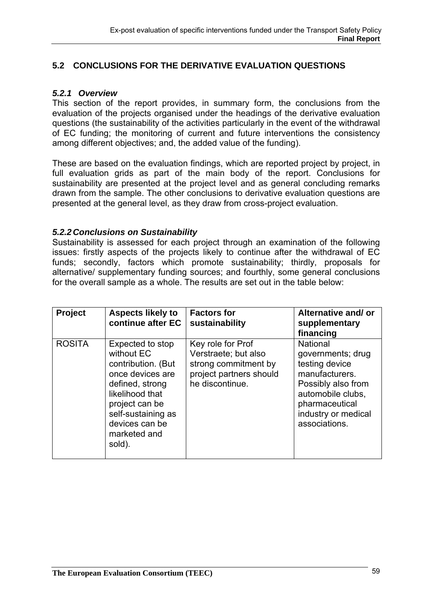## **5.2 CONCLUSIONS FOR THE DERIVATIVE EVALUATION QUESTIONS**

#### *5.2.1 Overview*

This section of the report provides, in summary form, the conclusions from the evaluation of the projects organised under the headings of the derivative evaluation questions (the sustainability of the activities particularly in the event of the withdrawal of EC funding; the monitoring of current and future interventions the consistency among different objectives; and, the added value of the funding).

These are based on the evaluation findings, which are reported project by project, in full evaluation grids as part of the main body of the report. Conclusions for sustainability are presented at the project level and as general concluding remarks drawn from the sample. The other conclusions to derivative evaluation questions are presented at the general level, as they draw from cross-project evaluation.

#### *5.2.2 Conclusions on Sustainability*

Sustainability is assessed for each project through an examination of the following issues: firstly aspects of the projects likely to continue after the withdrawal of EC funds; secondly, factors which promote sustainability; thirdly, proposals for alternative/ supplementary funding sources; and fourthly, some general conclusions for the overall sample as a whole. The results are set out in the table below:

| Project       | <b>Aspects likely to</b><br>continue after EC                                                                                                                                                      | <b>Factors for</b><br>sustainability                                                                            | Alternative and/ or<br>supplementary<br>financing                                                                                                                             |
|---------------|----------------------------------------------------------------------------------------------------------------------------------------------------------------------------------------------------|-----------------------------------------------------------------------------------------------------------------|-------------------------------------------------------------------------------------------------------------------------------------------------------------------------------|
| <b>ROSITA</b> | Expected to stop<br>without EC<br>contribution. (But<br>once devices are<br>defined, strong<br>likelihood that<br>project can be<br>self-sustaining as<br>devices can be<br>marketed and<br>sold). | Key role for Prof<br>Verstraete; but also<br>strong commitment by<br>project partners should<br>he discontinue. | <b>National</b><br>governments; drug<br>testing device<br>manufacturers.<br>Possibly also from<br>automobile clubs,<br>pharmaceutical<br>industry or medical<br>associations. |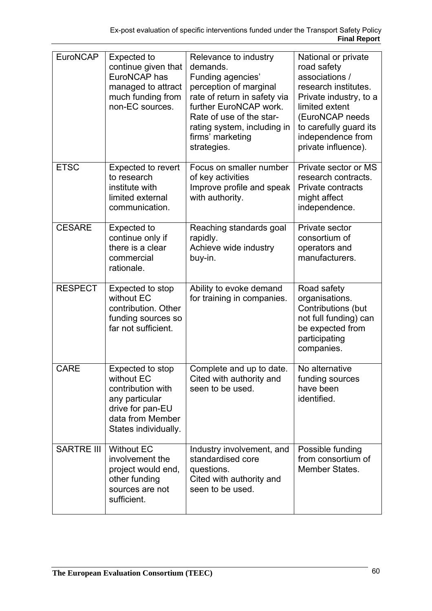| <b>EuroNCAP</b>   | <b>Expected to</b><br>continue given that<br>EuroNCAP has<br>managed to attract<br>much funding from<br>non-EC sources.               | Relevance to industry<br>demands.<br>Funding agencies'<br>perception of marginal<br>rate of return in safety via<br>further EuroNCAP work.<br>Rate of use of the star-<br>rating system, including in<br>firms' marketing<br>strategies. | National or private<br>road safety<br>associations /<br>research institutes.<br>Private industry, to a<br>limited extent<br>(EuroNCAP needs<br>to carefully guard its<br>independence from<br>private influence). |
|-------------------|---------------------------------------------------------------------------------------------------------------------------------------|------------------------------------------------------------------------------------------------------------------------------------------------------------------------------------------------------------------------------------------|-------------------------------------------------------------------------------------------------------------------------------------------------------------------------------------------------------------------|
| <b>ETSC</b>       | <b>Expected to revert</b><br>to research<br>institute with<br>limited external<br>communication.                                      | Focus on smaller number<br>of key activities<br>Improve profile and speak<br>with authority.                                                                                                                                             | Private sector or MS<br>research contracts.<br>Private contracts<br>might affect<br>independence.                                                                                                                 |
| <b>CESARE</b>     | <b>Expected to</b><br>continue only if<br>there is a clear<br>commercial<br>rationale.                                                | Reaching standards goal<br>rapidly.<br>Achieve wide industry<br>buy-in.                                                                                                                                                                  | Private sector<br>consortium of<br>operators and<br>manufacturers.                                                                                                                                                |
| <b>RESPECT</b>    | Expected to stop<br>without EC<br>contribution. Other<br>funding sources so<br>far not sufficient.                                    | Ability to evoke demand<br>for training in companies.                                                                                                                                                                                    | Road safety<br>organisations.<br>Contributions (but<br>not full funding) can<br>be expected from<br>participating<br>companies.                                                                                   |
| <b>CARE</b>       | Expected to stop<br>without EC<br>contribution with<br>any particular<br>drive for pan-EU<br>data from Member<br>States individually. | Complete and up to date.<br>Cited with authority and<br>seen to be used.                                                                                                                                                                 | No alternative<br>funding sources<br>have been<br>identified.                                                                                                                                                     |
| <b>SARTRE III</b> | <b>Without EC</b><br>involvement the<br>project would end,<br>other funding<br>sources are not<br>sufficient.                         | Industry involvement, and<br>standardised core<br>questions.<br>Cited with authority and<br>seen to be used.                                                                                                                             | Possible funding<br>from consortium of<br>Member States.                                                                                                                                                          |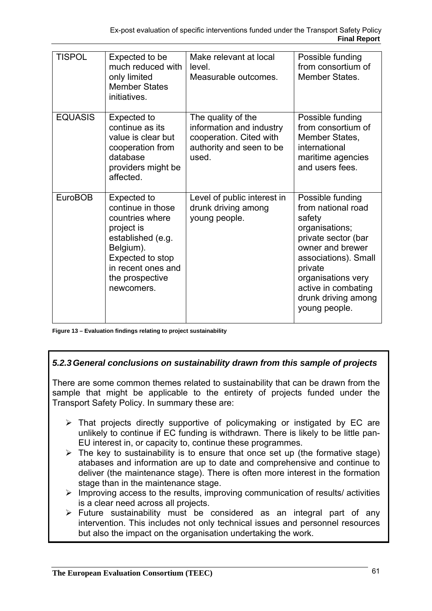| <b>TISPOL</b>  | Expected to be<br>much reduced with<br>only limited<br><b>Member States</b><br>initiatives.                                                                                    | Make relevant at local<br>level.<br>Measurable outcomes.                                                       | Possible funding<br>from consortium of<br>Member States.                                                                                                                                                                              |
|----------------|--------------------------------------------------------------------------------------------------------------------------------------------------------------------------------|----------------------------------------------------------------------------------------------------------------|---------------------------------------------------------------------------------------------------------------------------------------------------------------------------------------------------------------------------------------|
| <b>EQUASIS</b> | Expected to<br>continue as its<br>value is clear but<br>cooperation from<br>database<br>providers might be<br>affected.                                                        | The quality of the<br>information and industry<br>cooperation. Cited with<br>authority and seen to be<br>used. | Possible funding<br>from consortium of<br>Member States,<br>international<br>maritime agencies<br>and users fees.                                                                                                                     |
| <b>EuroBOB</b> | Expected to<br>continue in those<br>countries where<br>project is<br>established (e.g.<br>Belgium).<br>Expected to stop<br>in recent ones and<br>the prospective<br>newcomers. | Level of public interest in<br>drunk driving among<br>young people.                                            | Possible funding<br>from national road<br>safety<br>organisations;<br>private sector (bar<br>owner and brewer<br>associations). Small<br>private<br>organisations very<br>active in combating<br>drunk driving among<br>young people. |

**Figure 13 – Evaluation findings relating to project sustainability** 

## *5.2.3 General conclusions on sustainability drawn from this sample of projects*

There are some common themes related to sustainability that can be drawn from the sample that might be applicable to the entirety of projects funded under the Transport Safety Policy. In summary these are:

- $\triangleright$  That projects directly supportive of policymaking or instigated by EC are unlikely to continue if EC funding is withdrawn. There is likely to be little pan-EU interest in, or capacity to, continue these programmes.
- $\triangleright$  The key to sustainability is to ensure that once set up (the formative stage) atabases and information are up to date and comprehensive and continue to deliver (the maintenance stage). There is often more interest in the formation stage than in the maintenance stage.
- $\triangleright$  Improving access to the results, improving communication of results/ activities is a clear need across all projects.
- $\triangleright$  Future sustainability must be considered as an integral part of any intervention. This includes not only technical issues and personnel resources but also the impact on the organisation undertaking the work.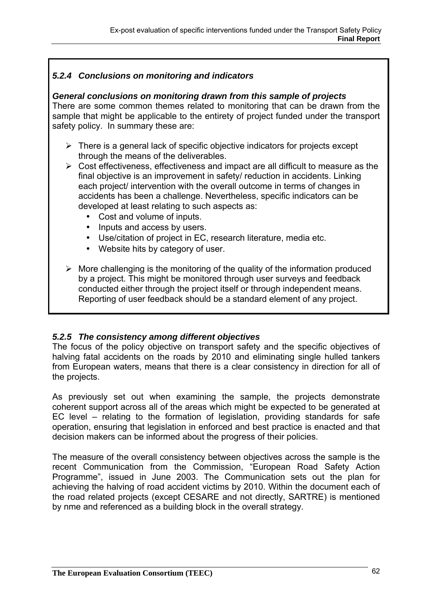## *5.2.4 Conclusions on monitoring and indicators*

### *General conclusions on monitoring drawn from this sample of projects*

There are some common themes related to monitoring that can be drawn from the sample that might be applicable to the entirety of project funded under the transport safety policy. In summary these are:

- $\triangleright$  There is a general lack of specific objective indicators for projects except through the means of the deliverables.
- $\triangleright$  Cost effectiveness, effectiveness and impact are all difficult to measure as the final objective is an improvement in safety/ reduction in accidents. Linking each project/ intervention with the overall outcome in terms of changes in accidents has been a challenge. Nevertheless, specific indicators can be developed at least relating to such aspects as:
	- Cost and volume of inputs.
	- Inputs and access by users.
	- Use/citation of project in EC, research literature, media etc.
	- Website hits by category of user.
- $\triangleright$  More challenging is the monitoring of the quality of the information produced by a project. This might be monitored through user surveys and feedback conducted either through the project itself or through independent means. Reporting of user feedback should be a standard element of any project.

#### *5.2.5 The consistency among different objectives*

The focus of the policy objective on transport safety and the specific objectives of halving fatal accidents on the roads by 2010 and eliminating single hulled tankers from European waters, means that there is a clear consistency in direction for all of the projects.

As previously set out when examining the sample, the projects demonstrate coherent support across all of the areas which might be expected to be generated at EC level – relating to the formation of legislation, providing standards for safe operation, ensuring that legislation in enforced and best practice is enacted and that decision makers can be informed about the progress of their policies.

The measure of the overall consistency between objectives across the sample is the recent Communication from the Commission, "European Road Safety Action Programme", issued in June 2003. The Communication sets out the plan for achieving the halving of road accident victims by 2010. Within the document each of the road related projects (except CESARE and not directly, SARTRE) is mentioned by nme and referenced as a building block in the overall strategy.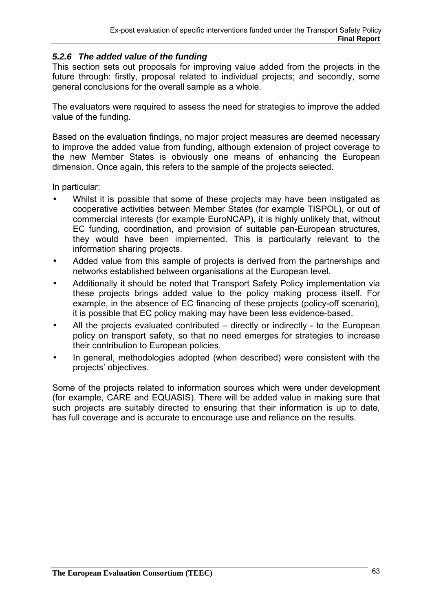## *5.2.6 The added value of the funding*

This section sets out proposals for improving value added from the projects in the future through: firstly, proposal related to individual projects; and secondly, some general conclusions for the overall sample as a whole.

The evaluators were required to assess the need for strategies to improve the added value of the funding.

Based on the evaluation findings, no major project measures are deemed necessary to improve the added value from funding, although extension of project coverage to the new Member States is obviously one means of enhancing the European dimension. Once again, this refers to the sample of the projects selected.

In particular:

- Whilst it is possible that some of these projects may have been instigated as cooperative activities between Member States (for example TISPOL), or out of commercial interests (for example EuroNCAP), it is highly unlikely that, without EC funding, coordination, and provision of suitable pan-European structures, they would have been implemented. This is particularly relevant to the information sharing projects.
- Added value from this sample of projects is derived from the partnerships and networks established between organisations at the European level.
- Additionally it should be noted that Transport Safety Policy implementation via these projects brings added value to the policy making process itself. For example, in the absence of EC financing of these projects (policy-off scenario), it is possible that EC policy making may have been less evidence-based.
- All the projects evaluated contributed directly or indirectly to the European policy on transport safety, so that no need emerges for strategies to increase their contribution to European policies.
- In general, methodologies adopted (when described) were consistent with the projects' objectives.

Some of the projects related to information sources which were under development (for example, CARE and EQUASIS). There will be added value in making sure that such projects are suitably directed to ensuring that their information is up to date, has full coverage and is accurate to encourage use and reliance on the results.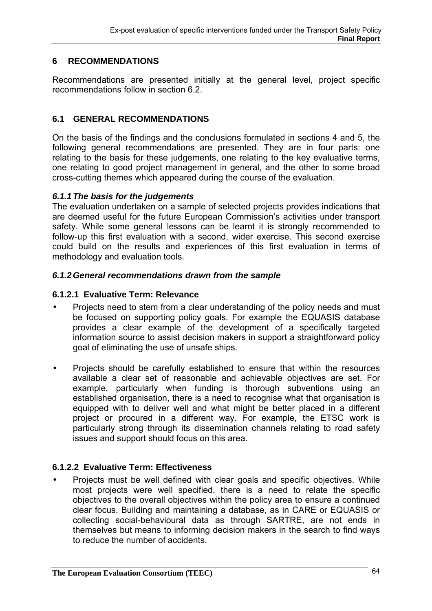# **6 RECOMMENDATIONS**

Recommendations are presented initially at the general level, project specific recommendations follow in section 6.2.

# **6.1 GENERAL RECOMMENDATIONS**

On the basis of the findings and the conclusions formulated in sections 4 and 5, the following general recommendations are presented. They are in four parts: one relating to the basis for these judgements, one relating to the key evaluative terms, one relating to good project management in general, and the other to some broad cross-cutting themes which appeared during the course of the evaluation.

### *6.1.1 The basis for the judgements*

The evaluation undertaken on a sample of selected projects provides indications that are deemed useful for the future European Commission's activities under transport safety. While some general lessons can be learnt it is strongly recommended to follow-up this first evaluation with a second, wider exercise. This second exercise could build on the results and experiences of this first evaluation in terms of methodology and evaluation tools.

### *6.1.2 General recommendations drawn from the sample*

### **6.1.2.1 Evaluative Term: Relevance**

- Projects need to stem from a clear understanding of the policy needs and must be focused on supporting policy goals. For example the EQUASIS database provides a clear example of the development of a specifically targeted information source to assist decision makers in support a straightforward policy goal of eliminating the use of unsafe ships.
- Projects should be carefully established to ensure that within the resources available a clear set of reasonable and achievable objectives are set. For example, particularly when funding is thorough subventions using an established organisation, there is a need to recognise what that organisation is equipped with to deliver well and what might be better placed in a different project or procured in a different way. For example, the ETSC work is particularly strong through its dissemination channels relating to road safety issues and support should focus on this area.

## **6.1.2.2 Evaluative Term: Effectiveness**

• Projects must be well defined with clear goals and specific objectives. While most projects were well specified, there is a need to relate the specific objectives to the overall objectives within the policy area to ensure a continued clear focus. Building and maintaining a database, as in CARE or EQUASIS or collecting social-behavioural data as through SARTRE, are not ends in themselves but means to informing decision makers in the search to find ways to reduce the number of accidents.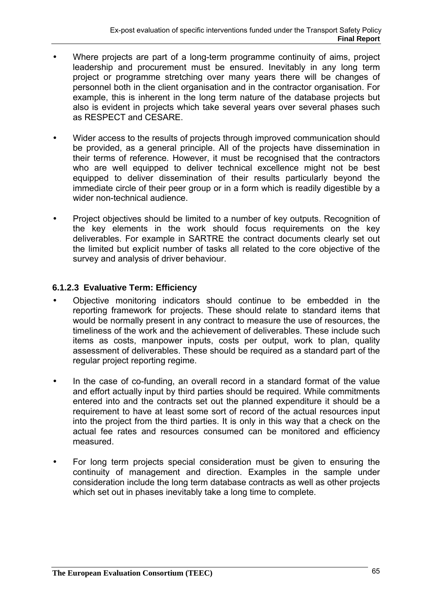- Where projects are part of a long-term programme continuity of aims, project leadership and procurement must be ensured. Inevitably in any long term project or programme stretching over many years there will be changes of personnel both in the client organisation and in the contractor organisation. For example, this is inherent in the long term nature of the database projects but also is evident in projects which take several years over several phases such as RESPECT and CESARE.
- Wider access to the results of projects through improved communication should be provided, as a general principle. All of the projects have dissemination in their terms of reference. However, it must be recognised that the contractors who are well equipped to deliver technical excellence might not be best equipped to deliver dissemination of their results particularly beyond the immediate circle of their peer group or in a form which is readily digestible by a wider non-technical audience.
- Project objectives should be limited to a number of key outputs. Recognition of the key elements in the work should focus requirements on the key deliverables. For example in SARTRE the contract documents clearly set out the limited but explicit number of tasks all related to the core objective of the survey and analysis of driver behaviour.

# **6.1.2.3 Evaluative Term: Efficiency**

- Objective monitoring indicators should continue to be embedded in the reporting framework for projects. These should relate to standard items that would be normally present in any contract to measure the use of resources, the timeliness of the work and the achievement of deliverables. These include such items as costs, manpower inputs, costs per output, work to plan, quality assessment of deliverables. These should be required as a standard part of the regular project reporting regime.
- In the case of co-funding, an overall record in a standard format of the value and effort actually input by third parties should be required. While commitments entered into and the contracts set out the planned expenditure it should be a requirement to have at least some sort of record of the actual resources input into the project from the third parties. It is only in this way that a check on the actual fee rates and resources consumed can be monitored and efficiency measured.
- For long term projects special consideration must be given to ensuring the continuity of management and direction. Examples in the sample under consideration include the long term database contracts as well as other projects which set out in phases inevitably take a long time to complete.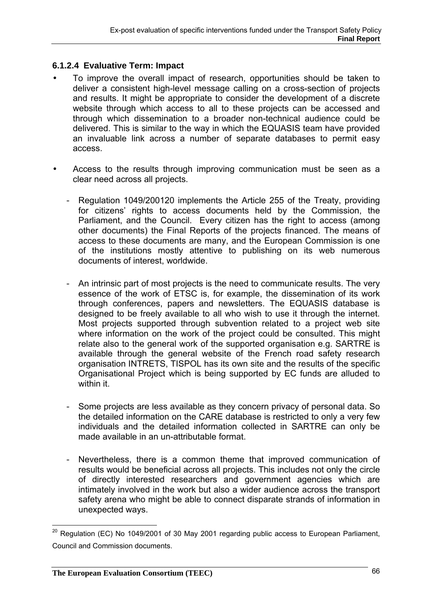## **6.1.2.4 Evaluative Term: Impact**

- To improve the overall impact of research, opportunities should be taken to deliver a consistent high-level message calling on a cross-section of projects and results. It might be appropriate to consider the development of a discrete website through which access to all to these projects can be accessed and through which dissemination to a broader non-technical audience could be delivered. This is similar to the way in which the EQUASIS team have provided an invaluable link across a number of separate databases to permit easy access.
- Access to the results through improving communication must be seen as a clear need across all projects.
	- Regulation 1049/200120 implements the Article 255 of the Treaty, providing for citizens' rights to access documents held by the Commission, the Parliament, and the Council. Every citizen has the right to access (among other documents) the Final Reports of the projects financed. The means of access to these documents are many, and the European Commission is one of the institutions mostly attentive to publishing on its web numerous documents of interest, worldwide.
	- An intrinsic part of most projects is the need to communicate results. The very essence of the work of ETSC is, for example, the dissemination of its work through conferences, papers and newsletters. The EQUASIS database is designed to be freely available to all who wish to use it through the internet. Most projects supported through subvention related to a project web site where information on the work of the project could be consulted. This might relate also to the general work of the supported organisation e.g. SARTRE is available through the general website of the French road safety research organisation INTRETS, TISPOL has its own site and the results of the specific Organisational Project which is being supported by EC funds are alluded to within it.
	- Some projects are less available as they concern privacy of personal data. So the detailed information on the CARE database is restricted to only a very few individuals and the detailed information collected in SARTRE can only be made available in an un-attributable format.
	- Nevertheless, there is a common theme that improved communication of results would be beneficial across all projects. This includes not only the circle of directly interested researchers and government agencies which are intimately involved in the work but also a wider audience across the transport safety arena who might be able to connect disparate strands of information in unexpected ways.

 $\overline{a}$ 

 $^{20}$  Regulation (EC) No 1049/2001 of 30 May 2001 regarding public access to European Parliament, Council and Commission documents.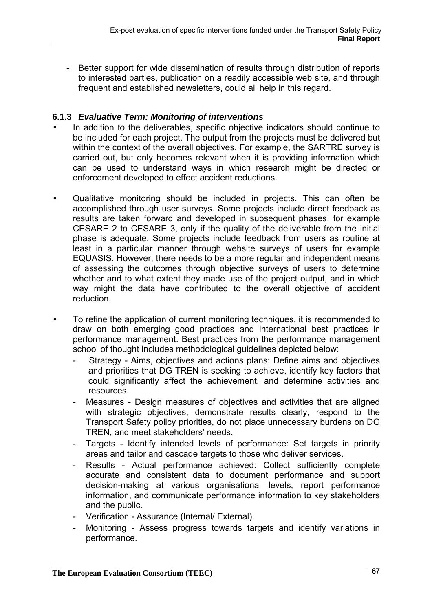- Better support for wide dissemination of results through distribution of reports to interested parties, publication on a readily accessible web site, and through frequent and established newsletters, could all help in this regard.

## **6.1.3** *Evaluative Term: Monitoring of interventions*

- In addition to the deliverables, specific objective indicators should continue to be included for each project. The output from the projects must be delivered but within the context of the overall objectives. For example, the SARTRE survey is carried out, but only becomes relevant when it is providing information which can be used to understand ways in which research might be directed or enforcement developed to effect accident reductions.
- Qualitative monitoring should be included in projects. This can often be accomplished through user surveys. Some projects include direct feedback as results are taken forward and developed in subsequent phases, for example CESARE 2 to CESARE 3, only if the quality of the deliverable from the initial phase is adequate. Some projects include feedback from users as routine at least in a particular manner through website surveys of users for example EQUASIS. However, there needs to be a more regular and independent means of assessing the outcomes through objective surveys of users to determine whether and to what extent they made use of the project output, and in which way might the data have contributed to the overall objective of accident reduction.
- To refine the application of current monitoring techniques, it is recommended to draw on both emerging good practices and international best practices in performance management. Best practices from the performance management school of thought includes methodological guidelines depicted below:
	- Strategy Aims, objectives and actions plans: Define aims and objectives and priorities that DG TREN is seeking to achieve, identify key factors that could significantly affect the achievement, and determine activities and resources.
	- Measures Design measures of objectives and activities that are aligned with strategic objectives, demonstrate results clearly, respond to the Transport Safety policy priorities, do not place unnecessary burdens on DG TREN, and meet stakeholders' needs.
	- Targets Identify intended levels of performance: Set targets in priority areas and tailor and cascade targets to those who deliver services.
	- Results Actual performance achieved: Collect sufficiently complete accurate and consistent data to document performance and support decision-making at various organisational levels, report performance information, and communicate performance information to key stakeholders and the public.
	- Verification Assurance (Internal/ External).
	- Monitoring Assess progress towards targets and identify variations in performance.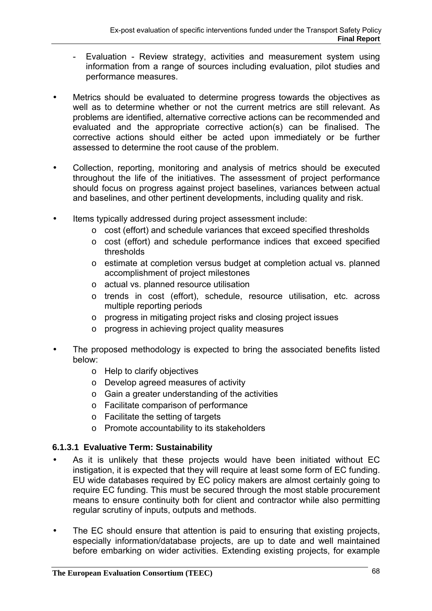- Evaluation Review strategy, activities and measurement system using information from a range of sources including evaluation, pilot studies and performance measures.
- Metrics should be evaluated to determine progress towards the objectives as well as to determine whether or not the current metrics are still relevant. As problems are identified, alternative corrective actions can be recommended and evaluated and the appropriate corrective action(s) can be finalised. The corrective actions should either be acted upon immediately or be further assessed to determine the root cause of the problem.
- Collection, reporting, monitoring and analysis of metrics should be executed throughout the life of the initiatives. The assessment of project performance should focus on progress against project baselines, variances between actual and baselines, and other pertinent developments, including quality and risk.
- Items typically addressed during project assessment include:
	- o cost (effort) and schedule variances that exceed specified thresholds
	- o cost (effort) and schedule performance indices that exceed specified thresholds
	- o estimate at completion versus budget at completion actual vs. planned accomplishment of project milestones
	- o actual vs. planned resource utilisation
	- o trends in cost (effort), schedule, resource utilisation, etc. across multiple reporting periods
	- o progress in mitigating project risks and closing project issues
	- o progress in achieving project quality measures
- The proposed methodology is expected to bring the associated benefits listed below:
	- o Help to clarify objectives
	- o Develop agreed measures of activity
	- o Gain a greater understanding of the activities
	- o Facilitate comparison of performance
	- o Facilitate the setting of targets
	- o Promote accountability to its stakeholders

# **6.1.3.1 Evaluative Term: Sustainability**

- As it is unlikely that these projects would have been initiated without EC instigation, it is expected that they will require at least some form of EC funding. EU wide databases required by EC policy makers are almost certainly going to require EC funding. This must be secured through the most stable procurement means to ensure continuity both for client and contractor while also permitting regular scrutiny of inputs, outputs and methods.
- The EC should ensure that attention is paid to ensuring that existing projects, especially information/database projects, are up to date and well maintained before embarking on wider activities. Extending existing projects, for example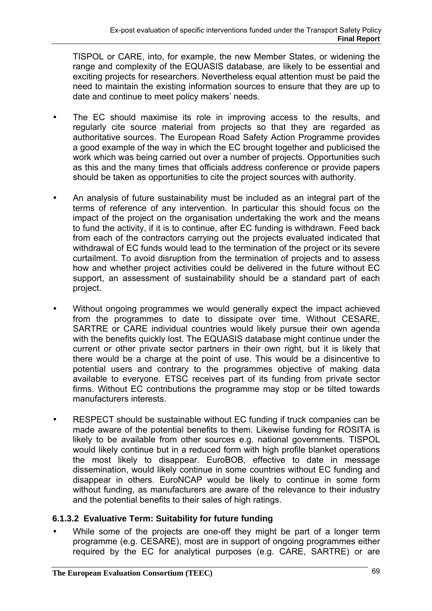TISPOL or CARE, into, for example, the new Member States, or widening the range and complexity of the EQUASIS database, are likely to be essential and exciting projects for researchers. Nevertheless equal attention must be paid the need to maintain the existing information sources to ensure that they are up to date and continue to meet policy makers' needs.

- The EC should maximise its role in improving access to the results, and regularly cite source material from projects so that they are regarded as authoritative sources. The European Road Safety Action Programme provides a good example of the way in which the EC brought together and publicised the work which was being carried out over a number of projects. Opportunities such as this and the many times that officials address conference or provide papers should be taken as opportunities to cite the project sources with authority.
- An analysis of future sustainability must be included as an integral part of the terms of reference of any intervention. In particular this should focus on the impact of the project on the organisation undertaking the work and the means to fund the activity, if it is to continue, after EC funding is withdrawn. Feed back from each of the contractors carrying out the projects evaluated indicated that withdrawal of EC funds would lead to the termination of the project or its severe curtailment. To avoid disruption from the termination of projects and to assess how and whether project activities could be delivered in the future without EC support, an assessment of sustainability should be a standard part of each project.
- Without ongoing programmes we would generally expect the impact achieved from the programmes to date to dissipate over time. Without CESARE, SARTRE or CARE individual countries would likely pursue their own agenda with the benefits quickly lost. The EQUASIS database might continue under the current or other private sector partners in their own right, but it is likely that there would be a charge at the point of use. This would be a disincentive to potential users and contrary to the programmes objective of making data available to everyone. ETSC receives part of its funding from private sector firms. Without EC contributions the programme may stop or be tilted towards manufacturers interests.
- RESPECT should be sustainable without EC funding if truck companies can be made aware of the potential benefits to them. Likewise funding for ROSITA is likely to be available from other sources e.g. national governments. TISPOL would likely continue but in a reduced form with high profile blanket operations the most likely to disappear. EuroBOB, effective to date in message dissemination, would likely continue in some countries without EC funding and disappear in others. EuroNCAP would be likely to continue in some form without funding, as manufacturers are aware of the relevance to their industry and the potential benefits to their sales of high ratings.

# **6.1.3.2 Evaluative Term: Suitability for future funding**

While some of the projects are one-off they might be part of a longer term programme (e.g. CESARE), most are in support of ongoing programmes either required by the EC for analytical purposes (e.g. CARE, SARTRE) or are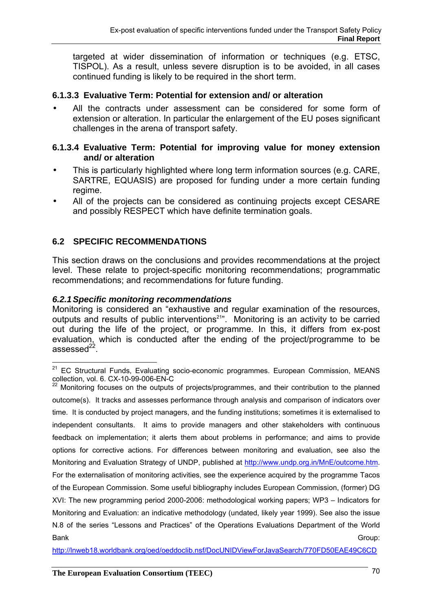targeted at wider dissemination of information or techniques (e.g. ETSC, TISPOL). As a result, unless severe disruption is to be avoided, in all cases continued funding is likely to be required in the short term.

## **6.1.3.3 Evaluative Term: Potential for extension and/ or alteration**

• All the contracts under assessment can be considered for some form of extension or alteration. In particular the enlargement of the EU poses significant challenges in the arena of transport safety.

### **6.1.3.4 Evaluative Term: Potential for improving value for money extension and/ or alteration**

- This is particularly highlighted where long term information sources (e.g. CARE, SARTRE, EQUASIS) are proposed for funding under a more certain funding regime.
- All of the projects can be considered as continuing projects except CESARE and possibly RESPECT which have definite termination goals.

# **6.2 SPECIFIC RECOMMENDATIONS**

This section draws on the conclusions and provides recommendations at the project level. These relate to project-specific monitoring recommendations; programmatic recommendations; and recommendations for future funding.

## *6.2.1 Specific monitoring recommendations*

Monitoring is considered an "exhaustive and regular examination of the resources, outputs and results of public interventions<sup>21"</sup>. Monitoring is an activity to be carried out during the life of the project, or programme. In this, it differs from ex-post evaluation, which is conducted after the ending of the project/programme to be assessed $^{22}$ .

 $22$  Monitoring focuses on the outputs of projects/programmes, and their contribution to the planned outcome(s). It tracks and assesses performance through analysis and comparison of indicators over time. It is conducted by project managers, and the funding institutions; sometimes it is externalised to independent consultants. It aims to provide managers and other stakeholders with continuous feedback on implementation; it alerts them about problems in performance; and aims to provide options for corrective actions. For differences between monitoring and evaluation, see also the Monitoring and Evaluation Strategy of UNDP, published at http://www.undp.org.in/MnE/outcome.htm. For the externalisation of monitoring activities, see the experience acquired by the programme Tacos of the European Commission. Some useful bibliography includes European Commission, (former) DG XVI: The new programming period 2000-2006: methodological working papers; WP3 – Indicators for Monitoring and Evaluation: an indicative methodology (undated, likely year 1999). See also the issue N.8 of the series "Lessons and Practices" of the Operations Evaluations Department of the World Bank Group:

http://lnweb18.worldbank.org/oed/oeddoclib.nsf/DocUNIDViewForJavaSearch/770FD50EAE49C6CD

 $\overline{a}$  $21$  EC Structural Funds, Evaluating socio-economic programmes. European Commission, MEANS collection, vol. 6. CX-10-99-006-EN-C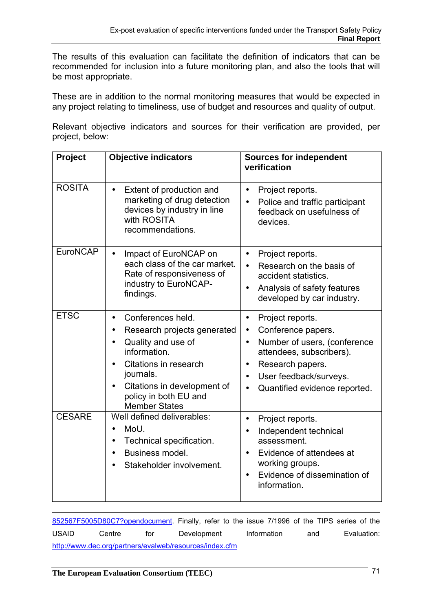The results of this evaluation can facilitate the definition of indicators that can be recommended for inclusion into a future monitoring plan, and also the tools that will be most appropriate.

These are in addition to the normal monitoring measures that would be expected in any project relating to timeliness, use of budget and resources and quality of output.

Relevant objective indicators and sources for their verification are provided, per project, below:

| Project         | <b>Objective indicators</b>                                                                                                                                                                                               | <b>Sources for independent</b><br>verification                                                                                                                                                                                                                  |
|-----------------|---------------------------------------------------------------------------------------------------------------------------------------------------------------------------------------------------------------------------|-----------------------------------------------------------------------------------------------------------------------------------------------------------------------------------------------------------------------------------------------------------------|
| <b>ROSITA</b>   | Extent of production and<br>$\bullet$<br>marketing of drug detection<br>devices by industry in line<br>with ROSITA<br>recommendations.                                                                                    | Project reports.<br>$\bullet$<br>Police and traffic participant<br>feedback on usefulness of<br>devices.                                                                                                                                                        |
| <b>EuroNCAP</b> | Impact of EuroNCAP on<br>each class of the car market.<br>Rate of responsiveness of<br>industry to EuroNCAP-<br>findings.                                                                                                 | Project reports.<br>$\bullet$<br>Research on the basis of<br>$\bullet$<br>accident statistics.<br>Analysis of safety features<br>$\bullet$<br>developed by car industry.                                                                                        |
| <b>ETSC</b>     | Conferences held.<br>$\bullet$<br>Research projects generated<br>Quality and use of<br>information.<br>Citations in research<br>journals.<br>Citations in development of<br>policy in both EU and<br><b>Member States</b> | Project reports.<br>$\bullet$<br>Conference papers.<br>$\bullet$<br>Number of users, (conference<br>$\bullet$<br>attendees, subscribers).<br>Research papers.<br>$\bullet$<br>User feedback/surveys.<br>$\bullet$<br>Quantified evidence reported.<br>$\bullet$ |
| <b>CESARE</b>   | Well defined deliverables:<br>MoU.<br>Technical specification.<br>Business model.<br>Stakeholder involvement.                                                                                                             | Project reports.<br>$\bullet$<br>Independent technical<br>$\bullet$<br>assessment.<br>Evidence of attendees at<br>$\bullet$<br>working groups.<br>Evidence of dissemination of<br>information.                                                                  |

 852567F5005D80C7?opendocument. Finally, refer to the issue 7/1996 of the TIPS series of the USAID Centre for Development Information and Evaluation: http://www.dec.org/partners/evalweb/resources/index.cfm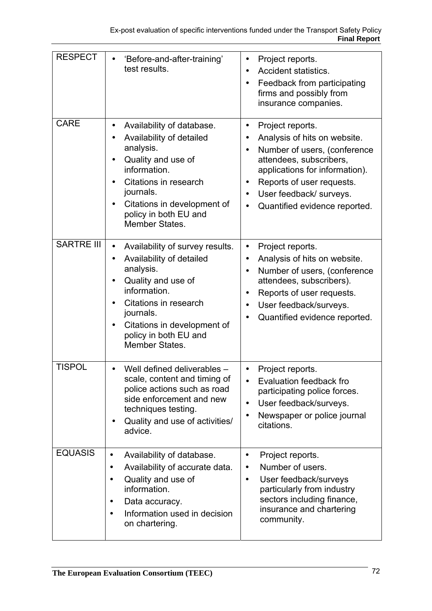| <b>RESPECT</b>    | 'Before-and-after-training'<br>test results.                                                                                                                                                                                                       | Project reports.<br>$\bullet$<br><b>Accident statistics.</b><br>$\bullet$<br>Feedback from participating<br>$\bullet$<br>firms and possibly from<br>insurance companies.                                                                                                                                             |
|-------------------|----------------------------------------------------------------------------------------------------------------------------------------------------------------------------------------------------------------------------------------------------|----------------------------------------------------------------------------------------------------------------------------------------------------------------------------------------------------------------------------------------------------------------------------------------------------------------------|
| <b>CARE</b>       | Availability of database.<br>$\bullet$<br>Availability of detailed<br>analysis.<br>Quality and use of<br>$\bullet$<br>information.<br>Citations in research<br>journals.<br>Citations in development of<br>policy in both EU and<br>Member States. | Project reports.<br>$\bullet$<br>Analysis of hits on website.<br>$\bullet$<br>Number of users, (conference<br>$\bullet$<br>attendees, subscribers,<br>applications for information).<br>Reports of user requests.<br>$\bullet$<br>User feedback/ surveys.<br>$\bullet$<br>Quantified evidence reported.<br>$\bullet$ |
| <b>SARTRE III</b> | Availability of survey results.<br>$\bullet$<br>Availability of detailed<br>analysis.<br>Quality and use of<br>information.<br>Citations in research<br>journals.<br>Citations in development of<br>policy in both EU and<br>Member States.        | Project reports.<br>$\bullet$<br>Analysis of hits on website.<br>$\bullet$<br>Number of users, (conference<br>$\bullet$<br>attendees, subscribers).<br>Reports of user requests.<br>$\bullet$<br>User feedback/surveys.<br>$\bullet$<br>Quantified evidence reported.<br>$\bullet$                                   |
| <b>TISPOL</b>     | Well defined deliverables -<br>$\bullet$<br>scale, content and timing of<br>police actions such as road<br>side enforcement and new<br>techniques testing.<br>Quality and use of activities/<br>$\bullet$<br>advice.                               | Project reports.<br>$\bullet$<br>Evaluation feedback fro<br>$\bullet$<br>participating police forces.<br>User feedback/surveys.<br>$\bullet$<br>Newspaper or police journal<br>$\bullet$<br>citations.                                                                                                               |
| <b>EQUASIS</b>    | Availability of database.<br>$\bullet$<br>Availability of accurate data.<br>$\bullet$<br>Quality and use of<br>$\bullet$<br>information.<br>Data accuracy.<br>$\bullet$<br>Information used in decision<br>$\bullet$<br>on chartering.             | Project reports.<br>$\bullet$<br>Number of users.<br>$\bullet$<br>User feedback/surveys<br>$\bullet$<br>particularly from industry<br>sectors including finance,<br>insurance and chartering<br>community.                                                                                                           |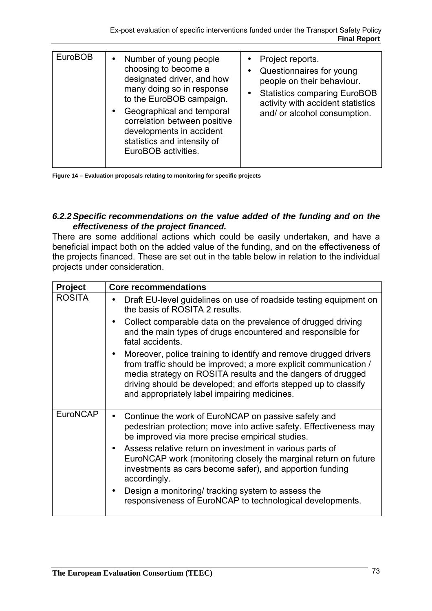| <b>EuroBOB</b> | Number of young people<br>$\bullet$<br>choosing to become a<br>designated driver, and how<br>many doing so in response<br>to the EuroBOB campaign.<br>Geographical and temporal<br>correlation between positive<br>developments in accident<br>statistics and intensity of<br>EuroBOB activities. | • Project reports.<br>Questionnaires for young<br>people on their behaviour.<br><b>Statistics comparing EuroBOB</b><br>$\bullet$<br>activity with accident statistics<br>and/ or alcohol consumption. |
|----------------|---------------------------------------------------------------------------------------------------------------------------------------------------------------------------------------------------------------------------------------------------------------------------------------------------|-------------------------------------------------------------------------------------------------------------------------------------------------------------------------------------------------------|

**Figure 14 – Evaluation proposals relating to monitoring for specific projects** 

# *6.2.2 Specific recommendations on the value added of the funding and on the effectiveness of the project financed.*

There are some additional actions which could be easily undertaken, and have a beneficial impact both on the added value of the funding, and on the effectiveness of the projects financed. These are set out in the table below in relation to the individual projects under consideration.

| Project         | <b>Core recommendations</b>                                                                                                                                                                                                                                                                                            |
|-----------------|------------------------------------------------------------------------------------------------------------------------------------------------------------------------------------------------------------------------------------------------------------------------------------------------------------------------|
| <b>ROSITA</b>   | Draft EU-level guidelines on use of roadside testing equipment on<br>the basis of ROSITA 2 results.                                                                                                                                                                                                                    |
|                 | Collect comparable data on the prevalence of drugged driving<br>and the main types of drugs encountered and responsible for<br>fatal accidents.                                                                                                                                                                        |
|                 | Moreover, police training to identify and remove drugged drivers<br>from traffic should be improved; a more explicit communication /<br>media strategy on ROSITA results and the dangers of drugged<br>driving should be developed; and efforts stepped up to classify<br>and appropriately label impairing medicines. |
| <b>EuroNCAP</b> | Continue the work of EuroNCAP on passive safety and<br>pedestrian protection; move into active safety. Effectiveness may<br>be improved via more precise empirical studies.                                                                                                                                            |
|                 | Assess relative return on investment in various parts of<br>EuroNCAP work (monitoring closely the marginal return on future<br>investments as cars become safer), and apportion funding<br>accordingly.                                                                                                                |
|                 | Design a monitoring/ tracking system to assess the<br>responsiveness of EuroNCAP to technological developments.                                                                                                                                                                                                        |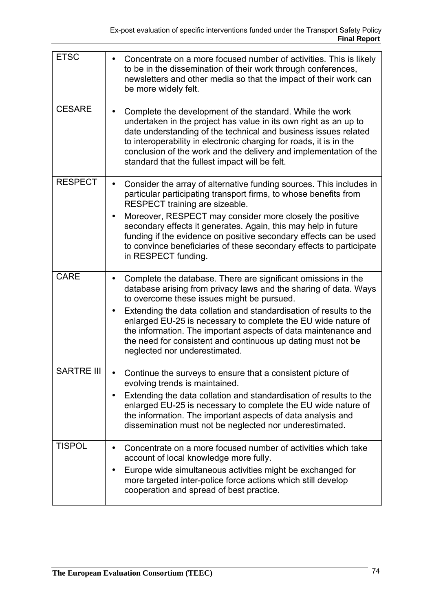| <b>ETSC</b>       | Concentrate on a more focused number of activities. This is likely<br>to be in the dissemination of their work through conferences,<br>newsletters and other media so that the impact of their work can<br>be more widely felt.                                                                                                                                                                                                                                                           |
|-------------------|-------------------------------------------------------------------------------------------------------------------------------------------------------------------------------------------------------------------------------------------------------------------------------------------------------------------------------------------------------------------------------------------------------------------------------------------------------------------------------------------|
| <b>CESARE</b>     | Complete the development of the standard. While the work<br>$\bullet$<br>undertaken in the project has value in its own right as an up to<br>date understanding of the technical and business issues related<br>to interoperability in electronic charging for roads, it is in the<br>conclusion of the work and the delivery and implementation of the<br>standard that the fullest impact will be felt.                                                                                 |
| <b>RESPECT</b>    | Consider the array of alternative funding sources. This includes in<br>$\bullet$<br>particular participating transport firms, to whose benefits from<br>RESPECT training are sizeable.<br>Moreover, RESPECT may consider more closely the positive<br>secondary effects it generates. Again, this may help in future<br>funding if the evidence on positive secondary effects can be used<br>to convince beneficiaries of these secondary effects to participate<br>in RESPECT funding.   |
| <b>CARE</b>       | Complete the database. There are significant omissions in the<br>database arising from privacy laws and the sharing of data. Ways<br>to overcome these issues might be pursued.<br>Extending the data collation and standardisation of results to the<br>enlarged EU-25 is necessary to complete the EU wide nature of<br>the information. The important aspects of data maintenance and<br>the need for consistent and continuous up dating must not be<br>neglected nor underestimated. |
| <b>SARTRE III</b> | Continue the surveys to ensure that a consistent picture of<br>evolving trends is maintained.<br>Extending the data collation and standardisation of results to the<br>enlarged EU-25 is necessary to complete the EU wide nature of<br>the information. The important aspects of data analysis and<br>dissemination must not be neglected nor underestimated.                                                                                                                            |
| <b>TISPOL</b>     | Concentrate on a more focused number of activities which take<br>account of local knowledge more fully.<br>Europe wide simultaneous activities might be exchanged for<br>more targeted inter-police force actions which still develop<br>cooperation and spread of best practice.                                                                                                                                                                                                         |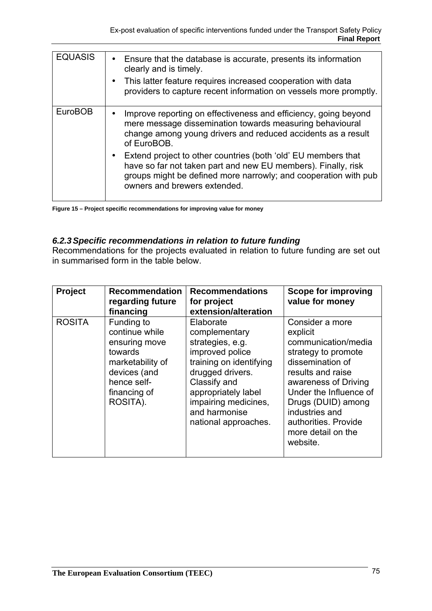| <b>EQUASIS</b> | Ensure that the database is accurate, presents its information<br>clearly and is timely.<br>This latter feature requires increased cooperation with data<br>providers to capture recent information on vessels more promptly.     |
|----------------|-----------------------------------------------------------------------------------------------------------------------------------------------------------------------------------------------------------------------------------|
| <b>EuroBOB</b> | Improve reporting on effectiveness and efficiency, going beyond<br>mere message dissemination towards measuring behavioural<br>change among young drivers and reduced accidents as a result<br>of EuroBOB.                        |
|                | Extend project to other countries (both 'old' EU members that<br>have so far not taken part and new EU members). Finally, risk<br>groups might be defined more narrowly; and cooperation with pub<br>owners and brewers extended. |

**Figure 15 – Project specific recommendations for improving value for money** 

# *6.2.3 Specific recommendations in relation to future funding*

Recommendations for the projects evaluated in relation to future funding are set out in summarised form in the table below.

| Project       | <b>Recommendation</b><br>regarding future<br>financing                                                                                  | <b>Recommendations</b><br>for project<br>extension/alteration                                                                                                                                                            | <b>Scope for improving</b><br>value for money                                                                                                                                                                                                                          |
|---------------|-----------------------------------------------------------------------------------------------------------------------------------------|--------------------------------------------------------------------------------------------------------------------------------------------------------------------------------------------------------------------------|------------------------------------------------------------------------------------------------------------------------------------------------------------------------------------------------------------------------------------------------------------------------|
| <b>ROSITA</b> | Funding to<br>continue while<br>ensuring move<br>towards<br>marketability of<br>devices (and<br>hence self-<br>financing of<br>ROSITA). | Elaborate<br>complementary<br>strategies, e.g.<br>improved police<br>training on identifying<br>drugged drivers.<br>Classify and<br>appropriately label<br>impairing medicines,<br>and harmonise<br>national approaches. | Consider a more<br>explicit<br>communication/media<br>strategy to promote<br>dissemination of<br>results and raise<br>awareness of Driving<br>Under the Influence of<br>Drugs (DUID) among<br>industries and<br>authorities. Provide<br>more detail on the<br>website. |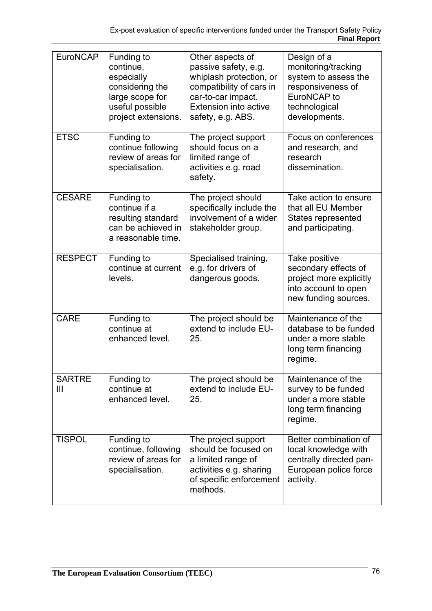| EuroNCAP                        | Funding to<br>continue,<br>especially<br>considering the<br>large scope for<br>useful possible<br>project extensions. | Other aspects of<br>passive safety, e.g.<br>whiplash protection, or<br>compatibility of cars in<br>car-to-car impact.<br><b>Extension into active</b><br>safety, e.g. ABS. | Design of a<br>monitoring/tracking<br>system to assess the<br>responsiveness of<br>EuroNCAP to<br>technological<br>developments. |
|---------------------------------|-----------------------------------------------------------------------------------------------------------------------|----------------------------------------------------------------------------------------------------------------------------------------------------------------------------|----------------------------------------------------------------------------------------------------------------------------------|
| <b>ETSC</b>                     | Funding to<br>continue following<br>review of areas for<br>specialisation.                                            | The project support<br>should focus on a<br>limited range of<br>activities e.g. road<br>safety.                                                                            | Focus on conferences<br>and research, and<br>research<br>dissemination.                                                          |
| <b>CESARE</b>                   | Funding to<br>continue if a<br>resulting standard<br>can be achieved in<br>a reasonable time.                         | The project should<br>specifically include the<br>involvement of a wider<br>stakeholder group.                                                                             | Take action to ensure<br>that all EU Member<br>States represented<br>and participating.                                          |
| <b>RESPECT</b>                  | Funding to<br>continue at current<br>levels.                                                                          | Specialised training,<br>e.g. for drivers of<br>dangerous goods.                                                                                                           | Take positive<br>secondary effects of<br>project more explicitly<br>into account to open<br>new funding sources.                 |
| <b>CARE</b>                     | Funding to<br>continue at<br>enhanced level.                                                                          | The project should be<br>extend to include EU-<br>25.                                                                                                                      | Maintenance of the<br>database to be funded<br>under a more stable<br>long term financing<br>regime.                             |
| <b>SARTRE</b><br>$\mathbf{III}$ | Funding to<br>continue at<br>enhanced level.                                                                          | The project should be<br>extend to include EU-<br>25.                                                                                                                      | Maintenance of the<br>survey to be funded<br>under a more stable<br>long term financing<br>regime.                               |
| <b>TISPOL</b>                   | Funding to<br>continue, following<br>review of areas for<br>specialisation.                                           | The project support<br>should be focused on<br>a limited range of<br>activities e.g. sharing<br>of specific enforcement<br>methods.                                        | Better combination of<br>local knowledge with<br>centrally directed pan-<br>European police force<br>activity.                   |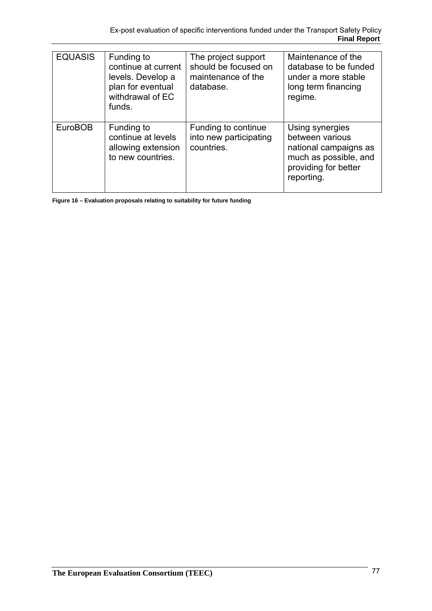| <b>EQUASIS</b> | Funding to<br>continue at current<br>levels. Develop a<br>plan for eventual<br>withdrawal of EC<br>funds. | The project support<br>should be focused on<br>maintenance of the<br>database. | Maintenance of the<br>database to be funded<br>under a more stable<br>long term financing<br>regime.                       |
|----------------|-----------------------------------------------------------------------------------------------------------|--------------------------------------------------------------------------------|----------------------------------------------------------------------------------------------------------------------------|
| <b>EuroBOB</b> | Funding to<br>continue at levels<br>allowing extension<br>to new countries.                               | Funding to continue<br>into new participating<br>countries.                    | Using synergies<br>between various<br>national campaigns as<br>much as possible, and<br>providing for better<br>reporting. |

**Figure 16 – Evaluation proposals relating to suitability for future funding**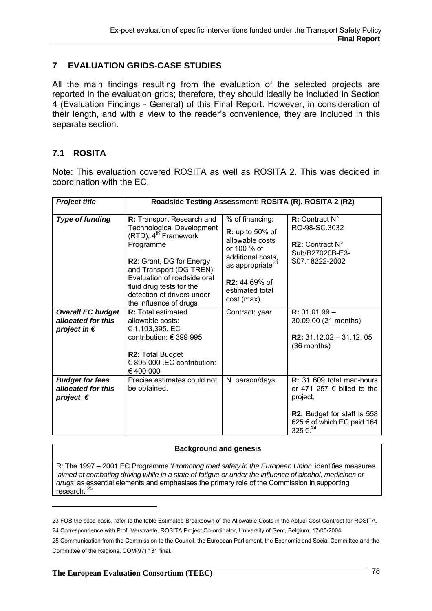# **7 EVALUATION GRIDS-CASE STUDIES**

All the main findings resulting from the evaluation of the selected projects are reported in the evaluation grids; therefore, they should ideally be included in Section 4 (Evaluation Findings - General) of this Final Report. However, in consideration of their length, and with a view to the reader's convenience, they are included in this separate section.

# **7.1 ROSITA**

Note: This evaluation covered ROSITA as well as ROSITA 2. This was decided in coordination with the EC.

| <b>Project title</b>                                                    | Roadside Testing Assessment: ROSITA (R), ROSITA 2 (R2)                                                                                                                                                                                   |                                                                                                                                                                        |                                                                                                                                                             |
|-------------------------------------------------------------------------|------------------------------------------------------------------------------------------------------------------------------------------------------------------------------------------------------------------------------------------|------------------------------------------------------------------------------------------------------------------------------------------------------------------------|-------------------------------------------------------------------------------------------------------------------------------------------------------------|
| <b>Type of funding</b>                                                  | <b>R:</b> Transport Research and<br><b>Technological Development</b><br>(RTD), 4 <sup>th</sup> Framework<br>Programme<br>R2: Grant, DG for Energy<br>and Transport (DG TREN):<br>Evaluation of roadside oral<br>fluid drug tests for the | % of financing:<br>$R:$ up to 50% of<br>allowable costs<br>or 100 % of<br>additional costs,<br>as appropriate <sup>23</sup><br><b>R2:</b> 44.69% of<br>estimated total | R: Contract N°<br>RO-98-SC.3032<br><b>R2:</b> Contract $N^{\circ}$<br>Sub/B27020B-E3-<br>S07.18222-2002                                                     |
| <b>Overall EC budget</b><br>allocated for this<br>project in $\epsilon$ | detection of drivers under<br>the influence of drugs<br><b>R:</b> Total estimated<br>allowable costs:<br>€ 1,103,395. EC<br>contribution: $\in$ 399 995<br><b>R2: Total Budget</b><br>€ 895 000 .EC contribution:<br>€ 400 000           | cost (max).<br>Contract: year                                                                                                                                          | $R: 01.01.99 -$<br>30.09.00 (21 months)<br><b>R2:</b> $31.12.02 - 31.12.05$<br>$(36$ months)                                                                |
| <b>Budget for fees</b><br>allocated for this<br>project $\epsilon$      | Precise estimates could not<br>be obtained.                                                                                                                                                                                              | N person/days                                                                                                                                                          | R: 31 609 total man-hours<br>or 471 257 $\epsilon$ billed to the<br>project.<br>R2: Budget for staff is 558<br>625 € of which EC paid 164<br>325 €. $^{24}$ |

#### **Background and genesis**

R: The 1997 – 2001 EC Programme '*Promoting road safety in the European Union'* identifies measures '*aimed at combating driving while in a state of fatigue or under the influence of alcohol, medicines or drugs'* as essential elements and emphasises the primary role of the Commission in supporting research. 25

 $\overline{a}$ 

<sup>23</sup> FOB the cosa basis, refer to the table Estimated Breakdown of the Allowable Costs in the Actual Cost Contract for ROSITA. 24 Correspondence with Prof. Verstraete, ROSITA Project Co-ordinator, University of Gent, Belgium, 17/05/2004.

<sup>25</sup> Communication from the Commission to the Council, the European Parliament, the Economic and Social Committee and the Committee of the Regions, COM(97) 131 final.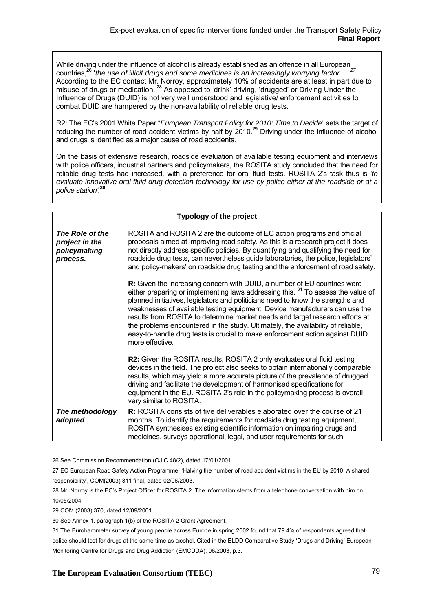While driving under the influence of alcohol is already established as an offence in all European countries,<sup>26</sup> '*the use of illicit drugs and some medicines is an increasingly worrying factor...<sup>' 27</sup> countries,<sup>26</sup> '<i>the use of illicit drugs and some medicines is an increasingly worrying factor...'* According to the EC contact Mr. Norroy, approximately 10% of accidents are at least in part due to misuse of drugs or medication.<sup>28</sup> As opposed to 'drink' driving, 'drugged' or Driving Under the Influence of Drugs (DUID) is not very well understood and legislative/ enforcement activities to combat DUID are hampered by the non-availability of reliable drug tests.

R2: The EC's 2001 White Paper "*European Transport Policy for 2010: Time to Decide"* sets the target of reducing the number of road accident victims by half by 2010.**<sup>29</sup>** Driving under the influence of alcohol and drugs is identified as a major cause of road accidents.

On the basis of extensive research, roadside evaluation of available testing equipment and interviews with police officers, industrial partners and policymakers, the ROSITA study concluded that the need for reliable drug tests had increased, with a preference for oral fluid tests. ROSITA 2's task thus is '*to evaluate innovative oral fluid drug detection technology for use by police either at the roadside or at a police station'.***<sup>30</sup>**

| <b>Typology of the project</b>                                |                                                                                                                                                                                                                                                                                                                                                                                                                                                                                                                                                                                                         |
|---------------------------------------------------------------|---------------------------------------------------------------------------------------------------------------------------------------------------------------------------------------------------------------------------------------------------------------------------------------------------------------------------------------------------------------------------------------------------------------------------------------------------------------------------------------------------------------------------------------------------------------------------------------------------------|
| The Role of the<br>project in the<br>policymaking<br>process. | ROSITA and ROSITA 2 are the outcome of EC action programs and official<br>proposals aimed at improving road safety. As this is a research project it does<br>not directly address specific policies. By quantifying and qualifying the need for<br>roadside drug tests, can nevertheless guide laboratories, the police, legislators'<br>and policy-makers' on roadside drug testing and the enforcement of road safety.                                                                                                                                                                                |
|                                                               | R: Given the increasing concern with DUID, a number of EU countries were<br>either preparing or implementing laws addressing this. $31$ To assess the value of<br>planned initiatives, legislators and politicians need to know the strengths and<br>weaknesses of available testing equipment. Device manufacturers can use the<br>results from ROSITA to determine market needs and target research efforts at<br>the problems encountered in the study. Ultimately, the availability of reliable,<br>easy-to-handle drug tests is crucial to make enforcement action against DUID<br>more effective. |
|                                                               | R2: Given the ROSITA results, ROSITA 2 only evaluates oral fluid testing<br>devices in the field. The project also seeks to obtain internationally comparable<br>results, which may yield a more accurate picture of the prevalence of drugged<br>driving and facilitate the development of harmonised specifications for<br>equipment in the EU. ROSITA 2's role in the policymaking process is overall<br>very similar to ROSITA.                                                                                                                                                                     |
| The methodology<br>adopted                                    | <b>R:</b> ROSITA consists of five deliverables elaborated over the course of 21<br>months. To identify the requirements for roadside drug testing equipment,<br>ROSITA synthesises existing scientific information on impairing drugs and<br>medicines, surveys operational, legal, and user requirements for such                                                                                                                                                                                                                                                                                      |

26 See Commission Recommendation (OJ C 48/2), dated 17/01/2001.

27 EC European Road Safety Action Programme, 'Halving the number of road accident victims in the EU by 2010: A shared responsibility', COM(2003) 311 final, dated 02/06/2003.

28 Mr. Norroy is the EC's Project Officer for ROSITA 2. The information stems from a telephone conversation with him on 10/05/2004.

29 COM (2003) 370, dated 12/09/2001.

30 See Annex 1, paragraph 1(b) of the ROSITA 2 Grant Agreement.

31 The Eurobarometer survey of young people across Europe in spring 2002 found that 79.4% of respondents agreed that police should test for drugs at the same time as alcohol. Cited in the ELDD Comparative Study 'Drugs and Driving' European Monitoring Centre for Drugs and Drug Addiction (EMCDDA), 06/2003, p.3.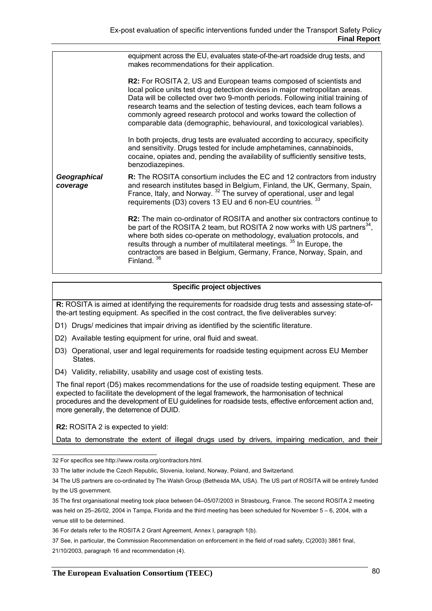|                          | equipment across the EU, evaluates state-of-the-art roadside drug tests, and<br>makes recommendations for their application.                                                                                                                                                                                                                                                                                                                                        |
|--------------------------|---------------------------------------------------------------------------------------------------------------------------------------------------------------------------------------------------------------------------------------------------------------------------------------------------------------------------------------------------------------------------------------------------------------------------------------------------------------------|
|                          | R2: For ROSITA 2, US and European teams composed of scientists and<br>local police units test drug detection devices in major metropolitan areas.<br>Data will be collected over two 9-month periods. Following initial training of<br>research teams and the selection of testing devices, each team follows a<br>commonly agreed research protocol and works toward the collection of<br>comparable data (demographic, behavioural, and toxicological variables). |
|                          | In both projects, drug tests are evaluated according to accuracy, specificity<br>and sensitivity. Drugs tested for include amphetamines, cannabinoids,<br>cocaine, opiates and, pending the availability of sufficiently sensitive tests,<br>benzodiazepines.                                                                                                                                                                                                       |
| Geographical<br>coverage | R: The ROSITA consortium includes the EC and 12 contractors from industry<br>and research institutes based in Belgium, Finland, the UK, Germany, Spain,<br>France, Italy, and Norway. <sup>32</sup> The survey of operational, user and legal<br>requirements (D3) covers 13 EU and 6 non-EU countries. 33                                                                                                                                                          |
|                          | R2: The main co-ordinator of ROSITA and another six contractors continue to<br>be part of the ROSITA 2 team, but ROSITA 2 now works with US partners <sup>34</sup> ,<br>where both sides co-operate on methodology, evaluation protocols, and<br>results through a number of multilateral meetings. <sup>35</sup> In Europe, the<br>contractors are based in Belgium, Germany, France, Norway, Spain, and<br>Finland. <sup>36</sup>                                 |

#### **Specific project objectives**

**R:** ROSITA is aimed at identifying the requirements for roadside drug tests and assessing state-ofthe-art testing equipment. As specified in the cost contract, the five deliverables survey:

- D1) Drugs/ medicines that impair driving as identified by the scientific literature.
- D2) Available testing equipment for urine, oral fluid and sweat.
- D3) Operational, user and legal requirements for roadside testing equipment across EU Member States.
- D4) Validity, reliability, usability and usage cost of existing tests.

The final report (D5) makes recommendations for the use of roadside testing equipment. These are expected to facilitate the development of the legal framework, the harmonisation of technical procedures and the development of EU guidelines for roadside tests, effective enforcement action and, more generally, the deterrence of DUID.

**R2:** ROSITA 2 is expected to yield:

Data to demonstrate the extent of illegal drugs used by drivers, impairing medication, and their

 32 For specifics see http://www.rosita.org/contractors.html.

<sup>33</sup> The latter include the Czech Republic, Slovenia, Iceland, Norway, Poland, and Switzerland.

<sup>34</sup> The US partners are co-ordinated by The Walsh Group (Bethesda MA, USA). The US part of ROSITA will be entirely funded by the US government.

<sup>35</sup> The first organisational meeting took place between 04–05/07/2003 in Strasbourg, France. The second ROSITA 2 meeting was held on 25–26/02, 2004 in Tampa, Florida and the third meeting has been scheduled for November 5 – 6, 2004, with a venue still to be determined.

<sup>36</sup> For details refer to the ROSITA 2 Grant Agreement, Annex I, paragraph 1(b).

<sup>37</sup> See, in particular, the Commission Recommendation on enforcement in the field of road safety, C(2003) 3861 final, 21/10/2003, paragraph 16 and recommendation (4).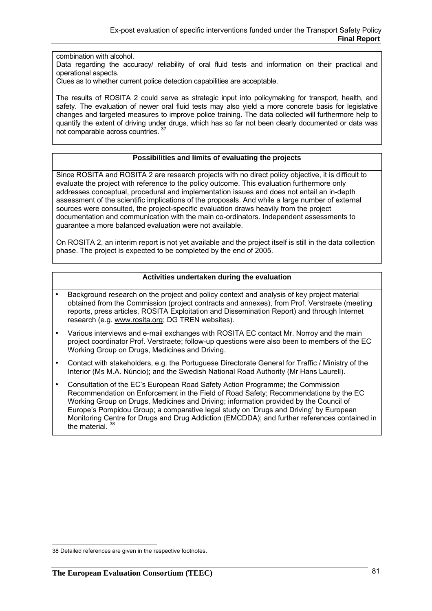combination with alcohol.

Data regarding the accuracy/ reliability of oral fluid tests and information on their practical and operational aspects.

Clues as to whether current police detection capabilities are acceptable.

The results of ROSITA 2 could serve as strategic input into policymaking for transport, health, and safety. The evaluation of newer oral fluid tests may also yield a more concrete basis for legislative changes and targeted measures to improve police training. The data collected will furthermore help to quantify the extent of driving under drugs, which has so far not been clearly documented or data was not comparable across countries. 37

#### **Possibilities and limits of evaluating the projects**

Since ROSITA and ROSITA 2 are research projects with no direct policy objective, it is difficult to evaluate the project with reference to the policy outcome. This evaluation furthermore only addresses conceptual, procedural and implementation issues and does not entail an in-depth assessment of the scientific implications of the proposals. And while a large number of external sources were consulted, the project-specific evaluation draws heavily from the project documentation and communication with the main co-ordinators. Independent assessments to guarantee a more balanced evaluation were not available.

On ROSITA 2, an interim report is not yet available and the project itself is still in the data collection phase. The project is expected to be completed by the end of 2005.

#### **Activities undertaken during the evaluation**

- Background research on the project and policy context and analysis of key project material obtained from the Commission (project contracts and annexes), from Prof. Verstraete (meeting reports, press articles, ROSITA Exploitation and Dissemination Report) and through Internet research (e.g. www.rosita.org; DG TREN websites).
- Various interviews and e-mail exchanges with ROSITA EC contact Mr. Norroy and the main project coordinator Prof. Verstraete; follow-up questions were also been to members of the EC Working Group on Drugs, Medicines and Driving.
- Contact with stakeholders, e.g. the Portuguese Directorate General for Traffic / Ministry of the Interior (Ms M.A. Núncio); and the Swedish National Road Authority (Mr Hans Laurell).
- Consultation of the EC's European Road Safety Action Programme; the Commission Recommendation on Enforcement in the Field of Road Safety; Recommendations by the EC Working Group on Drugs, Medicines and Driving; information provided by the Council of Europe's Pompidou Group; a comparative legal study on 'Drugs and Driving' by European Monitoring Centre for Drugs and Drug Addiction (EMCDDA); and further references contained in the material.<sup>38</sup>

**<sup>38</sup> Detailed references are given in the respective footnotes.**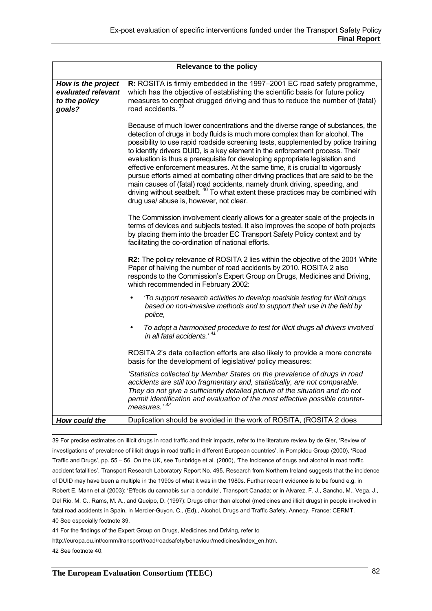| Relevance to the policy                                             |                                                                                                                                                                                                                                                                                                                                                                                                                                                                                                                                                                                                                                                                                                                                                                                                                   |  |
|---------------------------------------------------------------------|-------------------------------------------------------------------------------------------------------------------------------------------------------------------------------------------------------------------------------------------------------------------------------------------------------------------------------------------------------------------------------------------------------------------------------------------------------------------------------------------------------------------------------------------------------------------------------------------------------------------------------------------------------------------------------------------------------------------------------------------------------------------------------------------------------------------|--|
| How is the project<br>evaluated relevant<br>to the policy<br>goals? | R: ROSITA is firmly embedded in the 1997–2001 EC road safety programme,<br>which has the objective of establishing the scientific basis for future policy<br>measures to combat drugged driving and thus to reduce the number of (fatal)<br>road accidents. <sup>39</sup>                                                                                                                                                                                                                                                                                                                                                                                                                                                                                                                                         |  |
|                                                                     | Because of much lower concentrations and the diverse range of substances, the<br>detection of drugs in body fluids is much more complex than for alcohol. The<br>possibility to use rapid roadside screening tests, supplemented by police training<br>to identify drivers DUID, is a key element in the enforcement process. Their<br>evaluation is thus a prerequisite for developing appropriate legislation and<br>effective enforcement measures. At the same time, it is crucial to vigorously<br>pursue efforts aimed at combating other driving practices that are said to be the<br>main causes of (fatal) road accidents, namely drunk driving, speeding, and<br>driving without seatbelt. <sup>40</sup> To what extent these practices may be combined with<br>drug use/ abuse is, however, not clear. |  |
|                                                                     | The Commission involvement clearly allows for a greater scale of the projects in<br>terms of devices and subjects tested. It also improves the scope of both projects<br>by placing them into the broader EC Transport Safety Policy context and by<br>facilitating the co-ordination of national efforts.                                                                                                                                                                                                                                                                                                                                                                                                                                                                                                        |  |
|                                                                     | R2: The policy relevance of ROSITA 2 lies within the objective of the 2001 White<br>Paper of halving the number of road accidents by 2010. ROSITA 2 also<br>responds to the Commission's Expert Group on Drugs, Medicines and Driving,<br>which recommended in February 2002:                                                                                                                                                                                                                                                                                                                                                                                                                                                                                                                                     |  |
|                                                                     | 'To support research activities to develop roadside testing for illicit drugs<br>$\bullet$<br>based on non-invasive methods and to support their use in the field by<br>police,                                                                                                                                                                                                                                                                                                                                                                                                                                                                                                                                                                                                                                   |  |
|                                                                     | To adopt a harmonised procedure to test for illicit drugs all drivers involved<br>in all fatal accidents. <sup>41</sup>                                                                                                                                                                                                                                                                                                                                                                                                                                                                                                                                                                                                                                                                                           |  |
|                                                                     | ROSITA 2's data collection efforts are also likely to provide a more concrete<br>basis for the development of legislative/ policy measures:                                                                                                                                                                                                                                                                                                                                                                                                                                                                                                                                                                                                                                                                       |  |
|                                                                     | 'Statistics collected by Member States on the prevalence of drugs in road<br>accidents are still too fragmentary and, statistically, are not comparable.<br>They do not give a sufficiently detailed picture of the situation and do not<br>permit identification and evaluation of the most effective possible counter-<br>measures.' 42                                                                                                                                                                                                                                                                                                                                                                                                                                                                         |  |
| How could the                                                       | Duplication should be avoided in the work of ROSITA, (ROSITA 2 does                                                                                                                                                                                                                                                                                                                                                                                                                                                                                                                                                                                                                                                                                                                                               |  |

 39 For precise estimates on illicit drugs in road traffic and their impacts, refer to the literature review by de Gier, 'Review of investigations of prevalence of illicit drugs in road traffic in different European countries', in Pompidou Group (2000), 'Road Traffic and Drugs', pp. 55 – 56. On the UK, see Tunbridge et al. (2000), 'The Incidence of drugs and alcohol in road traffic accident fatalities', Transport Research Laboratory Report No. 495. Research from Northern Ireland suggests that the incidence of DUID may have been a multiple in the 1990s of what it was in the 1980s. Further recent evidence is to be found e.g. in Robert E. Mann et al (2003): 'Effects du cannabis sur la conduite', Transport Canada; or in Alvarez, F. J., Sancho, M., Vega, J., Del Rio, M. C., Rams, M. A., and Queipo, D. (1997): Drugs other than alcohol (medicines and illicit drugs) in people involved in fatal road accidents in Spain, in Mercier-Guyon, C., (Ed)., Alcohol, Drugs and Traffic Safety. Annecy, France: CERMT. 40 See especially footnote 39.

41 For the findings of the Expert Group on Drugs, Medicines and Driving, refer to

http://europa.eu.int/comm/transport/road/roadsafety/behaviour/medicines/index\_en.htm.

42 See footnote 40.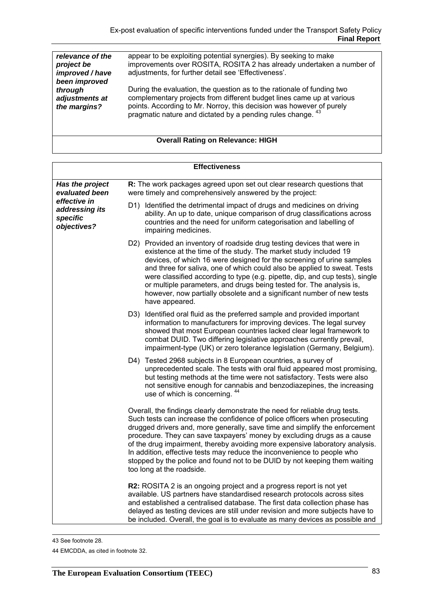| relevance of the<br>project be<br>improved / have | appear to be exploiting potential synergies). By seeking to make<br>improvements over ROSITA, ROSITA 2 has already undertaken a number of<br>adjustments, for further detail see 'Effectiveness'. |
|---------------------------------------------------|---------------------------------------------------------------------------------------------------------------------------------------------------------------------------------------------------|
|                                                   |                                                                                                                                                                                                   |
| through<br>adjustments at                         | During the evaluation, the question as to the rationale of funding two<br>complementary projects from different budget lines came up at various                                                   |
|                                                   |                                                                                                                                                                                                   |
| been improved<br>the margins?                     | points. According to Mr. Norroy, this decision was however of purely pragmatic nature and dictated by a pending rules change. <sup>43</sup>                                                       |

# **Overall Rating on Relevance: HIGH**

| <b>Effectiveness</b>                                      |                                                                                                                                                                                                                                                                                                                                                                                                                                                                                                                                                                                           |  |  |
|-----------------------------------------------------------|-------------------------------------------------------------------------------------------------------------------------------------------------------------------------------------------------------------------------------------------------------------------------------------------------------------------------------------------------------------------------------------------------------------------------------------------------------------------------------------------------------------------------------------------------------------------------------------------|--|--|
| Has the project<br>evaluated been                         | R: The work packages agreed upon set out clear research questions that<br>were timely and comprehensively answered by the project:                                                                                                                                                                                                                                                                                                                                                                                                                                                        |  |  |
| effective in<br>addressing its<br>specific<br>objectives? | D1) Identified the detrimental impact of drugs and medicines on driving<br>ability. An up to date, unique comparison of drug classifications across<br>countries and the need for uniform categorisation and labelling of<br>impairing medicines.                                                                                                                                                                                                                                                                                                                                         |  |  |
|                                                           | D2) Provided an inventory of roadside drug testing devices that were in<br>existence at the time of the study. The market study included 19<br>devices, of which 16 were designed for the screening of urine samples<br>and three for saliva, one of which could also be applied to sweat. Tests<br>were classified according to type (e.g. pipette, dip, and cup tests), single<br>or multiple parameters, and drugs being tested for. The analysis is,<br>however, now partially obsolete and a significant number of new tests<br>have appeared.                                       |  |  |
|                                                           | D3) Identified oral fluid as the preferred sample and provided important<br>information to manufacturers for improving devices. The legal survey<br>showed that most European countries lacked clear legal framework to<br>combat DUID. Two differing legislative approaches currently prevail,<br>impairment-type (UK) or zero tolerance legislation (Germany, Belgium).                                                                                                                                                                                                                 |  |  |
|                                                           | D4) Tested 2968 subjects in 8 European countries, a survey of<br>unprecedented scale. The tests with oral fluid appeared most promising,<br>but testing methods at the time were not satisfactory. Tests were also<br>not sensitive enough for cannabis and benzodiazepines, the increasing<br>use of which is concerning. 44                                                                                                                                                                                                                                                             |  |  |
|                                                           | Overall, the findings clearly demonstrate the need for reliable drug tests.<br>Such tests can increase the confidence of police officers when prosecuting<br>drugged drivers and, more generally, save time and simplify the enforcement<br>procedure. They can save taxpayers' money by excluding drugs as a cause<br>of the drug impairment, thereby avoiding more expensive laboratory analysis.<br>In addition, effective tests may reduce the inconvenience to people who<br>stopped by the police and found not to be DUID by not keeping them waiting<br>too long at the roadside. |  |  |
|                                                           | R2: ROSITA 2 is an ongoing project and a progress report is not yet<br>available. US partners have standardised research protocols across sites<br>and established a centralised database. The first data collection phase has<br>delayed as testing devices are still under revision and more subjects have to<br>be included. Overall, the goal is to evaluate as many devices as possible and                                                                                                                                                                                          |  |  |

 <sup>43</sup> See footnote 28.

<sup>44</sup> EMCDDA, as cited in footnote 32.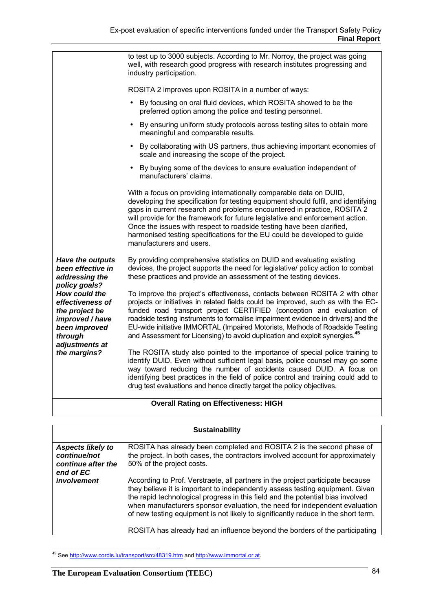|                                                                                                                                       | to test up to 3000 subjects. According to Mr. Norroy, the project was going<br>well, with research good progress with research institutes progressing and<br>industry participation.                                                                                                                                                                                                                                                                                                                       |
|---------------------------------------------------------------------------------------------------------------------------------------|------------------------------------------------------------------------------------------------------------------------------------------------------------------------------------------------------------------------------------------------------------------------------------------------------------------------------------------------------------------------------------------------------------------------------------------------------------------------------------------------------------|
|                                                                                                                                       | ROSITA 2 improves upon ROSITA in a number of ways:                                                                                                                                                                                                                                                                                                                                                                                                                                                         |
|                                                                                                                                       | By focusing on oral fluid devices, which ROSITA showed to be the<br>preferred option among the police and testing personnel.                                                                                                                                                                                                                                                                                                                                                                               |
|                                                                                                                                       | By ensuring uniform study protocols across testing sites to obtain more<br>meaningful and comparable results.                                                                                                                                                                                                                                                                                                                                                                                              |
|                                                                                                                                       | By collaborating with US partners, thus achieving important economies of<br>scale and increasing the scope of the project.                                                                                                                                                                                                                                                                                                                                                                                 |
|                                                                                                                                       | By buying some of the devices to ensure evaluation independent of<br>manufacturers' claims.                                                                                                                                                                                                                                                                                                                                                                                                                |
|                                                                                                                                       | With a focus on providing internationally comparable data on DUID,<br>developing the specification for testing equipment should fulfil, and identifying<br>gaps in current research and problems encountered in practice, ROSITA 2<br>will provide for the framework for future legislative and enforcement action.<br>Once the issues with respect to roadside testing have been clarified,<br>harmonised testing specifications for the EU could be developed to guide<br>manufacturers and users.       |
| <b>Have the outputs</b><br>been effective in<br>addressing the                                                                        | By providing comprehensive statistics on DUID and evaluating existing<br>devices, the project supports the need for legislative/ policy action to combat<br>these practices and provide an assessment of the testing devices.                                                                                                                                                                                                                                                                              |
| policy goals?<br>How could the<br>effectiveness of<br>the project be<br>improved / have<br>been improved<br>through<br>adjustments at | To improve the project's effectiveness, contacts between ROSITA 2 with other<br>projects or initiatives in related fields could be improved, such as with the EC-<br>funded road transport project CERTIFIED (conception and evaluation of<br>roadside testing instruments to formalise impairment evidence in drivers) and the<br>EU-wide initiative IMMORTAL (Impaired Motorists, Methods of Roadside Testing<br>and Assessment for Licensing) to avoid duplication and exploit synergies. <sup>45</sup> |
| the margins?                                                                                                                          | The ROSITA study also pointed to the importance of special police training to<br>identify DUID. Even without sufficient legal basis, police counsel may go some<br>way toward reducing the number of accidents caused DUID. A focus on<br>identifying best practices in the field of police control and training could add to<br>drug test evaluations and hence directly target the policy objectives.                                                                                                    |
|                                                                                                                                       |                                                                                                                                                                                                                                                                                                                                                                                                                                                                                                            |

## **Overall Rating on Effectiveness: HIGH**

| <b>Sustainability</b>                                                       |                                                                                                                                                                                                                                                                                                                                                                                                                                                                                                     |  |  |
|-----------------------------------------------------------------------------|-----------------------------------------------------------------------------------------------------------------------------------------------------------------------------------------------------------------------------------------------------------------------------------------------------------------------------------------------------------------------------------------------------------------------------------------------------------------------------------------------------|--|--|
| <b>Aspects likely to</b><br>continue/not<br>continue after the<br>end of EC | ROSITA has already been completed and ROSITA 2 is the second phase of<br>the project. In both cases, the contractors involved account for approximately<br>50% of the project costs.                                                                                                                                                                                                                                                                                                                |  |  |
| involvement                                                                 | According to Prof. Verstraete, all partners in the project participate because<br>they believe it is important to independently assess testing equipment. Given<br>the rapid technological progress in this field and the potential bias involved<br>when manufacturers sponsor evaluation, the need for independent evaluation<br>of new testing equipment is not likely to significantly reduce in the short term.<br>ROSITA has already had an influence beyond the borders of the participating |  |  |

<sup>&</sup>lt;sup>45</sup> See http://www.cordis.lu/transport/src/48319.htm and http://www.immortal.or.at.

 $\overline{a}$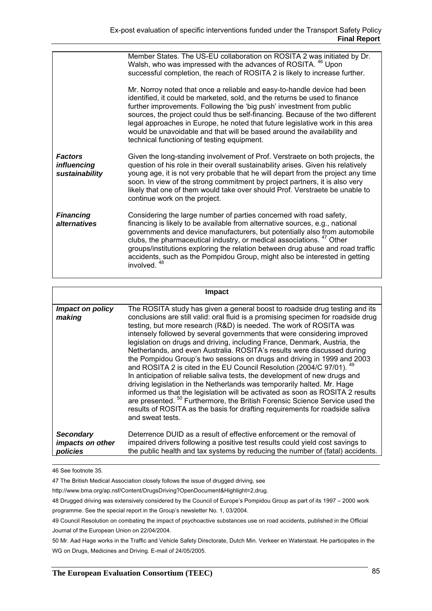|                                                 | Member States. The US-EU collaboration on ROSITA 2 was initiated by Dr.<br>Walsh, who was impressed with the advances of ROSITA. <sup>46</sup> Upon<br>successful completion, the reach of ROSITA 2 is likely to increase further.<br>Mr. Norroy noted that once a reliable and easy-to-handle device had been<br>identified, it could be marketed, sold, and the returns be used to finance<br>further improvements. Following the 'big push' investment from public<br>sources, the project could thus be self-financing. Because of the two different<br>legal approaches in Europe, he noted that future legislative work in this area<br>would be unavoidable and that will be based around the availability and<br>technical functioning of testing equipment. |
|-------------------------------------------------|----------------------------------------------------------------------------------------------------------------------------------------------------------------------------------------------------------------------------------------------------------------------------------------------------------------------------------------------------------------------------------------------------------------------------------------------------------------------------------------------------------------------------------------------------------------------------------------------------------------------------------------------------------------------------------------------------------------------------------------------------------------------|
| <b>Factors</b><br>influencing<br>sustainability | Given the long-standing involvement of Prof. Verstraete on both projects, the<br>question of his role in their overall sustainability arises. Given his relatively<br>young age, it is not very probable that he will depart from the project any time<br>soon. In view of the strong commitment by project partners, it is also very<br>likely that one of them would take over should Prof. Verstraete be unable to<br>continue work on the project.                                                                                                                                                                                                                                                                                                               |
| <b>Financing</b><br>alternatives                | Considering the large number of parties concerned with road safety,<br>financing is likely to be available from alternative sources, e.g., national<br>governments and device manufacturers, but potentially also from automobile<br>clubs, the pharmaceutical industry, or medical associations. <sup>47</sup> Other<br>groups/institutions exploring the relation between drug abuse and road traffic<br>accidents, such as the Pompidou Group, might also be interested in getting<br>involved. <sup>48</sup>                                                                                                                                                                                                                                                     |

|                                                  | <b>Impact</b>                                                                                                                                                                                                                                                                                                                                                                                                                                                                                                                                                                                                                                                                                                                                                                                                                                                                                                                                                                                                                                                            |
|--------------------------------------------------|--------------------------------------------------------------------------------------------------------------------------------------------------------------------------------------------------------------------------------------------------------------------------------------------------------------------------------------------------------------------------------------------------------------------------------------------------------------------------------------------------------------------------------------------------------------------------------------------------------------------------------------------------------------------------------------------------------------------------------------------------------------------------------------------------------------------------------------------------------------------------------------------------------------------------------------------------------------------------------------------------------------------------------------------------------------------------|
| <i>Impact on policy</i><br>making                | The ROSITA study has given a general boost to roadside drug testing and its<br>conclusions are still valid: oral fluid is a promising specimen for roadside drug<br>testing, but more research (R&D) is needed. The work of ROSITA was<br>intensely followed by several governments that were considering improved<br>legislation on drugs and driving, including France, Denmark, Austria, the<br>Netherlands, and even Australia. ROSITA's results were discussed during<br>the Pompidou Group's two sessions on drugs and driving in 1999 and 2003<br>and ROSITA 2 is cited in the EU Council Resolution (2004/C 97/01). 49<br>In anticipation of reliable saliva tests, the development of new drugs and<br>driving legislation in the Netherlands was temporarily halted. Mr. Hage<br>informed us that the legislation will be activated as soon as ROSITA 2 results<br>are presented. <sup>50</sup> Furthermore, the British Forensic Science Service used the<br>results of ROSITA as the basis for drafting requirements for roadside saliva<br>and sweat tests. |
| <b>Secondary</b><br>impacts on other<br>policies | Deterrence DUID as a result of effective enforcement or the removal of<br>impaired drivers following a positive test results could yield cost savings to<br>the public health and tax systems by reducing the number of (fatal) accidents.                                                                                                                                                                                                                                                                                                                                                                                                                                                                                                                                                                                                                                                                                                                                                                                                                               |

#### 46 See footnote 35.

47 The British Medical Association closely follows the issue of drugged driving, see

http://www.bma.org/ap.nsf/Content/DrugsDriving?OpenDocument&Highlight=2,drug.

48 Drugged driving was extensively considered by the Council of Europe's Pompidou Group as part of its 1997 – 2000 work programme. See the special report in the Group's newsletter No. 1, 03/2004.

49 Council Resolution on combating the impact of psychoactive substances use on road accidents, published in the Official Journal of the European Union on 22/04/2004.

50 Mr. Aad Hage works in the Traffic and Vehicle Safety Directorate, Dutch Min. Verkeer en Waterstaat. He participates in the WG on Drugs, Medicines and Driving. E-mail of 24/05/2005.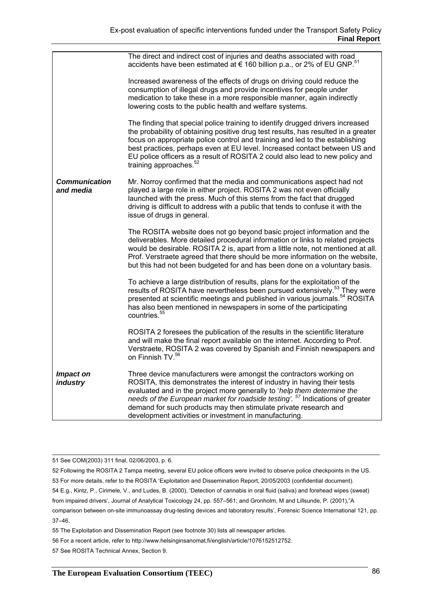|                                   | The direct and indirect cost of injuries and deaths associated with road<br>accidents have been estimated at € 160 billion p.a., or 2% of EU GNP. <sup>51</sup>                                                                                                                                                                                                                                                                                          |
|-----------------------------------|----------------------------------------------------------------------------------------------------------------------------------------------------------------------------------------------------------------------------------------------------------------------------------------------------------------------------------------------------------------------------------------------------------------------------------------------------------|
|                                   | Increased awareness of the effects of drugs on driving could reduce the<br>consumption of illegal drugs and provide incentives for people under<br>medication to take these in a more responsible manner, again indirectly<br>lowering costs to the public health and welfare systems.                                                                                                                                                                   |
|                                   | The finding that special police training to identify drugged drivers increased<br>the probability of obtaining positive drug test results, has resulted in a greater<br>focus on appropriate police control and training and led to the establishing<br>best practices, perhaps even at EU level. Increased contact between US and<br>EU police officers as a result of ROSITA 2 could also lead to new policy and<br>training approaches. <sup>52</sup> |
| <b>Communication</b><br>and media | Mr. Norroy confirmed that the media and communications aspect had not<br>played a large role in either project. ROSITA 2 was not even officially<br>launched with the press. Much of this stems from the fact that drugged<br>driving is difficult to address with a public that tends to confuse it with the<br>issue of drugs in general.                                                                                                              |
|                                   | The ROSITA website does not go beyond basic project information and the<br>deliverables. More detailed procedural information or links to related projects<br>would be desirable. ROSITA 2 is, apart from a little note, not mentioned at all.<br>Prof. Verstraete agreed that there should be more information on the website,<br>but this had not been budgeted for and has been done on a voluntary basis.                                            |
|                                   | To achieve a large distribution of results, plans for the exploitation of the<br>results of ROSITA have nevertheless been pursued extensively. <sup>53</sup> They were<br>presented at scientific meetings and published in various journals. <sup>54</sup> ROSITA<br>has also been mentioned in newspapers in some of the participating<br>countries. <sup>55</sup>                                                                                     |
|                                   | ROSITA 2 foresees the publication of the results in the scientific literature<br>and will make the final report available on the internet. According to Prof.<br>Verstraete, ROSITA 2 was covered by Spanish and Finnish newspapers and<br>on Finnish TV. <sup>56</sup>                                                                                                                                                                                  |
| Impact on<br><i>industry</i>      | Three device manufacturers were amongst the contractors working on<br>ROSITA, this demonstrates the interest of industry in having their tests<br>evaluated and in the project more generally to 'help them determine the<br>needs of the European market for roadside testing'. <sup>57</sup> Indications of greater<br>demand for such products may then stimulate private research and<br>development activities or investment in manufacturing.      |

51 See COM(2003) 311 final, 02/06/2003, p. 6.

52 Following the ROSITA 2 Tampa meeting, several EU police officers were invited to observe police checkpoints in the US.

53 For more details, refer to the ROSITA 'Exploitation and Dissemination Report, 20/05/2003 (confidential document).

54 E.g., Kintz, P., Cirimele, V., and Ludes, B. (2000), 'Detection of cannabis in oral fluid (saliva) and forehead wipes (sweat) from impaired drivers', Journal of Analytical Toxicology 24, pp. 557–561; and Gronholm, M and Lillsunde, P. (2001),"A

comparison between on-site immunoassay drug-testing devices and laboratory results', Forensic Science International 121, pp. 37–46.

- 56 For a recent article, refer to http://www.helsinginsanomat.fi/english/article/1076152512752.
- 57 See ROSITA Technical Annex, Section 9.

<sup>55</sup> The Exploitation and Dissemination Report (see footnote 30) lists all newspaper articles.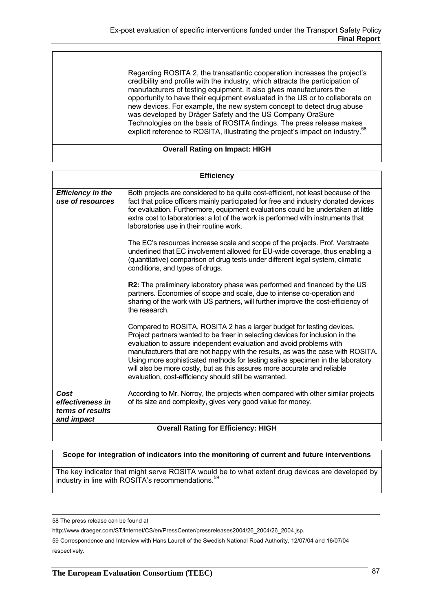Regarding ROSITA 2, the transatlantic cooperation increases the project's credibility and profile with the industry, which attracts the participation of manufacturers of testing equipment. It also gives manufacturers the opportunity to have their equipment evaluated in the US or to collaborate on new devices. For example, the new system concept to detect drug abuse was developed by Dräger Safety and the US Company OraSure Technologies on the basis of ROSITA findings. The press release makes explicit reference to ROSITA, illustrating the project's impact on industry.<sup>58</sup>

#### **Overall Rating on Impact: HIGH**

| <b>Efficiency</b>                                          |                                                                                                                                                                                                                                                                                                                                                                                                                                                                                                                                          |  |  |  |
|------------------------------------------------------------|------------------------------------------------------------------------------------------------------------------------------------------------------------------------------------------------------------------------------------------------------------------------------------------------------------------------------------------------------------------------------------------------------------------------------------------------------------------------------------------------------------------------------------------|--|--|--|
| <b>Efficiency in the</b><br>use of resources               | Both projects are considered to be quite cost-efficient, not least because of the<br>fact that police officers mainly participated for free and industry donated devices<br>for evaluation. Furthermore, equipment evaluations could be undertaken at little<br>extra cost to laboratories: a lot of the work is performed with instruments that<br>laboratories use in their routine work.                                                                                                                                              |  |  |  |
|                                                            | The EC's resources increase scale and scope of the projects. Prof. Verstraete<br>underlined that EC involvement allowed for EU-wide coverage, thus enabling a<br>(quantitative) comparison of drug tests under different legal system, climatic<br>conditions, and types of drugs.                                                                                                                                                                                                                                                       |  |  |  |
|                                                            | R2: The preliminary laboratory phase was performed and financed by the US<br>partners. Economies of scope and scale, due to intense co-operation and<br>sharing of the work with US partners, will further improve the cost-efficiency of<br>the research.                                                                                                                                                                                                                                                                               |  |  |  |
|                                                            | Compared to ROSITA, ROSITA 2 has a larger budget for testing devices.<br>Project partners wanted to be freer in selecting devices for inclusion in the<br>evaluation to assure independent evaluation and avoid problems with<br>manufacturers that are not happy with the results, as was the case with ROSITA.<br>Using more sophisticated methods for testing saliva specimen in the laboratory<br>will also be more costly, but as this assures more accurate and reliable<br>evaluation, cost-efficiency should still be warranted. |  |  |  |
| Cost<br>effectiveness in<br>terms of results<br>and impact | According to Mr. Norroy, the projects when compared with other similar projects<br>of its size and complexity, gives very good value for money.                                                                                                                                                                                                                                                                                                                                                                                          |  |  |  |
| <b>Overall Rating for Efficiency: HIGH</b>                 |                                                                                                                                                                                                                                                                                                                                                                                                                                                                                                                                          |  |  |  |

#### **Scope for integration of indicators into the monitoring of current and future interventions**

The key indicator that might serve ROSITA would be to what extent drug devices are developed by industry in line with ROSITA's recommendations.<sup>59</sup>

58 The press release can be found at

http://www.draeger.com/ST/internet/CS/en/PressCenter/pressreleases2004/26\_2004/26\_2004.jsp.

<sup>59</sup> Correspondence and Interview with Hans Laurell of the Swedish National Road Authority, 12/07/04 and 16/07/04 respectively.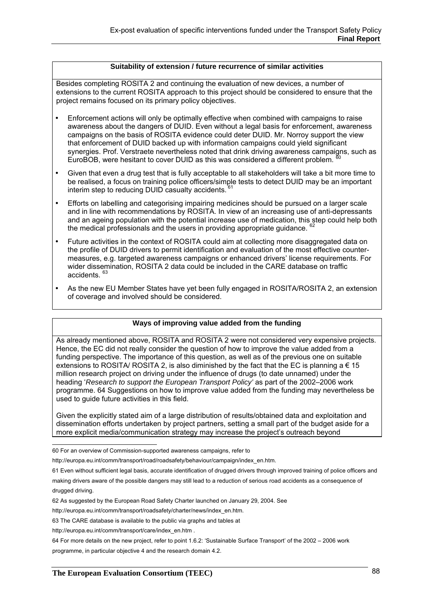#### **Suitability of extension / future recurrence of similar activities**

Besides completing ROSITA 2 and continuing the evaluation of new devices, a number of extensions to the current ROSITA approach to this project should be considered to ensure that the project remains focused on its primary policy objectives.

- Enforcement actions will only be optimally effective when combined with campaigns to raise awareness about the dangers of DUID. Even without a legal basis for enforcement, awareness campaigns on the basis of ROSITA evidence could deter DUID. Mr. Norroy support the view that enforcement of DUID backed up with information campaigns could yield significant synergies. Prof. Verstraete nevertheless noted that drink driving awareness campaigns, such as EuroBOB, were hesitant to cover DUID as this was considered a different problem. <sup>60</sup>
- Given that even a drug test that is fully acceptable to all stakeholders will take a bit more time to be realised, a focus on training police officers/simple tests to detect DUID may be an important interim step to reducing DUID casualty accidents.<sup>61</sup>
- Efforts on labelling and categorising impairing medicines should be pursued on a larger scale and in line with recommendations by ROSITA. In view of an increasing use of anti-depressants and an ageing population with the potential increase use of medication, this step could help both the medical professionals and the users in providing appropriate quidance. <sup>62</sup>
- Future activities in the context of ROSITA could aim at collecting more disaggregated data on the profile of DUID drivers to permit identification and evaluation of the most effective countermeasures, e.g. targeted awareness campaigns or enhanced drivers' license requirements. For wider dissemination, ROSITA 2 data could be included in the CARE database on traffic accidents. 63
- As the new EU Member States have yet been fully engaged in ROSITA/ROSITA 2, an extension of coverage and involved should be considered.

## **Ways of improving value added from the funding**

As already mentioned above, ROSITA and ROSITA 2 were not considered very expensive projects. Hence, the EC did not really consider the question of how to improve the value added from a funding perspective. The importance of this question, as well as of the previous one on suitable extensions to ROSITA/ ROSITA 2, is also diminished by the fact that the EC is planning a  $\epsilon$  15 million research project on driving under the influence of drugs (to date unnamed) under the heading '*Research to support the European Transport Policy'* as part of the 2002–2006 work programme. 64 Suggestions on how to improve value added from the funding may nevertheless be used to guide future activities in this field.

Given the explicitly stated aim of a large distribution of results/obtained data and exploitation and dissemination efforts undertaken by project partners, setting a small part of the budget aside for a more explicit media/communication strategy may increase the project's outreach beyond

60 For an overview of Commission-supported awareness campaigns, refer to

61 Even without sufficient legal basis, accurate identification of drugged drivers through improved training of police officers and

making drivers aware of the possible dangers may still lead to a reduction of serious road accidents as a consequence of drugged driving.

62 As suggested by the European Road Safety Charter launched on January 29, 2004. See

http://europa.eu.int/comm/transport/roadsafety/charter/news/index\_en.htm.

http://europa.eu.int/comm/transport/care/index\_en.htm .

64 For more details on the new project, refer to point 1.6.2: 'Sustainable Surface Transport' of the 2002 – 2006 work programme, in particular objective 4 and the research domain 4.2.

http://europa.eu.int/comm/transport/road/roadsafety/behaviour/campaign/index\_en.htm.

<sup>63</sup> The CARE database is available to the public via graphs and tables at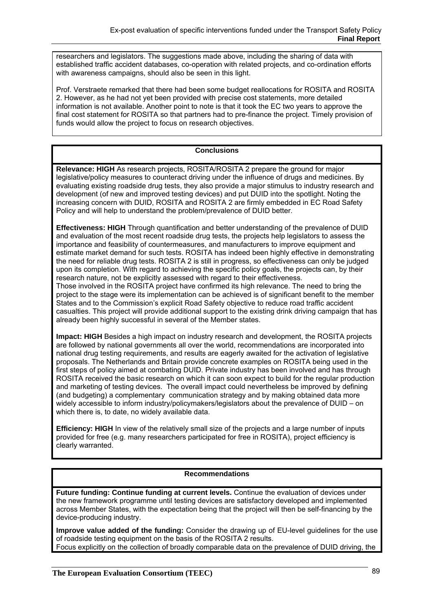researchers and legislators. The suggestions made above, including the sharing of data with established traffic accident databases, co-operation with related projects, and co-ordination efforts with awareness campaigns, should also be seen in this light.

Prof. Verstraete remarked that there had been some budget reallocations for ROSITA and ROSITA 2. However, as he had not yet been provided with precise cost statements, more detailed information is not available. Another point to note is that it took the EC two years to approve the final cost statement for ROSITA so that partners had to pre-finance the project. Timely provision of funds would allow the project to focus on research objectives.

# **Conclusions**

**Relevance: HIGH** As research projects, ROSITA/ROSITA 2 prepare the ground for major legislative/policy measures to counteract driving under the influence of drugs and medicines. By evaluating existing roadside drug tests, they also provide a major stimulus to industry research and development (of new and improved testing devices) and put DUID into the spotlight. Noting the increasing concern with DUID, ROSITA and ROSITA 2 are firmly embedded in EC Road Safety Policy and will help to understand the problem/prevalence of DUID better.

**Effectiveness: HIGH** Through quantification and better understanding of the prevalence of DUID and evaluation of the most recent roadside drug tests, the projects help legislators to assess the importance and feasibility of countermeasures, and manufacturers to improve equipment and estimate market demand for such tests. ROSITA has indeed been highly effective in demonstrating the need for reliable drug tests. ROSITA 2 is still in progress, so effectiveness can only be judged upon its completion. With regard to achieving the specific policy goals, the projects can, by their research nature, not be explicitly assessed with regard to their effectiveness.

Those involved in the ROSITA project have confirmed its high relevance. The need to bring the project to the stage were its implementation can be achieved is of significant benefit to the member States and to the Commission's explicit Road Safety objective to reduce road traffic accident casualties. This project will provide additional support to the existing drink driving campaign that has already been highly successful in several of the Member states.

**Impact: HIGH** Besides a high impact on industry research and development, the ROSITA projects are followed by national governments all over the world, recommendations are incorporated into national drug testing requirements, and results are eagerly awaited for the activation of legislative proposals. The Netherlands and Britain provide concrete examples on ROSITA being used in the first steps of policy aimed at combating DUID. Private industry has been involved and has through ROSITA received the basic research on which it can soon expect to build for the regular production and marketing of testing devices. The overall impact could nevertheless be improved by defining (and budgeting) a complementary communication strategy and by making obtained data more widely accessible to inform industry/policymakers/legislators about the prevalence of DUID – on which there is, to date, no widely available data.

**Efficiency: HIGH** In view of the relatively small size of the projects and a large number of inputs provided for free (e.g. many researchers participated for free in ROSITA), project efficiency is clearly warranted.

#### **Recommendations**

**Future funding: Continue funding at current levels.** Continue the evaluation of devices under the new framework programme until testing devices are satisfactory developed and implemented across Member States, with the expectation being that the project will then be self-financing by the device-producing industry.

**Improve value added of the funding:** Consider the drawing up of EU-level guidelines for the use of roadside testing equipment on the basis of the ROSITA 2 results. Focus explicitly on the collection of broadly comparable data on the prevalence of DUID driving, the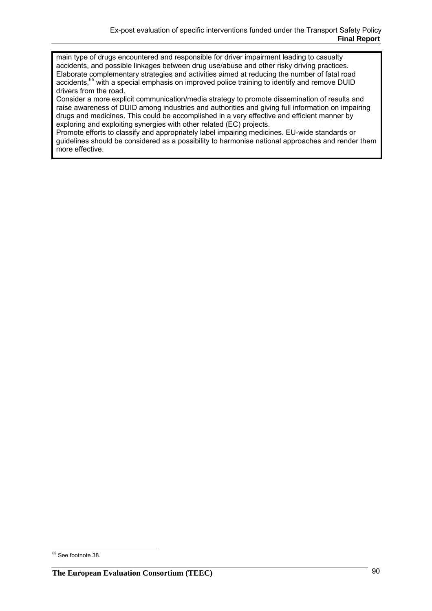main type of drugs encountered and responsible for driver impairment leading to casualty accidents, and possible linkages between drug use/abuse and other risky driving practices. Elaborate complementary strategies and activities aimed at reducing the number of fatal road accidents,<sup>65</sup> with a special emphasis on improved police training to identify and remove DUID drivers from the road.

Consider a more explicit communication/media strategy to promote dissemination of results and raise awareness of DUID among industries and authorities and giving full information on impairing drugs and medicines. This could be accomplished in a very effective and efficient manner by exploring and exploiting synergies with other related (EC) projects.

Promote efforts to classify and appropriately label impairing medicines. EU-wide standards or guidelines should be considered as a possibility to harmonise national approaches and render them more effective.

 $\overline{a}$ <sup>65</sup> See footnote 38.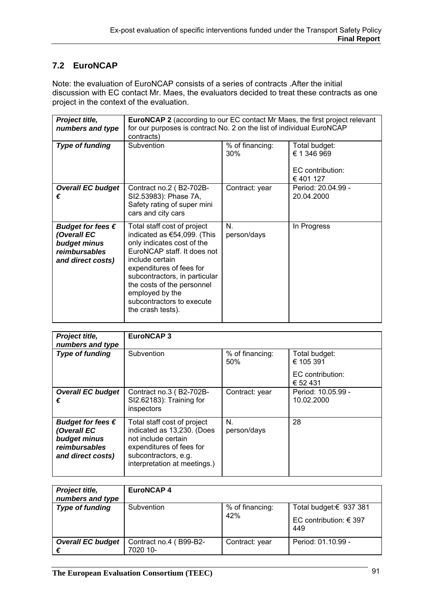# **7.2 EuroNCAP**

Note: the evaluation of EuroNCAP consists of a series of contracts .After the initial discussion with EC contact Mr. Maes, the evaluators decided to treat these contracts as one project in the context of the evaluation.

| Project title,<br>numbers and type                                                              | <b>EuroNCAP 2</b> (according to our EC contact Mr Maes, the first project relevant<br>for our purposes is contract No. 2 on the list of individual EuroNCAP<br>contracts)                                                                                                                                  |                        |                                                              |
|-------------------------------------------------------------------------------------------------|------------------------------------------------------------------------------------------------------------------------------------------------------------------------------------------------------------------------------------------------------------------------------------------------------------|------------------------|--------------------------------------------------------------|
| Type of funding                                                                                 | Subvention                                                                                                                                                                                                                                                                                                 | % of financing:<br>30% | Total budget:<br>€ 1 346 969<br>EC contribution:<br>€401 127 |
| <b>Overall EC budget</b><br>€                                                                   | Contract no.2 (B2-702B-<br>SI2.53983): Phase 7A,<br>Safety rating of super mini<br>cars and city cars                                                                                                                                                                                                      | Contract: year         | Period: 20.04.99 -<br>20.04.2000                             |
| Budget for fees $\epsilon$<br>(Overall EC<br>budget minus<br>reimbursables<br>and direct costs) | Total staff cost of project<br>indicated as €54,099. (This<br>only indicates cost of the<br>EuroNCAP staff. It does not<br>include certain<br>expenditures of fees for<br>subcontractors, in particular<br>the costs of the personnel<br>employed by the<br>subcontractors to execute<br>the crash tests). | N.<br>person/days      | In Progress                                                  |

| Project title,<br>numbers and type                                                              | <b>EuroNCAP3</b>                                                                                                                                                     |                        |                                                            |
|-------------------------------------------------------------------------------------------------|----------------------------------------------------------------------------------------------------------------------------------------------------------------------|------------------------|------------------------------------------------------------|
| <b>Type of funding</b>                                                                          | Subvention                                                                                                                                                           | % of financing:<br>50% | Total budget:<br>€ 105 391<br>EC contribution:<br>€ 52 431 |
| <b>Overall EC budget</b><br>€                                                                   | Contract no.3 (B2-702B-<br>SI2.62183): Training for<br>inspectors                                                                                                    | Contract: year         | Period: 10.05.99 -<br>10.02.2000                           |
| Budget for fees $\epsilon$<br>(Overall EC<br>budget minus<br>reimbursables<br>and direct costs) | Total staff cost of project<br>indicated as 13,230. (Does<br>not include certain<br>expenditures of fees for<br>subcontractors, e.g.<br>interpretation at meetings.) | N.<br>person/days      | 28                                                         |

| Project title,<br>numbers and type | <b>EuroNCAP4</b>                   |                |                                   |
|------------------------------------|------------------------------------|----------------|-----------------------------------|
| Type of funding                    | % of financing:<br>Subvention      |                | Total budget:€ 937 381            |
|                                    |                                    | 42%            | EC contribution: $\in$ 397<br>449 |
| <b>Overall EC budget</b><br>€      | Contract no.4 (B99-B2-<br>7020 10- | Contract: year | Period: 01.10.99 -                |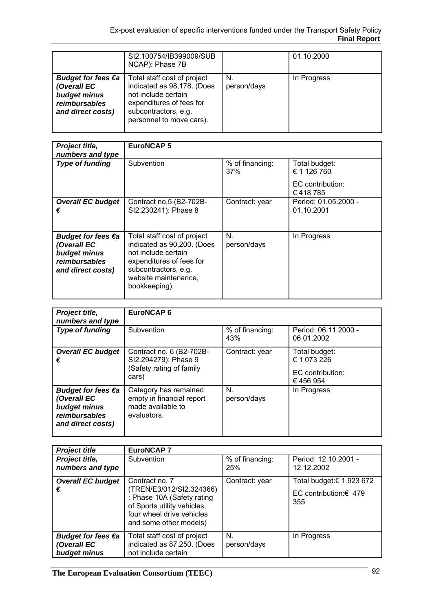|                                                                                                   | SI2.100754/IB399009/SUB<br>NCAP): Phase 7B                                                                                                                       |                   | 01.10.2000  |
|---------------------------------------------------------------------------------------------------|------------------------------------------------------------------------------------------------------------------------------------------------------------------|-------------------|-------------|
| Budget for fees $\epsilon$ a<br>(Overall EC<br>budget minus<br>reimbursables<br>and direct costs) | Total staff cost of project<br>indicated as 98,178. (Does<br>not include certain<br>expenditures of fees for<br>subcontractors, e.g.<br>personnel to move cars). | N.<br>person/days | In Progress |

| Project title,                                                                                 | <b>EuroNCAP5</b>                                                                                                                                                              |                        |                                    |
|------------------------------------------------------------------------------------------------|-------------------------------------------------------------------------------------------------------------------------------------------------------------------------------|------------------------|------------------------------------|
| numbers and type                                                                               |                                                                                                                                                                               |                        |                                    |
| <b>Type of funding</b>                                                                         | Subvention                                                                                                                                                                    | % of financing:<br>37% | Total budget:<br>€ 1 126 760       |
|                                                                                                |                                                                                                                                                                               |                        | EC contribution:<br>€418785        |
| <b>Overall EC budget</b><br>€                                                                  | Contract no.5 (B2-702B-<br>SI2.230241): Phase 8                                                                                                                               | Contract: year         | Period: 01.05.2000 -<br>01.10.2001 |
| <b>Budget for fees €a</b><br>(Overall EC<br>budget minus<br>reimbursables<br>and direct costs) | Total staff cost of project<br>indicated as 90,200. (Does<br>not include certain<br>expenditures of fees for<br>subcontractors, e.g.<br>website maintenance,<br>bookkeeping). | N.<br>person/days      | In Progress                        |

| Project title,<br>numbers and type                                                                | <b>EuroNCAP6</b>                                                                       |                        |                                                             |
|---------------------------------------------------------------------------------------------------|----------------------------------------------------------------------------------------|------------------------|-------------------------------------------------------------|
| <b>Type of funding</b>                                                                            | Subvention                                                                             | % of financing:<br>43% | Period: 06.11.2000 -<br>06.01.2002                          |
| <b>Overall EC budget</b><br>€                                                                     | Contract no. 6 (B2-702B-<br>SI2.294279): Phase 9<br>(Safety rating of family<br>cars)  | Contract: year         | Total budget:<br>€ 1 073 226<br>EC contribution:<br>€456954 |
| Budget for fees $\epsilon$ a<br>(Overall EC<br>budget minus<br>reimbursables<br>and direct costs) | Category has remained<br>empty in financial report<br>made available to<br>evaluators. | N.<br>person/days      | In Progress                                                 |

| <b>Project title</b>                              | <b>EuroNCAP7</b>                                                                                                                                               |                        |                                                          |
|---------------------------------------------------|----------------------------------------------------------------------------------------------------------------------------------------------------------------|------------------------|----------------------------------------------------------|
| Project title,<br>numbers and type                | Subvention                                                                                                                                                     | % of financing:<br>25% | Period: 12.10.2001 -<br>12.12.2002                       |
| <b>Overall EC budget</b><br>€                     | Contract no. 7<br>(TREN/E3/012/SI2.324366)<br>: Phase 10A (Safety rating<br>of Sports utility vehicles,<br>four wheel drive vehicles<br>and some other models) | Contract: year         | Total budget:€ 1 923 672<br>EC contribution:€ 479<br>355 |
| Budget for fees €a<br>(Overall EC<br>budget minus | Total staff cost of project<br>indicated as 87,250. (Does<br>not include certain                                                                               | N.<br>person/days      | In Progress                                              |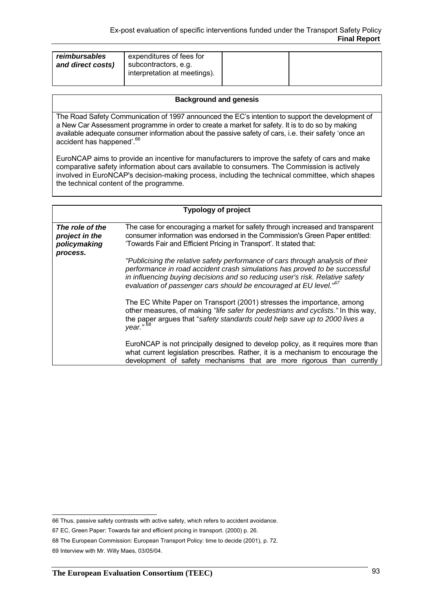| reimbursables     | expenditures of fees for                             |  |
|-------------------|------------------------------------------------------|--|
| and direct costs) | subcontractors, e.g.<br>interpretation at meetings). |  |
|                   |                                                      |  |

#### **Background and genesis**

The Road Safety Communication of 1997 announced the EC's intention to support the development of a New Car Assessment programme in order to create a market for safety. It is to do so by making available adequate consumer information about the passive safety of cars, i.e. their safety 'once an accident has happened'.<sup>66</sup>

EuroNCAP aims to provide an incentive for manufacturers to improve the safety of cars and make comparative safety information about cars available to consumers. The Commission is actively involved in EuroNCAP's decision-making process, including the technical committee, which shapes the technical content of the programme.

|                                                               | <b>Typology of project</b>                                                                                                                                                                                                                                                                                                    |
|---------------------------------------------------------------|-------------------------------------------------------------------------------------------------------------------------------------------------------------------------------------------------------------------------------------------------------------------------------------------------------------------------------|
| The role of the<br>project in the<br>policymaking<br>process. | The case for encouraging a market for safety through increased and transparent<br>consumer information was endorsed in the Commission's Green Paper entitled:<br>'Towards Fair and Efficient Pricing in Transport'. It stated that:                                                                                           |
|                                                               | "Publicising the relative safety performance of cars through analysis of their<br>performance in road accident crash simulations has proved to be successful<br>in influencing buying decisions and so reducing user's risk. Relative safety<br>evaluation of passenger cars should be encouraged at EU level." <sup>67</sup> |
|                                                               | The EC White Paper on Transport (2001) stresses the importance, among<br>other measures, of making "life safer for pedestrians and cyclists." In this way,<br>the paper argues that "safety standards could help save up to 2000 lives a<br>year." <sup>68</sup>                                                              |
|                                                               | EuroNCAP is not principally designed to develop policy, as it requires more than<br>what current legislation prescribes. Rather, it is a mechanism to encourage the<br>development of safety mechanisms that are more rigorous than currently                                                                                 |

 66 Thus, passive safety contrasts with active safety, which refers to accident avoidance.

<sup>67</sup> EC, Green Paper: Towards fair and efficient pricing in transport. (2000) p. 26.

<sup>68</sup> The European Commission: European Transport Policy: time to decide (2001), p. 72.

<sup>69</sup> Interview with Mr. Willy Maes, 03/05/04.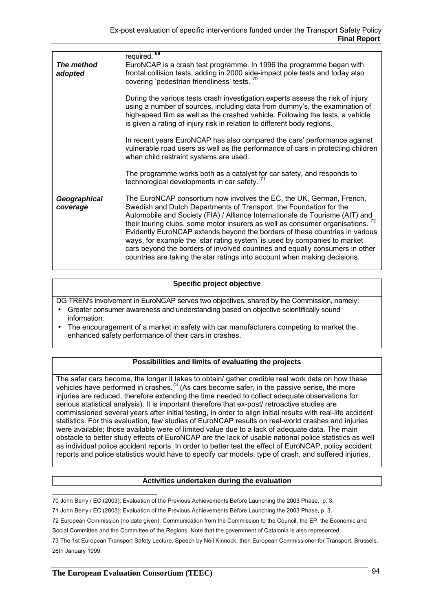| The method<br>adopted    | required. <sup>69</sup><br>EuroNCAP is a crash test programme. In 1996 the programme began with<br>frontal collision tests, adding in 2000 side-impact pole tests and today also<br>covering 'pedestrian friendliness' tests. <sup>70</sup>                                                                                                                                                                                                                                                                                                                                                                                                      |
|--------------------------|--------------------------------------------------------------------------------------------------------------------------------------------------------------------------------------------------------------------------------------------------------------------------------------------------------------------------------------------------------------------------------------------------------------------------------------------------------------------------------------------------------------------------------------------------------------------------------------------------------------------------------------------------|
|                          | During the various tests crash investigation experts assess the risk of injury<br>using a number of sources, including data from dummy's, the examination of<br>high-speed film as well as the crashed vehicle. Following the tests, a vehicle<br>is given a rating of injury risk in relation to different body regions.                                                                                                                                                                                                                                                                                                                        |
|                          | In recent years EuroNCAP has also compared the cars' performance against<br>vulnerable road users as well as the performance of cars in protecting children<br>when child restraint systems are used.                                                                                                                                                                                                                                                                                                                                                                                                                                            |
|                          | The programme works both as a catalyst for car safety, and responds to<br>technological developments in car safety. <sup>71</sup>                                                                                                                                                                                                                                                                                                                                                                                                                                                                                                                |
| Geographical<br>coverage | The EuroNCAP consortium now involves the EC, the UK, German, French,<br>Swedish and Dutch Departments of Transport, the Foundation for the<br>Automobile and Society (FIA) / Alliance Internationale de Tourisme (AIT) and<br>their touring clubs, some motor insurers as well as consumer organisations. <sup>72</sup><br>Evidently EuroNCAP extends beyond the borders of these countries in various<br>ways, for example the 'star rating system' is used by companies to market<br>cars beyond the borders of involved countries and equally consumers in other<br>countries are taking the star ratings into account when making decisions. |

#### **Specific project objective**

DG TREN's involvement in EuroNCAP serves two objectives, shared by the Commission, namely:

- Greater consumer awareness and understanding based on objective scientifically sound information.
- The encouragement of a market in safety with car manufacturers competing to market the enhanced safety performance of their cars in crashes.

## **Possibilities and limits of evaluating the projects**

The safer cars become, the longer it takes to obtain/ gather credible real work data on how these vehicles have performed in crashes.<sup>73</sup> (As cars become safer, in the passive sense, the more injuries are reduced, therefore extending the time needed to collect adequate observations for serious statistical analysis). It is important therefore that ex-post/ retroactive studies are commissioned several years after initial testing, in order to align initial results with real-life accident statistics. For this evaluation, few studies of EuroNCAP results on real-world crashes and injuries were available; those available were of limited value due to a lack of adequate data. The main obstacle to better study effects of EuroNCAP are the lack of usable national police statistics as well as individual police accident reports. In order to better test the effect of EuroNCAP, policy accident reports and police statistics would have to specify car models, type of crash, and suffered injuries.

#### **Activities undertaken during the evaluation**

70 John Berry / EC (2003): Evaluation of the Previous Achievements Before Launching the 2003 Phase, p. 3.

71 John Berry / EC (2003): Evaluation of the Previous Achievements Before Launching the 2003 Phase, p. 3.

72 European Commission (no date given): Communication from the Commission to the Council, the EP, the Economic and Social Committee and the Committee of the Regions. Note that the government of Catalonia is also represented.

73 The 1st European Transport Safety Lecture. Speech by Neil Kinnock, then European Commissioner for Transport, Brussels, 26th January 1999.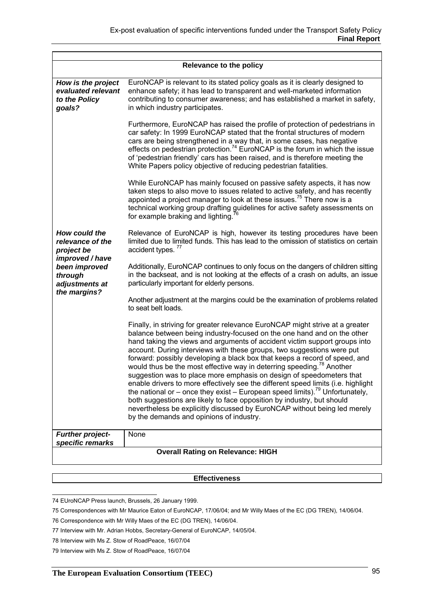|                                                                                                                  | <b>Relevance to the policy</b>                                                                                                                                                                                                                                                                                                                                                                                                                                                                                                                                                                                                                                                                                                                                                                                                                                                                                                                  |  |
|------------------------------------------------------------------------------------------------------------------|-------------------------------------------------------------------------------------------------------------------------------------------------------------------------------------------------------------------------------------------------------------------------------------------------------------------------------------------------------------------------------------------------------------------------------------------------------------------------------------------------------------------------------------------------------------------------------------------------------------------------------------------------------------------------------------------------------------------------------------------------------------------------------------------------------------------------------------------------------------------------------------------------------------------------------------------------|--|
| How is the project<br>evaluated relevant<br>to the Policy<br>goals?                                              | EuroNCAP is relevant to its stated policy goals as it is clearly designed to<br>enhance safety; it has lead to transparent and well-marketed information<br>contributing to consumer awareness; and has established a market in safety,<br>in which industry participates.                                                                                                                                                                                                                                                                                                                                                                                                                                                                                                                                                                                                                                                                      |  |
|                                                                                                                  | Furthermore, EuroNCAP has raised the profile of protection of pedestrians in<br>car safety: In 1999 EuroNCAP stated that the frontal structures of modern<br>cars are being strengthened in a way that, in some cases, has negative<br>effects on pedestrian protection. <sup>74</sup> EuroNCAP is the forum in which the issue<br>of 'pedestrian friendly' cars has been raised, and is therefore meeting the<br>White Papers policy objective of reducing pedestrian fatalities.                                                                                                                                                                                                                                                                                                                                                                                                                                                              |  |
|                                                                                                                  | While EuroNCAP has mainly focused on passive safety aspects, it has now<br>taken steps to also move to issues related to active safety, and has recently<br>appointed a project manager to look at these issues. <sup>75</sup> There now is a<br>technical working group drafting guidelines for active safety assessments on<br>for example braking and lighting.                                                                                                                                                                                                                                                                                                                                                                                                                                                                                                                                                                              |  |
| How could the<br>relevance of the<br>project be<br>improved / have<br>been improved<br>through<br>adjustments at | Relevance of EuroNCAP is high, however its testing procedures have been<br>limited due to limited funds. This has lead to the omission of statistics on certain<br>accident types. <sup>77</sup>                                                                                                                                                                                                                                                                                                                                                                                                                                                                                                                                                                                                                                                                                                                                                |  |
|                                                                                                                  | Additionally, EuroNCAP continues to only focus on the dangers of children sitting<br>in the backseat, and is not looking at the effects of a crash on adults, an issue<br>particularly important for elderly persons.                                                                                                                                                                                                                                                                                                                                                                                                                                                                                                                                                                                                                                                                                                                           |  |
| the margins?                                                                                                     | Another adjustment at the margins could be the examination of problems related<br>to seat belt loads.                                                                                                                                                                                                                                                                                                                                                                                                                                                                                                                                                                                                                                                                                                                                                                                                                                           |  |
|                                                                                                                  | Finally, in striving for greater relevance EuroNCAP might strive at a greater<br>balance between being industry-focused on the one hand and on the other<br>hand taking the views and arguments of accident victim support groups into<br>account. During interviews with these groups, two suggestions were put<br>forward: possibly developing a black box that keeps a record of speed, and<br>would thus be the most effective way in deterring speeding. <sup>78</sup> Another<br>suggestion was to place more emphasis on design of speedometers that<br>enable drivers to more effectively see the different speed limits (i.e. highlight<br>the national or – once they exist – European speed limits). <sup>79</sup> Unfortunately,<br>both suggestions are likely to face opposition by industry, but should<br>nevertheless be explicitly discussed by EuroNCAP without being led merely<br>by the demands and opinions of industry. |  |
| <b>Further project-</b>                                                                                          | None                                                                                                                                                                                                                                                                                                                                                                                                                                                                                                                                                                                                                                                                                                                                                                                                                                                                                                                                            |  |
| specific remarks                                                                                                 |                                                                                                                                                                                                                                                                                                                                                                                                                                                                                                                                                                                                                                                                                                                                                                                                                                                                                                                                                 |  |
| <b>Overall Rating on Relevance: HIGH</b>                                                                         |                                                                                                                                                                                                                                                                                                                                                                                                                                                                                                                                                                                                                                                                                                                                                                                                                                                                                                                                                 |  |

#### **Effectiveness**

 74 EUroNCAP Press launch, Brussels, 26 January 1999.

<sup>75</sup> Correspondences with Mr Maurice Eaton of EuroNCAP, 17/06/04; and Mr Willy Maes of the EC (DG TREN), 14/06/04.

<sup>76</sup> Correspondence with Mr Willy Maes of the EC (DG TREN), 14/06/04.

<sup>77</sup> Interview with Mr. Adrian Hobbs, Secretary-General of EuroNCAP, 14/05/04.

<sup>78</sup> Interview with Ms Z. Stow of RoadPeace, 16/07/04

<sup>79</sup> Interview with Ms Z. Stow of RoadPeace, 16/07/04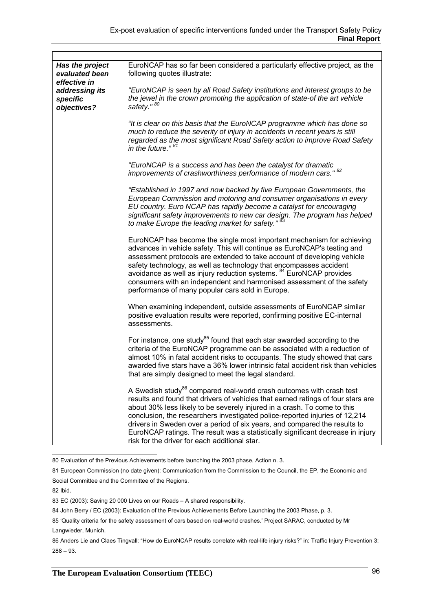| Has the project<br>evaluated been<br>effective in | EuroNCAP has so far been considered a particularly effective project, as the<br>following quotes illustrate:                                                                                                                                                                                                                                                                                                                                                                                                                                     |
|---------------------------------------------------|--------------------------------------------------------------------------------------------------------------------------------------------------------------------------------------------------------------------------------------------------------------------------------------------------------------------------------------------------------------------------------------------------------------------------------------------------------------------------------------------------------------------------------------------------|
| addressing its<br>specific<br>objectives?         | "EuroNCAP is seen by all Road Safety institutions and interest groups to be<br>the jewel in the crown promoting the application of state-of the art vehicle<br>safety." 80                                                                                                                                                                                                                                                                                                                                                                       |
|                                                   | "It is clear on this basis that the EuroNCAP programme which has done so<br>much to reduce the severity of injury in accidents in recent years is still<br>regarded as the most significant Road Safety action to improve Road Safety<br>in the future." $81$                                                                                                                                                                                                                                                                                    |
|                                                   | "EuroNCAP is a success and has been the catalyst for dramatic<br>improvements of crashworthiness performance of modern cars." 82                                                                                                                                                                                                                                                                                                                                                                                                                 |
|                                                   | "Established in 1997 and now backed by five European Governments, the<br>European Commission and motoring and consumer organisations in every<br>EU country. Euro NCAP has rapidly become a catalyst for encouraging<br>significant safety improvements to new car design. The program has helped<br>to make Europe the leading market for safety." <sup>83</sup>                                                                                                                                                                                |
|                                                   | EuroNCAP has become the single most important mechanism for achieving<br>advances in vehicle safety. This will continue as EuroNCAP's testing and<br>assessment protocols are extended to take account of developing vehicle<br>safety technology, as well as technology that encompasses accident<br>avoidance as well as injury reduction systems. <sup>84</sup> EuroNCAP provides<br>consumers with an independent and harmonised assessment of the safety<br>performance of many popular cars sold in Europe.                                |
|                                                   | When examining independent, outside assessments of EuroNCAP similar<br>positive evaluation results were reported, confirming positive EC-internal<br>assessments.                                                                                                                                                                                                                                                                                                                                                                                |
|                                                   | For instance, one study <sup>85</sup> found that each star awarded according to the<br>criteria of the EuroNCAP programme can be associated with a reduction of<br>almost 10% in fatal accident risks to occupants. The study showed that cars<br>awarded five stars have a 36% lower intrinsic fatal accident risk than vehicles<br>that are simply designed to meet the legal standard.                                                                                                                                                        |
|                                                   | A Swedish study <sup>86</sup> compared real-world crash outcomes with crash test<br>results and found that drivers of vehicles that earned ratings of four stars are<br>about 30% less likely to be severely injured in a crash. To come to this<br>conclusion, the researchers investigated police-reported injuries of 12,214<br>drivers in Sweden over a period of six years, and compared the results to<br>EuroNCAP ratings. The result was a statistically significant decrease in injury<br>risk for the driver for each additional star. |

 80 Evaluation of the Previous Achievements before launching the 2003 phase, Action n. 3.

<sup>81</sup> European Commission (no date given): Communication from the Commission to the Council, the EP, the Economic and Social Committee and the Committee of the Regions.

<sup>82</sup> Ibid.

<sup>83</sup> EC (2003): Saving 20 000 Lives on our Roads – A shared responsibility.

<sup>84</sup> John Berry / EC (2003): Evaluation of the Previous Achievements Before Launching the 2003 Phase, p. 3.

<sup>85 &#</sup>x27;Quality criteria for the safety assessment of cars based on real-world crashes.' Project SARAC, conducted by Mr Langwieder, Munich.

<sup>86</sup> Anders Lie and Claes Tingvall: "How do EuroNCAP results correlate with real-life injury risks?" in: Traffic Injury Prevention 3:  $288 - 93$ .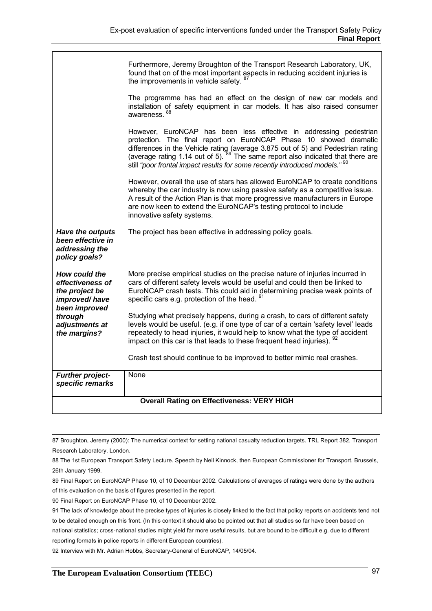|                                                                                       | Furthermore, Jeremy Broughton of the Transport Research Laboratory, UK,<br>found that on of the most important aspects in reducing accident injuries is<br>the improvements in vehicle safety. <sup>87</sup>                                                                                                                                                                                                      |  |
|---------------------------------------------------------------------------------------|-------------------------------------------------------------------------------------------------------------------------------------------------------------------------------------------------------------------------------------------------------------------------------------------------------------------------------------------------------------------------------------------------------------------|--|
|                                                                                       | The programme has had an effect on the design of new car models and<br>installation of safety equipment in car models. It has also raised consumer<br>awareness. 88                                                                                                                                                                                                                                               |  |
|                                                                                       | However, EuroNCAP has been less effective in addressing pedestrian<br>protection. The final report on EuroNCAP Phase 10 showed dramatic<br>differences in the Vehicle rating (average 3.875 out of 5) and Pedestrian rating (average rating 1.14 out of 5). <sup>89</sup> The same report also indicated that there are<br>still "poor frontal impact results for some recently introduced models." <sup>90</sup> |  |
|                                                                                       | However, overall the use of stars has allowed EuroNCAP to create conditions<br>whereby the car industry is now using passive safety as a competitive issue.<br>A result of the Action Plan is that more progressive manufacturers in Europe<br>are now keen to extend the EuroNCAP's testing protocol to include<br>innovative safety systems.                                                                    |  |
| Have the outputs<br>been effective in<br>addressing the<br>policy goals?              | The project has been effective in addressing policy goals.                                                                                                                                                                                                                                                                                                                                                        |  |
| How could the<br>effectiveness of<br>the project be<br>improved/have<br>been improved | More precise empirical studies on the precise nature of injuries incurred in<br>cars of different safety levels would be useful and could then be linked to<br>EuroNCAP crash tests. This could aid in determining precise weak points of<br>specific cars e.g. protection of the head. 91                                                                                                                        |  |
| through<br>adjustments at<br>the margins?                                             | Studying what precisely happens, during a crash, to cars of different safety<br>levels would be useful. (e.g. if one type of car of a certain 'safety level' leads<br>repeatedly to head injuries, it would help to know what the type of accident<br>impact on this car is that leads to these frequent head injuries). 92                                                                                       |  |
|                                                                                       | Crash test should continue to be improved to better mimic real crashes.                                                                                                                                                                                                                                                                                                                                           |  |
| <b>Further project-</b><br>specific remarks                                           | None                                                                                                                                                                                                                                                                                                                                                                                                              |  |
| <b>Overall Rating on Effectiveness: VERY HIGH</b>                                     |                                                                                                                                                                                                                                                                                                                                                                                                                   |  |

 <sup>87</sup> Broughton, Jeremy (2000): The numerical context for setting national casualty reduction targets. TRL Report 382, Transport Research Laboratory, London.

90 Final Report on EuroNCAP Phase 10, of 10 December 2002.

92 Interview with Mr. Adrian Hobbs, Secretary-General of EuroNCAP, 14/05/04.

<sup>88</sup> The 1st European Transport Safety Lecture. Speech by Neil Kinnock, then European Commissioner for Transport, Brussels, 26th January 1999.

<sup>89</sup> Final Report on EuroNCAP Phase 10, of 10 December 2002. Calculations of averages of ratings were done by the authors of this evaluation on the basis of figures presented in the report.

<sup>91</sup> The lack of knowledge about the precise types of injuries is closely linked to the fact that policy reports on accidents tend not to be detailed enough on this front. (In this context it should also be pointed out that all studies so far have been based on national statistics; cross-national studies might yield far more useful results, but are bound to be difficult e.g. due to different reporting formats in police reports in different European countries).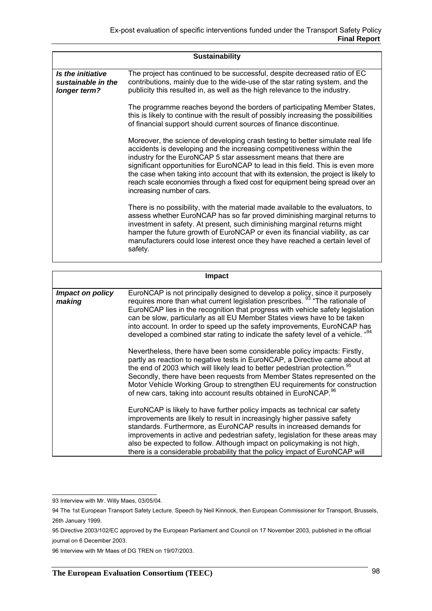|                                                         | <b>Sustainability</b>                                                                                                                                                                                                                                                                                                                                                                                                                                                                                                |
|---------------------------------------------------------|----------------------------------------------------------------------------------------------------------------------------------------------------------------------------------------------------------------------------------------------------------------------------------------------------------------------------------------------------------------------------------------------------------------------------------------------------------------------------------------------------------------------|
| Is the initiative<br>sustainable in the<br>longer term? | The project has continued to be successful, despite decreased ratio of EC<br>contributions, mainly due to the wide-use of the star rating system, and the<br>publicity this resulted in, as well as the high relevance to the industry.                                                                                                                                                                                                                                                                              |
|                                                         | The programme reaches beyond the borders of participating Member States,<br>this is likely to continue with the result of possibly increasing the possibilities<br>of financial support should current sources of finance discontinue.                                                                                                                                                                                                                                                                               |
|                                                         | Moreover, the science of developing crash testing to better simulate real life<br>accidents is developing and the increasing competitiveness within the<br>industry for the EuroNCAP 5 star assessment means that there are<br>significant opportunities for EuroNCAP to lead in this field. This is even more<br>the case when taking into account that with its extension, the project is likely to<br>reach scale economies through a fixed cost for equipment being spread over an<br>increasing number of cars. |
|                                                         | There is no possibility, with the material made available to the evaluators, to<br>assess whether EuroNCAP has so far proved diminishing marginal returns to<br>investment in safety. At present, such diminishing marginal returns might<br>hamper the future growth of EuroNCAP or even its financial viability, as car<br>manufacturers could lose interest once they have reached a certain level of<br>safety.                                                                                                  |

|                            | <b>Impact</b>                                                                                                                                                                                                                                                                                                                                                                                                                                                                                     |
|----------------------------|---------------------------------------------------------------------------------------------------------------------------------------------------------------------------------------------------------------------------------------------------------------------------------------------------------------------------------------------------------------------------------------------------------------------------------------------------------------------------------------------------|
| Impact on policy<br>making | EuroNCAP is not principally designed to develop a policy, since it purposely requires more than what current legislation prescribes. <sup>93</sup> "The rationale of<br>EuroNCAP lies in the recognition that progress with vehicle safety legislation<br>can be slow, particularly as all EU Member States views have to be taken<br>into account. In order to speed up the safety improvements, EuroNCAP has<br>developed a combined star rating to indicate the safety level of a vehicle. "94 |
|                            | Nevertheless, there have been some considerable policy impacts: Firstly,<br>partly as reaction to negative tests in EuroNCAP, a Directive came about at<br>the end of 2003 which will likely lead to better pedestrian protection. <sup>95</sup><br>Secondly, there have been requests from Member States represented on the<br>Motor Vehicle Working Group to strengthen EU requirements for construction<br>of new cars, taking into account results obtained in EuroNCAP. 96                   |
|                            | EuroNCAP is likely to have further policy impacts as technical car safety<br>improvements are likely to result in increasingly higher passive safety<br>standards. Furthermore, as EuroNCAP results in increased demands for<br>improvements in active and pedestrian safety, legislation for these areas may<br>also be expected to follow. Although impact on policymaking is not high,<br>there is a considerable probability that the policy impact of EuroNCAP will                          |

 93 Interview with Mr. Willy Maes, 03/05/04.

<sup>94</sup> The 1st European Transport Safety Lecture. Speech by Neil Kinnock, then European Commissioner for Transport, Brussels, 26th January 1999.

<sup>95</sup> Directive 2003/102/EC approved by the European Parliament and Council on 17 November 2003, published in the official journal on 6 December 2003.

<sup>96</sup> Interview with Mr Maes of DG TREN on 19/07/2003.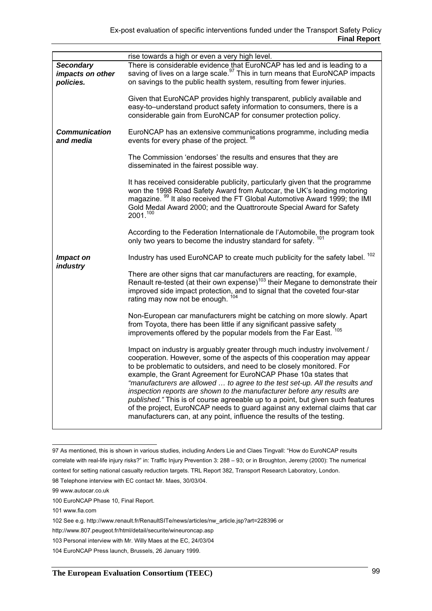|                                                   | rise towards a high or even a very high level.                                                                                                                                                                                                                                                                                                                                                                                                                                                                                                                                                                                                                                                            |
|---------------------------------------------------|-----------------------------------------------------------------------------------------------------------------------------------------------------------------------------------------------------------------------------------------------------------------------------------------------------------------------------------------------------------------------------------------------------------------------------------------------------------------------------------------------------------------------------------------------------------------------------------------------------------------------------------------------------------------------------------------------------------|
| <b>Secondary</b><br>impacts on other<br>policies. | There is considerable evidence that EuroNCAP has led and is leading to a<br>saving of lives on a large scale. <sup>97</sup> This in turn means that EuroNCAP impacts<br>on savings to the public health system, resulting from fewer injuries.                                                                                                                                                                                                                                                                                                                                                                                                                                                            |
|                                                   | Given that EuroNCAP provides highly transparent, publicly available and<br>easy-to-understand product safety information to consumers, there is a<br>considerable gain from EuroNCAP for consumer protection policy.                                                                                                                                                                                                                                                                                                                                                                                                                                                                                      |
| Communication<br>and media                        | EuroNCAP has an extensive communications programme, including media<br>events for every phase of the project. 98                                                                                                                                                                                                                                                                                                                                                                                                                                                                                                                                                                                          |
|                                                   | The Commission 'endorses' the results and ensures that they are<br>disseminated in the fairest possible way.                                                                                                                                                                                                                                                                                                                                                                                                                                                                                                                                                                                              |
|                                                   | It has received considerable publicity, particularly given that the programme<br>won the 1998 Road Safety Award from Autocar, the UK's leading motoring<br>magazine. <sup>99</sup> It also received the FT Global Automotive Award 1999; the IMI<br>Gold Medal Award 2000; and the Quattroroute Special Award for Safety<br>2001.100                                                                                                                                                                                                                                                                                                                                                                      |
|                                                   | According to the Federation Internationale de l'Automobile, the program took<br>only two years to become the industry standard for safety.                                                                                                                                                                                                                                                                                                                                                                                                                                                                                                                                                                |
| <b>Impact on</b><br><i>industry</i>               | Industry has used EuroNCAP to create much publicity for the safety label. <sup>102</sup>                                                                                                                                                                                                                                                                                                                                                                                                                                                                                                                                                                                                                  |
|                                                   | There are other signs that car manufacturers are reacting, for example,<br>Renault re-tested (at their own expense) <sup>103</sup> their Megane to demonstrate their<br>improved side impact protection, and to signal that the coveted four-star<br>rating may now not be enough.                                                                                                                                                                                                                                                                                                                                                                                                                        |
|                                                   | Non-European car manufacturers might be catching on more slowly. Apart<br>from Toyota, there has been little if any significant passive safety<br>improvements offered by the popular models from the Far East. 105                                                                                                                                                                                                                                                                                                                                                                                                                                                                                       |
|                                                   | Impact on industry is arguably greater through much industry involvement /<br>cooperation. However, some of the aspects of this cooperation may appear<br>to be problematic to outsiders, and need to be closely monitored. For<br>example, the Grant Agreement for EuroNCAP Phase 10a states that<br>"manufacturers are allowed  to agree to the test set-up. All the results and<br>inspection reports are shown to the manufacturer before any results are<br>published." This is of course agreeable up to a point, but given such features<br>of the project, EuroNCAP needs to guard against any external claims that car<br>manufacturers can, at any point, influence the results of the testing. |

 97 As mentioned, this is shown in various studies, including Anders Lie and Claes Tingvall: "How do EuroNCAP results correlate with real-life injury risks?" in: Traffic Injury Prevention 3: 288 – 93; or in Broughton, Jeremy (2000): The numerical context for setting national casualty reduction targets. TRL Report 382, Transport Research Laboratory, London.

<sup>98</sup> Telephone interview with EC contact Mr. Maes, 30/03/04.

<sup>99</sup> www.autocar.co.uk

<sup>100</sup> EuroNCAP Phase 10, Final Report.

<sup>101</sup> www.fia.com

<sup>102</sup> See e.g. http://www.renault.fr/RenaultSITe/news/articles/nw\_article.jsp?art=228396 or

http://www.807.peugeot.fr/html/detail/securite/wineuroncap.asp

<sup>103</sup> Personal interview with Mr. Willy Maes at the EC, 24/03/04

<sup>104</sup> EuroNCAP Press launch, Brussels, 26 January 1999.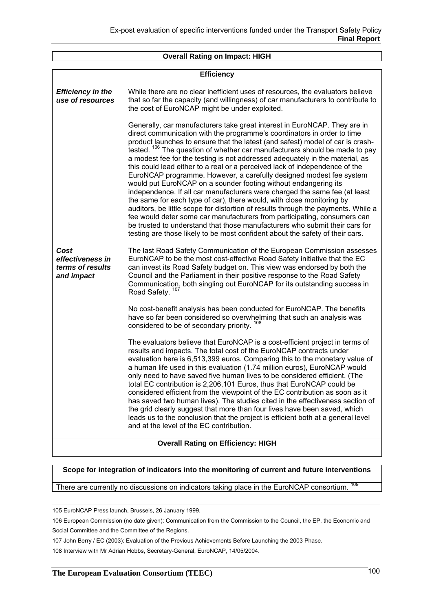#### **Overall Rating on Impact: HIGH**

| <b>Efficiency</b>                                          |                                                                                                                                                                                                                                                                                                                                                                                                                                                                                                                                                                                                                                                                                                                                                                                                                                                                                                                                                                                                                                                                                                                                   |  |
|------------------------------------------------------------|-----------------------------------------------------------------------------------------------------------------------------------------------------------------------------------------------------------------------------------------------------------------------------------------------------------------------------------------------------------------------------------------------------------------------------------------------------------------------------------------------------------------------------------------------------------------------------------------------------------------------------------------------------------------------------------------------------------------------------------------------------------------------------------------------------------------------------------------------------------------------------------------------------------------------------------------------------------------------------------------------------------------------------------------------------------------------------------------------------------------------------------|--|
| <b>Efficiency in the</b><br>use of resources               | While there are no clear inefficient uses of resources, the evaluators believe<br>that so far the capacity (and willingness) of car manufacturers to contribute to<br>the cost of EuroNCAP might be under exploited.                                                                                                                                                                                                                                                                                                                                                                                                                                                                                                                                                                                                                                                                                                                                                                                                                                                                                                              |  |
|                                                            | Generally, car manufacturers take great interest in EuroNCAP. They are in<br>direct communication with the programme's coordinators in order to time<br>product launches to ensure that the latest (and safest) model of car is crash-<br>tested. <sup>106</sup> The question of whether car manufacturers should be made to pay<br>a modest fee for the testing is not addressed adequately in the material, as<br>this could lead either to a real or a perceived lack of independence of the<br>EuroNCAP programme. However, a carefully designed modest fee system<br>would put EuroNCAP on a sounder footing without endangering its<br>independence. If all car manufacturers were charged the same fee (at least<br>the same for each type of car), there would, with close monitoring by<br>auditors, be little scope for distortion of results through the payments. While a<br>fee would deter some car manufacturers from participating, consumers can<br>be trusted to understand that those manufacturers who submit their cars for<br>testing are those likely to be most confident about the safety of their cars. |  |
| Cost<br>effectiveness in<br>terms of results<br>and impact | The last Road Safety Communication of the European Commission assesses<br>EuroNCAP to be the most cost-effective Road Safety initiative that the EC<br>can invest its Road Safety budget on. This view was endorsed by both the<br>Council and the Parliament in their positive response to the Road Safety<br>Communication, both singling out EuroNCAP for its outstanding success in<br>Road Safety. <sup>107</sup>                                                                                                                                                                                                                                                                                                                                                                                                                                                                                                                                                                                                                                                                                                            |  |
|                                                            | No cost-benefit analysis has been conducted for EuroNCAP. The benefits<br>have so far been considered so overwhelming that such an analysis was<br>considered to be of secondary priority. 108                                                                                                                                                                                                                                                                                                                                                                                                                                                                                                                                                                                                                                                                                                                                                                                                                                                                                                                                    |  |
|                                                            | The evaluators believe that EuroNCAP is a cost-efficient project in terms of<br>results and impacts. The total cost of the EuroNCAP contracts under<br>evaluation here is 6,513,399 euros. Comparing this to the monetary value of<br>a human life used in this evaluation (1.74 million euros), EuroNCAP would<br>only need to have saved five human lives to be considered efficient. (The<br>total EC contribution is 2,206,101 Euros, thus that EuroNCAP could be<br>considered efficient from the viewpoint of the EC contribution as soon as it<br>has saved two human lives). The studies cited in the effectiveness section of<br>the grid clearly suggest that more than four lives have been saved, which<br>leads us to the conclusion that the project is efficient both at a general level<br>and at the level of the EC contribution.                                                                                                                                                                                                                                                                               |  |
|                                                            | <b>Overall Rating on Efficiency: HIGH</b>                                                                                                                                                                                                                                                                                                                                                                                                                                                                                                                                                                                                                                                                                                                                                                                                                                                                                                                                                                                                                                                                                         |  |

#### **Scope for integration of indicators into the monitoring of current and future interventions**

There are currently no discussions on indicators taking place in the EuroNCAP consortium.

105 EuroNCAP Press launch, Brussels, 26 January 1999.

106 European Commission (no date given): Communication from the Commission to the Council, the EP, the Economic and Social Committee and the Committee of the Regions.

107 John Berry / EC (2003): Evaluation of the Previous Achievements Before Launching the 2003 Phase.

108 Interview with Mr Adrian Hobbs, Secretary-General, EuroNCAP, 14/05/2004.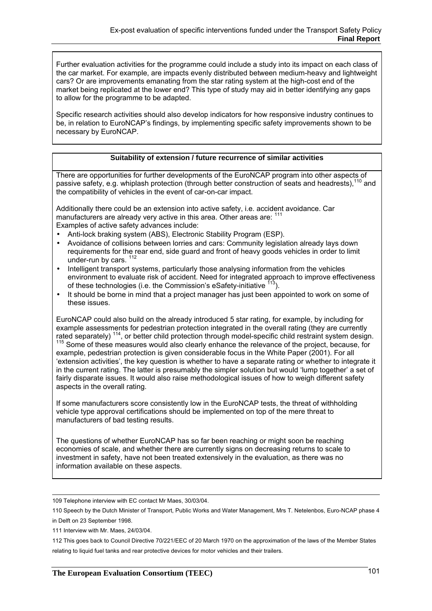Further evaluation activities for the programme could include a study into its impact on each class of the car market. For example, are impacts evenly distributed between medium-heavy and lightweight cars? Or are improvements emanating from the star rating system at the high-cost end of the market being replicated at the lower end? This type of study may aid in better identifying any gaps to allow for the programme to be adapted.

Specific research activities should also develop indicators for how responsive industry continues to be, in relation to EuroNCAP's findings, by implementing specific safety improvements shown to be necessary by EuroNCAP.

#### **Suitability of extension / future recurrence of similar activities**

There are opportunities for further developments of the EuroNCAP program into other aspects of passive safety, e.g. whiplash protection (through better construction of seats and headrests),<sup>110</sup> and the compatibility of vehicles in the event of car-on-car impact.

Additionally there could be an extension into active safety, i.e. accident avoidance. Car manufacturers are already very active in this area. Other areas are: 11 Examples of active safety advances include:

- Anti-lock braking system (ABS), Electronic Stability Program (ESP).
- Avoidance of collisions between lorries and cars: Community legislation already lays down requirements for the rear end, side guard and front of heavy goods vehicles in order to limit under-run by cars. 112
- Intelligent transport systems, particularly those analysing information from the vehicles environment to evaluate risk of accident. Need for integrated approach to improve effectiveness of these technologies (i.e. the Commission's eSafety-initiative <sup>113</sup>).
- It should be borne in mind that a project manager has just been appointed to work on some of these issues.

EuroNCAP could also build on the already introduced 5 star rating, for example, by including for example assessments for pedestrian protection integrated in the overall rating (they are currently rated separately) <sup>114</sup>, or better child protection through model-specific child restraint system design.<br><sup>115</sup> Some of these measures would also clearly enhance the relevance of the project, because, for example, pedestrian protection is given considerable focus in the White Paper (2001). For all 'extension activities', the key question is whether to have a separate rating or whether to integrate it in the current rating. The latter is presumably the simpler solution but would 'lump together' a set of fairly disparate issues. It would also raise methodological issues of how to weigh different safety aspects in the overall rating.

If some manufacturers score consistently low in the EuroNCAP tests, the threat of withholding vehicle type approval certifications should be implemented on top of the mere threat to manufacturers of bad testing results.

The questions of whether EuroNCAP has so far been reaching or might soon be reaching economies of scale, and whether there are currently signs on decreasing returns to scale to investment in safety, have not been treated extensively in the evaluation, as there was no information available on these aspects.

 <sup>109</sup> Telephone interview with EC contact Mr Maes, 30/03/04.

<sup>110</sup> Speech by the Dutch Minister of Transport, Public Works and Water Management, Mrs T. Netelenbos, Euro-NCAP phase 4 in Delft on 23 September 1998.

<sup>111</sup> Interview with Mr. Maes, 24/03/04.

<sup>112</sup> This goes back to Council Directive 70/221/EEC of 20 March 1970 on the approximation of the laws of the Member States relating to liquid fuel tanks and rear protective devices for motor vehicles and their trailers.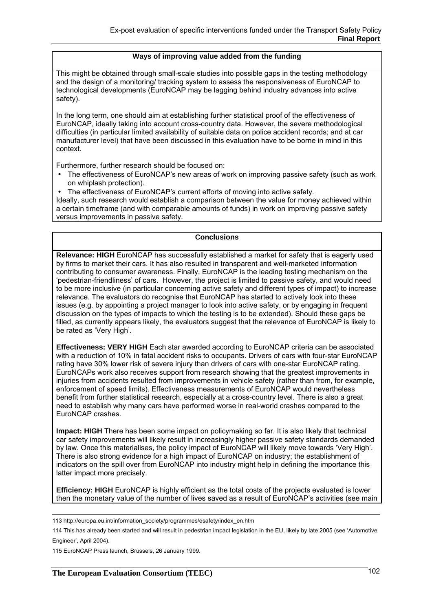#### **Ways of improving value added from the funding**

This might be obtained through small-scale studies into possible gaps in the testing methodology and the design of a monitoring/ tracking system to assess the responsiveness of EuroNCAP to technological developments (EuroNCAP may be lagging behind industry advances into active safety).

In the long term, one should aim at establishing further statistical proof of the effectiveness of EuroNCAP, ideally taking into account cross-country data. However, the severe methodological difficulties (in particular limited availability of suitable data on police accident records; and at car manufacturer level) that have been discussed in this evaluation have to be borne in mind in this context.

Furthermore, further research should be focused on:

- The effectiveness of EuroNCAP's new areas of work on improving passive safety (such as work on whiplash protection).
- The effectiveness of EuroNCAP's current efforts of moving into active safety.

Ideally, such research would establish a comparison between the value for money achieved within a certain timeframe (and with comparable amounts of funds) in work on improving passive safety versus improvements in passive safety.

## **Conclusions**

**Relevance: HIGH** EuroNCAP has successfully established a market for safety that is eagerly used by firms to market their cars. It has also resulted in transparent and well-marketed information contributing to consumer awareness. Finally, EuroNCAP is the leading testing mechanism on the 'pedestrian-friendliness' of cars. However, the project is limited to passive safety, and would need to be more inclusive (in particular concerning active safety and different types of impact) to increase relevance. The evaluators do recognise that EuroNCAP has started to actively look into these issues (e.g. by appointing a project manager to look into active safety, or by engaging in frequent discussion on the types of impacts to which the testing is to be extended). Should these gaps be filled, as currently appears likely, the evaluators suggest that the relevance of EuroNCAP is likely to be rated as 'Very High'.

**Effectiveness: VERY HIGH** Each star awarded according to EuroNCAP criteria can be associated with a reduction of 10% in fatal accident risks to occupants. Drivers of cars with four-star EuroNCAP rating have 30% lower risk of severe injury than drivers of cars with one-star EuroNCAP rating. EuroNCAPs work also receives support from research showing that the greatest improvements in injuries from accidents resulted from improvements in vehicle safety (rather than from, for example, enforcement of speed limits). Effectiveness measurements of EuroNCAP would nevertheless benefit from further statistical research, especially at a cross-country level. There is also a great need to establish why many cars have performed worse in real-world crashes compared to the EuroNCAP crashes.

**Impact: HIGH** There has been some impact on policymaking so far. It is also likely that technical car safety improvements will likely result in increasingly higher passive safety standards demanded by law. Once this materialises, the policy impact of EuroNCAP will likely move towards 'Very High'. There is also strong evidence for a high impact of EuroNCAP on industry; the establishment of indicators on the spill over from EuroNCAP into industry might help in defining the importance this latter impact more precisely.

**Efficiency: HIGH** EuroNCAP is highly efficient as the total costs of the projects evaluated is lower then the monetary value of the number of lives saved as a result of EuroNCAP's activities (see main

 <sup>113</sup> http://europa.eu.int/information\_society/programmes/esafety/index\_en.htm

<sup>114</sup> This has already been started and will result in pedestrian impact legislation in the EU, likely by late 2005 (see 'Automotive Engineer', April 2004).

<sup>115</sup> EuroNCAP Press launch, Brussels, 26 January 1999.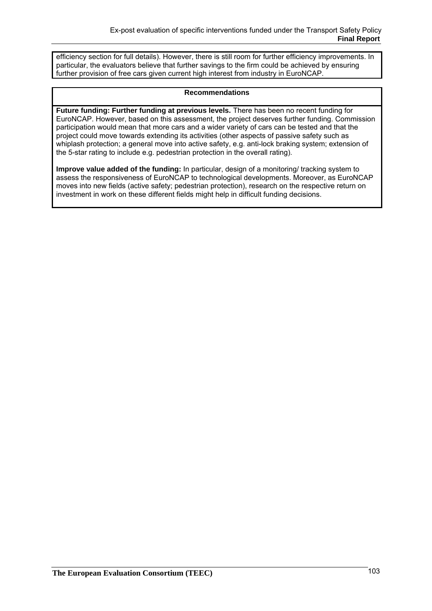efficiency section for full details). However, there is still room for further efficiency improvements. In particular, the evaluators believe that further savings to the firm could be achieved by ensuring further provision of free cars given current high interest from industry in EuroNCAP.

### **Recommendations**

**Future funding: Further funding at previous levels.** There has been no recent funding for EuroNCAP. However, based on this assessment, the project deserves further funding. Commission participation would mean that more cars and a wider variety of cars can be tested and that the project could move towards extending its activities (other aspects of passive safety such as whiplash protection; a general move into active safety, e.g. anti-lock braking system; extension of the 5-star rating to include e.g. pedestrian protection in the overall rating).

**Improve value added of the funding:** In particular, design of a monitoring/ tracking system to assess the responsiveness of EuroNCAP to technological developments. Moreover, as EuroNCAP moves into new fields (active safety; pedestrian protection), research on the respective return on investment in work on these different fields might help in difficult funding decisions.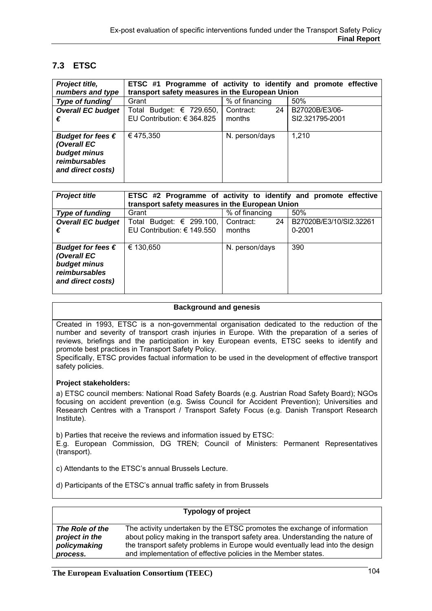# **7.3 ETSC**

| Project title,                                                                                  | ETSC #1 Programme of activity to identify and promote effective |                 |                 |
|-------------------------------------------------------------------------------------------------|-----------------------------------------------------------------|-----------------|-----------------|
| numbers and type                                                                                | transport safety measures in the European Union                 |                 |                 |
| Type of funding                                                                                 | Grant                                                           | % of financing  | 50%             |
| <b>Overall EC budget</b>                                                                        | Total Budget: € 729.650,                                        | Contract:<br>24 | B27020B/E3/06-  |
| €                                                                                               | EU Contribution: € 364.825                                      | months          | SI2.321795-2001 |
| Budget for fees $\epsilon$<br>(Overall EC<br>budget minus<br>reimbursables<br>and direct costs) | €475,350                                                        | N. person/days  | 1,210           |

| <b>Project title</b>       | ETSC #2 Programme of activity to identify and promote effective |                 |                         |
|----------------------------|-----------------------------------------------------------------|-----------------|-------------------------|
|                            | transport safety measures in the European Union                 |                 |                         |
| <b>Type of funding</b>     | Grant                                                           | % of financing  | 50%                     |
| <b>Overall EC budget</b>   | Total Budget: $\epsilon$ 299.100,                               | Contract:<br>24 | B27020B/E3/10/SI2.32261 |
| €                          | EU Contribution: € 149.550                                      | months          | $0 - 2001$              |
|                            |                                                                 |                 |                         |
| Budget for fees $\epsilon$ | € 130,650                                                       | N. person/days  | 390                     |
| (Overall EC                |                                                                 |                 |                         |
| budget minus               |                                                                 |                 |                         |
| reimbursables              |                                                                 |                 |                         |
| and direct costs)          |                                                                 |                 |                         |
|                            |                                                                 |                 |                         |

#### **Background and genesis**

Created in 1993, ETSC is a non-governmental organisation dedicated to the reduction of the number and severity of transport crash injuries in Europe. With the preparation of a series of reviews, briefings and the participation in key European events, ETSC seeks to identify and promote best practices in Transport Safety Policy.

Specifically, ETSC provides factual information to be used in the development of effective transport safety policies.

#### **Project stakeholders:**

a) ETSC council members: National Road Safety Boards (e.g. Austrian Road Safety Board); NGOs focusing on accident prevention (e.g. Swiss Council for Accident Prevention); Universities and Research Centres with a Transport / Transport Safety Focus (e.g. Danish Transport Research Institute).

b) Parties that receive the reviews and information issued by ETSC:

E.g. European Commission, DG TREN; Council of Ministers: Permanent Representatives (transport).

c) Attendants to the ETSC's annual Brussels Lecture.

d) Participants of the ETSC's annual traffic safety in from Brussels

|                 | <b>Typology of project</b>                                                    |
|-----------------|-------------------------------------------------------------------------------|
| The Role of the | The activity undertaken by the ETSC promotes the exchange of information      |
| project in the  | about policy making in the transport safety area. Understanding the nature of |
| policymaking    | the transport safety problems in Europe would eventually lead into the design |
| process.        | and implementation of effective policies in the Member states.                |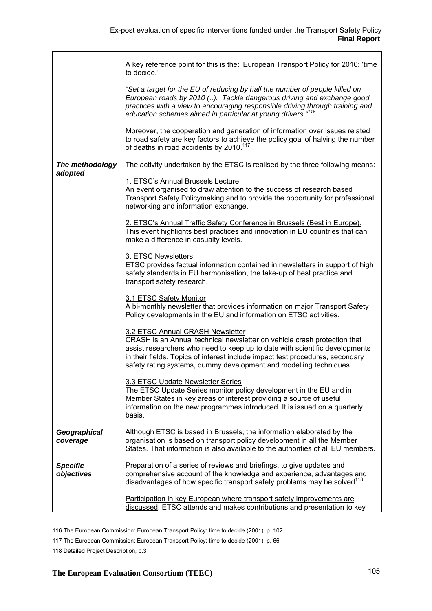|                               | A key reference point for this is the: 'European Transport Policy for 2010: 'time<br>to decide.'                                                                                                                                                                                                                                                   |
|-------------------------------|----------------------------------------------------------------------------------------------------------------------------------------------------------------------------------------------------------------------------------------------------------------------------------------------------------------------------------------------------|
|                               | "Set a target for the EU of reducing by half the number of people killed on<br>European roads by 2010 (). Tackle dangerous driving and exchange good<br>practices with a view to encouraging responsible driving through training and<br>education schemes aimed in particular at young drivers." <sup>116</sup>                                   |
|                               | Moreover, the cooperation and generation of information over issues related<br>to road safety are key factors to achieve the policy goal of halving the number<br>of deaths in road accidents by 2010. <sup>117</sup>                                                                                                                              |
| The methodology<br>adopted    | The activity undertaken by the ETSC is realised by the three following means:                                                                                                                                                                                                                                                                      |
|                               | 1. ETSC's Annual Brussels Lecture<br>An event organised to draw attention to the success of research based<br>Transport Safety Policymaking and to provide the opportunity for professional<br>networking and information exchange.                                                                                                                |
|                               | 2. ETSC's Annual Traffic Safety Conference in Brussels (Best in Europe).<br>This event highlights best practices and innovation in EU countries that can<br>make a difference in casualty levels.                                                                                                                                                  |
|                               | 3. ETSC Newsletters<br>ETSC provides factual information contained in newsletters in support of high<br>safety standards in EU harmonisation, the take-up of best practice and<br>transport safety research.                                                                                                                                       |
|                               | 3.1 ETSC Safety Monitor<br>A bi-monthly newsletter that provides information on major Transport Safety<br>Policy developments in the EU and information on ETSC activities.                                                                                                                                                                        |
|                               | 3.2 ETSC Annual CRASH Newsletter<br>CRASH is an Annual technical newsletter on vehicle crash protection that<br>assist researchers who need to keep up to date with scientific developments<br>in their fields. Topics of interest include impact test procedures, secondary<br>safety rating systems, dummy development and modelling techniques. |
|                               | 3.3 ETSC Update Newsletter Series<br>The ETSC Update Series monitor policy development in the EU and in<br>Member States in key areas of interest providing a source of useful<br>information on the new programmes introduced. It is issued on a quarterly<br>basis.                                                                              |
| Geographical<br>coverage      | Although ETSC is based in Brussels, the information elaborated by the<br>organisation is based on transport policy development in all the Member<br>States. That information is also available to the authorities of all EU members.                                                                                                               |
| <b>Specific</b><br>objectives | Preparation of a series of reviews and briefings, to give updates and<br>comprehensive account of the knowledge and experience, advantages and<br>disadvantages of how specific transport safety problems may be solved <sup>118</sup> .                                                                                                           |
|                               | Participation in key European where transport safety improvements are<br>discussed. ETSC attends and makes contributions and presentation to key                                                                                                                                                                                                   |

 116 The European Commission: European Transport Policy: time to decide (2001), p. 102.

<sup>117</sup> The European Commission: European Transport Policy: time to decide (2001), p. 66

<sup>118</sup> Detailed Project Description, p.3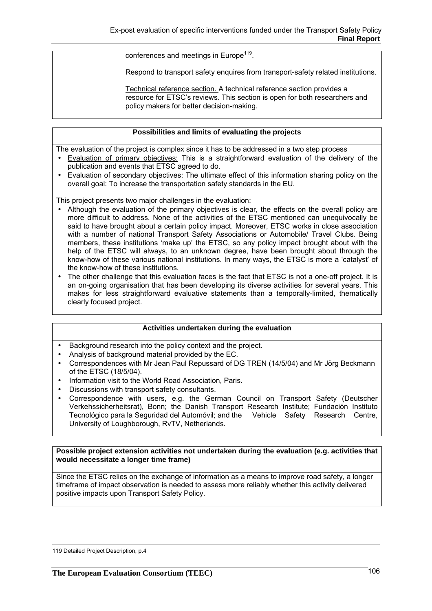conferences and meetings in Europe<sup>119</sup>.

Respond to transport safety enquires from transport-safety related institutions.

Technical reference section. A technical reference section provides a resource for ETSC's reviews. This section is open for both researchers and policy makers for better decision-making.

#### **Possibilities and limits of evaluating the projects**

The evaluation of the project is complex since it has to be addressed in a two step process

- Evaluation of primary objectives: This is a straightforward evaluation of the delivery of the publication and events that ETSC agreed to do.
- Evaluation of secondary objectives: The ultimate effect of this information sharing policy on the overall goal: To increase the transportation safety standards in the EU.

This project presents two major challenges in the evaluation:

- Although the evaluation of the primary objectives is clear, the effects on the overall policy are more difficult to address. None of the activities of the ETSC mentioned can unequivocally be said to have brought about a certain policy impact. Moreover, ETSC works in close association with a number of national Transport Safety Associations or Automobile/ Travel Clubs. Being members, these institutions 'make up' the ETSC, so any policy impact brought about with the help of the ETSC will always, to an unknown degree, have been brought about through the know-how of these various national institutions. In many ways, the ETSC is more a 'catalyst' of the know-how of these institutions.
- The other challenge that this evaluation faces is the fact that ETSC is not a one-off project. It is an on-going organisation that has been developing its diverse activities for several years. This makes for less straightforward evaluative statements than a temporally-limited, thematically clearly focused project.

#### **Activities undertaken during the evaluation**

- Background research into the policy context and the project.
- Analysis of background material provided by the EC.
- Correspondences with Mr Jean Paul Repussard of DG TREN (14/5/04) and Mr Jörg Beckmann of the ETSC (18/5/04).
- Information visit to the World Road Association, Paris.
- Discussions with transport safety consultants.
- Correspondence with users, e.g. the German Council on Transport Safety (Deutscher Verkehssicherheitsrat), Bonn; the Danish Transport Research Institute; Fundación Instituto Tecnológico para la Seguridad del Automóvil; and the Vehicle Safety Research Centre, University of Loughborough, RvTV, Netherlands.

#### **Possible project extension activities not undertaken during the evaluation (e.g. activities that would necessitate a longer time frame)**

Since the ETSC relies on the exchange of information as a means to improve road safety, a longer timeframe of impact observation is needed to assess more reliably whether this activity delivered positive impacts upon Transport Safety Policy.

119 Detailed Project Description, p.4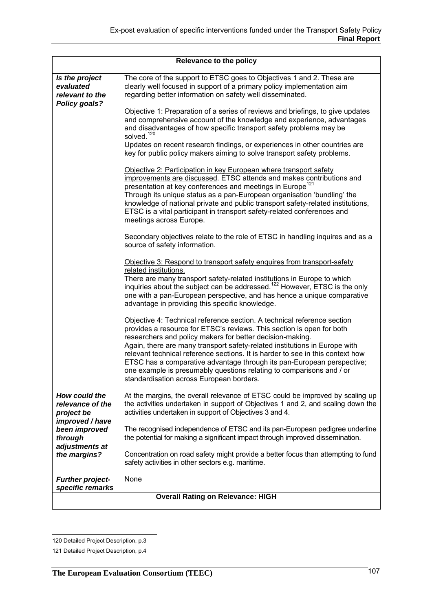| Relevance to the policy                                            |                                                                                                                                                                                                                                                                                                                                                                                                                                                                                                                                                                             |  |
|--------------------------------------------------------------------|-----------------------------------------------------------------------------------------------------------------------------------------------------------------------------------------------------------------------------------------------------------------------------------------------------------------------------------------------------------------------------------------------------------------------------------------------------------------------------------------------------------------------------------------------------------------------------|--|
| Is the project<br>evaluated<br>relevant to the<br>Policy goals?    | The core of the support to ETSC goes to Objectives 1 and 2. These are<br>clearly well focused in support of a primary policy implementation aim<br>regarding better information on safety well disseminated.                                                                                                                                                                                                                                                                                                                                                                |  |
|                                                                    | Objective 1: Preparation of a series of reviews and briefings, to give updates<br>and comprehensive account of the knowledge and experience, advantages<br>and disadvantages of how specific transport safety problems may be<br>solved. <sup>120</sup><br>Updates on recent research findings, or experiences in other countries are<br>key for public policy makers aiming to solve transport safety problems.                                                                                                                                                            |  |
|                                                                    | Objective 2: Participation in key European where transport safety<br>improvements are discussed. ETSC attends and makes contributions and<br>presentation at key conferences and meetings in Europe <sup>121</sup><br>Through its unique status as a pan-European organisation 'bundling' the<br>knowledge of national private and public transport safety-related institutions,<br>ETSC is a vital participant in transport safety-related conferences and<br>meetings across Europe.                                                                                      |  |
|                                                                    | Secondary objectives relate to the role of ETSC in handling inquires and as a<br>source of safety information.                                                                                                                                                                                                                                                                                                                                                                                                                                                              |  |
|                                                                    | Objective 3: Respond to transport safety enquires from transport-safety<br>related institutions.<br>There are many transport safety-related institutions in Europe to which<br>inquiries about the subject can be addressed. <sup>122</sup> However, ETSC is the only<br>one with a pan-European perspective, and has hence a unique comparative<br>advantage in providing this specific knowledge.                                                                                                                                                                         |  |
|                                                                    | Objective 4: Technical reference section. A technical reference section<br>provides a resource for ETSC's reviews. This section is open for both<br>researchers and policy makers for better decision-making.<br>Again, there are many transport safety-related institutions in Europe with<br>relevant technical reference sections. It is harder to see in this context how<br>ETSC has a comparative advantage through its pan-European perspective;<br>one example is presumably questions relating to comparisons and / or<br>standardisation across European borders. |  |
| How could the<br>relevance of the<br>project be<br>improved / have | At the margins, the overall relevance of ETSC could be improved by scaling up<br>the activities undertaken in support of Objectives 1 and 2, and scaling down the<br>activities undertaken in support of Objectives 3 and 4.                                                                                                                                                                                                                                                                                                                                                |  |
| been improved<br>through<br>adjustments at                         | The recognised independence of ETSC and its pan-European pedigree underline<br>the potential for making a significant impact through improved dissemination.                                                                                                                                                                                                                                                                                                                                                                                                                |  |
| the margins?                                                       | Concentration on road safety might provide a better focus than attempting to fund<br>safety activities in other sectors e.g. maritime.                                                                                                                                                                                                                                                                                                                                                                                                                                      |  |
| <b>Further project-</b><br>specific remarks                        | None                                                                                                                                                                                                                                                                                                                                                                                                                                                                                                                                                                        |  |
| <b>Overall Rating on Relevance: HIGH</b>                           |                                                                                                                                                                                                                                                                                                                                                                                                                                                                                                                                                                             |  |

 120 Detailed Project Description, p.3

<sup>121</sup> Detailed Project Description, p.4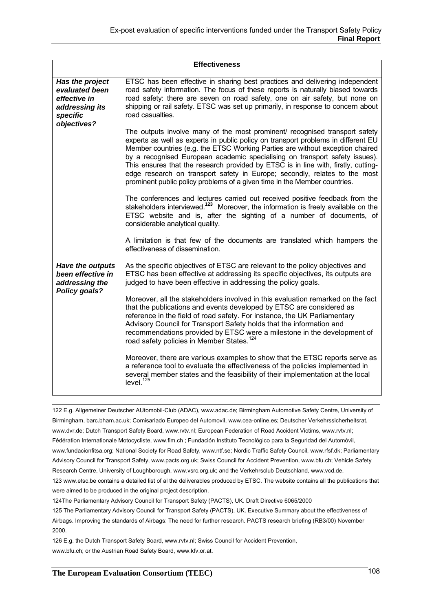| <b>Effectiveness</b>                                                            |                                                                                                                                                                                                                                                                                                                                                                                                                                                                                                                                                                                   |
|---------------------------------------------------------------------------------|-----------------------------------------------------------------------------------------------------------------------------------------------------------------------------------------------------------------------------------------------------------------------------------------------------------------------------------------------------------------------------------------------------------------------------------------------------------------------------------------------------------------------------------------------------------------------------------|
| Has the project<br>evaluated been<br>effective in<br>addressing its<br>specific | ETSC has been effective in sharing best practices and delivering independent<br>road safety information. The focus of these reports is naturally biased towards<br>road safety: there are seven on road safety, one on air safety, but none on<br>shipping or rail safety. ETSC was set up primarily, in response to concern about<br>road casualties.                                                                                                                                                                                                                            |
| objectives?                                                                     | The outputs involve many of the most prominent/ recognised transport safety<br>experts as well as experts in public policy on transport problems in different EU<br>Member countries (e.g. the ETSC Working Parties are without exception chaired<br>by a recognised European academic specialising on transport safety issues).<br>This ensures that the research provided by ETSC is in line with, firstly, cutting-<br>edge research on transport safety in Europe; secondly, relates to the most<br>prominent public policy problems of a given time in the Member countries. |
|                                                                                 | The conferences and lectures carried out received positive feedback from the<br>stakeholders interviewed. <sup>123</sup> Moreover, the information is freely available on the<br>ETSC website and is, after the sighting of a number of documents, of<br>considerable analytical quality.                                                                                                                                                                                                                                                                                         |
|                                                                                 | A limitation is that few of the documents are translated which hampers the<br>effectiveness of dissemination.                                                                                                                                                                                                                                                                                                                                                                                                                                                                     |
| <b>Have the outputs</b><br>been effective in<br>addressing the<br>Policy goals? | As the specific objectives of ETSC are relevant to the policy objectives and<br>ETSC has been effective at addressing its specific objectives, its outputs are<br>judged to have been effective in addressing the policy goals.                                                                                                                                                                                                                                                                                                                                                   |
|                                                                                 | Moreover, all the stakeholders involved in this evaluation remarked on the fact<br>that the publications and events developed by ETSC are considered as<br>reference in the field of road safety. For instance, the UK Parliamentary<br>Advisory Council for Transport Safety holds that the information and<br>recommendations provided by ETSC were a milestone in the development of<br>road safety policies in Member States. <sup>124</sup>                                                                                                                                  |
|                                                                                 | Moreover, there are various examples to show that the ETSC reports serve as<br>a reference tool to evaluate the effectiveness of the policies implemented in<br>several member states and the feasibility of their implementation at the local<br>level. <sup>125</sup>                                                                                                                                                                                                                                                                                                           |

 122 E.g. Allgemeiner Deutscher AUtomobil-Club (ADAC), www.adac.de; Birmingham Automotive Safety Centre, University of Birmingham, barc.bham.ac.uk; Comisariado Europeo del Automovil, www.cea-online.es; Deutscher Verkehrssicherheitsrat, www.dvr.de; Dutch Transport Safety Board, www.rvtv.nl; European Federation of Road Accident Victims, www.rvtv.nl; Fédération Internationale Motocycliste, www.fim.ch ; Fundación Instituto Tecnológico para la Seguridad del Automóvil, www.fundacionfitsa.org; National Society for Road Safety, www.ntf.se; Nordic Traffic Safety Council, www.rfsf.dk; Parliamentary Advisory Council for Transport Safety, www.pacts.org.uk; Swiss Council for Accident Prevention, www.bfu.ch; Vehicle Safety Research Centre, University of Loughborough, www.vsrc.org.uk; and the Verkehrsclub Deutschland, www.vcd.de. 123 www.etsc.be contains a detailed list of al the deliverables produced by ETSC. The website contains all the publications that were aimed to be produced in the original project description.

124The Parliamentary Advisory Council for Transport Safety (PACTS), UK. Draft Directive 6065/2000

125 The Parliamentary Advisory Council for Transport Safety (PACTS), UK. Executive Summary about the effectiveness of Airbags. Improving the standards of Airbags: The need for further research. PACTS research briefing (RB3/00) November 2000.

126 E.g. the Dutch Transport Safety Board, www.rvtv.nl; Swiss Council for Accident Prevention, www.bfu.ch; or the Austrian Road Safety Board, www.kfv.or.at.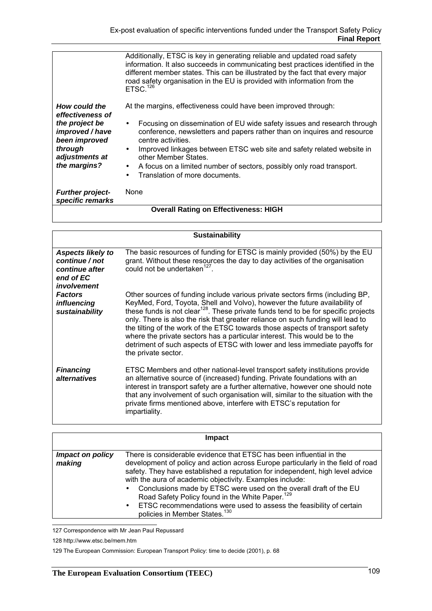|                                                                                                                                      | Additionally, ETSC is key in generating reliable and updated road safety<br>information. It also succeeds in communicating best practices identified in the<br>different member states. This can be illustrated by the fact that every major<br>road safety organisation in the EU is provided with information from the<br>ETSC. <sup>126</sup>                                                                                                          |
|--------------------------------------------------------------------------------------------------------------------------------------|-----------------------------------------------------------------------------------------------------------------------------------------------------------------------------------------------------------------------------------------------------------------------------------------------------------------------------------------------------------------------------------------------------------------------------------------------------------|
| How could the<br>effectiveness of<br>the project be<br>improved / have<br>been improved<br>through<br>adjustments at<br>the margins? | At the margins, effectiveness could have been improved through:<br>Focusing on dissemination of EU wide safety issues and research through<br>conference, newsletters and papers rather than on inquires and resource<br>centre activities.<br>Improved linkages between ETSC web site and safety related website in<br>other Member States.<br>• A focus on a limited number of sectors, possibly only road transport.<br>Translation of more documents. |
| <b>Further project-</b><br>specific remarks                                                                                          | None                                                                                                                                                                                                                                                                                                                                                                                                                                                      |
| <b>Overall Rating on Effectiveness: HIGH</b>                                                                                         |                                                                                                                                                                                                                                                                                                                                                                                                                                                           |

|                                                                                          | <b>Sustainability</b>                                                                                                                                                                                                                                                                                                                                                                                                                                                                                                                                                                                                |
|------------------------------------------------------------------------------------------|----------------------------------------------------------------------------------------------------------------------------------------------------------------------------------------------------------------------------------------------------------------------------------------------------------------------------------------------------------------------------------------------------------------------------------------------------------------------------------------------------------------------------------------------------------------------------------------------------------------------|
| <b>Aspects likely to</b><br>continue / not<br>continue after<br>end of EC<br>involvement | The basic resources of funding for ETSC is mainly provided (50%) by the EU<br>grant. Without these resources the day to day activities of the organisation<br>could not be undertaken <sup>127</sup> .                                                                                                                                                                                                                                                                                                                                                                                                               |
| <b>Factors</b><br>influencing<br>sustainability                                          | Other sources of funding include various private sectors firms (including BP,<br>KeyMed, Ford, Toyota, Shell and Volvo), however the future availability of<br>these funds is not clear <sup>128</sup> . These private funds tend to be for specific projects<br>only. There is also the risk that greater reliance on such funding will lead to<br>the tilting of the work of the ETSC towards those aspects of transport safety<br>where the private sectors has a particular interest. This would be to the<br>detriment of such aspects of ETSC with lower and less immediate payoffs for<br>the private sector. |
| <b>Financing</b><br><i>alternatives</i>                                                  | ETSC Members and other national-level transport safety institutions provide<br>an alternative source of (increased) funding. Private foundations with an<br>interest in transport safety are a further alternative, however one should note<br>that any involvement of such organisation will, similar to the situation with the<br>private firms mentioned above, interfere with ETSC's reputation for<br>impartiality.                                                                                                                                                                                             |

|                            | <b>Impact</b>                                                                                                                                                                                                                                                                                                                                                                                                                                                                                                                                                     |
|----------------------------|-------------------------------------------------------------------------------------------------------------------------------------------------------------------------------------------------------------------------------------------------------------------------------------------------------------------------------------------------------------------------------------------------------------------------------------------------------------------------------------------------------------------------------------------------------------------|
| Impact on policy<br>making | There is considerable evidence that ETSC has been influential in the<br>development of policy and action across Europe particularly in the field of road<br>safety. They have established a reputation for independent, high level advice<br>with the aura of academic objectivity. Examples include:<br>• Conclusions made by ETSC were used on the overall draft of the EU<br>Road Safety Policy found in the White Paper. <sup>129</sup><br>• ETSC recommendations were used to assess the feasibility of certain<br>policies in Member States. <sup>130</sup> |

 127 Correspondence with Mr Jean Paul Repussard

<sup>128</sup> http://www.etsc.be/mem.htm

<sup>129</sup> The European Commission: European Transport Policy: time to decide (2001), p. 68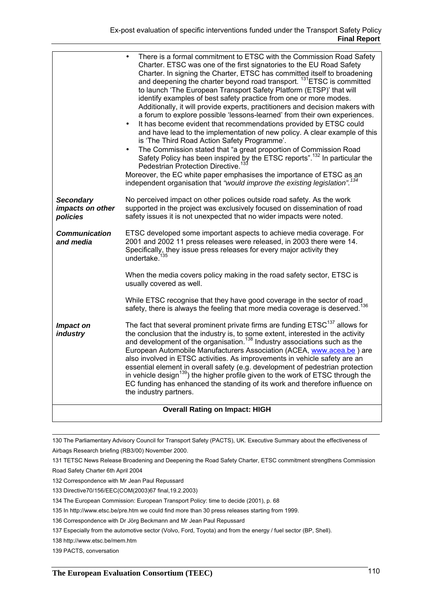|                                                  | There is a formal commitment to ETSC with the Commission Road Safety<br>Charter. ETSC was one of the first signatories to the EU Road Safety<br>Charter. In signing the Charter, ETSC has committed itself to broadening<br>and deepening the charter beyond road transport. <sup>131</sup> ETSC is committed<br>to launch 'The European Transport Safety Platform (ETSP)' that will<br>identify examples of best safety practice from one or more modes.<br>Additionally, it will provide experts, practitioners and decision makers with<br>a forum to explore possible 'lessons-learned' from their own experiences.<br>It has become evident that recommendations provided by ETSC could<br>and have lead to the implementation of new policy. A clear example of this<br>is 'The Third Road Action Safety Programme'.<br>The Commission stated that "a great proportion of Commission Road<br>Safety Policy has been inspired by the ETSC reports". <sup>132</sup> In particular the<br>Pedestrian Protection Directive. <sup>133</sup><br>Moreover, the EC white paper emphasises the importance of ETSC as an<br>independent organisation that "would improve the existing legislation". <sup>134</sup> |
|--------------------------------------------------|----------------------------------------------------------------------------------------------------------------------------------------------------------------------------------------------------------------------------------------------------------------------------------------------------------------------------------------------------------------------------------------------------------------------------------------------------------------------------------------------------------------------------------------------------------------------------------------------------------------------------------------------------------------------------------------------------------------------------------------------------------------------------------------------------------------------------------------------------------------------------------------------------------------------------------------------------------------------------------------------------------------------------------------------------------------------------------------------------------------------------------------------------------------------------------------------------------------|
| <b>Secondary</b><br>impacts on other<br>policies | No perceived impact on other polices outside road safety. As the work<br>supported in the project was exclusively focused on dissemination of road<br>safety issues it is not unexpected that no wider impacts were noted.                                                                                                                                                                                                                                                                                                                                                                                                                                                                                                                                                                                                                                                                                                                                                                                                                                                                                                                                                                                     |
| Communication<br>and media                       | ETSC developed some important aspects to achieve media coverage. For<br>2001 and 2002 11 press releases were released, in 2003 there were 14.<br>Specifically, they issue press releases for every major activity they<br>undertake. <sup>135</sup>                                                                                                                                                                                                                                                                                                                                                                                                                                                                                                                                                                                                                                                                                                                                                                                                                                                                                                                                                            |
|                                                  | When the media covers policy making in the road safety sector, ETSC is<br>usually covered as well.                                                                                                                                                                                                                                                                                                                                                                                                                                                                                                                                                                                                                                                                                                                                                                                                                                                                                                                                                                                                                                                                                                             |
|                                                  | While ETSC recognise that they have good coverage in the sector of road<br>safety, there is always the feeling that more media coverage is deserved. <sup>136</sup>                                                                                                                                                                                                                                                                                                                                                                                                                                                                                                                                                                                                                                                                                                                                                                                                                                                                                                                                                                                                                                            |
| Impact on<br>industry                            | The fact that several prominent private firms are funding ETSC <sup>137</sup> allows for<br>the conclusion that the industry is, to some extent, interested in the activity and development of the organisation. <sup>138</sup> Industry associations such as the<br>European Automobile Manufacturers Association (ACEA, www.acea.be) are<br>also involved in ETSC activities. As improvements in vehicle safety are an<br>essential element in overall safety (e.g. development of pedestrian protection<br>in vehicle design <sup>139</sup> ) the higher profile given to the work of ETSC through the<br>EC funding has enhanced the standing of its work and therefore influence on<br>the industry partners.                                                                                                                                                                                                                                                                                                                                                                                                                                                                                             |
| <b>Overall Rating on Impact: HIGH</b>            |                                                                                                                                                                                                                                                                                                                                                                                                                                                                                                                                                                                                                                                                                                                                                                                                                                                                                                                                                                                                                                                                                                                                                                                                                |

 130 The Parliamentary Advisory Council for Transport Safety (PACTS), UK. Executive Summary about the effectiveness of Airbags Research briefing (RB3/00) November 2000.

131 TETSC News Release Broadening and Deepening the Road Safety Charter, ETSC commitment strengthens Commission Road Safety Charter 6th April 2004

132 Correspondence with Mr Jean Paul Repussard

133 Directive70/156/EEC(COM(2003)67 final,19.2.2003)

134 The European Commission: European Transport Policy: time to decide (2001), p. 68

135 In http://www.etsc.be/pre.htm we could find more than 30 press releases starting from 1999.

136 Correspondence with Dr Jörg Beckmann and Mr Jean Paul Repussard

137 Especially from the automotive sector (Volvo, Ford, Toyota) and from the energy / fuel sector (BP, Shell).

138 http://www.etsc.be/mem.htm

139 PACTS, conversation

 $\mathbf{I}$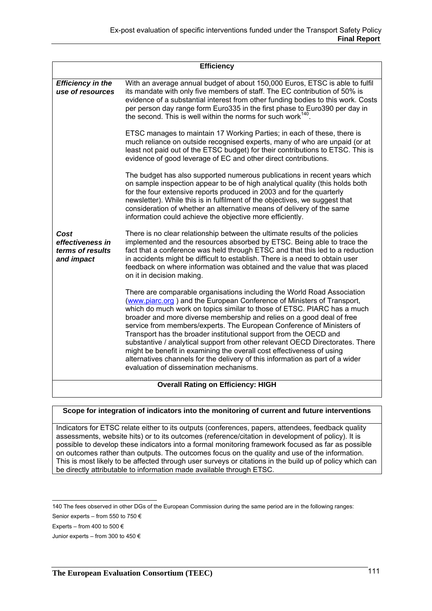| <b>Efficiency</b>                                                                    |                                                                                                                                                                                                                                                                                                                                                                                                                                                                                                                                                                                                                                                                                                |
|--------------------------------------------------------------------------------------|------------------------------------------------------------------------------------------------------------------------------------------------------------------------------------------------------------------------------------------------------------------------------------------------------------------------------------------------------------------------------------------------------------------------------------------------------------------------------------------------------------------------------------------------------------------------------------------------------------------------------------------------------------------------------------------------|
| <b>Efficiency in the</b><br>use of resources                                         | With an average annual budget of about 150,000 Euros, ETSC is able to fulfil<br>its mandate with only five members of staff. The EC contribution of 50% is<br>evidence of a substantial interest from other funding bodies to this work. Costs<br>per person day range form Euro335 in the first phase to Euro390 per day in<br>the second. This is well within the norms for such work <sup>140</sup> .                                                                                                                                                                                                                                                                                       |
|                                                                                      | ETSC manages to maintain 17 Working Parties; in each of these, there is<br>much reliance on outside recognised experts, many of who are unpaid (or at<br>least not paid out of the ETSC budget) for their contributions to ETSC. This is<br>evidence of good leverage of EC and other direct contributions.                                                                                                                                                                                                                                                                                                                                                                                    |
|                                                                                      | The budget has also supported numerous publications in recent years which<br>on sample inspection appear to be of high analytical quality (this holds both<br>for the four extensive reports produced in 2003 and for the quarterly<br>newsletter). While this is in fulfilment of the objectives, we suggest that<br>consideration of whether an alternative means of delivery of the same<br>information could achieve the objective more efficiently.                                                                                                                                                                                                                                       |
| Cost<br>effectiveness in<br>terms of results<br>and impact                           | There is no clear relationship between the ultimate results of the policies<br>implemented and the resources absorbed by ETSC. Being able to trace the<br>fact that a conference was held through ETSC and that this led to a reduction<br>in accidents might be difficult to establish. There is a need to obtain user<br>feedback on where information was obtained and the value that was placed<br>on it in decision making.                                                                                                                                                                                                                                                               |
|                                                                                      | There are comparable organisations including the World Road Association<br>(www.piarc.org) and the European Conference of Ministers of Transport,<br>which do much work on topics similar to those of ETSC. PIARC has a much<br>broader and more diverse membership and relies on a good deal of free<br>service from members/experts. The European Conference of Ministers of<br>Transport has the broader institutional support from the OECD and<br>substantive / analytical support from other relevant OECD Directorates. There<br>might be benefit in examining the overall cost effectiveness of using<br>alternatives channels for the delivery of this information as part of a wider |
| evaluation of dissemination mechanisms.<br><b>Overall Rating on Efficiency: HIGH</b> |                                                                                                                                                                                                                                                                                                                                                                                                                                                                                                                                                                                                                                                                                                |

#### **Scope for integration of indicators into the monitoring of current and future interventions**

Indicators for ETSC relate either to its outputs (conferences, papers, attendees, feedback quality assessments, website hits) or to its outcomes (reference/citation in development of policy). It is possible to develop these indicators into a formal monitoring framework focused as far as possible on outcomes rather than outputs. The outcomes focus on the quality and use of the information. This is most likely to be affected through user surveys or citations in the build up of policy which can be directly attributable to information made available through ETSC.

<sup>140</sup> The fees observed in other DGs of the European Commission during the same period are in the following ranges:

Senior experts – from 550 to 750 €

Experts – from 400 to 500  $\in$ 

Junior experts – from 300 to 450 €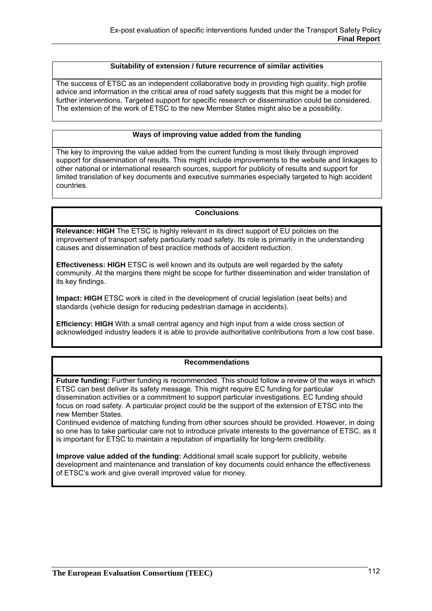#### **Suitability of extension / future recurrence of similar activities**

The success of ETSC as an independent collaborative body in providing high quality, high profile advice and information in the critical area of road safety suggests that this might be a model for further interventions. Targeted support for specific research or dissemination could be considered. The extension of the work of ETSC to the new Member States might also be a possibility.

#### **Ways of improving value added from the funding**

The key to improving the value added from the current funding is most likely through improved support for dissemination of results. This might include improvements to the website and linkages to other national or international research sources, support for publicity of results and support for limited translation of key documents and executive summaries especially targeted to high accident countries.

### **Conclusions**

**Relevance: HIGH** The ETSC is highly relevant in its direct support of EU policies on the improvement of transport safety particularly road safety. Its role is primarily in the understanding causes and dissemination of best practice methods of accident reduction.

**Effectiveness: HIGH** ETSC is well known and its outputs are well regarded by the safety community. At the margins there might be scope for further dissemination and wider translation of its key findings.

**Impact: HIGH** ETSC work is cited in the development of crucial legislation (seat belts) and standards (vehicle design for reducing pedestrian damage in accidents).

**Efficiency: HIGH** With a small central agency and high input from a wide cross section of acknowledged industry leaders it is able to provide authoritative contributions from a low cost base.

## **Recommendations**

**Future funding:** Further funding is recommended. This should follow a review of the ways in which ETSC can best deliver its safety message. This might require EC funding for particular dissemination activities or a commitment to support particular investigations. EC funding should focus on road safety. A particular project could be the support of the extension of ETSC into the new Member States.

Continued evidence of matching funding from other sources should be provided. However, in doing so one has to take particular care not to introduce private interests to the governance of ETSC, as it is important for ETSC to maintain a reputation of impartiality for long-term credibility.

**Improve value added of the funding:** Additional small scale support for publicity, website development and maintenance and translation of key documents could enhance the effectiveness of ETSC's work and give overall improved value for money.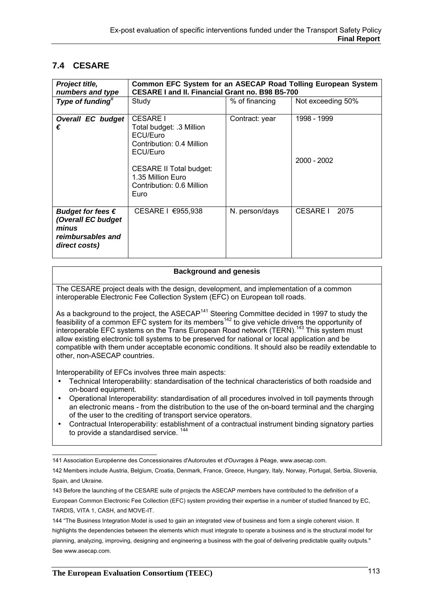# **7.4 CESARE**

| Project title,<br>numbers and type                                                              | <b>Common EFC System for an ASECAP Road Tolling European System</b><br><b>CESARE I and II. Financial Grant no. B98 B5-700</b>                                                                       |                |                              |
|-------------------------------------------------------------------------------------------------|-----------------------------------------------------------------------------------------------------------------------------------------------------------------------------------------------------|----------------|------------------------------|
| Type of funding"                                                                                | Study                                                                                                                                                                                               | % of financing | Not exceeding 50%            |
| <b>Overall EC budget</b><br>€                                                                   | <b>CESARE I</b><br>Total budget: .3 Million<br><b>ECU/Furo</b><br>Contribution: 0.4 Million<br>ECU/Euro<br><b>CESARE II Total budget:</b><br>1.35 Million Euro<br>Contribution: 0.6 Million<br>Euro | Contract: year | 1998 - 1999<br>$2000 - 2002$ |
| Budget for fees $\epsilon$<br>(Overall EC budget<br>minus<br>reimbursables and<br>direct costs) | CESARE I €955,938                                                                                                                                                                                   | N. person/days | <b>CESARE I</b><br>2075      |

#### **Background and genesis**

The CESARE project deals with the design, development, and implementation of a common interoperable Electronic Fee Collection System (EFC) on European toll roads.

As a background to the project, the ASECAP<sup>141</sup> Steering Committee decided in 1997 to study the Figure 3 statistical to the project, the rice of the steeling sommitted assistant ricer to staty the feasibility of a common EFC system for its members<sup>142</sup> to give vehicle drivers the opportunity of interoperable EFC systems on the Trans European Road network (TERN).<sup>143</sup> This system must allow existing electronic toll systems to be preserved for national or local application and be compatible with them under acceptable economic conditions. It should also be readily extendable to other, non-ASECAP countries.

Interoperability of EFCs involves three main aspects:

- Technical Interoperability: standardisation of the technical characteristics of both roadside and on-board equipment.
- Operational Interoperability: standardisation of all procedures involved in toll payments through an electronic means - from the distribution to the use of the on-board terminal and the charging of the user to the crediting of transport service operators.
- Contractual Interoperability: establishment of a contractual instrument binding signatory parties to provide a standardised service.<sup>14</sup>

 141 Association Européenne des Concessionaires d'Autoroutes et d'Ouvrages à Péage, www.asecap.com.

<sup>142</sup> Members include Austria, Belgium, Croatia, Denmark, France, Greece, Hungary, Italy, Norway, Portugal, Serbia, Slovenia, Spain, and Ukraine.

<sup>143</sup> Before the launching of the CESARE suite of projects the ASECAP members have contributed to the definition of a European Common Electronic Fee Collection (EFC) system providing their expertise in a number of studied financed by EC, TARDIS, VITA 1, CASH, and MOVE-IT.

<sup>144 &</sup>quot;The Business Integration Model is used to gain an integrated view of business and form a single coherent vision. It highlights the dependencies between the elements which must integrate to operate a business and is the structural model for planning, analyzing, improving, designing and engineering a business with the goal of delivering predictable quality outputs." See www.asecap.com.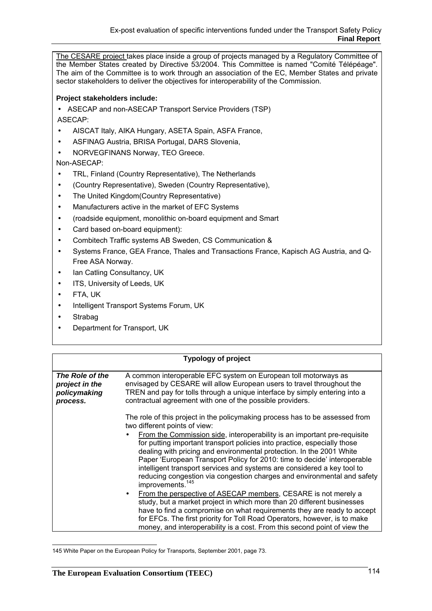The CESARE project takes place inside a group of projects managed by a Regulatory Committee of the Member States created by Directive 53/2004. This Committee is named "Comité Télépéage". The aim of the Committee is to work through an association of the EC, Member States and private sector stakeholders to deliver the objectives for interoperability of the Commission.

## **Project stakeholders include:**

• ASECAP and non-ASECAP Transport Service Providers (TSP)

ASECAP:

- AISCAT Italy, AIKA Hungary, ASETA Spain, ASFA France,
- ASFINAG Austria, BRISA Portugal, DARS Slovenia,
- NORVEGFINANS Norway, TEO Greece.

## Non-ASECAP:

- TRL, Finland (Country Representative), The Netherlands
- (Country Representative), Sweden (Country Representative),
- The United Kingdom (Country Representative)
- Manufacturers active in the market of EFC Systems
- (roadside equipment, monolithic on-board equipment and Smart
- Card based on-board equipment):
- Combitech Traffic systems AB Sweden, CS Communication &
- Systems France, GEA France, Thales and Transactions France, Kapisch AG Austria, and Q-Free ASA Norway.
- Ian Catling Consultancy, UK
- ITS, University of Leeds, UK
- FTA, UK
- Intelligent Transport Systems Forum, UK
- Strabag
- Department for Transport, UK

|                                                               | <b>Typology of project</b>                                                                                                                                                                                                                                                                                                                                                                                                                                                                                                                                                                                                                                                                                                                                                                                                                                                                                                       |
|---------------------------------------------------------------|----------------------------------------------------------------------------------------------------------------------------------------------------------------------------------------------------------------------------------------------------------------------------------------------------------------------------------------------------------------------------------------------------------------------------------------------------------------------------------------------------------------------------------------------------------------------------------------------------------------------------------------------------------------------------------------------------------------------------------------------------------------------------------------------------------------------------------------------------------------------------------------------------------------------------------|
| The Role of the<br>project in the<br>policymaking<br>process. | A common interoperable EFC system on European toll motorways as<br>envisaged by CESARE will allow European users to travel throughout the<br>TREN and pay for tolls through a unique interface by simply entering into a<br>contractual agreement with one of the possible providers.                                                                                                                                                                                                                                                                                                                                                                                                                                                                                                                                                                                                                                            |
|                                                               | The role of this project in the policymaking process has to be assessed from<br>two different points of view:<br>From the Commission side, interoperability is an important pre-requisite<br>for putting important transport policies into practice, especially those<br>dealing with pricing and environmental protection. In the 2001 White<br>Paper 'European Transport Policy for 2010: time to decide' interoperable<br>intelligent transport services and systems are considered a key tool to<br>reducing congestion via congestion charges and environmental and safety<br>improvements. <sup>145</sup><br>From the perspective of ASECAP members, CESARE is not merely a<br>$\bullet$<br>study, but a market project in which more than 20 different businesses<br>have to find a compromise on what requirements they are ready to accept<br>for EFCs. The first priority for Toll Road Operators, however, is to make |

 145 White Paper on the European Policy for Transports, September 2001, page 73.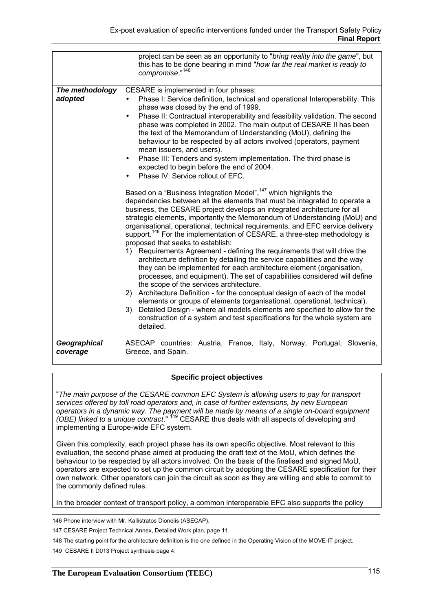|                            | project can be seen as an opportunity to "bring reality into the game", but<br>this has to be done bearing in mind "how far the real market is ready to<br>compromise."146                                                                                                                                                                                                                                                                                                                                                                                                                                                                                                                                                                                                                                                                                                                                                                                                                                                                                                                                                                                                                                                                                                                                                                                                                                                                                                                                                                                                                                                                                                                                                                                                                                                                                                                                |
|----------------------------|-----------------------------------------------------------------------------------------------------------------------------------------------------------------------------------------------------------------------------------------------------------------------------------------------------------------------------------------------------------------------------------------------------------------------------------------------------------------------------------------------------------------------------------------------------------------------------------------------------------------------------------------------------------------------------------------------------------------------------------------------------------------------------------------------------------------------------------------------------------------------------------------------------------------------------------------------------------------------------------------------------------------------------------------------------------------------------------------------------------------------------------------------------------------------------------------------------------------------------------------------------------------------------------------------------------------------------------------------------------------------------------------------------------------------------------------------------------------------------------------------------------------------------------------------------------------------------------------------------------------------------------------------------------------------------------------------------------------------------------------------------------------------------------------------------------------------------------------------------------------------------------------------------------|
| The methodology<br>adopted | CESARE is implemented in four phases:<br>Phase I: Service definition, technical and operational Interoperability. This<br>phase was closed by the end of 1999.<br>Phase II: Contractual interoperability and feasibility validation. The second<br>$\bullet$<br>phase was completed in 2002. The main output of CESARE II has been<br>the text of the Memorandum of Understanding (MoU), defining the<br>behaviour to be respected by all actors involved (operators, payment<br>mean issuers, and users).<br>Phase III: Tenders and system implementation. The third phase is<br>$\bullet$<br>expected to begin before the end of 2004.<br>Phase IV: Service rollout of EFC.<br>Based on a "Business Integration Model", <sup>147</sup> which highlights the<br>dependencies between all the elements that must be integrated to operate a<br>business, the CESARE project develops an integrated architecture for all<br>strategic elements, importantly the Memorandum of Understanding (MoU) and<br>organisational, operational, technical requirements, and EFC service delivery<br>support. <sup>148</sup> For the implementation of CESARE, a three-step methodology is<br>proposed that seeks to establish:<br>1) Requirements Agreement - defining the requirements that will drive the<br>architecture definition by detailing the service capabilities and the way<br>they can be implemented for each architecture element (organisation,<br>processes, and equipment). The set of capabilities considered will define<br>the scope of the services architecture.<br>2) Architecture Definition - for the conceptual design of each of the model<br>elements or groups of elements (organisational, operational, technical).<br>Detailed Design - where all models elements are specified to allow for the<br>3)<br>construction of a system and test specifications for the whole system are |
| Geographical<br>coverage   | detailed.<br>ASECAP countries: Austria, France, Italy, Norway, Portugal, Slovenia,<br>Greece, and Spain.                                                                                                                                                                                                                                                                                                                                                                                                                                                                                                                                                                                                                                                                                                                                                                                                                                                                                                                                                                                                                                                                                                                                                                                                                                                                                                                                                                                                                                                                                                                                                                                                                                                                                                                                                                                                  |

#### **Specific project objectives**

"*The main purpose of the CESARE common EFC System is allowing users to pay for transport services offered by toll road operators and, in case of further extensions, by new European operators in a dynamic way. The payment will be made by means of a single on-board equipment (OBE) linked to a unique contract*."<sup>149</sup> CESARE thus deals with all aspects of developing and implementing a Europe-wide EFC system.

Given this complexity, each project phase has its own specific objective. Most relevant to this evaluation, the second phase aimed at producing the draft text of the MoU, which defines the behaviour to be respected by all actors involved. On the basis of the finalised and signed MoU, operators are expected to set up the common circuit by adopting the CESARE specification for their own network. Other operators can join the circuit as soon as they are willing and able to commit to the commonly defined rules.

In the broader context of transport policy, a common interoperable EFC also supports the policy

146 Phone interview with Mr. Kallistratos Dionelis (ASECAP).

147 CESARE Project Technical Annex, Detailed Work plan, page 11.

148 The starting point for the architecture definition is the one defined in the Operating Vision of the MOVE-IT project.

149 CESARE II D013 Project synthesis page 4.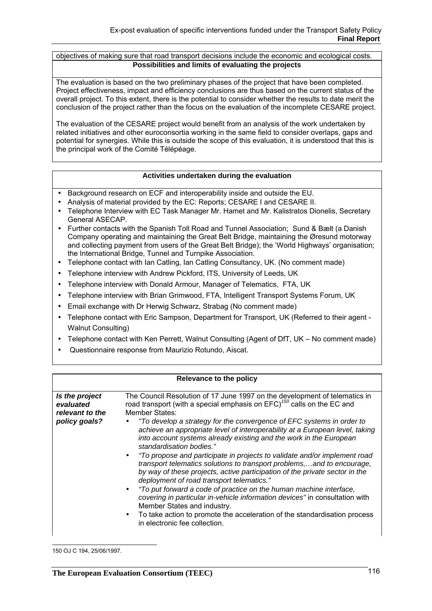objectives of making sure that road transport decisions include the economic and ecological costs. **Possibilities and limits of evaluating the projects** 

The evaluation is based on the two preliminary phases of the project that have been completed. Project effectiveness, impact and efficiency conclusions are thus based on the current status of the overall project. To this extent, there is the potential to consider whether the results to date merit the conclusion of the project rather than the focus on the evaluation of the incomplete CESARE project.

The evaluation of the CESARE project would benefit from an analysis of the work undertaken by related initiatives and other euroconsortia working in the same field to consider overlaps, gaps and potential for synergies. While this is outside the scope of this evaluation, it is understood that this is the principal work of the Comité Télépéage.

#### **Activities undertaken during the evaluation**

- Background research on ECF and interoperability inside and outside the EU.
- Analysis of material provided by the EC: Reports; CESARE I and CESARE II.
- Telephone Interview with EC Task Manager Mr. Hamet and Mr. Kalistratos Dionelis, Secretary General ASECAP.
- Further contacts with the Spanish Toll Road and Tunnel Association; Sund & Bælt (a Danish Company operating and maintaining the Great Belt Bridge, maintaining the Øresund motorway and collecting payment from users of the Great Belt Bridge); the 'World Highways' organisation; the International Bridge, Tunnel and Turnpike Association.
- Telephone contact with Ian Catling, Ian Catling Consultancy, UK. (No comment made)
- Telephone interview with Andrew Pickford, ITS, University of Leeds, UK
- Telephone interview with Donald Armour, Manager of Telematics, FTA, UK
- Telephone interview with Brian Grimwood, FTA, Intelligent Transport Systems Forum, UK
- Email exchange with Dr Herwig Schwarz, Strabag (No comment made)
- Telephone contact with Eric Sampson, Department for Transport, UK (Referred to their agent -Walnut Consulting)
- Telephone contact with Ken Perrett, Walnut Consulting (Agent of DfT, UK No comment made)
- Questionnaire response from Maurizio Rotundo, Aiscat.

| Relevance to the policy                                         |                                                                                                                                                                                                                                                                                                                                                                                                                                                                                                                                                                                                                                                                                                                                                                                                                                                                                                                                                                                                                                      |
|-----------------------------------------------------------------|--------------------------------------------------------------------------------------------------------------------------------------------------------------------------------------------------------------------------------------------------------------------------------------------------------------------------------------------------------------------------------------------------------------------------------------------------------------------------------------------------------------------------------------------------------------------------------------------------------------------------------------------------------------------------------------------------------------------------------------------------------------------------------------------------------------------------------------------------------------------------------------------------------------------------------------------------------------------------------------------------------------------------------------|
| Is the project<br>evaluated<br>relevant to the<br>policy goals? | The Council Resolution of 17 June 1997 on the development of telematics in<br>road transport (with a special emphasis on EFC) <sup>150</sup> calls on the EC and<br>Member States:<br>"To develop a strategy for the convergence of EFC systems in order to<br>achieve an appropriate level of interoperability at a European level, taking<br>into account systems already existing and the work in the European<br>standardisation bodies."<br>• "To propose and participate in projects to validate and/or implement road<br>transport telematics solutions to transport problems,and to encourage,<br>by way of these projects, active participation of the private sector in the<br>deployment of road transport telematics."<br>"To put forward a code of practice on the human machine interface,<br>covering in particular in-vehicle information devices" in consultation with<br>Member States and industry.<br>To take action to promote the acceleration of the standardisation process<br>in electronic fee collection. |

 150 OJ C 194, 25/06/1997.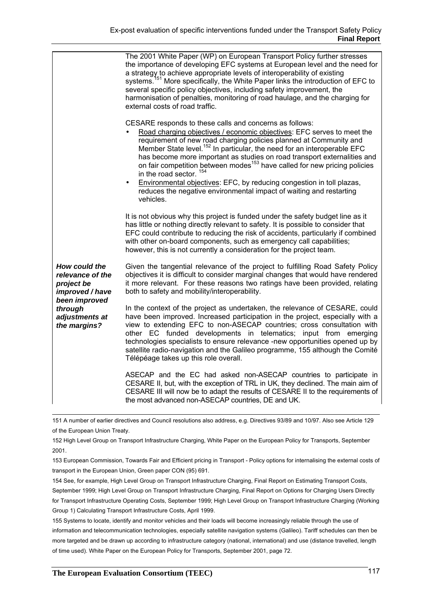|                                                                                                                                         | The 2001 White Paper (WP) on European Transport Policy further stresses<br>the importance of developing EFC systems at European level and the need for<br>a strategy to achieve appropriate levels of interoperability of existing<br>systems. <sup>151</sup> More specifically, the White Paper links the introduction of EFC to<br>several specific policy objectives, including safety improvement, the<br>harmonisation of penalties, monitoring of road haulage, and the charging for<br>external costs of road traffic.                                                                                                                                          |
|-----------------------------------------------------------------------------------------------------------------------------------------|------------------------------------------------------------------------------------------------------------------------------------------------------------------------------------------------------------------------------------------------------------------------------------------------------------------------------------------------------------------------------------------------------------------------------------------------------------------------------------------------------------------------------------------------------------------------------------------------------------------------------------------------------------------------|
|                                                                                                                                         | CESARE responds to these calls and concerns as follows:<br>Road charging objectives / economic objectives: EFC serves to meet the<br>requirement of new road charging policies planned at Community and<br>Member State level. <sup>152</sup> In particular, the need for an interoperable EFC<br>has become more important as studies on road transport externalities and<br>on fair competition between modes <sup>153</sup> have called for new pricing policies<br>in the road sector. <sup>154</sup><br>Environmental objectives: EFC, by reducing congestion in toll plazas,<br>$\bullet$<br>reduces the negative environmental impact of waiting and restarting |
|                                                                                                                                         | vehicles.<br>It is not obvious why this project is funded under the safety budget line as it<br>has little or nothing directly relevant to safety. It is possible to consider that<br>EFC could contribute to reducing the risk of accidents, particularly if combined<br>with other on-board components, such as emergency call capabilities;<br>however, this is not currently a consideration for the project team.                                                                                                                                                                                                                                                 |
| <b>How could the</b><br>relevance of the<br>project be<br>improved / have<br>been improved<br>through<br>adjustments at<br>the margins? | Given the tangential relevance of the project to fulfilling Road Safety Policy<br>objectives it is difficult to consider marginal changes that would have rendered<br>it more relevant. For these reasons two ratings have been provided, relating<br>both to safety and mobility/interoperability.                                                                                                                                                                                                                                                                                                                                                                    |
|                                                                                                                                         | In the context of the project as undertaken, the relevance of CESARE, could<br>have been improved. Increased participation in the project, especially with a<br>view to extending EFC to non-ASECAP countries; cross consultation with<br>other EC funded developments in telematics; input from emerging<br>technologies specialists to ensure relevance -new opportunities opened up by<br>satellite radio-navigation and the Galileo programme, 155 although the Comité<br>Télépéage takes up this role overall.                                                                                                                                                    |
|                                                                                                                                         | ASECAP and the EC had asked non-ASECAP countries to participate in<br>CESARE II, but, with the exception of TRL in UK, they declined. The main aim of<br>CESARE III will now be to adapt the results of CESARE II to the requirements of<br>the most advanced non-ASECAP countries, DE and UK.                                                                                                                                                                                                                                                                                                                                                                         |

 151 A number of earlier directives and Council resolutions also address, e.g. Directives 93/89 and 10/97. Also see Article 129 of the European Union Treaty.

152 High Level Group on Transport Infrastructure Charging, White Paper on the European Policy for Transports, September 2001.

153 European Commission, Towards Fair and Efficient pricing in Transport - Policy options for internalising the external costs of transport in the European Union, Green paper CON (95) 691.

154 See, for example, High Level Group on Transport Infrastructure Charging, Final Report on Estimating Transport Costs, September 1999; High Level Group on Transport Infrastructure Charging, Final Report on Options for Charging Users Directly for Transport Infrastructure Operating Costs, September 1999; High Level Group on Transport Infrastructure Charging (Working Group 1) Calculating Transport Infrastructure Costs, April 1999.

155 Systems to locate, identify and monitor vehicles and their loads will become increasingly reliable through the use of information and telecommunication technologies, especially satellite navigation systems (Galileo). Tariff schedules can then be more targeted and be drawn up according to infrastructure category (national, international) and use (distance travelled, length of time used). White Paper on the European Policy for Transports, September 2001, page 72.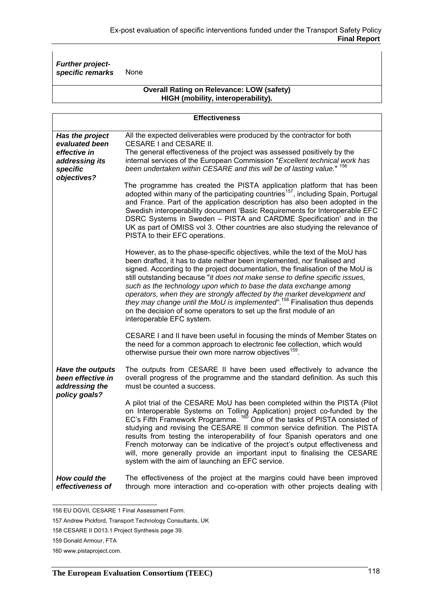*Further projectspecific remarks* None

#### **Overall Rating on Relevance: LOW (safety) HIGH (mobility, interoperability).**

| <b>Effectiveness</b>                                                                           |                                                                                                                                                                                                                                                                                                                                                                                                                                                                                                                                                                                                                                                                          |
|------------------------------------------------------------------------------------------------|--------------------------------------------------------------------------------------------------------------------------------------------------------------------------------------------------------------------------------------------------------------------------------------------------------------------------------------------------------------------------------------------------------------------------------------------------------------------------------------------------------------------------------------------------------------------------------------------------------------------------------------------------------------------------|
| Has the project<br>evaluated been<br>effective in<br>addressing its<br>specific<br>objectives? | All the expected deliverables were produced by the contractor for both<br>CESARE I and CESARE II.<br>The general effectiveness of the project was assessed positively by the<br>internal services of the European Commission "Excellent technical work has<br>been undertaken within CESARE and this will be of lasting value." <sup>156</sup>                                                                                                                                                                                                                                                                                                                           |
|                                                                                                | The programme has created the PISTA application platform that has been<br>adopted within many of the participating countries <sup>157</sup> , including Spain, Portugal<br>and France. Part of the application description has also been adopted in the<br>Swedish interoperability document 'Basic Requirements for Interoperable EFC<br>DSRC Systems in Sweden - PISTA and CARDME Specification' and in the<br>UK as part of OMISS vol 3. Other countries are also studying the relevance of<br>PISTA to their EFC operations.                                                                                                                                         |
|                                                                                                | However, as to the phase-specific objectives, while the text of the MoU has<br>been drafted, it has to date neither been implemented, nor finalised and<br>signed. According to the project documentation, the finalisation of the MoU is<br>still outstanding because "it does not make sense to define specific issues,<br>such as the technology upon which to base the data exchange among<br>operators, when they are strongly affected by the market development and<br>they may change until the MoU is implemented". <sup>158</sup> Finalisation thus depends<br>on the decision of some operators to set up the first module of an<br>interoperable EFC system. |
|                                                                                                | CESARE I and II have been useful in focusing the minds of Member States on<br>the need for a common approach to electronic fee collection, which would<br>otherwise pursue their own more narrow objectives <sup>159</sup> .                                                                                                                                                                                                                                                                                                                                                                                                                                             |
| Have the outputs<br>been effective in<br>addressing the<br>policy goals?                       | The outputs from CESARE II have been used effectively to advance the<br>overall progress of the programme and the standard definition. As such this<br>must be counted a success.                                                                                                                                                                                                                                                                                                                                                                                                                                                                                        |
|                                                                                                | A pilot trial of the CESARE MoU has been completed within the PISTA (Pilot<br>on Interoperable Systems on Tolling Application) project co-funded by the EC's Fifth Framework Programme. <sup>160</sup> One of the tasks of PISTA consisted of<br>studying and revising the CESARE II common service definition. The PISTA<br>results from testing the interoperability of four Spanish operators and one<br>French motorway can be indicative of the project's output effectiveness and<br>will, more generally provide an important input to finalising the CESARE<br>system with the aim of launching an EFC service.                                                  |
| How could the<br>effectiveness of                                                              | The effectiveness of the project at the margins could have been improved<br>through more interaction and co-operation with other projects dealing with                                                                                                                                                                                                                                                                                                                                                                                                                                                                                                                   |

 156 EU DGVII, CESARE 1 Final Assessment Form.

<sup>157</sup> Andrew Pickford, Transport Technology Consultants, UK

<sup>158</sup> CESARE II D013.1 Project Synthesis page 39.

<sup>159</sup> Donald Armour, FTA

<sup>160</sup> www.pistaproject.com.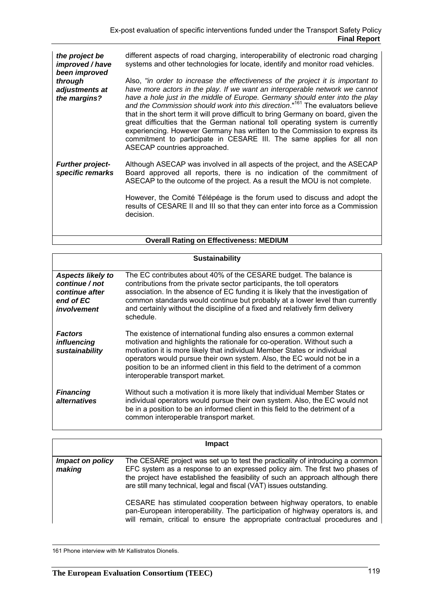*the project be improved / have been improved through adjustments at the margins?*  different aspects of road charging, interoperability of electronic road charging systems and other technologies for locate, identify and monitor road vehicles. Also, *"in order to increase the effectiveness of the project it is important to have more actors in the play. If we want an interoperable network we cannot have a hole just in the middle of Europe. Germany should enter into the play and the Commission should work into this direction*."161 The evaluators believe that in the short term it will prove difficult to bring Germany on board, given the great difficulties that the German national toll operating system is currently experiencing. However Germany has written to the Commission to express its commitment to participate in CESARE III. The same applies for all non ASECAP countries approached. *Further projectspecific remarks*  Although ASECAP was involved in all aspects of the project, and the ASECAP Board approved all reports, there is no indication of the commitment of ASECAP to the outcome of the project. As a result the MOU is not complete. However, the Comité Télépéage is the forum used to discuss and adopt the results of CESARE II and III so that they can enter into force as a Commission decision.

#### **Overall Rating on Effectiveness: MEDIUM**

| <b>Sustainability</b>                                                                    |                                                                                                                                                                                                                                                                                                                                                                                                                             |  |
|------------------------------------------------------------------------------------------|-----------------------------------------------------------------------------------------------------------------------------------------------------------------------------------------------------------------------------------------------------------------------------------------------------------------------------------------------------------------------------------------------------------------------------|--|
| <b>Aspects likely to</b><br>continue / not<br>continue after<br>end of EC<br>involvement | The EC contributes about 40% of the CESARE budget. The balance is<br>contributions from the private sector participants, the toll operators<br>association. In the absence of EC funding it is likely that the investigation of<br>common standards would continue but probably at a lower level than currently<br>and certainly without the discipline of a fixed and relatively firm delivery<br>schedule.                |  |
| <b>Factors</b><br><i>influencing</i><br>sustainability                                   | The existence of international funding also ensures a common external<br>motivation and highlights the rationale for co-operation. Without such a<br>motivation it is more likely that individual Member States or individual<br>operators would pursue their own system. Also, the EC would not be in a<br>position to be an informed client in this field to the detriment of a common<br>interoperable transport market. |  |
| <b>Financing</b><br><i>alternatives</i>                                                  | Without such a motivation it is more likely that individual Member States or<br>individual operators would pursue their own system. Also, the EC would not<br>be in a position to be an informed client in this field to the detriment of a<br>common interoperable transport market.                                                                                                                                       |  |

|                            | Impact                                                                                                                                                                                                                                                                                                                    |
|----------------------------|---------------------------------------------------------------------------------------------------------------------------------------------------------------------------------------------------------------------------------------------------------------------------------------------------------------------------|
| Impact on policy<br>making | The CESARE project was set up to test the practicality of introducing a common<br>EFC system as a response to an expressed policy aim. The first two phases of<br>the project have established the feasibility of such an approach although there<br>are still many technical, legal and fiscal (VAT) issues outstanding. |
|                            | CESARE has stimulated cooperation between highway operators, to enable<br>pan-European interoperability. The participation of highway operators is, and<br>will remain, critical to ensure the appropriate contractual procedures and                                                                                     |

 <sup>161</sup> Phone interview with Mr Kallistratos Dionelis.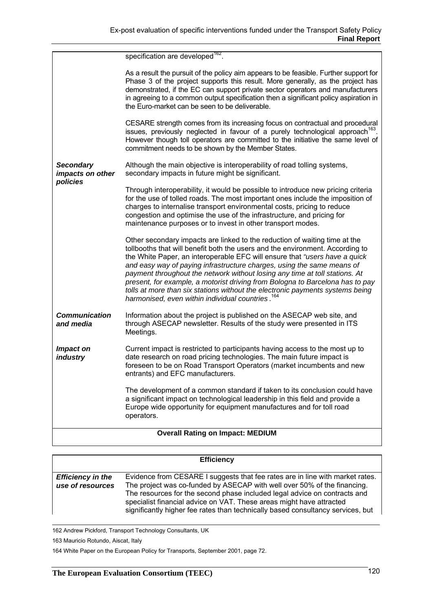|                                      | foreseen to be on Road Transport Operators (market incumbents and new<br>entrants) and EFC manufacturers.<br>The development of a common standard if taken to its conclusion could have                                                                                                                                                                                                                                                                                                                                                                                                                                              |
|--------------------------------------|--------------------------------------------------------------------------------------------------------------------------------------------------------------------------------------------------------------------------------------------------------------------------------------------------------------------------------------------------------------------------------------------------------------------------------------------------------------------------------------------------------------------------------------------------------------------------------------------------------------------------------------|
| and media<br>Impact on<br>industry   | through ASECAP newsletter. Results of the study were presented in ITS<br>Meetings.<br>Current impact is restricted to participants having access to the most up to<br>date research on road pricing technologies. The main future impact is                                                                                                                                                                                                                                                                                                                                                                                          |
| <b>Communication</b>                 | Information about the project is published on the ASECAP web site, and                                                                                                                                                                                                                                                                                                                                                                                                                                                                                                                                                               |
|                                      | Other secondary impacts are linked to the reduction of waiting time at the<br>tollbooths that will benefit both the users and the environment. According to<br>the White Paper, an interoperable EFC will ensure that "users have a quick<br>and easy way of paying infrastructure charges, using the same means of<br>payment throughout the network without losing any time at toll stations. At<br>present, for example, a motorist driving from Bologna to Barcelona has to pay<br>tolls at more than six stations without the electronic payments systems being<br>harmonised, even within individual countries. <sup>164</sup> |
| policies                             | Through interoperability, it would be possible to introduce new pricing criteria<br>for the use of tolled roads. The most important ones include the imposition of<br>charges to internalise transport environmental costs, pricing to reduce<br>congestion and optimise the use of the infrastructure, and pricing for<br>maintenance purposes or to invest in other transport modes.                                                                                                                                                                                                                                               |
| <b>Secondary</b><br>impacts on other | Although the main objective is interoperability of road tolling systems,<br>secondary impacts in future might be significant.                                                                                                                                                                                                                                                                                                                                                                                                                                                                                                        |
|                                      | CESARE strength comes from its increasing focus on contractual and procedural<br>issues, previously neglected in favour of a purely technological approach <sup>163</sup> .<br>However though toll operators are committed to the initiative the same level of<br>commitment needs to be shown by the Member States.                                                                                                                                                                                                                                                                                                                 |
|                                      | As a result the pursuit of the policy aim appears to be feasible. Further support for<br>Phase 3 of the project supports this result. More generally, as the project has<br>demonstrated, if the EC can support private sector operators and manufacturers<br>in agreeing to a common output specification then a significant policy aspiration in<br>the Euro-market can be seen to be deliverable.                                                                                                                                                                                                                                 |
|                                      | specification are developed <sup>162</sup> .                                                                                                                                                                                                                                                                                                                                                                                                                                                                                                                                                                                         |

|                                              | <b>Efficiency</b>                                                                                                                                                                                                                                                                                                                                                                                 |
|----------------------------------------------|---------------------------------------------------------------------------------------------------------------------------------------------------------------------------------------------------------------------------------------------------------------------------------------------------------------------------------------------------------------------------------------------------|
| <b>Efficiency in the</b><br>use of resources | Evidence from CESARE I suggests that fee rates are in line with market rates.<br>The project was co-funded by ASECAP with well over 50% of the financing.<br>The resources for the second phase included legal advice on contracts and<br>specialist financial advice on VAT. These areas might have attracted<br>significantly higher fee rates than technically based consultancy services, but |

162 Andrew Pickford, Transport Technology Consultants, UK

163 Mauricio Rotundo, Aiscat, Italy

164 White Paper on the European Policy for Transports, September 2001, page 72.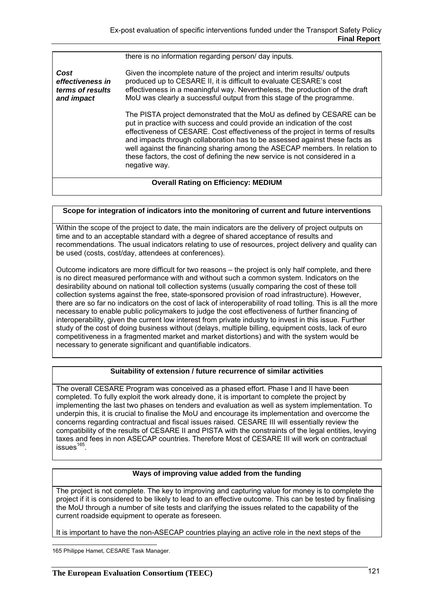there is no information regarding person/ day inputs.

*Cost effectiveness in terms of results and impact*  Given the incomplete nature of the project and interim results/ outputs produced up to CESARE II, it is difficult to evaluate CESARE's cost effectiveness in a meaningful way. Nevertheless, the production of the draft MoU was clearly a successful output from this stage of the programme. The PISTA project demonstrated that the MoU as defined by CESARE can be put in practice with success and could provide an indication of the cost effectiveness of CESARE. Cost effectiveness of the project in terms of results and impacts through collaboration has to be assessed against these facts as well against the financing sharing among the ASECAP members. In relation to these factors, the cost of defining the new service is not considered in a negative way. **Overall Rating on Efficiency: MEDIUM** 

#### **Scope for integration of indicators into the monitoring of current and future interventions**

Within the scope of the project to date, the main indicators are the delivery of project outputs on time and to an acceptable standard with a degree of shared acceptance of results and recommendations. The usual indicators relating to use of resources, project delivery and quality can be used (costs, cost/day, attendees at conferences).

Outcome indicators are more difficult for two reasons – the project is only half complete, and there is no direct measured performance with and without such a common system. Indicators on the desirability abound on national toll collection systems (usually comparing the cost of these toll collection systems against the free, state-sponsored provision of road infrastructure). However, there are so far no indicators on the cost of lack of interoperability of road tolling. This is all the more necessary to enable public policymakers to judge the cost effectiveness of further financing of interoperability, given the current low interest from private industry to invest in this issue. Further study of the cost of doing business without (delays, multiple billing, equipment costs, lack of euro competitiveness in a fragmented market and market distortions) and with the system would be necessary to generate significant and quantifiable indicators.

#### **Suitability of extension / future recurrence of similar activities**

The overall CESARE Program was conceived as a phased effort. Phase I and II have been completed. To fully exploit the work already done, it is important to complete the project by implementing the last two phases on tenders and evaluation as well as system implementation. To underpin this, it is crucial to finalise the MoU and encourage its implementation and overcome the concerns regarding contractual and fiscal issues raised. CESARE III will essentially review the compatibility of the results of CESARE II and PISTA with the constraints of the legal entities, levying taxes and fees in non ASECAP countries. Therefore Most of CESARE III will work on contractual  $issues<sup>165</sup>$ .

#### **Ways of improving value added from the funding**

The project is not complete. The key to improving and capturing value for money is to complete the project if it is considered to be likely to lead to an effective outcome. This can be tested by finalising the MoU through a number of site tests and clarifying the issues related to the capability of the current roadside equipment to operate as foreseen.

It is important to have the non-ASECAP countries playing an active role in the next steps of the

165 Philippe Hamet, CESARE Task Manager.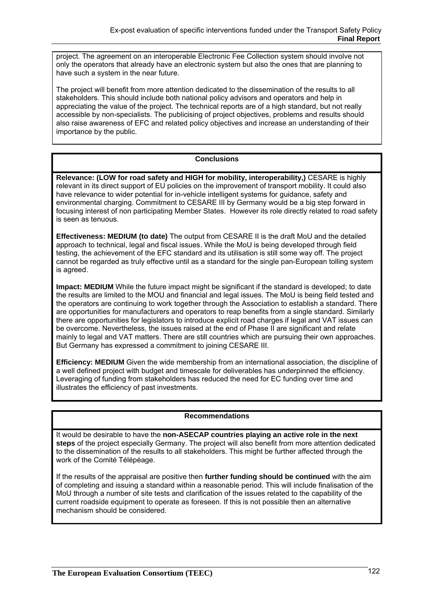project. The agreement on an interoperable Electronic Fee Collection system should involve not only the operators that already have an electronic system but also the ones that are planning to have such a system in the near future.

The project will benefit from more attention dedicated to the dissemination of the results to all stakeholders. This should include both national policy advisors and operators and help in appreciating the value of the project. The technical reports are of a high standard, but not really accessible by non-specialists. The publicising of project objectives, problems and results should also raise awareness of EFC and related policy objectives and increase an understanding of their importance by the public.

## **Conclusions**

**Relevance: (LOW for road safety and HIGH for mobility, interoperability,)** CESARE is highly relevant in its direct support of EU policies on the improvement of transport mobility. It could also have relevance to wider potential for in-vehicle intelligent systems for guidance, safety and environmental charging. Commitment to CESARE III by Germany would be a big step forward in focusing interest of non participating Member States. However its role directly related to road safety is seen as tenuous.

**Effectiveness: MEDIUM (to date)** The output from CESARE II is the draft MoU and the detailed approach to technical, legal and fiscal issues. While the MoU is being developed through field testing, the achievement of the EFC standard and its utilisation is still some way off. The project cannot be regarded as truly effective until as a standard for the single pan-European tolling system is agreed.

**Impact: MEDIUM** While the future impact might be significant if the standard is developed; to date the results are limited to the MOU and financial and legal issues. The MoU is being field tested and the operators are continuing to work together through the Association to establish a standard. There are opportunities for manufacturers and operators to reap benefits from a single standard. Similarly there are opportunities for legislators to introduce explicit road charges if legal and VAT issues can be overcome. Nevertheless, the issues raised at the end of Phase II are significant and relate mainly to legal and VAT matters. There are still countries which are pursuing their own approaches. But Germany has expressed a commitment to joining CESARE III.

**Efficiency: MEDIUM** Given the wide membership from an international association, the discipline of a well defined project with budget and timescale for deliverables has underpinned the efficiency. Leveraging of funding from stakeholders has reduced the need for EC funding over time and illustrates the efficiency of past investments.

## **Recommendations**

It would be desirable to have the **non-ASECAP countries playing an active role in the next steps** of the project especially Germany. The project will also benefit from more attention dedicated to the dissemination of the results to all stakeholders. This might be further affected through the work of the Comité Télépéage.

If the results of the appraisal are positive then **further funding should be continued** with the aim of completing and issuing a standard within a reasonable period. This will include finalisation of the MoU through a number of site tests and clarification of the issues related to the capability of the current roadside equipment to operate as foreseen. If this is not possible then an alternative mechanism should be considered.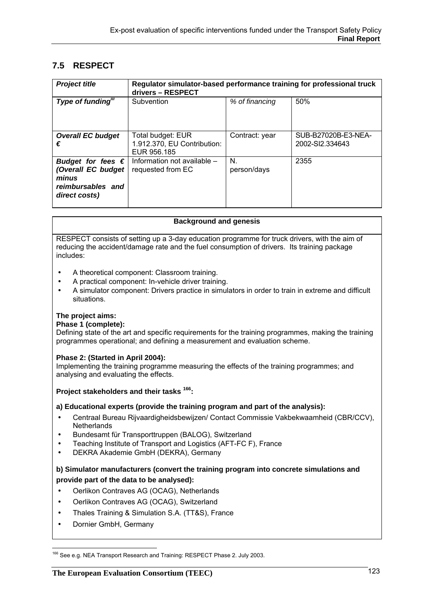# **7.5 RESPECT**

| <b>Project title</b>                                                                            | Regulator simulator-based performance training for professional truck<br>drivers - RESPECT |                   |                                        |
|-------------------------------------------------------------------------------------------------|--------------------------------------------------------------------------------------------|-------------------|----------------------------------------|
| Type of funding"                                                                                | Subvention                                                                                 | % of financing    | 50%                                    |
| <b>Overall EC budget</b><br>€                                                                   | Total budget: EUR<br>1.912.370, EU Contribution:<br>EUR 956.185                            | Contract: year    | SUB-B27020B-E3-NEA-<br>2002-SI2.334643 |
| Budget for fees $\epsilon$<br>(Overall EC budget<br>minus<br>reimbursables and<br>direct costs) | Information not available -<br>requested from EC                                           | N.<br>person/days | 2355                                   |

#### **Background and genesis**

RESPECT consists of setting up a 3-day education programme for truck drivers, with the aim of reducing the accident/damage rate and the fuel consumption of drivers. Its training package includes:

- A theoretical component: Classroom training.
- A practical component: In-vehicle driver training.
- A simulator component: Drivers practice in simulators in order to train in extreme and difficult situations.

#### **The project aims:**

#### **Phase 1 (complete):**

Defining state of the art and specific requirements for the training programmes, making the training programmes operational; and defining a measurement and evaluation scheme.

#### **Phase 2: (Started in April 2004):**

Implementing the training programme measuring the effects of the training programmes; and analysing and evaluating the effects.

## **Project stakeholders and their tasks 166:**

#### **a) Educational experts (provide the training program and part of the analysis):**

- Centraal Bureau Rijvaardigheidsbewijzen/ Contact Commissie Vakbekwaamheid (CBR/CCV), **Netherlands**
- Bundesamt für Transporttruppen (BALOG), Switzerland
- Teaching Institute of Transport and Logistics (AFT-FC F), France
- DEKRA Akademie GmbH (DEKRA), Germany

## **b) Simulator manufacturers (convert the training program into concrete simulations and provide part of the data to be analysed):**

- Oerlikon Contraves AG (OCAG), Netherlands
- Oerlikon Contraves AG (OCAG), Switzerland
- Thales Training & Simulation S.A. (TT&S), France
- Dornier GmbH, Germany

 $\overline{a}$ <sup>166</sup> See e.g. NEA Transport Research and Training: RESPECT Phase 2. July 2003.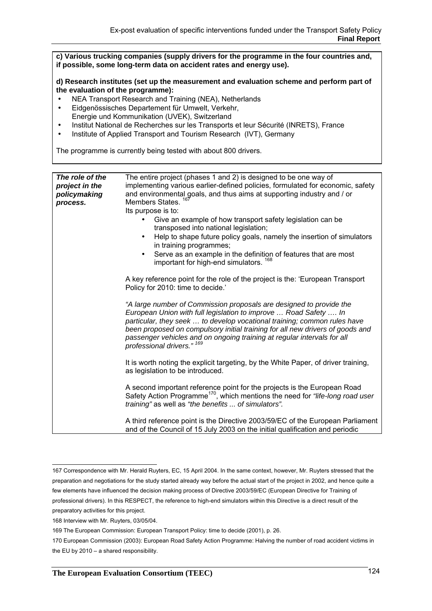**c) Various trucking companies (supply drivers for the programme in the four countries and, if possible, some long-term data on accident rates and energy use).** 

**d) Research institutes (set up the measurement and evaluation scheme and perform part of the evaluation of the programme):** 

- NEA Transport Research and Training (NEA), Netherlands
- Eidgenössisches Departement für Umwelt, Verkehr, Energie und Kommunikation (UVEK), Switzerland
- Institut National de Recherches sur les Transports et leur Sécurité (INRETS), France
- Institute of Applied Transport and Tourism Research (IVT), Germany

The programme is currently being tested with about 800 drivers.

| The role of the<br>project in the<br>policymaking<br>process. | The entire project (phases 1 and 2) is designed to be one way of<br>implementing various earlier-defined policies, formulated for economic, safety<br>and environmental goals, and thus aims at supporting industry and / or<br>Members States. <sup>16</sup><br>Its purpose is to:<br>Give an example of how transport safety legislation can be<br>transposed into national legislation;<br>Help to shape future policy goals, namely the insertion of simulators<br>$\bullet$<br>in training programmes;<br>Serve as an example in the definition of features that are most<br>$\bullet$<br>important for high-end simulators. 168 |
|---------------------------------------------------------------|---------------------------------------------------------------------------------------------------------------------------------------------------------------------------------------------------------------------------------------------------------------------------------------------------------------------------------------------------------------------------------------------------------------------------------------------------------------------------------------------------------------------------------------------------------------------------------------------------------------------------------------|
|                                                               | A key reference point for the role of the project is the: 'European Transport'<br>Policy for 2010: time to decide.'                                                                                                                                                                                                                                                                                                                                                                                                                                                                                                                   |
|                                                               | "A large number of Commission proposals are designed to provide the<br>European Union with full legislation to improve  Road Safety  In<br>particular, they seek  to develop vocational training; common rules have<br>been proposed on compulsory initial training for all new drivers of goods and<br>passenger vehicles and on ongoing training at regular intervals for all<br>professional drivers." 169                                                                                                                                                                                                                         |
|                                                               | It is worth noting the explicit targeting, by the White Paper, of driver training,<br>as legislation to be introduced.                                                                                                                                                                                                                                                                                                                                                                                                                                                                                                                |
|                                                               | A second important reference point for the projects is the European Road<br>Safety Action Programme <sup>170</sup> , which mentions the need for "life-long road user<br>training" as well as "the benefits  of simulators".                                                                                                                                                                                                                                                                                                                                                                                                          |
|                                                               | A third reference point is the Directive 2003/59/EC of the European Parliament<br>and of the Council of 15 July 2003 on the initial qualification and periodic                                                                                                                                                                                                                                                                                                                                                                                                                                                                        |

 167 Correspondence with Mr. Herald Ruyters, EC, 15 April 2004. In the same context, however, Mr. Ruyters stressed that the preparation and negotiations for the study started already way before the actual start of the project in 2002, and hence quite a few elements have influenced the decision making process of Directive 2003/59/EC (European Directive for Training of professional drivers). In this RESPECT, the reference to high-end simulators within this Directive is a direct result of the preparatory activities for this project.

168 Interview with Mr. Ruyters, 03/05/04.

<sup>169</sup> The European Commission: European Transport Policy: time to decide (2001), p. 26.

<sup>170</sup> European Commission (2003): European Road Safety Action Programme: Halving the number of road accident victims in the EU by 2010 – a shared responsibility.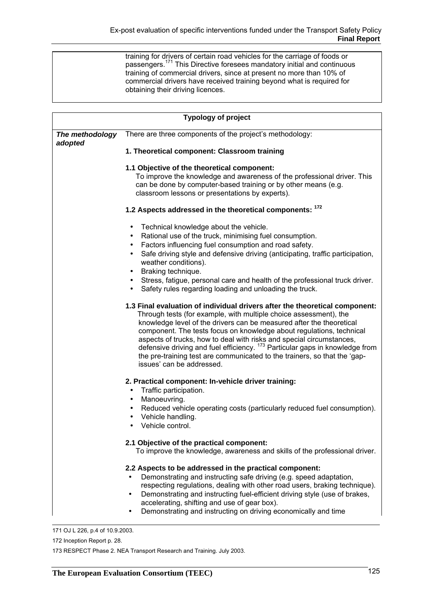training for drivers of certain road vehicles for the carriage of foods or passengers.171 This Directive foresees mandatory initial and continuous training of commercial drivers, since at present no more than 10% of commercial drivers have received training beyond what is required for obtaining their driving licences.

| <b>Typology of project</b> |                                                                                                                                                                                                                                                                                                                                                                                                                                                                                                                                                                               |  |
|----------------------------|-------------------------------------------------------------------------------------------------------------------------------------------------------------------------------------------------------------------------------------------------------------------------------------------------------------------------------------------------------------------------------------------------------------------------------------------------------------------------------------------------------------------------------------------------------------------------------|--|
| The methodology<br>adopted | There are three components of the project's methodology:                                                                                                                                                                                                                                                                                                                                                                                                                                                                                                                      |  |
|                            | 1. Theoretical component: Classroom training                                                                                                                                                                                                                                                                                                                                                                                                                                                                                                                                  |  |
|                            | 1.1 Objective of the theoretical component:<br>To improve the knowledge and awareness of the professional driver. This<br>can be done by computer-based training or by other means (e.g.<br>classroom lessons or presentations by experts).                                                                                                                                                                                                                                                                                                                                   |  |
|                            | 1.2 Aspects addressed in the theoretical components: 172                                                                                                                                                                                                                                                                                                                                                                                                                                                                                                                      |  |
|                            | Technical knowledge about the vehicle.<br>Rational use of the truck, minimising fuel consumption.<br>$\bullet$<br>Factors influencing fuel consumption and road safety.<br>$\bullet$<br>Safe driving style and defensive driving (anticipating, traffic participation,<br>weather conditions).<br>Braking technique.<br>$\bullet$<br>Stress, fatigue, personal care and health of the professional truck driver.<br>Safety rules regarding loading and unloading the truck.                                                                                                   |  |
|                            | 1.3 Final evaluation of individual drivers after the theoretical component:<br>Through tests (for example, with multiple choice assessment), the<br>knowledge level of the drivers can be measured after the theoretical<br>component. The tests focus on knowledge about regulations, technical<br>aspects of trucks, how to deal with risks and special circumstances,<br>defensive driving and fuel efficiency. <sup>173</sup> Particular gaps in knowledge from<br>the pre-training test are communicated to the trainers, so that the 'gap-<br>issues' can be addressed. |  |
|                            | 2. Practical component: In-vehicle driver training:<br>Traffic participation.<br>Manoeuvring.<br>Reduced vehicle operating costs (particularly reduced fuel consumption).<br>Vehicle handling.<br>Vehicle control.                                                                                                                                                                                                                                                                                                                                                            |  |
|                            | 2.1 Objective of the practical component:<br>To improve the knowledge, awareness and skills of the professional driver.                                                                                                                                                                                                                                                                                                                                                                                                                                                       |  |
|                            | 2.2 Aspects to be addressed in the practical component:<br>Demonstrating and instructing safe driving (e.g. speed adaptation,<br>respecting regulations, dealing with other road users, braking technique).<br>Demonstrating and instructing fuel-efficient driving style (use of brakes,<br>accelerating, shifting and use of gear box).<br>Demonstrating and instructing on driving economically and time                                                                                                                                                                   |  |

171 OJ L 226, p.4 of 10.9.2003.

172 Inception Report p. 28.

173 RESPECT Phase 2. NEA Transport Research and Training. July 2003.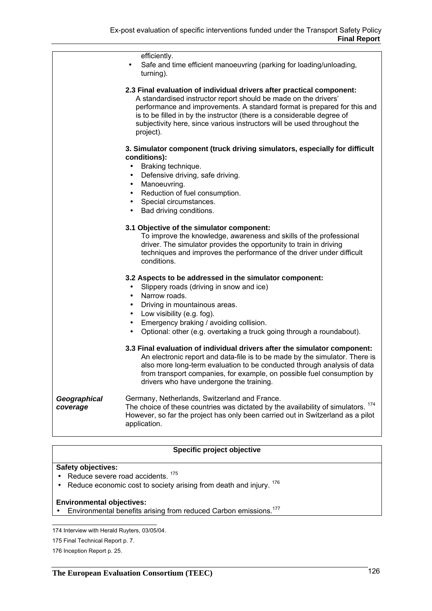|                          | efficiently.<br>Safe and time efficient manoeuvring (parking for loading/unloading,<br>turning).                                                                                                                                                                                                                                                                                         |
|--------------------------|------------------------------------------------------------------------------------------------------------------------------------------------------------------------------------------------------------------------------------------------------------------------------------------------------------------------------------------------------------------------------------------|
|                          | 2.3 Final evaluation of individual drivers after practical component:<br>A standardised instructor report should be made on the drivers'<br>performance and improvements. A standard format is prepared for this and<br>is to be filled in by the instructor (there is a considerable degree of<br>subjectivity here, since various instructors will be used throughout the<br>project). |
|                          | 3. Simulator component (truck driving simulators, especially for difficult<br>conditions):<br>Braking technique.<br>Defensive driving, safe driving.<br>$\bullet$<br>Manoeuvring.<br>٠<br>Reduction of fuel consumption.<br>$\bullet$<br>Special circumstances.<br>$\bullet$<br>Bad driving conditions.<br>$\bullet$                                                                     |
|                          | 3.1 Objective of the simulator component:<br>To improve the knowledge, awareness and skills of the professional<br>driver. The simulator provides the opportunity to train in driving<br>techniques and improves the performance of the driver under difficult<br>conditions.                                                                                                            |
|                          | 3.2 Aspects to be addressed in the simulator component:<br>Slippery roads (driving in snow and ice)<br>Narrow roads.<br>$\bullet$<br>Driving in mountainous areas.<br>Low visibility (e.g. fog).<br>Emergency braking / avoiding collision.<br>Optional: other (e.g. overtaking a truck going through a roundabout).                                                                     |
|                          | 3.3 Final evaluation of individual drivers after the simulator component:<br>An electronic report and data-file is to be made by the simulator. There is<br>also more long-term evaluation to be conducted through analysis of data<br>from transport companies, for example, on possible fuel consumption by<br>drivers who have undergone the training.                                |
| Geographical<br>coverage | Germany, Netherlands, Switzerland and France.<br>The choice of these countries was dictated by the availability of simulators. 174<br>However, so far the project has only been carried out in Switzerland as a pilot<br>application.                                                                                                                                                    |

## **Specific project objective**

#### **Safety objectives:**

- Reduce severe road accidents.<sup>175</sup>
- Reduce economic cost to society arising from death and injury.<sup>176</sup>

#### **Environmental objectives:**

• Environmental benefits arising from reduced Carbon emissions.<sup>177</sup>

 174 Interview with Herald Ruyters, 03/05/04.

<sup>175</sup> Final Technical Report p. 7.

<sup>176</sup> Inception Report p. 25.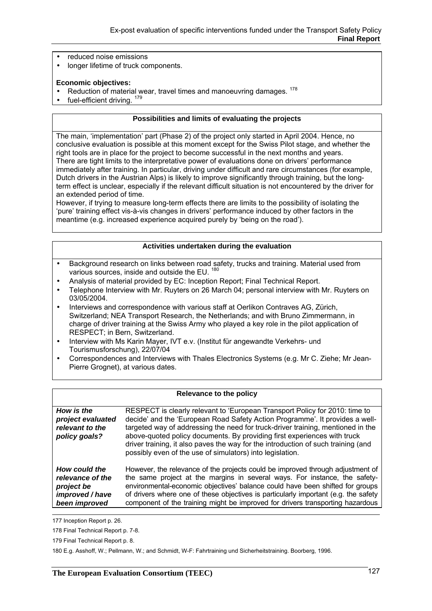- reduced noise emissions
- longer lifetime of truck components.

#### **Economic objectives:**

- Reduction of material wear, travel times and manoeuvring damages. <sup>178</sup>
- fuel-efficient driving. 179

#### **Possibilities and limits of evaluating the projects**

The main, 'implementation' part (Phase 2) of the project only started in April 2004. Hence, no conclusive evaluation is possible at this moment except for the Swiss Pilot stage, and whether the right tools are in place for the project to become successful in the next months and years. There are tight limits to the interpretative power of evaluations done on drivers' performance immediately after training. In particular, driving under difficult and rare circumstances (for example, Dutch drivers in the Austrian Alps) is likely to improve significantly through training, but the longterm effect is unclear, especially if the relevant difficult situation is not encountered by the driver for an extended period of time.

However, if trying to measure long-term effects there are limits to the possibility of isolating the 'pure' training effect vis-à-vis changes in drivers' performance induced by other factors in the meantime (e.g. increased experience acquired purely by 'being on the road').

#### **Activities undertaken during the evaluation**

- Background research on links between road safety, trucks and training. Material used from various sources, inside and outside the EU.<sup>180</sup>
- Analysis of material provided by EC: Inception Report; Final Technical Report.
- Telephone Interview with Mr. Ruyters on 26 March 04; personal interview with Mr. Ruyters on 03/05/2004.
- Interviews and correspondence with various staff at Oerlikon Contraves AG, Zürich, Switzerland; NEA Transport Research, the Netherlands; and with Bruno Zimmermann, in charge of driver training at the Swiss Army who played a key role in the pilot application of RESPECT; in Bern, Switzerland.
- Interview with Ms Karin Mayer, IVT e.v. (Institut für angewandte Verkehrs- und Tourismusforschung), 22/07/04
- Correspondences and Interviews with Thales Electronics Systems (e.g. Mr C. Ziehe; Mr Jean-Pierre Grognet), at various dates.

#### **Relevance to the policy**

| <b>How is the</b><br>project evaluated<br>relevant to the<br>policy goals? | RESPECT is clearly relevant to 'European Transport Policy for 2010: time to<br>decide' and the 'European Road Safety Action Programme'. It provides a well-<br>targeted way of addressing the need for truck-driver training, mentioned in the<br>above-quoted policy documents. By providing first experiences with truck<br>driver training, it also paves the way for the introduction of such training (and<br>possibly even of the use of simulators) into legislation. |
|----------------------------------------------------------------------------|------------------------------------------------------------------------------------------------------------------------------------------------------------------------------------------------------------------------------------------------------------------------------------------------------------------------------------------------------------------------------------------------------------------------------------------------------------------------------|
| How could the<br>relevance of the<br>project be<br>improved / have         | However, the relevance of the projects could be improved through adjustment of<br>the same project at the margins in several ways. For instance, the safety-<br>environmental-economic objectives' balance could have been shifted for groups<br>of drivers where one of these objectives is particularly important (e.g. the safety                                                                                                                                         |

component of the training might be improved for drivers transporting hazardous

177 Inception Report p. 26.

*been improved* 

- 178 Final Technical Report p. 7-8.
- 179 Final Technical Report p. 8.

180 E.g. Asshoff, W.; Pellmann, W.; and Schmidt, W-F: Fahrtraining und Sicherheitstraining. Boorberg, 1996.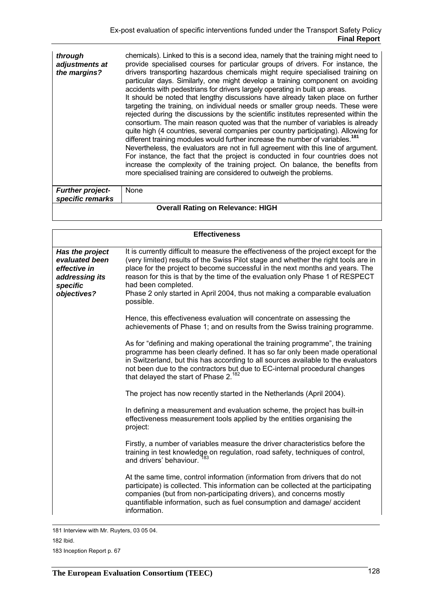| through<br>adjustments at<br>the margins?   | chemicals). Linked to this is a second idea, namely that the training might need to<br>provide specialised courses for particular groups of drivers. For instance, the<br>drivers transporting hazardous chemicals might require specialised training on<br>particular days. Similarly, one might develop a training component on avoiding<br>accidents with pedestrians for drivers largely operating in built up areas.<br>It should be noted that lengthy discussions have already taken place on further<br>targeting the training, on individual needs or smaller group needs. These were<br>rejected during the discussions by the scientific institutes represented within the<br>consortium. The main reason quoted was that the number of variables is already<br>quite high (4 countries, several companies per country participating). Allowing for<br>different training modules would further increase the number of variables. <sup>181</sup><br>Nevertheless, the evaluators are not in full agreement with this line of argument.<br>For instance, the fact that the project is conducted in four countries does not<br>increase the complexity of the training project. On balance, the benefits from<br>more specialised training are considered to outweigh the problems. |
|---------------------------------------------|----------------------------------------------------------------------------------------------------------------------------------------------------------------------------------------------------------------------------------------------------------------------------------------------------------------------------------------------------------------------------------------------------------------------------------------------------------------------------------------------------------------------------------------------------------------------------------------------------------------------------------------------------------------------------------------------------------------------------------------------------------------------------------------------------------------------------------------------------------------------------------------------------------------------------------------------------------------------------------------------------------------------------------------------------------------------------------------------------------------------------------------------------------------------------------------------------------------------------------------------------------------------------------------------|
| <b>Further project-</b><br>specific remarks | None                                                                                                                                                                                                                                                                                                                                                                                                                                                                                                                                                                                                                                                                                                                                                                                                                                                                                                                                                                                                                                                                                                                                                                                                                                                                                         |

| <b>Overall Rating on Relevance: HIGH</b> |  |
|------------------------------------------|--|
|                                          |  |

| <b>Effectiveness</b>                                                                           |                                                                                                                                                                                                                                                                                                                                                                                                                                                                |  |
|------------------------------------------------------------------------------------------------|----------------------------------------------------------------------------------------------------------------------------------------------------------------------------------------------------------------------------------------------------------------------------------------------------------------------------------------------------------------------------------------------------------------------------------------------------------------|--|
| Has the project<br>evaluated been<br>effective in<br>addressing its<br>specific<br>objectives? | It is currently difficult to measure the effectiveness of the project except for the<br>(very limited) results of the Swiss Pilot stage and whether the right tools are in<br>place for the project to become successful in the next months and years. The<br>reason for this is that by the time of the evaluation only Phase 1 of RESPECT<br>had been completed.<br>Phase 2 only started in April 2004, thus not making a comparable evaluation<br>possible. |  |
|                                                                                                | Hence, this effectiveness evaluation will concentrate on assessing the<br>achievements of Phase 1; and on results from the Swiss training programme.                                                                                                                                                                                                                                                                                                           |  |
|                                                                                                | As for "defining and making operational the training programme", the training<br>programme has been clearly defined. It has so far only been made operational<br>in Switzerland, but this has according to all sources available to the evaluators<br>not been due to the contractors but due to EC-internal procedural changes<br>that delayed the start of Phase 2. <sup>182</sup>                                                                           |  |
|                                                                                                | The project has now recently started in the Netherlands (April 2004).                                                                                                                                                                                                                                                                                                                                                                                          |  |
|                                                                                                | In defining a measurement and evaluation scheme, the project has built-in<br>effectiveness measurement tools applied by the entities organising the<br>project:                                                                                                                                                                                                                                                                                                |  |
|                                                                                                | Firstly, a number of variables measure the driver characteristics before the<br>training in test knowledge on regulation, road safety, techniques of control,<br>and drivers' behaviour.                                                                                                                                                                                                                                                                       |  |
|                                                                                                | At the same time, control information (information from drivers that do not<br>participate) is collected. This information can be collected at the participating<br>companies (but from non-participating drivers), and concerns mostly<br>quantifiable information, such as fuel consumption and damage/accident<br>information.                                                                                                                              |  |

 <sup>181</sup> Interview with Mr. Ruyters, 03 05 04.

<sup>182</sup> Ibid.

<sup>183</sup> Inception Report p. 67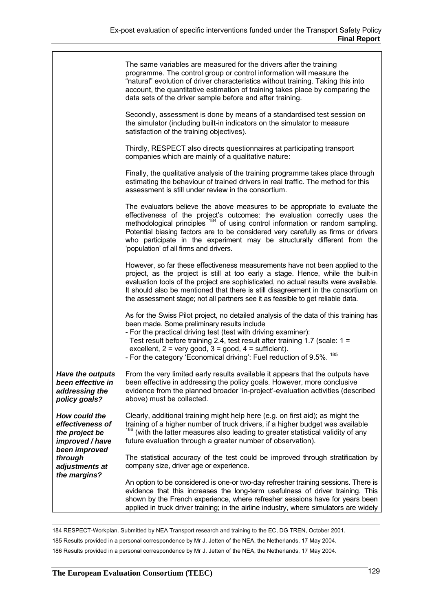|                                                                                 | The same variables are measured for the drivers after the training<br>programme. The control group or control information will measure the<br>"natural" evolution of driver characteristics without training. Taking this into<br>account, the quantitative estimation of training takes place by comparing the<br>data sets of the driver sample before and after training.                                                                                      |
|---------------------------------------------------------------------------------|-------------------------------------------------------------------------------------------------------------------------------------------------------------------------------------------------------------------------------------------------------------------------------------------------------------------------------------------------------------------------------------------------------------------------------------------------------------------|
|                                                                                 | Secondly, assessment is done by means of a standardised test session on<br>the simulator (including built-in indicators on the simulator to measure<br>satisfaction of the training objectives).                                                                                                                                                                                                                                                                  |
|                                                                                 | Thirdly, RESPECT also directs questionnaires at participating transport<br>companies which are mainly of a qualitative nature:                                                                                                                                                                                                                                                                                                                                    |
|                                                                                 | Finally, the qualitative analysis of the training programme takes place through<br>estimating the behaviour of trained drivers in real traffic. The method for this<br>assessment is still under review in the consortium.                                                                                                                                                                                                                                        |
|                                                                                 | The evaluators believe the above measures to be appropriate to evaluate the<br>effectiveness of the project's outcomes: the evaluation correctly uses the<br>methodological principles <sup>184</sup> of using control information or random sampling.<br>Potential biasing factors are to be considered very carefully as firms or drivers<br>who participate in the experiment may be structurally different from the<br>'population' of all firms and drivers. |
|                                                                                 | However, so far these effectiveness measurements have not been applied to the<br>project, as the project is still at too early a stage. Hence, while the built-in<br>evaluation tools of the project are sophisticated, no actual results were available.<br>It should also be mentioned that there is still disagreement in the consortium on<br>the assessment stage; not all partners see it as feasible to get reliable data.                                 |
|                                                                                 | As for the Swiss Pilot project, no detailed analysis of the data of this training has<br>been made. Some preliminary results include<br>- For the practical driving test (test with driving examiner):<br>Test result before training 2.4, test result after training 1.7 (scale: $1 =$<br>excellent, $2 = \text{very good}, 3 = \text{good}, 4 = \text{sufficient}.$<br>- For the category 'Economical driving': Fuel reduction of 9.5%. <sup>185</sup>          |
| <b>Have the outputs</b><br>been effective in<br>addressing the<br>policy goals? | From the very limited early results available it appears that the outputs have<br>been effective in addressing the policy goals. However, more conclusive<br>evidence from the planned broader 'in-project'-evaluation activities (described<br>above) must be collected.                                                                                                                                                                                         |
| How could the<br>effectiveness of<br>the project be<br>improved / have          | Clearly, additional training might help here (e.g. on first aid); as might the<br>training of a higher number of truck drivers, if a higher budget was available<br>186<br>(with the latter measures also leading to greater statistical validity of any<br>future evaluation through a greater number of observation).                                                                                                                                           |
| been improved<br>through<br>adjustments at                                      | The statistical accuracy of the test could be improved through stratification by<br>company size, driver age or experience.                                                                                                                                                                                                                                                                                                                                       |
| the margins?                                                                    | An option to be considered is one-or two-day refresher training sessions. There is<br>evidence that this increases the long-term usefulness of driver training. This<br>shown by the French experience, where refresher sessions have for years been<br>applied in truck driver training; in the airline industry, where simulators are widely                                                                                                                    |

184 RESPECT-Workplan. Submitted by NEA Transport research and training to the EC, DG TREN, October 2001.

185 Results provided in a personal correspondence by Mr J. Jetten of the NEA, the Netherlands, 17 May 2004.

186 Results provided in a personal correspondence by Mr J. Jetten of the NEA, the Netherlands, 17 May 2004.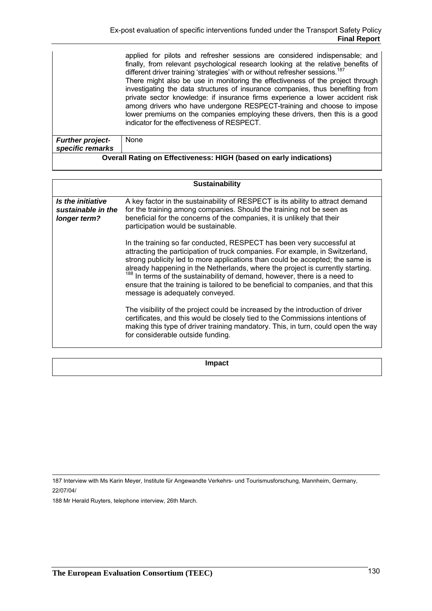|                                             | applied for pilots and refresher sessions are considered indispensable; and<br>finally, from relevant psychological research looking at the relative benefits of<br>different driver training 'strategies' with or without refresher sessions. <sup>187</sup><br>There might also be use in monitoring the effectiveness of the project through<br>investigating the data structures of insurance companies, thus benefiting from<br>private sector knowledge: if insurance firms experience a lower accident risk<br>among drivers who have undergone RESPECT-training and choose to impose<br>lower premiums on the companies employing these drivers, then this is a good<br>indicator for the effectiveness of RESPECT. |
|---------------------------------------------|-----------------------------------------------------------------------------------------------------------------------------------------------------------------------------------------------------------------------------------------------------------------------------------------------------------------------------------------------------------------------------------------------------------------------------------------------------------------------------------------------------------------------------------------------------------------------------------------------------------------------------------------------------------------------------------------------------------------------------|
| <b>Further project-</b><br>specific remarks | None                                                                                                                                                                                                                                                                                                                                                                                                                                                                                                                                                                                                                                                                                                                        |

| <b>Overall Rating on Effectiveness: HIGH (based on early indications)</b> |  |
|---------------------------------------------------------------------------|--|
|---------------------------------------------------------------------------|--|

| <b>Sustainability</b>                                   |                                                                                                                                                                                                                                                                                                                                                                                                                                                                                                                                           |  |  |
|---------------------------------------------------------|-------------------------------------------------------------------------------------------------------------------------------------------------------------------------------------------------------------------------------------------------------------------------------------------------------------------------------------------------------------------------------------------------------------------------------------------------------------------------------------------------------------------------------------------|--|--|
| Is the initiative<br>sustainable in the<br>longer term? | A key factor in the sustainability of RESPECT is its ability to attract demand<br>for the training among companies. Should the training not be seen as<br>beneficial for the concerns of the companies, it is unlikely that their<br>participation would be sustainable.                                                                                                                                                                                                                                                                  |  |  |
|                                                         | In the training so far conducted, RESPECT has been very successful at<br>attracting the participation of truck companies. For example, in Switzerland,<br>strong publicity led to more applications than could be accepted; the same is<br>already happening in the Netherlands, where the project is currently starting.<br><sup>188</sup> In terms of the sustainability of demand, however, there is a need to<br>ensure that the training is tailored to be beneficial to companies, and that this<br>message is adequately conveyed. |  |  |
|                                                         | The visibility of the project could be increased by the introduction of driver<br>certificates, and this would be closely tied to the Commissions intentions of<br>making this type of driver training mandatory. This, in turn, could open the way<br>for considerable outside funding.                                                                                                                                                                                                                                                  |  |  |

**Impact** 

 187 Interview with Ms Karin Meyer, Institute für Angewandte Verkehrs- und Tourismusforschung, Mannheim, Germany, 22/07/04/

188 Mr Herald Ruyters, telephone interview, 26th March.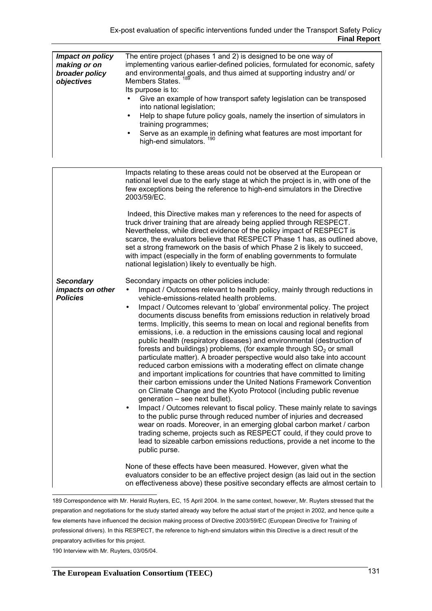| Impact on policy<br>making or on<br>broader policy<br>objectives | The entire project (phases 1 and 2) is designed to be one way of<br>implementing various earlier-defined policies, formulated for economic, safety<br>and environmental goals, and thus aimed at supporting industry and/ or<br>Members States.<br>Its purpose is to:<br>Give an example of how transport safety legislation can be transposed<br>into national legislation;<br>Help to shape future policy goals, namely the insertion of simulators in<br>$\bullet$<br>training programmes;<br>Serve as an example in defining what features are most important for<br>high-end simulators. <sup>190</sup>                                                                                                                                                                                                                                                                                                                                                                                                                                                                                                                                                                                                                                                                                                                                                                                                                                                                                                                                                                                                                      |  |  |
|------------------------------------------------------------------|-----------------------------------------------------------------------------------------------------------------------------------------------------------------------------------------------------------------------------------------------------------------------------------------------------------------------------------------------------------------------------------------------------------------------------------------------------------------------------------------------------------------------------------------------------------------------------------------------------------------------------------------------------------------------------------------------------------------------------------------------------------------------------------------------------------------------------------------------------------------------------------------------------------------------------------------------------------------------------------------------------------------------------------------------------------------------------------------------------------------------------------------------------------------------------------------------------------------------------------------------------------------------------------------------------------------------------------------------------------------------------------------------------------------------------------------------------------------------------------------------------------------------------------------------------------------------------------------------------------------------------------|--|--|
|                                                                  | Impacts relating to these areas could not be observed at the European or<br>national level due to the early stage at which the project is in, with one of the<br>few exceptions being the reference to high-end simulators in the Directive<br>2003/59/EC.<br>Indeed, this Directive makes man y references to the need for aspects of<br>truck driver training that are already being applied through RESPECT.<br>Nevertheless, while direct evidence of the policy impact of RESPECT is<br>scarce, the evaluators believe that RESPECT Phase 1 has, as outlined above,<br>set a strong framework on the basis of which Phase 2 is likely to succeed,<br>with impact (especially in the form of enabling governments to formulate                                                                                                                                                                                                                                                                                                                                                                                                                                                                                                                                                                                                                                                                                                                                                                                                                                                                                                |  |  |
| <b>Secondary</b><br>impacts on other<br><b>Policies</b>          | national legislation) likely to eventually be high.<br>Secondary impacts on other policies include:<br>Impact / Outcomes relevant to health policy, mainly through reductions in<br>$\bullet$<br>vehicle-emissions-related health problems.<br>Impact / Outcomes relevant to 'global' environmental policy. The project<br>$\bullet$<br>documents discuss benefits from emissions reduction in relatively broad<br>terms. Implicitly, this seems to mean on local and regional benefits from<br>emissions, i.e. a reduction in the emissions causing local and regional<br>public health (respiratory diseases) and environmental (destruction of<br>forests and buildings) problems, (for example through $SO2$ or small<br>particulate matter). A broader perspective would also take into account<br>reduced carbon emissions with a moderating effect on climate change<br>and important implications for countries that have committed to limiting<br>their carbon emissions under the United Nations Framework Convention<br>on Climate Change and the Kyoto Protocol (including public revenue<br>generation – see next bullet).<br>Impact / Outcomes relevant to fiscal policy. These mainly relate to savings<br>$\bullet$<br>to the public purse through reduced number of injuries and decreased<br>wear on roads. Moreover, in an emerging global carbon market / carbon<br>trading scheme, projects such as RESPECT could, if they could prove to<br>lead to sizeable carbon emissions reductions, provide a net income to the<br>public purse.<br>None of these effects have been measured. However, given what the |  |  |
|                                                                  | evaluators consider to be an effective project design (as laid out in the section<br>on effectiveness above) these positive secondary effects are almost certain to                                                                                                                                                                                                                                                                                                                                                                                                                                                                                                                                                                                                                                                                                                                                                                                                                                                                                                                                                                                                                                                                                                                                                                                                                                                                                                                                                                                                                                                               |  |  |

 189 Correspondence with Mr. Herald Ruyters, EC, 15 April 2004. In the same context, however, Mr. Ruyters stressed that the preparation and negotiations for the study started already way before the actual start of the project in 2002, and hence quite a few elements have influenced the decision making process of Directive 2003/59/EC (European Directive for Training of professional drivers). In this RESPECT, the reference to high-end simulators within this Directive is a direct result of the preparatory activities for this project.

190 Interview with Mr. Ruyters, 03/05/04.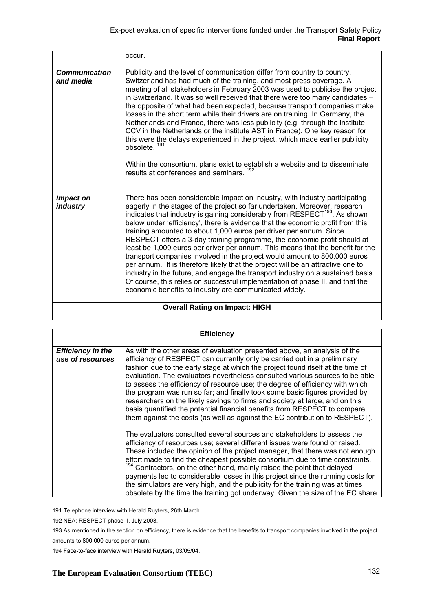|                                   | occur.                                                                                                                                                                                                                                                                                                                                                                                                                                                                                                                                                                                                                                                                                                                                                                                                                                                                                                                                                                  |  |
|-----------------------------------|-------------------------------------------------------------------------------------------------------------------------------------------------------------------------------------------------------------------------------------------------------------------------------------------------------------------------------------------------------------------------------------------------------------------------------------------------------------------------------------------------------------------------------------------------------------------------------------------------------------------------------------------------------------------------------------------------------------------------------------------------------------------------------------------------------------------------------------------------------------------------------------------------------------------------------------------------------------------------|--|
| <b>Communication</b><br>and media | Publicity and the level of communication differ from country to country.<br>Switzerland has had much of the training, and most press coverage. A<br>meeting of all stakeholders in February 2003 was used to publicise the project<br>in Switzerland. It was so well received that there were too many candidates -<br>the opposite of what had been expected, because transport companies make<br>losses in the short term while their drivers are on training. In Germany, the<br>Netherlands and France, there was less publicity (e.g. through the institute<br>CCV in the Netherlands or the institute AST in France). One key reason for<br>this were the delays experienced in the project, which made earlier publicity<br>obsolete. <sup>191</sup>                                                                                                                                                                                                             |  |
|                                   | Within the consortium, plans exist to establish a website and to disseminate<br>results at conferences and seminars. 192                                                                                                                                                                                                                                                                                                                                                                                                                                                                                                                                                                                                                                                                                                                                                                                                                                                |  |
| Impact on<br><i>industry</i>      | There has been considerable impact on industry, with industry participating<br>eagerly in the stages of the project so far undertaken. Moreover, research<br>indicates that industry is gaining considerably from RESPECT <sup>193</sup> . As shown<br>below under 'efficiency', there is evidence that the economic profit from this<br>training amounted to about 1,000 euros per driver per annum. Since<br>RESPECT offers a 3-day training programme, the economic profit should at<br>least be 1,000 euros per driver per annum. This means that the benefit for the<br>transport companies involved in the project would amount to 800,000 euros<br>per annum. It is therefore likely that the project will be an attractive one to<br>industry in the future, and engage the transport industry on a sustained basis.<br>Of course, this relies on successful implementation of phase II, and that the<br>economic benefits to industry are communicated widely. |  |
|                                   | <b>Overall Rating on Impact: HIGH</b>                                                                                                                                                                                                                                                                                                                                                                                                                                                                                                                                                                                                                                                                                                                                                                                                                                                                                                                                   |  |

| <b>Efficiency</b>                            |                                                                                                                                                                                                                                                                                                                                                                                                                                                                                                                                                                                                                                                                                                                                      |  |  |
|----------------------------------------------|--------------------------------------------------------------------------------------------------------------------------------------------------------------------------------------------------------------------------------------------------------------------------------------------------------------------------------------------------------------------------------------------------------------------------------------------------------------------------------------------------------------------------------------------------------------------------------------------------------------------------------------------------------------------------------------------------------------------------------------|--|--|
| <b>Efficiency in the</b><br>use of resources | As with the other areas of evaluation presented above, an analysis of the<br>efficiency of RESPECT can currently only be carried out in a preliminary<br>fashion due to the early stage at which the project found itself at the time of<br>evaluation. The evaluators nevertheless consulted various sources to be able<br>to assess the efficiency of resource use; the degree of efficiency with which<br>the program was run so far; and finally took some basic figures provided by<br>researchers on the likely savings to firms and society at large, and on this<br>basis quantified the potential financial benefits from RESPECT to compare<br>them against the costs (as well as against the EC contribution to RESPECT). |  |  |
|                                              | The evaluators consulted several sources and stakeholders to assess the<br>efficiency of resources use; several different issues were found or raised.<br>These included the opinion of the project manager, that there was not enough<br>effort made to find the cheapest possible consortium due to time constraints.<br><sup>194</sup> Contractors, on the other hand, mainly raised the point that delayed<br>payments led to considerable losses in this project since the running costs for<br>the simulators are very high, and the publicity for the training was at times<br>obsolete by the time the training got underway. Given the size of the EC share                                                                 |  |  |

191 Telephone interview with Herald Ruyters, 26th March

194 Face-to-face interview with Herald Ruyters, 03/05/04.

<sup>192</sup> NEA: RESPECT phase II. July 2003.

<sup>193</sup> As mentioned in the section on efficiency, there is evidence that the benefits to transport companies involved in the project amounts to 800,000 euros per annum.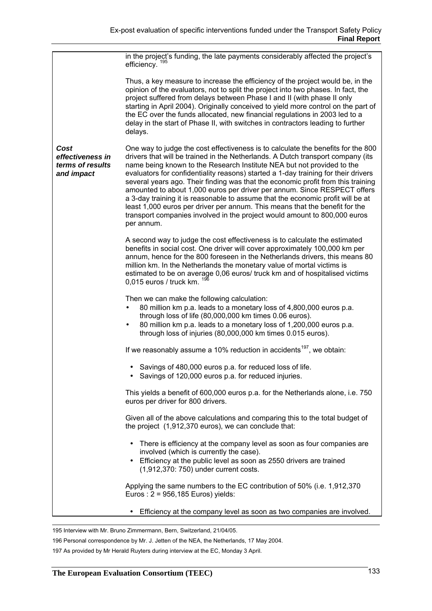|                                                            | in the project's funding, the late payments considerably affected the project's<br>efficiency. <sup>195</sup>                                                                                                                                                                                                                                                                                                                                                                                                                                                                                                                                                                                                                                                    |
|------------------------------------------------------------|------------------------------------------------------------------------------------------------------------------------------------------------------------------------------------------------------------------------------------------------------------------------------------------------------------------------------------------------------------------------------------------------------------------------------------------------------------------------------------------------------------------------------------------------------------------------------------------------------------------------------------------------------------------------------------------------------------------------------------------------------------------|
|                                                            | Thus, a key measure to increase the efficiency of the project would be, in the<br>opinion of the evaluators, not to split the project into two phases. In fact, the<br>project suffered from delays between Phase I and II (with phase II only<br>starting in April 2004). Originally conceived to yield more control on the part of<br>the EC over the funds allocated, new financial regulations in 2003 led to a<br>delay in the start of Phase II, with switches in contractors leading to further<br>delays.                                                                                                                                                                                                                                                |
| Cost<br>effectiveness in<br>terms of results<br>and impact | One way to judge the cost effectiveness is to calculate the benefits for the 800<br>drivers that will be trained in the Netherlands. A Dutch transport company (its<br>name being known to the Research Institute NEA but not provided to the<br>evaluators for confidentiality reasons) started a 1-day training for their drivers<br>several years ago. Their finding was that the economic profit from this training<br>amounted to about 1,000 euros per driver per annum. Since RESPECT offers<br>a 3-day training it is reasonable to assume that the economic profit will be at<br>least 1,000 euros per driver per annum. This means that the benefit for the<br>transport companies involved in the project would amount to 800,000 euros<br>per annum. |
|                                                            | A second way to judge the cost effectiveness is to calculate the estimated<br>benefits in social cost. One driver will cover approximately 100,000 km per<br>annum, hence for the 800 foreseen in the Netherlands drivers, this means 80<br>million km. In the Netherlands the monetary value of mortal victims is<br>estimated to be on average 0,06 euros/ truck km and of hospitalised victims<br>0,015 euros / truck km.                                                                                                                                                                                                                                                                                                                                     |
|                                                            | Then we can make the following calculation:<br>80 million km p.a. leads to a monetary loss of 4,800,000 euros p.a.<br>through loss of life (80,000,000 km times 0.06 euros).<br>80 million km p.a. leads to a monetary loss of 1,200,000 euros p.a.<br>through loss of injuries (80,000,000 km times 0.015 euros).                                                                                                                                                                                                                                                                                                                                                                                                                                               |
|                                                            | If we reasonably assume a 10% reduction in accidents <sup>197</sup> , we obtain:                                                                                                                                                                                                                                                                                                                                                                                                                                                                                                                                                                                                                                                                                 |
|                                                            | Savings of 480,000 euros p.a. for reduced loss of life.<br>Savings of 120,000 euros p.a. for reduced injuries.                                                                                                                                                                                                                                                                                                                                                                                                                                                                                                                                                                                                                                                   |
|                                                            | This yields a benefit of 600,000 euros p.a. for the Netherlands alone, i.e. 750<br>euros per driver for 800 drivers.                                                                                                                                                                                                                                                                                                                                                                                                                                                                                                                                                                                                                                             |
|                                                            | Given all of the above calculations and comparing this to the total budget of<br>the project (1,912,370 euros), we can conclude that:                                                                                                                                                                                                                                                                                                                                                                                                                                                                                                                                                                                                                            |
|                                                            | There is efficiency at the company level as soon as four companies are<br>$\bullet$<br>involved (which is currently the case).<br>• Efficiency at the public level as soon as 2550 drivers are trained<br>(1,912,370: 750) under current costs.                                                                                                                                                                                                                                                                                                                                                                                                                                                                                                                  |
|                                                            | Applying the same numbers to the EC contribution of 50% (i.e. 1,912,370<br>Euros: 2 = 956,185 Euros) yields:                                                                                                                                                                                                                                                                                                                                                                                                                                                                                                                                                                                                                                                     |
|                                                            | Efficiency at the company level as soon as two companies are involved.                                                                                                                                                                                                                                                                                                                                                                                                                                                                                                                                                                                                                                                                                           |

195 Interview with Mr. Bruno Zimmermann, Bern, Switzerland, 21/04/05.

196 Personal correspondence by Mr. J. Jetten of the NEA, the Netherlands, 17 May 2004.

197 As provided by Mr Herald Ruyters during interview at the EC, Monday 3 April.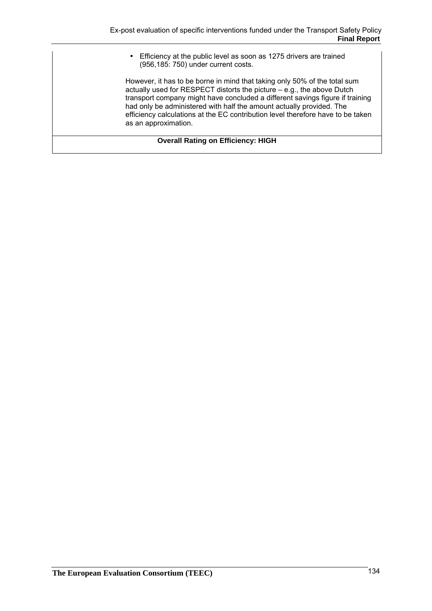• Efficiency at the public level as soon as 1275 drivers are trained (956,185: 750) under current costs.

However, it has to be borne in mind that taking only 50% of the total sum actually used for RESPECT distorts the picture – e.g., the above Dutch transport company might have concluded a different savings figure if training had only be administered with half the amount actually provided. The efficiency calculations at the EC contribution level therefore have to be taken as an approximation.

**Overall Rating on Efficiency: HIGH**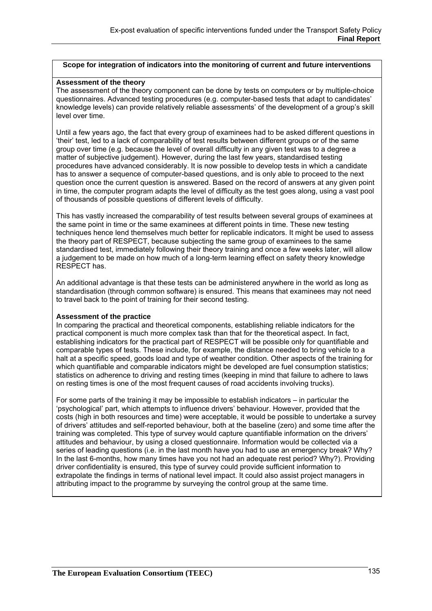#### **Scope for integration of indicators into the monitoring of current and future interventions**

#### **Assessment of the theory**

The assessment of the theory component can be done by tests on computers or by multiple-choice questionnaires. Advanced testing procedures (e.g. computer-based tests that adapt to candidates' knowledge levels) can provide relatively reliable assessments' of the development of a group's skill level over time.

Until a few years ago, the fact that every group of examinees had to be asked different questions in 'their' test, led to a lack of comparability of test results between different groups or of the same group over time (e.g. because the level of overall difficulty in any given test was to a degree a matter of subjective judgement). However, during the last few years, standardised testing procedures have advanced considerably. It is now possible to develop tests in which a candidate has to answer a sequence of computer-based questions, and is only able to proceed to the next question once the current question is answered. Based on the record of answers at any given point in time, the computer program adapts the level of difficulty as the test goes along, using a vast pool of thousands of possible questions of different levels of difficulty.

This has vastly increased the comparability of test results between several groups of examinees at the same point in time or the same examinees at different points in time. These new testing techniques hence lend themselves much better for replicable indicators. It might be used to assess the theory part of RESPECT, because subjecting the same group of examinees to the same standardised test, immediately following their theory training and once a few weeks later, will allow a judgement to be made on how much of a long-term learning effect on safety theory knowledge RESPECT has.

An additional advantage is that these tests can be administered anywhere in the world as long as standardisation (through common software) is ensured. This means that examinees may not need to travel back to the point of training for their second testing.

#### **Assessment of the practice**

In comparing the practical and theoretical components, establishing reliable indicators for the practical component is much more complex task than that for the theoretical aspect. In fact, establishing indicators for the practical part of RESPECT will be possible only for quantifiable and comparable types of tests. These include, for example, the distance needed to bring vehicle to a halt at a specific speed, goods load and type of weather condition. Other aspects of the training for which quantifiable and comparable indicators might be developed are fuel consumption statistics; statistics on adherence to driving and resting times (keeping in mind that failure to adhere to laws on resting times is one of the most frequent causes of road accidents involving trucks).

For some parts of the training it may be impossible to establish indicators – in particular the 'psychological' part, which attempts to influence drivers' behaviour. However, provided that the costs (high in both resources and time) were acceptable, it would be possible to undertake a survey of drivers' attitudes and self-reported behaviour, both at the baseline (zero) and some time after the training was completed. This type of survey would capture quantifiable information on the drivers' attitudes and behaviour, by using a closed questionnaire. Information would be collected via a series of leading questions (i.e. in the last month have you had to use an emergency break? Why? In the last 6-months, how many times have you not had an adequate rest period? Why?). Providing driver confidentiality is ensured, this type of survey could provide sufficient information to extrapolate the findings in terms of national level impact. It could also assist project managers in attributing impact to the programme by surveying the control group at the same time.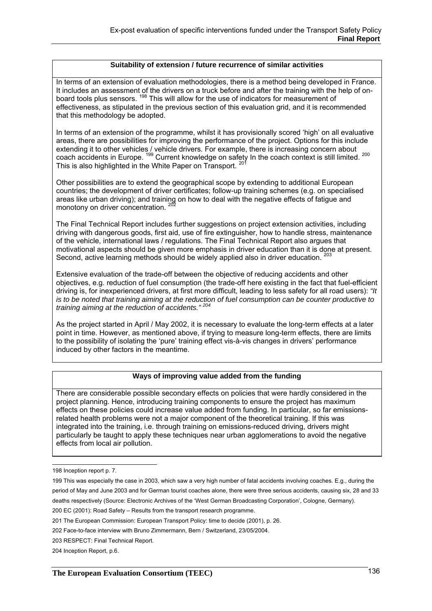#### **Suitability of extension / future recurrence of similar activities**

In terms of an extension of evaluation methodologies, there is a method being developed in France. It includes an assessment of the drivers on a truck before and after the training with the help of onboard tools plus sensors. <sup>198</sup> This will allow for the use of indicators for measurement of effectiveness, as stipulated in the previous section of this evaluation grid, and it is recommended that this methodology be adopted.

In terms of an extension of the programme, whilst it has provisionally scored 'high' on all evaluative areas, there are possibilities for improving the performance of the project. Options for this include extending it to other vehicles / vehicle drivers. For example, there is increasing concern about continuity in to other verneles? vernele unvers. For example, there is increasing context is about coach accidents in Europe. <sup>199</sup> Current knowledge on safety In the coach context is still limited. <sup>200</sup> This is also highlighted in the White Paper on Transport.<sup>201</sup>

Other possibilities are to extend the geographical scope by extending to additional European countries; the development of driver certificates; follow-up training schemes (e.g. on specialised areas like urban driving); and training on how to deal with the negative effects of fatigue and monotony on driver concentration.

The Final Technical Report includes further suggestions on project extension activities, including driving with dangerous goods, first aid, use of fire extinguisher, how to handle stress, maintenance of the vehicle, international laws / regulations. The Final Technical Report also argues that motivational aspects should be given more emphasis in driver education than it is done at present. Second, active learning methods should be widely applied also in driver education. <sup>203</sup>

Extensive evaluation of the trade-off between the objective of reducing accidents and other objectives, e.g. reduction of fuel consumption (the trade-off here existing in the fact that fuel-efficient driving is, for inexperienced drivers, at first more difficult, leading to less safety for all road users): *"It is to be noted that training aiming at the reduction of fuel consumption can be counter productive to training aiming at the reduction of accidents." <sup>204</sup>*

As the project started in April / May 2002, it is necessary to evaluate the long-term effects at a later point in time. However, as mentioned above, if trying to measure long-term effects, there are limits to the possibility of isolating the 'pure' training effect vis-à-vis changes in drivers' performance induced by other factors in the meantime.

## **Ways of improving value added from the funding**

There are considerable possible secondary effects on policies that were hardly considered in the project planning. Hence, introducing training components to ensure the project has maximum effects on these policies could increase value added from funding. In particular, so far emissionsrelated health problems were not a major component of the theoretical training. If this was integrated into the training, i.e. through training on emissions-reduced driving, drivers might particularly be taught to apply these techniques near urban agglomerations to avoid the negative effects from local air pollution.

 198 Inception report p. 7.

<sup>199</sup> This was especially the case in 2003, which saw a very high number of fatal accidents involving coaches. E.g., during the period of May and June 2003 and for German tourist coaches alone, there were three serious accidents, causing six, 28 and 33 deaths respectively (Source: Electronic Archives of the 'West German Broadcasting Corporation', Cologne, Germany). 200 EC (2001): Road Safety – Results from the transport research programme.

<sup>201</sup> The European Commission: European Transport Policy: time to decide (2001), p. 26.

<sup>202</sup> Face-to-face interview with Bruno Zimmermann, Bern / Switzerland, 23/05/2004.

<sup>203</sup> RESPECT: Final Technical Report.

<sup>204</sup> Inception Report, p.6.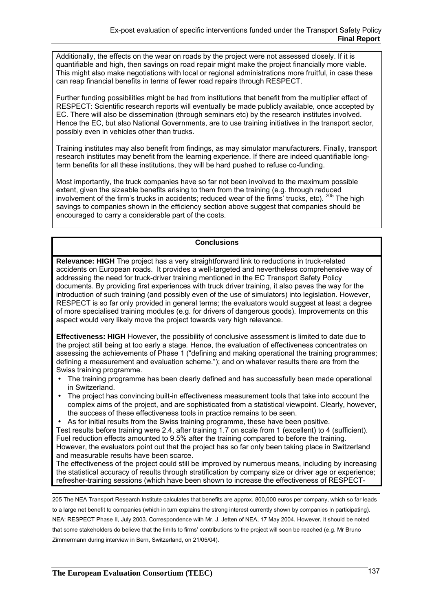Additionally, the effects on the wear on roads by the project were not assessed closely. If it is quantifiable and high, then savings on road repair might make the project financially more viable. This might also make negotiations with local or regional administrations more fruitful, in case these can reap financial benefits in terms of fewer road repairs through RESPECT.

Further funding possibilities might be had from institutions that benefit from the multiplier effect of RESPECT: Scientific research reports will eventually be made publicly available, once accepted by EC. There will also be dissemination (through seminars etc) by the research institutes involved. Hence the EC, but also National Governments, are to use training initiatives in the transport sector, possibly even in vehicles other than trucks.

Training institutes may also benefit from findings, as may simulator manufacturers. Finally, transport research institutes may benefit from the learning experience. If there are indeed quantifiable longterm benefits for all these institutions, they will be hard pushed to refuse co-funding.

Most importantly, the truck companies have so far not been involved to the maximum possible extent, given the sizeable benefits arising to them from the training (e.g. through reduced involvement of the firm's trucks in accidents; reduced wear of the firms' trucks, etc). <sup>205</sup> The high savings to companies shown in the efficiency section above suggest that companies should be encouraged to carry a considerable part of the costs.

#### **Conclusions**

**Relevance: HIGH** The project has a very straightforward link to reductions in truck-related accidents on European roads. It provides a well-targeted and nevertheless comprehensive way of addressing the need for truck-driver training mentioned in the EC Transport Safety Policy documents. By providing first experiences with truck driver training, it also paves the way for the introduction of such training (and possibly even of the use of simulators) into legislation. However, RESPECT is so far only provided in general terms; the evaluators would suggest at least a degree of more specialised training modules (e.g. for drivers of dangerous goods). Improvements on this aspect would very likely move the project towards very high relevance.

**Effectiveness: HIGH** However, the possibility of conclusive assessment is limited to date due to the project still being at too early a stage*.* Hence, the evaluation of effectiveness concentrates on assessing the achievements of Phase 1 ("defining and making operational the training programmes; defining a measurement and evaluation scheme."); and on whatever results there are from the Swiss training programme.

- The training programme has been clearly defined and has successfully been made operational in Switzerland.
- The project has convincing built-in effectiveness measurement tools that take into account the complex aims of the project, and are sophisticated from a statistical viewpoint. Clearly, however, the success of these effectiveness tools in practice remains to be seen.
- As for initial results from the Swiss training programme, these have been positive.

Test results before training were 2.4, after training 1.7 on scale from 1 (excellent) to 4 (sufficient). Fuel reduction effects amounted to 9.5% after the training compared to before the training. However, the evaluators point out that the project has so far only been taking place in Switzerland and measurable results have been scarce.

The effectiveness of the project could still be improved by numerous means, including by increasing the statistical accuracy of results through stratification by company size or driver age or experience; refresher-training sessions (which have been shown to increase the effectiveness of RESPECT-

 205 The NEA Transport Research Institute calculates that benefits are approx. 800,000 euros per company, which so far leads to a large net benefit to companies (which in turn explains the strong interest currently shown by companies in participating). NEA: RESPECT Phase II, July 2003. Correspondence with Mr. J. Jetten of NEA, 17 May 2004. However, it should be noted that some stakeholders do believe that the limits to firms' contributions to the project will soon be reached (e.g. Mr Bruno Zimmermann during interview in Bern, Switzerland, on 21/05/04).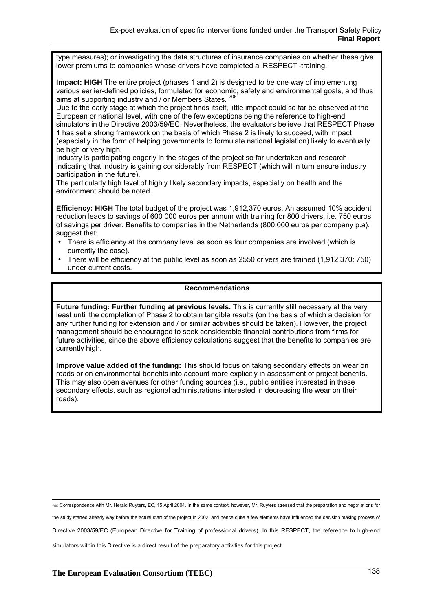type measures); or investigating the data structures of insurance companies on whether these give lower premiums to companies whose drivers have completed a 'RESPECT'-training.

**Impact: HIGH** The entire project (phases 1 and 2) is designed to be one way of implementing various earlier-defined policies, formulated for economic, safety and environmental goals, and thus aims at supporting industry and / or Members States.  $^{20}$ 

Due to the early stage at which the project finds itself, little impact could so far be observed at the European or national level, with one of the few exceptions being the reference to high-end simulators in the Directive 2003/59/EC. Nevertheless, the evaluators believe that RESPECT Phase 1 has set a strong framework on the basis of which Phase 2 is likely to succeed, with impact (especially in the form of helping governments to formulate national legislation) likely to eventually be high or very high.

Industry is participating eagerly in the stages of the project so far undertaken and research indicating that industry is gaining considerably from RESPECT (which will in turn ensure industry participation in the future).

The particularly high level of highly likely secondary impacts, especially on health and the environment should be noted.

**Efficiency: HIGH** The total budget of the project was 1,912,370 euros. An assumed 10% accident reduction leads to savings of 600 000 euros per annum with training for 800 drivers, i.e. 750 euros of savings per driver. Benefits to companies in the Netherlands (800,000 euros per company p.a). suggest that:

- There is efficiency at the company level as soon as four companies are involved (which is currently the case).
- There will be efficiency at the public level as soon as 2550 drivers are trained (1,912,370: 750) under current costs.

#### **Recommendations**

**Future funding: Further funding at previous levels.** This is currently still necessary at the very least until the completion of Phase 2 to obtain tangible results (on the basis of which a decision for any further funding for extension and / or similar activities should be taken). However, the project management should be encouraged to seek considerable financial contributions from firms for future activities, since the above efficiency calculations suggest that the benefits to companies are currently high.

**Improve value added of the funding:** This should focus on taking secondary effects on wear on roads or on environmental benefits into account more explicitly in assessment of project benefits. This may also open avenues for other funding sources (i.e., public entities interested in these secondary effects, such as regional administrations interested in decreasing the wear on their roads).

<sub>206</sub> Correspondence with Mr. Herald Ruyters, EC, 15 April 2004. In the same context, however, Mr. Ruyters stressed that the preparation and negotiations for

the study started already way before the actual start of the project in 2002, and hence quite a few elements have influenced the decision making process of

Directive 2003/59/EC (European Directive for Training of professional drivers). In this RESPECT, the reference to high-end

simulators within this Directive is a direct result of the preparatory activities for this project.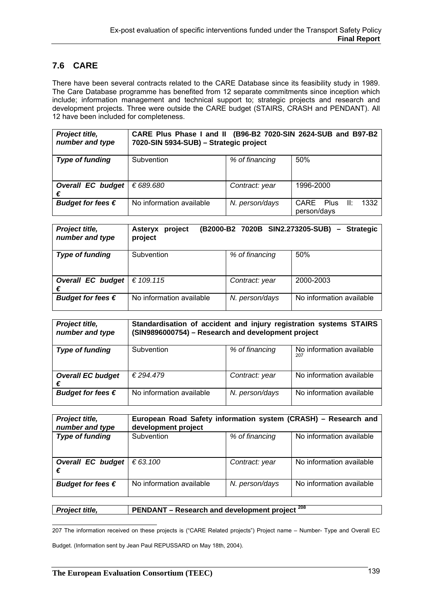# **7.6 CARE**

There have been several contracts related to the CARE Database since its feasibility study in 1989. The Care Database programme has benefited from 12 separate commitments since inception which include; information management and technical support to; strategic projects and research and development projects. Three were outside the CARE budget (STAIRS, CRASH and PENDANT). All 12 have been included for completeness.

| Project title,<br>number and type | CARE Plus Phase I and II (B96-B2 7020-SIN 2624-SUB and B97-B2<br>7020-SIN 5934-SUB) - Strategic project |                |                                      |
|-----------------------------------|---------------------------------------------------------------------------------------------------------|----------------|--------------------------------------|
| <b>Type of funding</b>            | Subvention                                                                                              | % of financing | 50%                                  |
| <b>Overall EC budget</b><br>€     | € 689.680                                                                                               | Contract: year | 1996-2000                            |
| Budget for fees $\epsilon$        | No information available                                                                                | N. person/days | CARE Plus II:<br>1332<br>person/days |

| Project title,<br>number and type | (B2000-B2 7020B SIN2.273205-SUB) -<br><b>Strategic</b><br>project<br>Asteryx<br>project |                |                          |
|-----------------------------------|-----------------------------------------------------------------------------------------|----------------|--------------------------|
| <b>Type of funding</b>            | Subvention                                                                              | % of financing | 50%                      |
| <b>Overall EC budget</b><br>€     | € 109.115                                                                               | Contract: year | 2000-2003                |
| Budget for fees $\epsilon$        | No information available                                                                | N. person/days | No information available |

| Project title,<br>number and type | Standardisation of accident and injury registration systems STAIRS<br>(SIN9896000754) - Research and development project |                |                                 |
|-----------------------------------|--------------------------------------------------------------------------------------------------------------------------|----------------|---------------------------------|
| <b>Type of funding</b>            | Subvention                                                                                                               | % of financing | No information available<br>207 |
| <b>Overall EC budget</b><br>€     | € 294.479                                                                                                                | Contract: year | No information available        |
| Budget for fees $\epsilon$        | No information available                                                                                                 | N. person/days | No information available        |

| Project title,<br>number and type | European Road Safety information system (CRASH) - Research and<br>development project |                |                          |
|-----------------------------------|---------------------------------------------------------------------------------------|----------------|--------------------------|
| <b>Type of funding</b>            | Subvention                                                                            | % of financing | No information available |
| <b>Overall EC budget</b><br>€     | € 63.100                                                                              | Contract: year | No information available |
| Budget for fees $\epsilon$        | No information available                                                              | N. person/days | No information available |

**Project title, PENDANT – Research and development project**  $^{208}$ 

207 The information received on these projects is ("CARE Related projects") Project name – Number- Type and Overall EC

Budget. (Information sent by Jean Paul REPUSSARD on May 18th, 2004).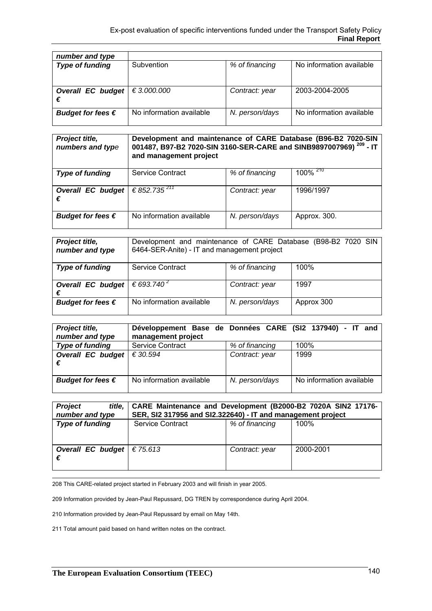| number and type                        |                          |                |                          |
|----------------------------------------|--------------------------|----------------|--------------------------|
| <b>Type of funding</b>                 | Subvention               | % of financing | No information available |
| Overall EC budget $\in$ 3.000.000<br>€ |                          | Contract: year | 2003-2004-2005           |
| Budget for fees $\epsilon$             | No information available | N. person/days | No information available |

| Project title,<br>numbers and type | Development and maintenance of CARE Database (B96-B2 7020-SIN<br>001487, B97-B2 7020-SIN 3160-SER-CARE and SINB9897007969) <sup>209</sup> - IT<br>and management project |                |                          |
|------------------------------------|--------------------------------------------------------------------------------------------------------------------------------------------------------------------------|----------------|--------------------------|
| <b>Type of funding</b>             | Service Contract                                                                                                                                                         | % of financing | 100% $\overline{^{210}}$ |
| <b>Overall EC budget</b><br>€      | € 852.735 <sup>211</sup>                                                                                                                                                 | Contract: year | 1996/1997                |
| Budget for fees $\epsilon$         | No information available                                                                                                                                                 | N. person/days | Approx. 300.             |

| Project title,<br>number and type | Development and maintenance of CARE Database (B98-B2 7020 SIN<br>6464-SER-Anite) - IT and management project |                |            |
|-----------------------------------|--------------------------------------------------------------------------------------------------------------|----------------|------------|
| <b>Type of funding</b>            | Service Contract                                                                                             | % of financing | 100%       |
| <b>Overall EC budget</b><br>€     | € 693.740 <sup>2</sup>                                                                                       | Contract: year | 1997       |
| Budget for fees $\epsilon$        | No information available                                                                                     | N. person/days | Approx 300 |

| Project title,<br>number and type | Développement Base de Données CARE (SI2 137940) - IT and<br>management project |                |                          |
|-----------------------------------|--------------------------------------------------------------------------------|----------------|--------------------------|
| <b>Type of funding</b>            | Service Contract                                                               | % of financing | 100%                     |
| <b>Overall EC budget</b><br>€     | € 30.594                                                                       | Contract: year | 1999                     |
| Budget for fees $\epsilon$        | No information available                                                       | N. person/days | No information available |

| <b>Project</b><br>title,<br>number and type | CARE Maintenance and Development (B2000-B2 7020A SIN2 17176-<br>SER, SI2 317956 and SI2.322640) - IT and management project |                |           |
|---------------------------------------------|-----------------------------------------------------------------------------------------------------------------------------|----------------|-----------|
| Type of funding                             | Service Contract                                                                                                            | % of financing | 100%      |
| Overall EC budget $\in$ 75.613<br>€         |                                                                                                                             | Contract: year | 2000-2001 |

208 This CARE-related project started in February 2003 and will finish in year 2005.

209 Information provided by Jean-Paul Repussard, DG TREN by correspondence during April 2004.

210 Information provided by Jean-Paul Repussard by email on May 14th.

211 Total amount paid based on hand written notes on the contract.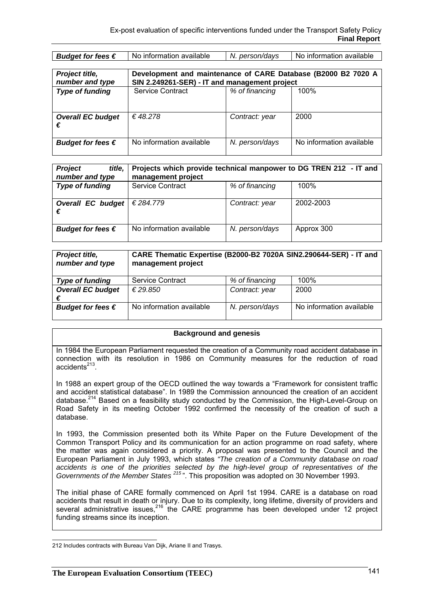| No information available<br>N. person/days<br>Budget for fees $\epsilon$ | No information available |
|--------------------------------------------------------------------------|--------------------------|
|--------------------------------------------------------------------------|--------------------------|

| Project title,<br>number and type | Development and maintenance of CARE Database (B2000 B2 7020 A<br>SIN 2.249261-SER) - IT and management project |                |                          |
|-----------------------------------|----------------------------------------------------------------------------------------------------------------|----------------|--------------------------|
| <b>Type of funding</b>            | Service Contract                                                                                               | % of financing | 100%                     |
| <b>Overall EC budget</b><br>€     | €48.278                                                                                                        | Contract: year | 2000                     |
| Budget for fees $\epsilon$        | No information available                                                                                       | N. person/days | No information available |

| <b>Project</b><br>title,<br>number and type | Projects which provide technical manpower to DG TREN 212 - IT and<br>management project |                |            |
|---------------------------------------------|-----------------------------------------------------------------------------------------|----------------|------------|
| <b>Type of funding</b>                      | <b>Service Contract</b>                                                                 | % of financing | 100%       |
| <b>Overall EC budget</b><br>€               | € 284.779                                                                               | Contract: year | 2002-2003  |
| Budget for fees $\epsilon$                  | No information available                                                                | N. person/days | Approx 300 |

| Project title,<br>number and type | CARE Thematic Expertise (B2000-B2 7020A SIN2.290644-SER) - IT and<br>management project |                |                          |
|-----------------------------------|-----------------------------------------------------------------------------------------|----------------|--------------------------|
| <b>Type of funding</b>            | Service Contract                                                                        | % of financing | 100%                     |
| <b>Overall EC budget</b><br>€     | € 29.850                                                                                | Contract: year | 2000                     |
| Budget for fees $\epsilon$        | No information available                                                                | N. person/days | No information available |

#### **Background and genesis**

In 1984 the European Parliament requested the creation of a Community road accident database in connection with its resolution in 1986 on Community measures for the reduction of road  $accidents<sup>213</sup>$ .

In 1988 an expert group of the OECD outlined the way towards a "Framework for consistent traffic and accident statistical database". In 1989 the Commission announced the creation of an accident database.<sup>214</sup> Based on a feasibility study conducted by the Commission, the High-Level-Group on Road Safety in its meeting October 1992 confirmed the necessity of the creation of such a database.

In 1993, the Commission presented both its White Paper on the Future Development of the Common Transport Policy and its communication for an action programme on road safety, where the matter was again considered a priority. A proposal was presented to the Council and the European Parliament in July 1993, which states *"The creation of a Community database on road accidents is one of the priorities selected by the high-level group of representatives of the Governments of the Member States <sup>215</sup>* ". This proposition was adopted on 30 November 1993.

The initial phase of CARE formally commenced on April 1st 1994. CARE is a database on road accidents that result in death or injury. Due to its complexity, long lifetime, diversity of providers and several administrative issues.<sup>216</sup> the CARE programme has been developed under 12 project funding streams since its inception.

 212 Includes contracts with Bureau Van Dijk, Ariane II and Trasys.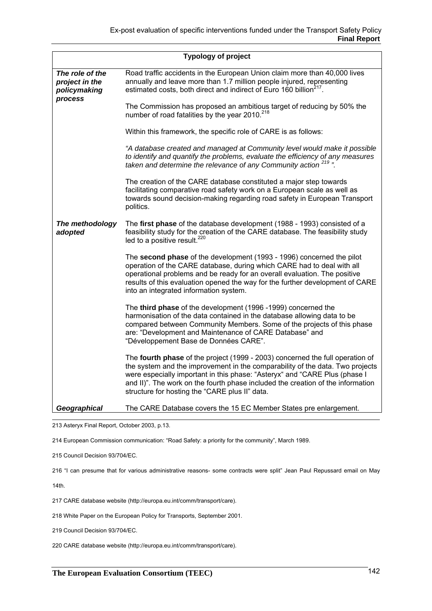|                                                   | <b>Typology of project</b>                                                                                                                                                                                                                                                                                                                                                        |
|---------------------------------------------------|-----------------------------------------------------------------------------------------------------------------------------------------------------------------------------------------------------------------------------------------------------------------------------------------------------------------------------------------------------------------------------------|
| The role of the<br>project in the<br>policymaking | Road traffic accidents in the European Union claim more than 40,000 lives<br>annually and leave more than 1.7 million people injured, representing<br>estimated costs, both direct and indirect of Euro 160 billion <sup>217</sup> .                                                                                                                                              |
| process                                           | The Commission has proposed an ambitious target of reducing by 50% the<br>number of road fatalities by the year 2010. <sup>218</sup>                                                                                                                                                                                                                                              |
|                                                   | Within this framework, the specific role of CARE is as follows:                                                                                                                                                                                                                                                                                                                   |
|                                                   | "A database created and managed at Community level would make it possible<br>to identify and quantify the problems, evaluate the efficiency of any measures<br>taken and determine the relevance of any Community action <sup>219</sup> ".                                                                                                                                        |
|                                                   | The creation of the CARE database constituted a major step towards<br>facilitating comparative road safety work on a European scale as well as<br>towards sound decision-making regarding road safety in European Transport<br>politics.                                                                                                                                          |
| The methodology<br>adopted                        | The first phase of the database development (1988 - 1993) consisted of a<br>feasibility study for the creation of the CARE database. The feasibility study<br>led to a positive result. <sup>220</sup>                                                                                                                                                                            |
|                                                   | The second phase of the development (1993 - 1996) concerned the pilot<br>operation of the CARE database, during which CARE had to deal with all<br>operational problems and be ready for an overall evaluation. The positive<br>results of this evaluation opened the way for the further development of CARE<br>into an integrated information system.                           |
|                                                   | The third phase of the development (1996 -1999) concerned the<br>harmonisation of the data contained in the database allowing data to be<br>compared between Community Members. Some of the projects of this phase<br>are: "Development and Maintenance of CARE Database" and<br>"Développement Base de Données CARE".                                                            |
|                                                   | The fourth phase of the project (1999 - 2003) concerned the full operation of<br>the system and the improvement in the comparability of the data. Two projects<br>were especially important in this phase: "Asteryx" and "CARE Plus (phase I<br>and II)". The work on the fourth phase included the creation of the information<br>structure for hosting the "CARE plus II" data. |
| Geographical                                      | The CARE Database covers the 15 EC Member States pre enlargement.                                                                                                                                                                                                                                                                                                                 |

213 Asteryx Final Report, October 2003, p.13.

214 European Commission communication: "Road Safety: a priority for the community", March 1989.

215 Council Decision 93/704/EC.

216 "I can presume that for various administrative reasons- some contracts were split" Jean Paul Repussard email on May

14th.

217 CARE database website (http://europa.eu.int/comm/transport/care).

218 White Paper on the European Policy for Transports, September 2001.

219 Council Decision 93/704/EC.

220 CARE database website (http://europa.eu.int/comm/transport/care).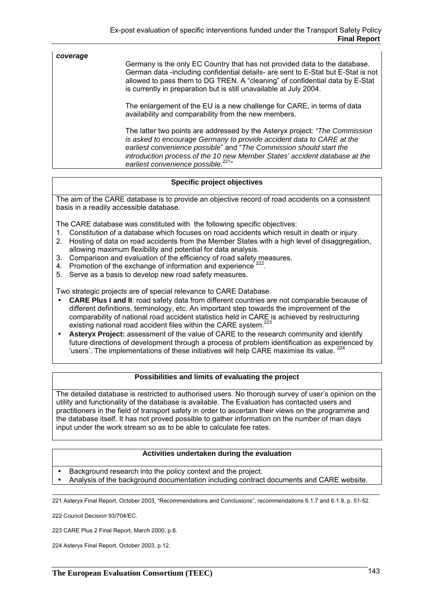| coverage | Germany is the only EC Country that has not provided data to the database.<br>German data -including confidential details- are sent to E-Stat but E-Stat is not<br>allowed to pass them to DG TREN. A "cleaning" of confidential data by E-Stat<br>is currently in preparation but is still unavailable at July 2004.                                         |
|----------|---------------------------------------------------------------------------------------------------------------------------------------------------------------------------------------------------------------------------------------------------------------------------------------------------------------------------------------------------------------|
|          | The enlargement of the EU is a new challenge for CARE, in terms of data<br>availability and comparability from the new members.                                                                                                                                                                                                                               |
|          | The latter two points are addressed by the Asteryx project: "The Commission"<br>is asked to encourage Germany to provide accident data to CARE at the<br>earliest convenience possible" and "The Commission should start the<br>introduction process of the 10 new Member States' accident database at the<br>earliest convenience possible. <sup>221</sup> " |

#### **Specific project objectives**

The aim of the CARE database is to provide an objective record of road accidents on a consistent basis in a readily accessible database.

The CARE database was constituted with the following specific objectives:

- 1. Constitution of a database which focuses on road accidents which result in death or injury.
- 2. Hosting of data on road accidents from the Member States with a high level of disaggregation, allowing maximum flexibility and potential for data analysis.
- 3. Comparison and evaluation of the efficiency of road safety measures.
- 4. Promotion of the exchange of information and experience <sup>222</sup>.
- 5. Serve as a basis to develop new road safety measures.

Two strategic projects are of special relevance to CARE Database.

- **CARE Plus I and II**: road safety data from different countries are not comparable because of different definitions, terminology, etc. An important step towards the improvement of the comparability of national road accident statistics held in CARE is achieved by restructuring existing national road accident files within the CARE system.<sup>223</sup>
- **Asteryx Project:** assessment of the value of CARE to the research community and identify future directions of development through a process of problem identification as experienced by 'users'. The implementations of these initiatives will help CARE maximise its value. <sup>224</sup>

#### **Possibilities and limits of evaluating the project**

The detailed database is restricted to authorised users. No thorough survey of user's opinion on the utility and functionality of the database is available. The Evaluation has contacted users and practitioners in the field of transport safety in order to ascertain their views on the programme and the database itself. It has not proved possible to gather information on the number of man days input under the work stream so as to be able to calculate fee rates.

#### **Activities undertaken during the evaluation**

- Background research into the policy context and the project.
- Analysis of the background documentation including contract documents and CARE website.

221 Asteryx Final Report, October 2003, "Recommendations and Conclusions", recommendations 6.1.7 and 6.1.9, p. 51-52.

222 Council Decision 93/704/EC.

223 CARE Plus 2 Final Report, March 2000, p.6.

224 Asteryx Final Report, October 2003, p.12.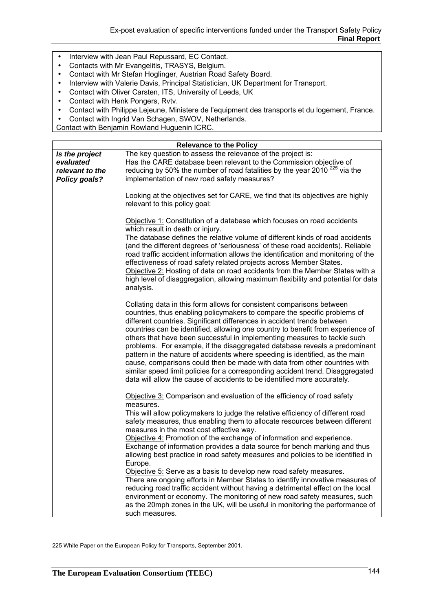- Interview with Jean Paul Repussard, EC Contact.
- Contacts with Mr Evangelitis, TRASYS, Belgium.
- Contact with Mr Stefan Hoglinger, Austrian Road Safety Board.
- Interview with Valerie Davis, Principal Statistician, UK Department for Transport.
- Contact with Oliver Carsten, ITS, University of Leeds, UK
- Contact with Henk Pongers, Rvtv.
- Contact with Philippe Lejeune, Ministere de l'equipment des transports et du logement, France.
- Contact with Ingrid Van Schagen, SWOV, Netherlands.

Contact with Benjamin Rowland Huguenin ICRC.

|                                                                        | <b>Relevance to the Policy</b>                                                                                                                                                                                                                                                                                                                                                                                                                                                                                                                                                                                                                                                                                                                                                                                                                                                                                                                                                  |
|------------------------------------------------------------------------|---------------------------------------------------------------------------------------------------------------------------------------------------------------------------------------------------------------------------------------------------------------------------------------------------------------------------------------------------------------------------------------------------------------------------------------------------------------------------------------------------------------------------------------------------------------------------------------------------------------------------------------------------------------------------------------------------------------------------------------------------------------------------------------------------------------------------------------------------------------------------------------------------------------------------------------------------------------------------------|
| Is the project<br>evaluated<br>relevant to the<br><b>Policy goals?</b> | The key question to assess the relevance of the project is:<br>Has the CARE database been relevant to the Commission objective of<br>reducing by 50% the number of road fatalities by the year 2010 <sup>225</sup> via the<br>implementation of new road safety measures?                                                                                                                                                                                                                                                                                                                                                                                                                                                                                                                                                                                                                                                                                                       |
|                                                                        | Looking at the objectives set for CARE, we find that its objectives are highly<br>relevant to this policy goal:                                                                                                                                                                                                                                                                                                                                                                                                                                                                                                                                                                                                                                                                                                                                                                                                                                                                 |
|                                                                        | Objective 1: Constitution of a database which focuses on road accidents<br>which result in death or injury.<br>The database defines the relative volume of different kinds of road accidents<br>(and the different degrees of 'seriousness' of these road accidents). Reliable<br>road traffic accident information allows the identification and monitoring of the<br>effectiveness of road safety related projects across Member States.<br>Objective 2: Hosting of data on road accidents from the Member States with a<br>high level of disaggregation, allowing maximum flexibility and potential for data<br>analysis.                                                                                                                                                                                                                                                                                                                                                    |
|                                                                        | Collating data in this form allows for consistent comparisons between<br>countries, thus enabling policymakers to compare the specific problems of<br>different countries. Significant differences in accident trends between<br>countries can be identified, allowing one country to benefit from experience of<br>others that have been successful in implementing measures to tackle such<br>problems. For example, if the disaggregated database reveals a predominant<br>pattern in the nature of accidents where speeding is identified, as the main<br>cause, comparisons could then be made with data from other countries with<br>similar speed limit policies for a corresponding accident trend. Disaggregated<br>data will allow the cause of accidents to be identified more accurately.                                                                                                                                                                           |
|                                                                        | Objective 3: Comparison and evaluation of the efficiency of road safety<br>measures.<br>This will allow policymakers to judge the relative efficiency of different road<br>safety measures, thus enabling them to allocate resources between different<br>measures in the most cost effective way.<br>Objective 4: Promotion of the exchange of information and experience.<br>Exchange of information provides a data source for bench marking and thus<br>allowing best practice in road safety measures and policies to be identified in<br>Europe.<br>Objective 5: Serve as a basis to develop new road safety measures.<br>There are ongoing efforts in Member States to identify innovative measures of<br>reducing road traffic accident without having a detrimental effect on the local<br>environment or economy. The monitoring of new road safety measures, such<br>as the 20mph zones in the UK, will be useful in monitoring the performance of<br>such measures. |

 225 White Paper on the European Policy for Transports, September 2001.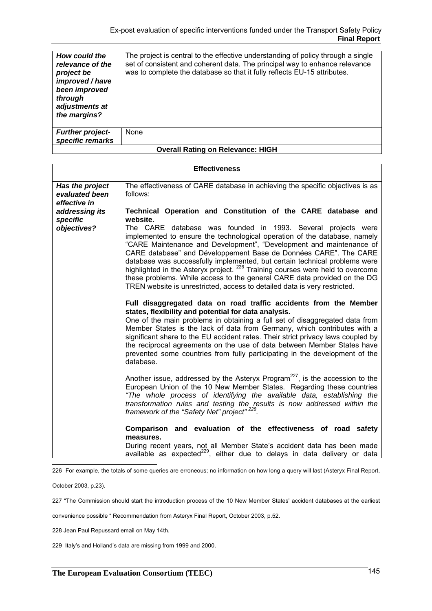| How could the<br>relevance of the<br>project be<br>improved / have<br>been improved<br>through<br>adjustments at<br>the margins? | The project is central to the effective understanding of policy through a single<br>set of consistent and coherent data. The principal way to enhance relevance<br>was to complete the database so that it fully reflects EU-15 attributes. |
|----------------------------------------------------------------------------------------------------------------------------------|---------------------------------------------------------------------------------------------------------------------------------------------------------------------------------------------------------------------------------------------|
| <b>Further project-</b><br>specific remarks                                                                                      | None                                                                                                                                                                                                                                        |

|  | <b>Overall Rating on Relevance: HIGH</b> |  |
|--|------------------------------------------|--|

|                                                   | <b>Effectiveness</b>                                                                                                                                                                                                                                                                                                                                                                                                                                                                                                                                                                                                     |
|---------------------------------------------------|--------------------------------------------------------------------------------------------------------------------------------------------------------------------------------------------------------------------------------------------------------------------------------------------------------------------------------------------------------------------------------------------------------------------------------------------------------------------------------------------------------------------------------------------------------------------------------------------------------------------------|
|                                                   |                                                                                                                                                                                                                                                                                                                                                                                                                                                                                                                                                                                                                          |
| Has the project<br>evaluated been<br>effective in | The effectiveness of CARE database in achieving the specific objectives is as<br>follows:                                                                                                                                                                                                                                                                                                                                                                                                                                                                                                                                |
| addressing its<br>specific                        | Technical Operation and Constitution of the CARE database and<br>website.                                                                                                                                                                                                                                                                                                                                                                                                                                                                                                                                                |
| objectives?                                       | The CARE database was founded in 1993. Several projects were<br>implemented to ensure the technological operation of the database, namely<br>"CARE Maintenance and Development", "Development and maintenance of<br>CARE database" and Développement Base de Données CARE". The CARE<br>database was successfully implemented, but certain technical problems were<br>highlighted in the Asteryx project. <sup>226</sup> Training courses were held to overcome<br>these problems. While access to the general CARE data provided on the DG<br>TREN website is unrestricted, access to detailed data is very restricted. |
|                                                   | Full disaggregated data on road traffic accidents from the Member<br>states, flexibility and potential for data analysis.<br>One of the main problems in obtaining a full set of disaggregated data from<br>Member States is the lack of data from Germany, which contributes with a<br>significant share to the EU accident rates. Their strict privacy laws coupled by<br>the reciprocal agreements on the use of data between Member States have<br>prevented some countries from fully participating in the development of the<br>database.                                                                          |
|                                                   | Another issue, addressed by the Asteryx Program <sup>227</sup> , is the accession to the<br>European Union of the 10 New Member States. Regarding these countries<br>"The whole process of identifying the available data, establishing the<br>transformation rules and testing the results is now addressed within the<br>framework of the "Safety Net" project" <sup>228</sup> .                                                                                                                                                                                                                                       |
|                                                   | Comparison and evaluation of the effectiveness of road safety<br>measures.<br>During recent years, not all Member State's accident data has been made<br>available as expected <sup>229</sup> , either due to delays in data delivery or data                                                                                                                                                                                                                                                                                                                                                                            |

226 For example, the totals of some queries are erroneous; no information on how long a query will last (Asteryx Final Report,

October 2003, p.23).

227 "The Commission should start the introduction process of the 10 New Member States' accident databases at the earliest

convenience possible " Recommendation from Asteryx Final Report, October 2003, p.52.

228 Jean Paul Repussard email on May 14th.

229 Italy's and Holland's data are missing from 1999 and 2000.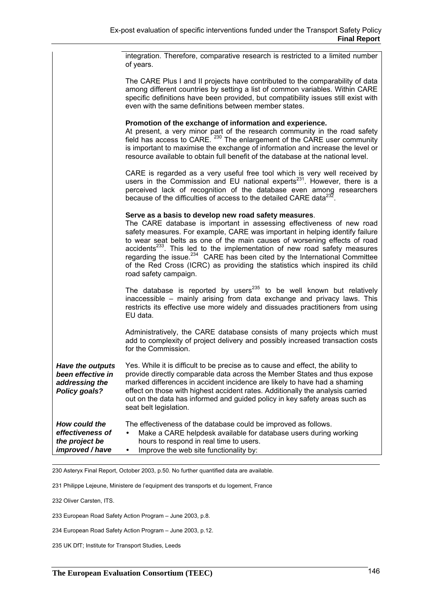integration. Therefore, comparative research is restricted to a limited number of years.

The CARE Plus I and II projects have contributed to the comparability of data among different countries by setting a list of common variables. Within CARE specific definitions have been provided, but compatibility issues still exist with even with the same definitions between member states.

#### **Promotion of the exchange of information and experience.**

At present, a very minor part of the research community in the road safety field has access to CARE.<sup>230</sup> The enlargement of the CARE user community is important to maximise the exchange of information and increase the level or resource available to obtain full benefit of the database at the national level.

CARE is regarded as a very useful free tool which is very well received by users in the Commission and EU national experts<sup>231</sup>. However, there is a perceived lack of recognition of the database even among researchers because of the difficulties of access to the detailed CARE data $^{23}$ 

#### **Serve as a basis to develop new road safety measures**.

The CARE database is important in assessing effectiveness of new road safety measures. For example, CARE was important in helping identify failure to wear seat belts as one of the main causes of worsening effects of road accidents $^{233}$ . This led to the implementation of new road safety measures regarding the issue. $234$  CARE has been cited by the International Committee of the Red Cross (ICRC) as providing the statistics which inspired its child road safety campaign.

The database is reported by users<sup>235</sup> to be well known but relatively inaccessible – mainly arising from data exchange and privacy laws. This restricts its effective use more widely and dissuades practitioners from using EU data.

Administratively, the CARE database consists of many projects which must add to complexity of project delivery and possibly increased transaction costs for the Commission.

| <b>Have the outputs</b><br>been effective in<br>addressing the<br>Policy goals? | Yes. While it is difficult to be precise as to cause and effect, the ability to<br>provide directly comparable data across the Member States and thus expose<br>marked differences in accident incidence are likely to have had a shaming<br>effect on those with highest accident rates. Additionally the analysis carried<br>out on the data has informed and guided policy in key safety areas such as<br>seat belt legislation. |
|---------------------------------------------------------------------------------|-------------------------------------------------------------------------------------------------------------------------------------------------------------------------------------------------------------------------------------------------------------------------------------------------------------------------------------------------------------------------------------------------------------------------------------|
| How could the<br>effectiveness of<br>the project be<br>improved / have          | The effectiveness of the database could be improved as follows.<br>Make a CARE helpdesk available for database users during working<br>$\bullet$<br>hours to respond in real time to users.<br>Improve the web site functionality by:<br>$\bullet$                                                                                                                                                                                  |

230 Asteryx Final Report, October 2003, p.50. No further quantified data are available.

231 Philippe Lejeune, Ministere de l'equipment des transports et du logement, France

232 Oliver Carsten, ITS.

233 European Road Safety Action Program – June 2003, p.8.

234 European Road Safety Action Program – June 2003, p.12.

235 UK DfT; Institute for Transport Studies, Leeds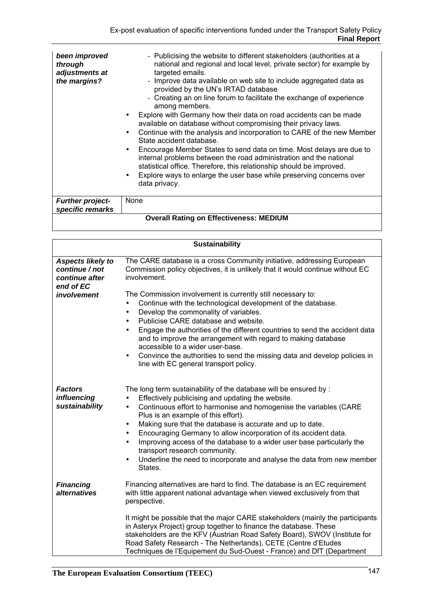| been improved<br>through<br>adjustments at<br>the margins? | - Publicising the website to different stakeholders (authorities at a<br>national and regional and local level, private sector) for example by<br>targeted emails.<br>- Improve data available on web site to include aggregated data as<br>provided by the UN's IRTAD database<br>- Creating an on line forum to facilitate the exchange of experience<br>among members.<br>Explore with Germany how their data on road accidents can be made<br>available on database without compromising their privacy laws.<br>Continue with the analysis and incorporation to CARE of the new Member<br>State accident database.<br>Encourage Member States to send data on time. Most delays are due to<br>internal problems between the road administration and the national<br>statistical office. Therefore, this relationship should be improved.<br>Explore ways to enlarge the user base while preserving concerns over<br>data privacy. |  |
|------------------------------------------------------------|---------------------------------------------------------------------------------------------------------------------------------------------------------------------------------------------------------------------------------------------------------------------------------------------------------------------------------------------------------------------------------------------------------------------------------------------------------------------------------------------------------------------------------------------------------------------------------------------------------------------------------------------------------------------------------------------------------------------------------------------------------------------------------------------------------------------------------------------------------------------------------------------------------------------------------------|--|
| <b>Further project-</b><br>specific remarks                | None                                                                                                                                                                                                                                                                                                                                                                                                                                                                                                                                                                                                                                                                                                                                                                                                                                                                                                                                  |  |
| <b>Overall Rating on Effectiveness: MEDIUM</b>             |                                                                                                                                                                                                                                                                                                                                                                                                                                                                                                                                                                                                                                                                                                                                                                                                                                                                                                                                       |  |

| <b>Sustainability</b>                                                                    |                                                                                                                                                                                                                                                                                                                                                                                                                                                                                                                                                                                                                                  |  |
|------------------------------------------------------------------------------------------|----------------------------------------------------------------------------------------------------------------------------------------------------------------------------------------------------------------------------------------------------------------------------------------------------------------------------------------------------------------------------------------------------------------------------------------------------------------------------------------------------------------------------------------------------------------------------------------------------------------------------------|--|
| <b>Aspects likely to</b><br>continue / not<br>continue after<br>end of EC<br>involvement | The CARE database is a cross Community initiative, addressing European<br>Commission policy objectives, it is unlikely that it would continue without EC<br>involvement.<br>The Commission involvement is currently still necessary to:                                                                                                                                                                                                                                                                                                                                                                                          |  |
|                                                                                          | Continue with the technological development of the database.<br>$\bullet$<br>Develop the commonality of variables.<br>$\bullet$<br>Publicise CARE database and website.<br>$\bullet$<br>Engage the authorities of the different countries to send the accident data<br>and to improve the arrangement with regard to making database<br>accessible to a wider user-base.<br>Convince the authorities to send the missing data and develop policies in<br>$\bullet$<br>line with EC general transport policy.                                                                                                                     |  |
| <b>Factors</b><br>influencing<br>sustainability                                          | The long term sustainability of the database will be ensured by:<br>Effectively publicising and updating the website.<br>$\bullet$<br>Continuous effort to harmonise and homogenise the variables (CARE<br>$\bullet$<br>Plus is an example of this effort).<br>Making sure that the database is accurate and up to date.<br>٠<br>Encouraging Germany to allow incorporation of its accident data.<br>٠<br>Improving access of the database to a wider user base particularly the<br>$\bullet$<br>transport research community.<br>Underline the need to incorporate and analyse the data from new member<br>$\bullet$<br>States. |  |
| <b>Financing</b><br>alternatives                                                         | Financing alternatives are hard to find. The database is an EC requirement<br>with little apparent national advantage when viewed exclusively from that<br>perspective.<br>It might be possible that the major CARE stakeholders (mainly the participants<br>in Asteryx Project) group together to finance the database. These<br>stakeholders are the KFV (Austrian Road Safety Board), SWOV (Institute for<br>Road Safety Research - The Netherlands), CETE (Centre d'Etudes<br>Techniques de l'Equipement du Sud-Ouest - France) and DfT (Department                                                                          |  |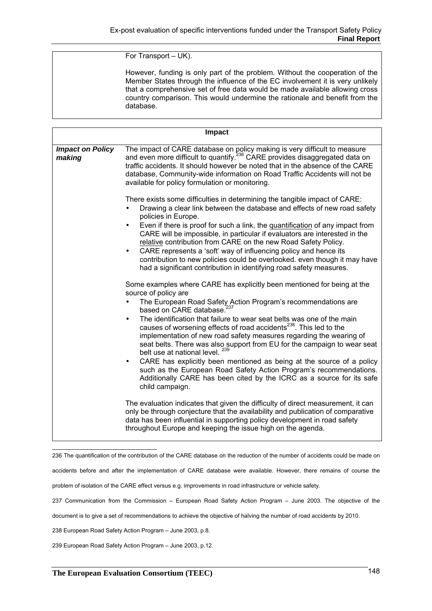For Transport – UK).

However, funding is only part of the problem. Without the cooperation of the Member States through the influence of the EC involvement it is very unlikely that a comprehensive set of free data would be made available allowing cross country comparison. This would undermine the rationale and benefit from the database.

| The impact of CARE database on policy making is very difficult to measure<br><b>Impact on Policy</b><br>and even more difficult to quantify. <sup>236</sup> CARE provides disaggregated data on<br>making<br>traffic accidents. It should however be noted that in the absence of the CARE<br>database, Community-wide information on Road Traffic Accidents will not be<br>available for policy formulation or monitoring.<br>There exists some difficulties in determining the tangible impact of CARE:<br>Drawing a clear link between the database and effects of new road safety<br>policies in Europe.<br>Even if there is proof for such a link, the quantification of any impact from<br>$\bullet$<br>CARE will be impossible, in particular if evaluators are interested in the<br>relative contribution from CARE on the new Road Safety Policy.<br>CARE represents a 'soft' way of influencing policy and hence its<br>contribution to new policies could be overlooked. even though it may have<br>had a significant contribution in identifying road safety measures.<br>Some examples where CARE has explicitly been mentioned for being at the<br>source of policy are<br>The European Road Safety Action Program's recommendations are<br>based on CARE database. <sup>237</sup><br>The identification that failure to wear seat belts was one of the main<br>$\bullet$<br>causes of worsening effects of road accidents <sup>238</sup> . This led to the<br>implementation of new road safety measures regarding the wearing of<br>seat belts. There was also support from EU for the campaign to wear seat<br>belt use at national level. 239<br>CARE has explicitly been mentioned as being at the source of a policy<br>$\bullet$<br>such as the European Road Safety Action Program's recommendations.<br>Additionally CARE has been cited by the ICRC as a source for its safe<br>child campaign.<br>The evaluation indicates that given the difficulty of direct measurement, it can<br>only be through conjecture that the availability and publication of comparative | Impact                                                                    |
|------------------------------------------------------------------------------------------------------------------------------------------------------------------------------------------------------------------------------------------------------------------------------------------------------------------------------------------------------------------------------------------------------------------------------------------------------------------------------------------------------------------------------------------------------------------------------------------------------------------------------------------------------------------------------------------------------------------------------------------------------------------------------------------------------------------------------------------------------------------------------------------------------------------------------------------------------------------------------------------------------------------------------------------------------------------------------------------------------------------------------------------------------------------------------------------------------------------------------------------------------------------------------------------------------------------------------------------------------------------------------------------------------------------------------------------------------------------------------------------------------------------------------------------------------------------------------------------------------------------------------------------------------------------------------------------------------------------------------------------------------------------------------------------------------------------------------------------------------------------------------------------------------------------------------------------------------------------------------------------------------------------------------------------------------------------------------------------------|---------------------------------------------------------------------------|
|                                                                                                                                                                                                                                                                                                                                                                                                                                                                                                                                                                                                                                                                                                                                                                                                                                                                                                                                                                                                                                                                                                                                                                                                                                                                                                                                                                                                                                                                                                                                                                                                                                                                                                                                                                                                                                                                                                                                                                                                                                                                                                |                                                                           |
| throughout Europe and keeping the issue high on the agenda.                                                                                                                                                                                                                                                                                                                                                                                                                                                                                                                                                                                                                                                                                                                                                                                                                                                                                                                                                                                                                                                                                                                                                                                                                                                                                                                                                                                                                                                                                                                                                                                                                                                                                                                                                                                                                                                                                                                                                                                                                                    | data has been influential in supporting policy development in road safety |

236 The quantification of the contribution of the CARE database on the reduction of the number of accidents could be made on

accidents before and after the implementation of CARE database were available. However, there remains of course the

problem of isolation of the CARE effect versus e.g. improvements in road infrastructure or vehicle safety.

237 Communication from the Commission – European Road Safety Action Program – June 2003. The objective of the

document is to give a set of recommendations to achieve the objective of halving the number of road accidents by 2010.

238 European Road Safety Action Program – June 2003, p.8.

239 European Road Safety Action Program – June 2003, p.12.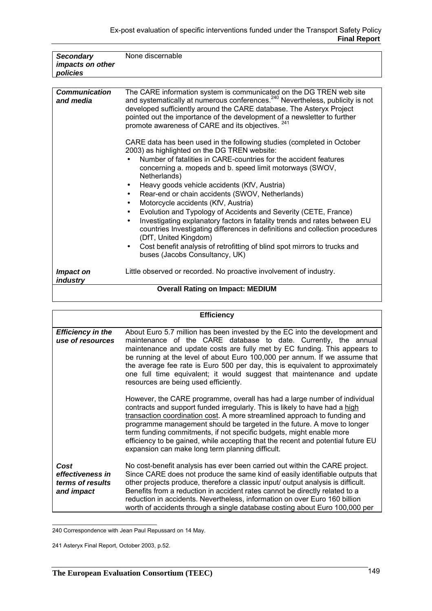| <b>Secondary</b>                  | None discernable                                                                                                                                                                                                                                                                                                                                                                                                                                                                                                                                                                                                                                                                                                                                                                                                                                                                                                                                                                                                                                                                                                                                                                                                                          |
|-----------------------------------|-------------------------------------------------------------------------------------------------------------------------------------------------------------------------------------------------------------------------------------------------------------------------------------------------------------------------------------------------------------------------------------------------------------------------------------------------------------------------------------------------------------------------------------------------------------------------------------------------------------------------------------------------------------------------------------------------------------------------------------------------------------------------------------------------------------------------------------------------------------------------------------------------------------------------------------------------------------------------------------------------------------------------------------------------------------------------------------------------------------------------------------------------------------------------------------------------------------------------------------------|
| impacts on other                  |                                                                                                                                                                                                                                                                                                                                                                                                                                                                                                                                                                                                                                                                                                                                                                                                                                                                                                                                                                                                                                                                                                                                                                                                                                           |
| policies                          |                                                                                                                                                                                                                                                                                                                                                                                                                                                                                                                                                                                                                                                                                                                                                                                                                                                                                                                                                                                                                                                                                                                                                                                                                                           |
|                                   |                                                                                                                                                                                                                                                                                                                                                                                                                                                                                                                                                                                                                                                                                                                                                                                                                                                                                                                                                                                                                                                                                                                                                                                                                                           |
| <b>Communication</b><br>and media | The CARE information system is communicated on the DG TREN web site<br>and systematically at numerous conferences. <sup>240</sup> Nevertheless, publicity is not<br>developed sufficiently around the CARE database. The Asteryx Project<br>pointed out the importance of the development of a newsletter to further<br>promote awareness of CARE and its objectives. <sup>241</sup><br>CARE data has been used in the following studies (completed in October<br>2003) as highlighted on the DG TREN website:<br>Number of fatalities in CARE-countries for the accident features<br>concerning a. mopeds and b. speed limit motorways (SWOV,<br>Netherlands)<br>Heavy goods vehicle accidents (KfV, Austria)<br>٠<br>Rear-end or chain accidents (SWOV, Netherlands)<br>$\bullet$<br>Motorcycle accidents (KfV, Austria)<br>$\bullet$<br>Evolution and Typology of Accidents and Severity (CETE, France)<br>Investigating explanatory factors in fatality trends and rates between EU<br>$\bullet$<br>countries Investigating differences in definitions and collection procedures<br>(DfT, United Kingdom)<br>Cost benefit analysis of retrofitting of blind spot mirrors to trucks and<br>$\bullet$<br>buses (Jacobs Consultancy, UK) |
| Impact on<br><i>industry</i>      | Little observed or recorded. No proactive involvement of industry.                                                                                                                                                                                                                                                                                                                                                                                                                                                                                                                                                                                                                                                                                                                                                                                                                                                                                                                                                                                                                                                                                                                                                                        |
|                                   | <b>Overall Rating on Impact: MEDIUM</b>                                                                                                                                                                                                                                                                                                                                                                                                                                                                                                                                                                                                                                                                                                                                                                                                                                                                                                                                                                                                                                                                                                                                                                                                   |
|                                   |                                                                                                                                                                                                                                                                                                                                                                                                                                                                                                                                                                                                                                                                                                                                                                                                                                                                                                                                                                                                                                                                                                                                                                                                                                           |

|                                                            | <b>Efficiency</b>                                                                                                                                                                                                                                                                                                                                                                                                                                                                                                                |
|------------------------------------------------------------|----------------------------------------------------------------------------------------------------------------------------------------------------------------------------------------------------------------------------------------------------------------------------------------------------------------------------------------------------------------------------------------------------------------------------------------------------------------------------------------------------------------------------------|
| <b>Efficiency in the</b><br>use of resources               | About Euro 5.7 million has been invested by the EC into the development and<br>maintenance of the CARE database to date. Currently, the annual<br>maintenance and update costs are fully met by EC funding. This appears to<br>be running at the level of about Euro 100,000 per annum. If we assume that<br>the average fee rate is Euro 500 per day, this is equivalent to approximately<br>one full time equivalent; it would suggest that maintenance and update<br>resources are being used efficiently.                    |
|                                                            | However, the CARE programme, overall has had a large number of individual<br>contracts and support funded irregularly. This is likely to have had a high<br>transaction coordination cost. A more streamlined approach to funding and<br>programme management should be targeted in the future. A move to longer<br>term funding commitments, if not specific budgets, might enable more<br>efficiency to be gained, while accepting that the recent and potential future EU<br>expansion can make long term planning difficult. |
| Cost<br>effectiveness in<br>terms of results<br>and impact | No cost-benefit analysis has ever been carried out within the CARE project.<br>Since CARE does not produce the same kind of easily identifiable outputs that<br>other projects produce, therefore a classic input/ output analysis is difficult.<br>Benefits from a reduction in accident rates cannot be directly related to a<br>reduction in accidents. Nevertheless, information on over Euro 160 billion<br>worth of accidents through a single database costing about Euro 100,000 per                                     |

 240 Correspondence with Jean Paul Repussard on 14 May.

<sup>241</sup> Asteryx Final Report, October 2003, p.52.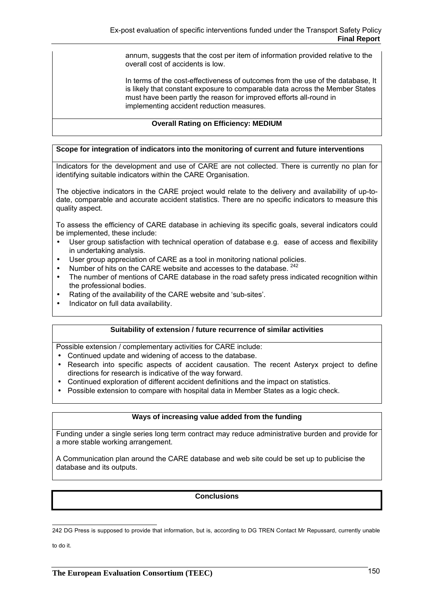annum, suggests that the cost per item of information provided relative to the overall cost of accidents is low.

In terms of the cost-effectiveness of outcomes from the use of the database, It is likely that constant exposure to comparable data across the Member States must have been partly the reason for improved efforts all-round in implementing accident reduction measures.

# **Overall Rating on Efficiency: MEDIUM**

# **Scope for integration of indicators into the monitoring of current and future interventions**

Indicators for the development and use of CARE are not collected. There is currently no plan for identifying suitable indicators within the CARE Organisation.

The objective indicators in the CARE project would relate to the delivery and availability of up-todate, comparable and accurate accident statistics. There are no specific indicators to measure this quality aspect.

To assess the efficiency of CARE database in achieving its specific goals, several indicators could be implemented, these include:

- User group satisfaction with technical operation of database e.g. ease of access and flexibility in undertaking analysis.
- User group appreciation of CARE as a tool in monitoring national policies.
- Number of hits on the CARE website and accesses to the database. <sup>242</sup>
- The number of mentions of CARE database in the road safety press indicated recognition within the professional bodies.
- Rating of the availability of the CARE website and 'sub-sites'.
- Indicator on full data availability.

### **Suitability of extension / future recurrence of similar activities**

Possible extension / complementary activities for CARE include:

- Continued update and widening of access to the database.
- Research into specific aspects of accident causation. The recent Asteryx project to define directions for research is indicative of the way forward.
- Continued exploration of different accident definitions and the impact on statistics.
- Possible extension to compare with hospital data in Member States as a logic check.

### **Ways of increasing value added from the funding**

Funding under a single series long term contract may reduce administrative burden and provide for a more stable working arrangement.

A Communication plan around the CARE database and web site could be set up to publicise the database and its outputs.

### **Conclusions**

to do it.

 242 DG Press is supposed to provide that information, but is, according to DG TREN Contact Mr Repussard, currently unable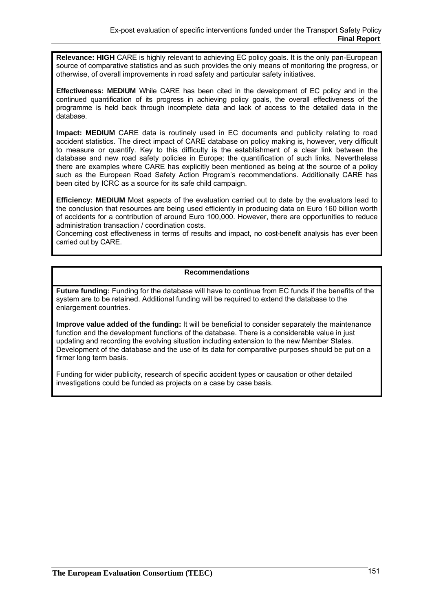**Relevance: HIGH** CARE is highly relevant to achieving EC policy goals. It is the only pan-European source of comparative statistics and as such provides the only means of monitoring the progress, or otherwise, of overall improvements in road safety and particular safety initiatives.

**Effectiveness: MEDIUM** While CARE has been cited in the development of EC policy and in the continued quantification of its progress in achieving policy goals, the overall effectiveness of the programme is held back through incomplete data and lack of access to the detailed data in the database.

**Impact: MEDIUM** CARE data is routinely used in EC documents and publicity relating to road accident statistics. The direct impact of CARE database on policy making is, however, very difficult to measure or quantify. Key to this difficulty is the establishment of a clear link between the database and new road safety policies in Europe; the quantification of such links. Nevertheless there are examples where CARE has explicitly been mentioned as being at the source of a policy such as the European Road Safety Action Program's recommendations. Additionally CARE has been cited by ICRC as a source for its safe child campaign.

**Efficiency: MEDIUM** Most aspects of the evaluation carried out to date by the evaluators lead to the conclusion that resources are being used efficiently in producing data on Euro 160 billion worth of accidents for a contribution of around Euro 100,000. However, there are opportunities to reduce administration transaction / coordination costs.

Concerning cost effectiveness in terms of results and impact, no cost-benefit analysis has ever been carried out by CARE.

### **Recommendations**

**Future funding:** Funding for the database will have to continue from EC funds if the benefits of the system are to be retained. Additional funding will be required to extend the database to the enlargement countries.

**Improve value added of the funding:** It will be beneficial to consider separately the maintenance function and the development functions of the database. There is a considerable value in just updating and recording the evolving situation including extension to the new Member States. Development of the database and the use of its data for comparative purposes should be put on a firmer long term basis.

Funding for wider publicity, research of specific accident types or causation or other detailed investigations could be funded as projects on a case by case basis.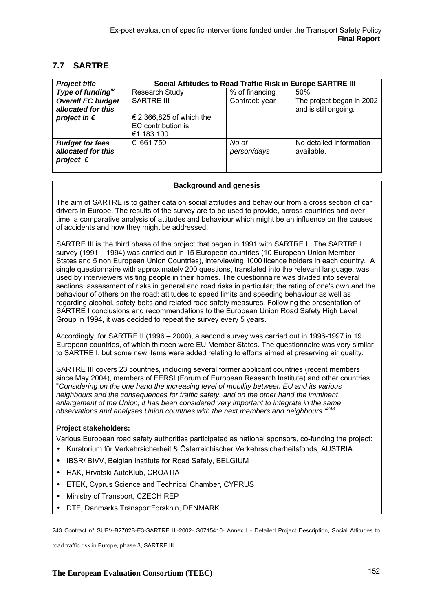# **7.7 SARTRE**

| <b>Project title</b>                                               | Social Attitudes to Road Traffic Risk in Europe SARTRE III   |                      |                                                    |
|--------------------------------------------------------------------|--------------------------------------------------------------|----------------------|----------------------------------------------------|
| Type of funding $\mu^V$                                            | <b>Research Study</b>                                        | % of financing       | 50%                                                |
| <b>Overall EC budget</b><br>allocated for this                     | <b>SARTRE III</b>                                            | Contract: year       | The project began in 2002<br>and is still ongoing. |
| project in $\epsilon$                                              | € 2,366,825 of which the<br>EC contribution is<br>€1,183.100 |                      |                                                    |
| <b>Budget for fees</b><br>allocated for this<br>project $\epsilon$ | € 661 750                                                    | No of<br>person/days | No detailed information<br>available.              |

#### **Background and genesis**

The aim of SARTRE is to gather data on social attitudes and behaviour from a cross section of car drivers in Europe. The results of the survey are to be used to provide, across countries and over time, a comparative analysis of attitudes and behaviour which might be an influence on the causes of accidents and how they might be addressed.

SARTRE III is the third phase of the project that began in 1991 with SARTRE I. The SARTRE I survey (1991 – 1994) was carried out in 15 European countries (10 European Union Member States and 5 non European Union Countries), interviewing 1000 licence holders in each country. A single questionnaire with approximately 200 questions, translated into the relevant language, was used by interviewers visiting people in their homes. The questionnaire was divided into several sections: assessment of risks in general and road risks in particular; the rating of one's own and the behaviour of others on the road; attitudes to speed limits and speeding behaviour as well as regarding alcohol, safety belts and related road safety measures. Following the presentation of SARTRE I conclusions and recommendations to the European Union Road Safety High Level Group in 1994, it was decided to repeat the survey every 5 years.

Accordingly, for SARTRE II (1996 – 2000), a second survey was carried out in 1996-1997 in 19 European countries, of which thirteen were EU Member States. The questionnaire was very similar to SARTRE I, but some new items were added relating to efforts aimed at preserving air quality.

SARTRE III covers 23 countries, including several former applicant countries (recent members since May 2004), members of FERSI (Forum of European Research Institute) and other countries. "*Considering on the one hand the increasing level of mobility between EU and its various neighbours and the consequences for traffic safety, and on the other hand the imminent enlargement of the Union, it has been considered very important to integrate in the same observations and analyses Union countries with the next members and neighbours."<sup>243</sup>*

### **Project stakeholders:**

Various European road safety authorities participated as national sponsors, co-funding the project:

- Kuratorium für Verkehrsicherheit & Österreichischer Verkehrssicherheitsfonds, AUSTRIA
- IBSR/ BIVV, Belgian Institute for Road Safety, BELGIUM
- HAK, Hrvatski AutoKlub, CROATIA
- ETEK, Cyprus Science and Technical Chamber, CYPRUS
- Ministry of Transport, CZECH REP
- DTF, Danmarks TransportForsknin, DENMARK

243 Contract n° SUBV-B2702B-E3-SARTRE III-2002- S0715410- Annex I - Detailed Project Description, Social Attitudes to

road traffic risk in Europe, phase 3, SARTRE III.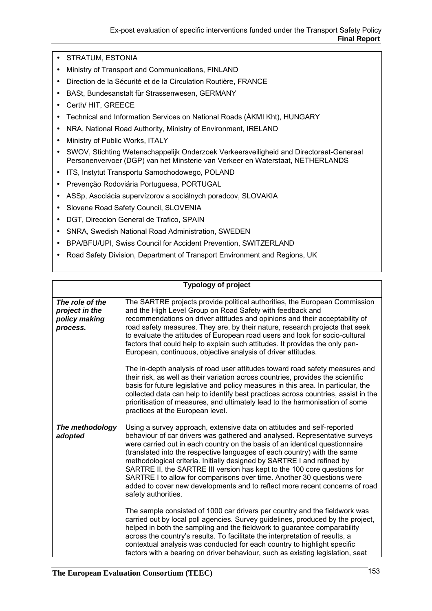- STRATUM, ESTONIA
- Ministry of Transport and Communications, FINLAND
- Direction de la Sécurité et de la Circulation Routière, FRANCE
- BASt, Bundesanstalt für Strassenwesen, GERMANY
- Certh/ HIT, GREECE
- Technical and Information Services on National Roads (ÁKMI Kht), HUNGARY
- NRA, National Road Authority, Ministry of Environment, IRELAND
- Ministry of Public Works, ITALY
- SWOV, Stichting Wetenschappelijk Onderzoek Verkeersveiligheid and Directoraat-Generaal Personenvervoer (DGP) van het Minsterie van Verkeer en Waterstaat, NETHERLANDS
- ITS, Instytut Transportu Samochodowego, POLAND
- Prevenção Rodoviária Portuguesa, PORTUGAL
- ASSp, Asociácia supervízorov a sociálnych poradcov, SLOVAKIA
- Slovene Road Safety Council, SLOVENIA
- DGT, Direccion General de Trafico, SPAIN
- SNRA, Swedish National Road Administration, SWEDEN
- BPA/BFU/UPI, Swiss Council for Accident Prevention, SWITZERLAND
- Road Safety Division, Department of Transport Environment and Regions, UK

# **Typology of project**

| The role of the<br>project in the<br>policy making<br>process. | The SARTRE projects provide political authorities, the European Commission<br>and the High Level Group on Road Safety with feedback and<br>recommendations on driver attitudes and opinions and their acceptability of<br>road safety measures. They are, by their nature, research projects that seek<br>to evaluate the attitudes of European road users and look for socio-cultural<br>factors that could help to explain such attitudes. It provides the only pan-<br>European, continuous, objective analysis of driver attitudes.<br>The in-depth analysis of road user attitudes toward road safety measures and<br>their risk, as well as their variation across countries, provides the scientific |
|----------------------------------------------------------------|-------------------------------------------------------------------------------------------------------------------------------------------------------------------------------------------------------------------------------------------------------------------------------------------------------------------------------------------------------------------------------------------------------------------------------------------------------------------------------------------------------------------------------------------------------------------------------------------------------------------------------------------------------------------------------------------------------------|
|                                                                | basis for future legislative and policy measures in this area. In particular, the<br>collected data can help to identify best practices across countries, assist in the<br>prioritisation of measures, and ultimately lead to the harmonisation of some<br>practices at the European level.                                                                                                                                                                                                                                                                                                                                                                                                                 |
| The methodology<br>adopted                                     | Using a survey approach, extensive data on attitudes and self-reported<br>behaviour of car drivers was gathered and analysed. Representative surveys<br>were carried out in each country on the basis of an identical questionnaire<br>(translated into the respective languages of each country) with the same<br>methodological criteria. Initially designed by SARTRE I and refined by<br>SARTRE II, the SARTRE III version has kept to the 100 core questions for<br>SARTRE I to allow for comparisons over time. Another 30 questions were<br>added to cover new developments and to reflect more recent concerns of road<br>safety authorities.                                                       |
|                                                                | The sample consisted of 1000 car drivers per country and the fieldwork was<br>carried out by local poll agencies. Survey guidelines, produced by the project,<br>helped in both the sampling and the fieldwork to guarantee comparability<br>across the country's results. To facilitate the interpretation of results, a<br>contextual analysis was conducted for each country to highlight specific<br>factors with a bearing on driver behaviour, such as existing legislation, seat                                                                                                                                                                                                                     |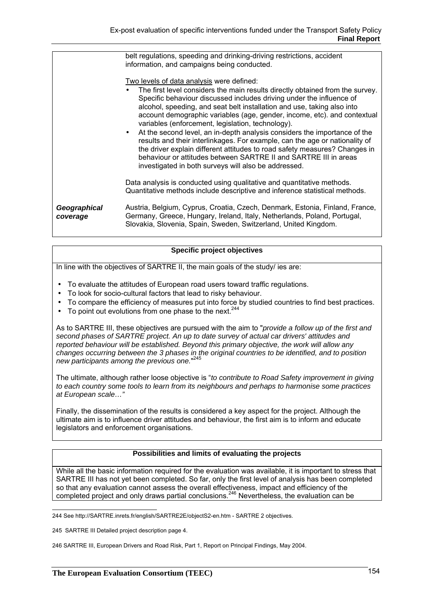|                          | belt regulations, speeding and drinking-driving restrictions, accident<br>information, and campaigns being conducted.                                                                                                                                                                                                                                                                                                                                                                                                                                                                                                                                                                                                                                                                  |
|--------------------------|----------------------------------------------------------------------------------------------------------------------------------------------------------------------------------------------------------------------------------------------------------------------------------------------------------------------------------------------------------------------------------------------------------------------------------------------------------------------------------------------------------------------------------------------------------------------------------------------------------------------------------------------------------------------------------------------------------------------------------------------------------------------------------------|
|                          | Two levels of data analysis were defined:<br>The first level considers the main results directly obtained from the survey.<br>Specific behaviour discussed includes driving under the influence of<br>alcohol, speeding, and seat belt installation and use, taking also into<br>account demographic variables (age, gender, income, etc). and contextual<br>variables (enforcement, legislation, technology).<br>• At the second level, an in-depth analysis considers the importance of the<br>results and their interlinkages. For example, can the age or nationality of<br>the driver explain different attitudes to road safety measures? Changes in<br>behaviour or attitudes between SARTRE II and SARTRE III in areas<br>investigated in both surveys will also be addressed. |
|                          | Data analysis is conducted using qualitative and quantitative methods.<br>Quantitative methods include descriptive and inference statistical methods.                                                                                                                                                                                                                                                                                                                                                                                                                                                                                                                                                                                                                                  |
| Geographical<br>coverage | Austria, Belgium, Cyprus, Croatia, Czech, Denmark, Estonia, Finland, France,<br>Germany, Greece, Hungary, Ireland, Italy, Netherlands, Poland, Portugal,<br>Slovakia, Slovenia, Spain, Sweden, Switzerland, United Kingdom.                                                                                                                                                                                                                                                                                                                                                                                                                                                                                                                                                            |

#### **Specific project objectives**

In line with the objectives of SARTRE II, the main goals of the study/ ies are:

- To evaluate the attitudes of European road users toward traffic regulations.
- To look for socio-cultural factors that lead to risky behaviour.
- To compare the efficiency of measures put into force by studied countries to find best practices.
- To point out evolutions from one phase to the next.  $244$

As to SARTRE III, these objectives are pursued with the aim to "*provide a follow up of the first and second phases of SARTRE project. An up to date survey of actual car drivers' attitudes and reported behaviour will be established. Beyond this primary objective, the work will allow any changes occurring between the 3 phases in the original countries to be identified, and to position new participants among the previous one.*" 245

The ultimate, although rather loose objective is "*to contribute to Road Safety improvement in giving to each country some tools to learn from its neighbours and perhaps to harmonise some practices at European scale…"*

Finally, the dissemination of the results is considered a key aspect for the project. Although the ultimate aim is to influence driver attitudes and behaviour, the first aim is to inform and educate legislators and enforcement organisations.

# **Possibilities and limits of evaluating the projects**

While all the basic information required for the evaluation was available, it is important to stress that SARTRE III has not yet been completed. So far, only the first level of analysis has been completed so that any evaluation cannot assess the overall effectiveness, impact and efficiency of the completed project and only draws partial conclusions.<sup>246</sup> Nevertheless, the evaluation can be

 244 See http://SARTRE.inrets.fr/english/SARTRE2E/objectS2-en.htm - SARTRE 2 objectives.

<sup>245</sup> SARTRE III Detailed project description page 4.

<sup>246</sup> SARTRE III, European Drivers and Road Risk, Part 1, Report on Principal Findings, May 2004.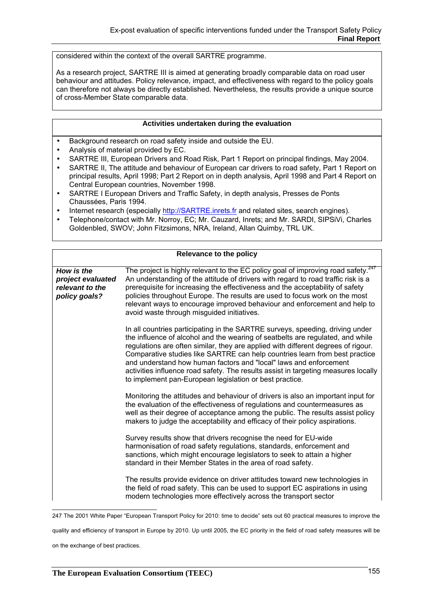considered within the context of the overall SARTRE programme.

As a research project, SARTRE III is aimed at generating broadly comparable data on road user behaviour and attitudes. Policy relevance, impact, and effectiveness with regard to the policy goals can therefore not always be directly established. Nevertheless, the results provide a unique source of cross-Member State comparable data.

#### **Activities undertaken during the evaluation**

- Background research on road safety inside and outside the EU.
- Analysis of material provided by EC.
- SARTRE III, European Drivers and Road Risk, Part 1 Report on principal findings, May 2004.
- SARTRE II, The attitude and behaviour of European car drivers to road safety, Part 1 Report on principal results, April 1998; Part 2 Report on in depth analysis, April 1998 and Part 4 Report on Central European countries, November 1998.
- SARTRE I European Drivers and Traffic Safety, in depth analysis, Presses de Ponts Chaussées, Paris 1994.
- Internet research (especially http://SARTRE.inrets.fr and related sites, search engines).
- Telephone/contact with Mr. Norroy, EC; Mr. Cauzard, Inrets; and Mr. SARDI, SIPSiVi, Charles Goldenbled, SWOV; John Fitzsimons, NRA, Ireland, Allan Quimby, TRL UK.

|                                                                     | Relevance to the policy                                                                                                                                                                                                                                                                                                                                                                                                                                                                                                                                   |
|---------------------------------------------------------------------|-----------------------------------------------------------------------------------------------------------------------------------------------------------------------------------------------------------------------------------------------------------------------------------------------------------------------------------------------------------------------------------------------------------------------------------------------------------------------------------------------------------------------------------------------------------|
| How is the<br>project evaluated<br>relevant to the<br>policy goals? | The project is highly relevant to the EC policy goal of improving road safety. $247$<br>An understanding of the attitude of drivers with regard to road traffic risk is a<br>prerequisite for increasing the effectiveness and the acceptability of safety<br>policies throughout Europe. The results are used to focus work on the most<br>relevant ways to encourage improved behaviour and enforcement and help to<br>avoid waste through misquided initiatives.                                                                                       |
|                                                                     | In all countries participating in the SARTRE surveys, speeding, driving under<br>the influence of alcohol and the wearing of seatbelts are regulated, and while<br>regulations are often similar, they are applied with different degrees of rigour.<br>Comparative studies like SARTRE can help countries learn from best practice<br>and understand how human factors and "local" laws and enforcement<br>activities influence road safety. The results assist in targeting measures locally<br>to implement pan-European legislation or best practice. |
|                                                                     | Monitoring the attitudes and behaviour of drivers is also an important input for<br>the evaluation of the effectiveness of regulations and countermeasures as<br>well as their degree of acceptance among the public. The results assist policy<br>makers to judge the acceptability and efficacy of their policy aspirations.                                                                                                                                                                                                                            |
|                                                                     | Survey results show that drivers recognise the need for EU-wide<br>harmonisation of road safety regulations, standards, enforcement and<br>sanctions, which might encourage legislators to seek to attain a higher<br>standard in their Member States in the area of road safety.                                                                                                                                                                                                                                                                         |
|                                                                     | The results provide evidence on driver attitudes toward new technologies in<br>the field of road safety. This can be used to support EC aspirations in using<br>modern technologies more effectively across the transport sector                                                                                                                                                                                                                                                                                                                          |

 247 The 2001 White Paper "European Transport Policy for 2010: time to decide" sets out 60 practical measures to improve the

quality and efficiency of transport in Europe by 2010. Up until 2005, the EC priority in the field of road safety measures will be

on the exchange of best practices.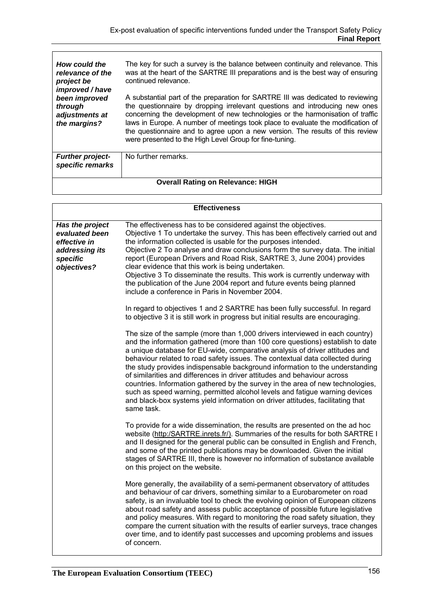| How could the<br>relevance of the<br>project be<br>improved / have<br>been improved<br>through<br>adjustments at<br>the margins? | The key for such a survey is the balance between continuity and relevance. This<br>was at the heart of the SARTRE III preparations and is the best way of ensuring<br>continued relevance.                                                                                                                                                                                                                                                                                      |
|----------------------------------------------------------------------------------------------------------------------------------|---------------------------------------------------------------------------------------------------------------------------------------------------------------------------------------------------------------------------------------------------------------------------------------------------------------------------------------------------------------------------------------------------------------------------------------------------------------------------------|
|                                                                                                                                  | A substantial part of the preparation for SARTRE III was dedicated to reviewing<br>the questionnaire by dropping irrelevant questions and introducing new ones<br>concerning the development of new technologies or the harmonisation of traffic<br>laws in Europe. A number of meetings took place to evaluate the modification of<br>the questionnaire and to agree upon a new version. The results of this review<br>were presented to the High Level Group for fine-tuning. |
| <b>Further project-</b><br>specific remarks                                                                                      | No further remarks.                                                                                                                                                                                                                                                                                                                                                                                                                                                             |
| <b>Overall Rating on Relevance: HIGH</b>                                                                                         |                                                                                                                                                                                                                                                                                                                                                                                                                                                                                 |

|                                                                                                | <b>Effectiveness</b>                                                                                                                                                                                                                                                                                                                                                                                                                                                                                                                                                                                                                                                                                                                                       |
|------------------------------------------------------------------------------------------------|------------------------------------------------------------------------------------------------------------------------------------------------------------------------------------------------------------------------------------------------------------------------------------------------------------------------------------------------------------------------------------------------------------------------------------------------------------------------------------------------------------------------------------------------------------------------------------------------------------------------------------------------------------------------------------------------------------------------------------------------------------|
| Has the project<br>evaluated been<br>effective in<br>addressing its<br>specific<br>objectives? | The effectiveness has to be considered against the objectives.<br>Objective 1 To undertake the survey. This has been effectively carried out and<br>the information collected is usable for the purposes intended.<br>Objective 2 To analyse and draw conclusions form the survey data. The initial<br>report (European Drivers and Road Risk, SARTRE 3, June 2004) provides<br>clear evidence that this work is being undertaken.<br>Objective 3 To disseminate the results. This work is currently underway with<br>the publication of the June 2004 report and future events being planned<br>include a conference in Paris in November 2004.                                                                                                           |
|                                                                                                | In regard to objectives 1 and 2 SARTRE has been fully successful. In regard<br>to objective 3 it is still work in progress but initial results are encouraging.                                                                                                                                                                                                                                                                                                                                                                                                                                                                                                                                                                                            |
|                                                                                                | The size of the sample (more than 1,000 drivers interviewed in each country)<br>and the information gathered (more than 100 core questions) establish to date<br>a unique database for EU-wide, comparative analysis of driver attitudes and<br>behaviour related to road safety issues. The contextual data collected during<br>the study provides indispensable background information to the understanding<br>of similarities and differences in driver attitudes and behaviour across<br>countries. Information gathered by the survey in the area of new technologies,<br>such as speed warning, permitted alcohol levels and fatigue warning devices<br>and black-box systems yield information on driver attitudes, facilitating that<br>same task. |
|                                                                                                | To provide for a wide dissemination, the results are presented on the ad hoc<br>website (http:/SARTRE.inrets.fr/). Summaries of the results for both SARTRE I<br>and II designed for the general public can be consulted in English and French,<br>and some of the printed publications may be downloaded. Given the initial<br>stages of SARTRE III, there is however no information of substance available<br>on this project on the website.                                                                                                                                                                                                                                                                                                            |
|                                                                                                | More generally, the availability of a semi-permanent observatory of attitudes<br>and behaviour of car drivers, something similar to a Eurobarometer on road<br>safety, is an invaluable tool to check the evolving opinion of European citizens<br>about road safety and assess public acceptance of possible future legislative<br>and policy measures. With regard to monitoring the road safety situation, they<br>compare the current situation with the results of earlier surveys, trace changes<br>over time, and to identify past successes and upcoming problems and issues<br>of concern.                                                                                                                                                        |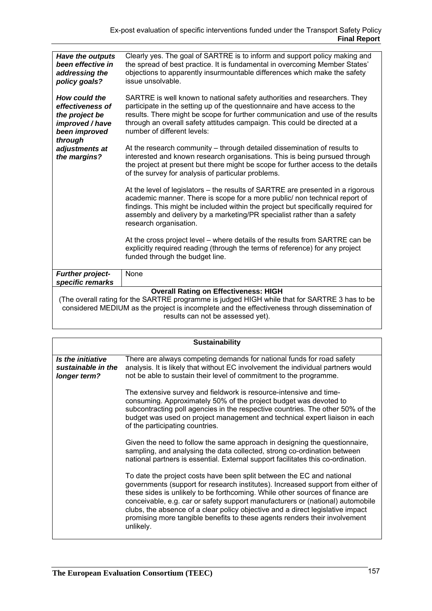| Have the outputs<br>been effective in<br>addressing the<br>policy goals?                                                                                                                                                                                                            | Clearly yes. The goal of SARTRE is to inform and support policy making and<br>the spread of best practice. It is fundamental in overcoming Member States'<br>objections to apparently insurmountable differences which make the safety<br>issue unsolvable.                                                                                             |
|-------------------------------------------------------------------------------------------------------------------------------------------------------------------------------------------------------------------------------------------------------------------------------------|---------------------------------------------------------------------------------------------------------------------------------------------------------------------------------------------------------------------------------------------------------------------------------------------------------------------------------------------------------|
| How could the<br>effectiveness of<br>the project be<br>improved / have<br>been improved                                                                                                                                                                                             | SARTRE is well known to national safety authorities and researchers. They<br>participate in the setting up of the questionnaire and have access to the<br>results. There might be scope for further communication and use of the results<br>through an overall safety attitudes campaign. This could be directed at a<br>number of different levels:    |
| through<br>adjustments at<br>the margins?                                                                                                                                                                                                                                           | At the research community – through detailed dissemination of results to<br>interested and known research organisations. This is being pursued through<br>the project at present but there might be scope for further access to the details<br>of the survey for analysis of particular problems.                                                       |
|                                                                                                                                                                                                                                                                                     | At the level of legislators – the results of SARTRE are presented in a rigorous<br>academic manner. There is scope for a more public/ non technical report of<br>findings. This might be included within the project but specifically required for<br>assembly and delivery by a marketing/PR specialist rather than a safety<br>research organisation. |
|                                                                                                                                                                                                                                                                                     | At the cross project level – where details of the results from SARTRE can be<br>explicitly required reading (through the terms of reference) for any project<br>funded through the budget line.                                                                                                                                                         |
| <b>Further project-</b>                                                                                                                                                                                                                                                             | None                                                                                                                                                                                                                                                                                                                                                    |
| specific remarks                                                                                                                                                                                                                                                                    |                                                                                                                                                                                                                                                                                                                                                         |
| <b>Overall Rating on Effectiveness: HIGH</b><br>(The overall rating for the SARTRE programme is judged HIGH while that for SARTRE 3 has to be<br>considered MEDIUM as the project is incomplete and the effectiveness through dissemination of<br>results can not be assessed yet). |                                                                                                                                                                                                                                                                                                                                                         |
|                                                                                                                                                                                                                                                                                     |                                                                                                                                                                                                                                                                                                                                                         |

**Sustainability**  *Is the initiative sustainable in the longer term?*  There are always competing demands for national funds for road safety analysis. It is likely that without EC involvement the individual partners would not be able to sustain their level of commitment to the programme. The extensive survey and fieldwork is resource-intensive and timeconsuming. Approximately 50% of the project budget was devoted to subcontracting poll agencies in the respective countries. The other 50% of the budget was used on project management and technical expert liaison in each of the participating countries. Given the need to follow the same approach in designing the questionnaire, sampling, and analysing the data collected, strong co-ordination between national partners is essential. External support facilitates this co-ordination. To date the project costs have been split between the EC and national governments (support for research institutes). Increased support from either of these sides is unlikely to be forthcoming. While other sources of finance are conceivable, e.g. car or safety support manufacturers or (national) automobile clubs, the absence of a clear policy objective and a direct legislative impact promising more tangible benefits to these agents renders their involvement unlikely.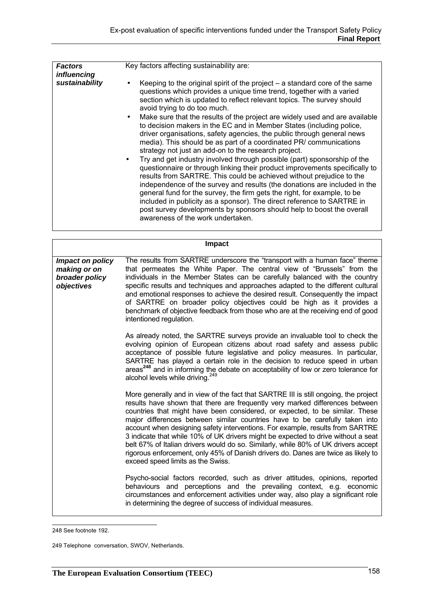| <b>Factors</b> | Key factors affecting sustainability are:                                                                                                                                                                                                                                                                                                                                                                                                                                                                              |
|----------------|------------------------------------------------------------------------------------------------------------------------------------------------------------------------------------------------------------------------------------------------------------------------------------------------------------------------------------------------------------------------------------------------------------------------------------------------------------------------------------------------------------------------|
| influencing    |                                                                                                                                                                                                                                                                                                                                                                                                                                                                                                                        |
| sustainability | Keeping to the original spirit of the project $-$ a standard core of the same<br>questions which provides a unique time trend, together with a varied<br>section which is updated to reflect relevant topics. The survey should<br>avoid trying to do too much.                                                                                                                                                                                                                                                        |
|                | Make sure that the results of the project are widely used and are available<br>to decision makers in the EC and in Member States (including police,<br>driver organisations, safety agencies, the public through general news<br>media). This should be as part of a coordinated PR/ communications<br>strategy not just an add-on to the research project.<br>Try and get industry involved through possible (part) sponsorship of the<br>questionnaire or through linking their product improvements specifically to |
|                | results from SARTRE. This could be achieved without prejudice to the<br>independence of the survey and results (the donations are included in the<br>general fund for the survey, the firm gets the right, for example, to be<br>included in publicity as a sponsor). The direct reference to SARTRE in<br>post survey developments by sponsors should help to boost the overall<br>awareness of the work undertaken.                                                                                                  |

|                                                                  | Impact                                                                                                                                                                                                                                                                                                                                                                                                                                                                                                                                                                                                                                                                                                                    |
|------------------------------------------------------------------|---------------------------------------------------------------------------------------------------------------------------------------------------------------------------------------------------------------------------------------------------------------------------------------------------------------------------------------------------------------------------------------------------------------------------------------------------------------------------------------------------------------------------------------------------------------------------------------------------------------------------------------------------------------------------------------------------------------------------|
| Impact on policy<br>making or on<br>broader policy<br>objectives | The results from SARTRE underscore the "transport with a human face" theme<br>that permeates the White Paper. The central view of "Brussels" from the<br>individuals in the Member States can be carefully balanced with the country<br>specific results and techniques and approaches adapted to the different cultural<br>and emotional responses to achieve the desired result. Consequently the impact<br>of SARTRE on broader policy objectives could be high as it provides a<br>benchmark of objective feedback from those who are at the receiving end of good<br>intentioned regulation.                                                                                                                         |
|                                                                  | As already noted, the SARTRE surveys provide an invaluable tool to check the<br>evolving opinion of European citizens about road safety and assess public<br>acceptance of possible future legislative and policy measures. In particular,<br>SARTRE has played a certain role in the decision to reduce speed in urban<br>areas <sup>248</sup> and in informing the debate on acceptability of low or zero tolerance for<br>alcohol levels while driving. <sup>249</sup>                                                                                                                                                                                                                                                 |
|                                                                  | More generally and in view of the fact that SARTRE III is still ongoing, the project<br>results have shown that there are frequently very marked differences between<br>countries that might have been considered, or expected, to be similar. These<br>major differences between similar countries have to be carefully taken into<br>account when designing safety interventions. For example, results from SARTRE<br>3 indicate that while 10% of UK drivers might be expected to drive without a seat<br>belt 67% of Italian drivers would do so. Similarly, while 80% of UK drivers accept<br>rigorous enforcement, only 45% of Danish drivers do. Danes are twice as likely to<br>exceed speed limits as the Swiss. |
|                                                                  | Psycho-social factors recorded, such as driver attitudes, opinions, reported<br>behaviours and perceptions and the prevailing context, e.g. economic<br>circumstances and enforcement activities under way, also play a significant role<br>in determining the degree of success of individual measures.                                                                                                                                                                                                                                                                                                                                                                                                                  |

 248 See footnote 192.

<sup>249</sup> Telephone conversation, SWOV, Netherlands.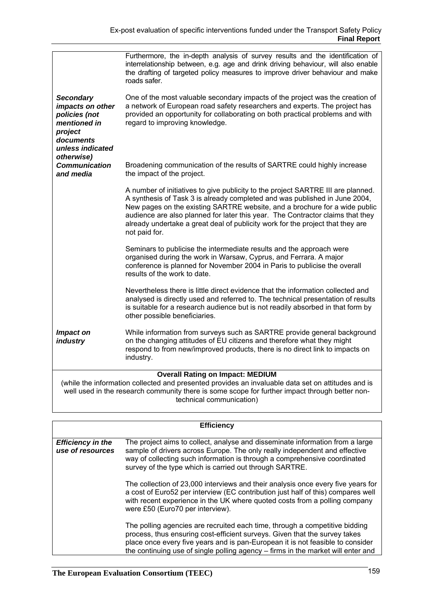|                                                                                                                                                                                                                                                                             | Furthermore, the in-depth analysis of survey results and the identification of<br>interrelationship between, e.g. age and drink driving behaviour, will also enable<br>the drafting of targeted policy measures to improve driver behaviour and make<br>roads safer.                                                                                                                                                              |  |
|-----------------------------------------------------------------------------------------------------------------------------------------------------------------------------------------------------------------------------------------------------------------------------|-----------------------------------------------------------------------------------------------------------------------------------------------------------------------------------------------------------------------------------------------------------------------------------------------------------------------------------------------------------------------------------------------------------------------------------|--|
| <b>Secondary</b><br>impacts on other<br>policies (not<br>mentioned in<br>project<br>documents<br>unless indicated<br>otherwise)                                                                                                                                             | One of the most valuable secondary impacts of the project was the creation of<br>a network of European road safety researchers and experts. The project has<br>provided an opportunity for collaborating on both practical problems and with<br>regard to improving knowledge.                                                                                                                                                    |  |
| <b>Communication</b><br>and media                                                                                                                                                                                                                                           | Broadening communication of the results of SARTRE could highly increase<br>the impact of the project.                                                                                                                                                                                                                                                                                                                             |  |
|                                                                                                                                                                                                                                                                             | A number of initiatives to give publicity to the project SARTRE III are planned.<br>A synthesis of Task 3 is already completed and was published in June 2004,<br>New pages on the existing SARTRE website, and a brochure for a wide public<br>audience are also planned for later this year. The Contractor claims that they<br>already undertake a great deal of publicity work for the project that they are<br>not paid for. |  |
|                                                                                                                                                                                                                                                                             | Seminars to publicise the intermediate results and the approach were<br>organised during the work in Warsaw, Cyprus, and Ferrara. A major<br>conference is planned for November 2004 in Paris to publicise the overall<br>results of the work to date.                                                                                                                                                                            |  |
|                                                                                                                                                                                                                                                                             | Nevertheless there is little direct evidence that the information collected and<br>analysed is directly used and referred to. The technical presentation of results<br>is suitable for a research audience but is not readily absorbed in that form by<br>other possible beneficiaries.                                                                                                                                           |  |
| Impact on<br>industry                                                                                                                                                                                                                                                       | While information from surveys such as SARTRE provide general background<br>on the changing attitudes of EU citizens and therefore what they might<br>respond to from new/improved products, there is no direct link to impacts on<br>industry.                                                                                                                                                                                   |  |
| <b>Overall Rating on Impact: MEDIUM</b><br>(while the information collected and presented provides an invaluable data set on attitudes and is<br>well used in the research community there is some scope for further impact through better non-<br>technical communication) |                                                                                                                                                                                                                                                                                                                                                                                                                                   |  |

|                                              | <b>Efficiency</b>                                                                                                                                                                                                                                                                                                               |
|----------------------------------------------|---------------------------------------------------------------------------------------------------------------------------------------------------------------------------------------------------------------------------------------------------------------------------------------------------------------------------------|
| <b>Efficiency in the</b><br>use of resources | The project aims to collect, analyse and disseminate information from a large<br>sample of drivers across Europe. The only really independent and effective<br>way of collecting such information is through a comprehensive coordinated<br>survey of the type which is carried out through SARTRE.                             |
|                                              | The collection of 23,000 interviews and their analysis once every five years for<br>a cost of Euro52 per interview (EC contribution just half of this) compares well<br>with recent experience in the UK where quoted costs from a polling company<br>were £50 (Euro70 per interview).                                          |
|                                              | The polling agencies are recruited each time, through a competitive bidding<br>process, thus ensuring cost-efficient surveys. Given that the survey takes<br>place once every five years and is pan-European it is not feasible to consider<br>the continuing use of single polling agency – firms in the market will enter and |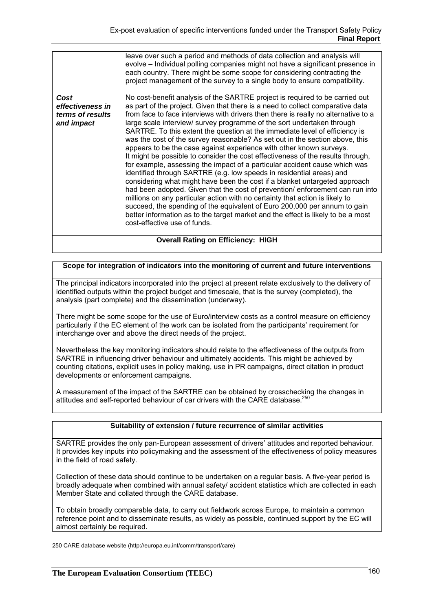leave over such a period and methods of data collection and analysis will evolve – Individual polling companies might not have a significant presence in each country. There might be some scope for considering contracting the project management of the survey to a single body to ensure compatibility. *Cost effectiveness in terms of results and impact*  No cost-benefit analysis of the SARTRE project is required to be carried out as part of the project. Given that there is a need to collect comparative data from face to face interviews with drivers then there is really no alternative to a large scale interview/ survey programme of the sort undertaken through SARTRE. To this extent the question at the immediate level of efficiency is was the cost of the survey reasonable? As set out in the section above, this appears to be the case against experience with other known surveys. It might be possible to consider the cost effectiveness of the results through, for example, assessing the impact of a particular accident cause which was identified through SARTRE (e.g. low speeds in residential areas) and considering what might have been the cost if a blanket untargeted approach had been adopted. Given that the cost of prevention/ enforcement can run into millions on any particular action with no certainty that action is likely to succeed, the spending of the equivalent of Euro 200,000 per annum to gain better information as to the target market and the effect is likely to be a most cost-effective use of funds. **Overall Rating on Efficiency: HIGH** 

# **Scope for integration of indicators into the monitoring of current and future interventions**

The principal indicators incorporated into the project at present relate exclusively to the delivery of identified outputs within the project budget and timescale, that is the survey (completed), the analysis (part complete) and the dissemination (underway).

There might be some scope for the use of Euro/interview costs as a control measure on efficiency particularly if the EC element of the work can be isolated from the participants' requirement for interchange over and above the direct needs of the project.

Nevertheless the key monitoring indicators should relate to the effectiveness of the outputs from SARTRE in influencing driver behaviour and ultimately accidents. This might be achieved by counting citations, explicit uses in policy making, use in PR campaigns, direct citation in product developments or enforcement campaigns.

A measurement of the impact of the SARTRE can be obtained by crosschecking the changes in attitudes and self-reported behaviour of car drivers with the CARE database.<sup>250</sup>

### **Suitability of extension / future recurrence of similar activities**

SARTRE provides the only pan-European assessment of drivers' attitudes and reported behaviour. It provides key inputs into policymaking and the assessment of the effectiveness of policy measures in the field of road safety.

Collection of these data should continue to be undertaken on a regular basis. A five-year period is broadly adequate when combined with annual safety/ accident statistics which are collected in each Member State and collated through the CARE database.

To obtain broadly comparable data, to carry out fieldwork across Europe, to maintain a common reference point and to disseminate results, as widely as possible, continued support by the EC will almost certainly be required.

 250 CARE database website (http://europa.eu.int/comm/transport/care)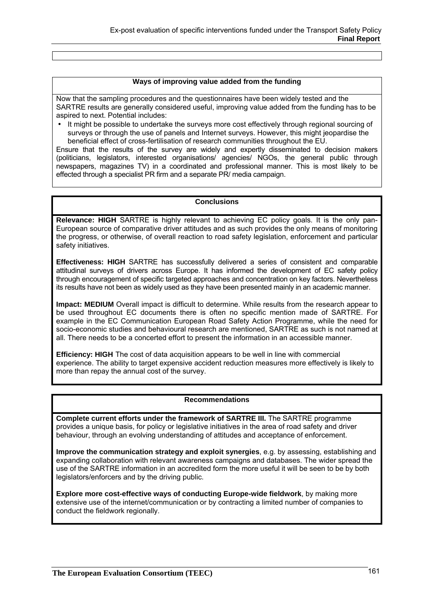### **Ways of improving value added from the funding**

Now that the sampling procedures and the questionnaires have been widely tested and the SARTRE results are generally considered useful, improving value added from the funding has to be aspired to next. Potential includes:

• It might be possible to undertake the surveys more cost effectively through regional sourcing of surveys or through the use of panels and Internet surveys. However, this might jeopardise the beneficial effect of cross-fertilisation of research communities throughout the EU.

Ensure that the results of the survey are widely and expertly disseminated to decision makers (politicians, legislators, interested organisations/ agencies/ NGOs, the general public through newspapers, magazines TV) in a coordinated and professional manner. This is most likely to be effected through a specialist PR firm and a separate PR/ media campaign.

### **Conclusions**

**Relevance: HIGH** SARTRE is highly relevant to achieving EC policy goals. It is the only pan-European source of comparative driver attitudes and as such provides the only means of monitoring the progress, or otherwise, of overall reaction to road safety legislation, enforcement and particular safety initiatives.

**Effectiveness: HIGH** SARTRE has successfully delivered a series of consistent and comparable attitudinal surveys of drivers across Europe. It has informed the development of EC safety policy through encouragement of specific targeted approaches and concentration on key factors. Nevertheless its results have not been as widely used as they have been presented mainly in an academic manner.

**Impact: MEDIUM** Overall impact is difficult to determine. While results from the research appear to be used throughout EC documents there is often no specific mention made of SARTRE. For example in the EC Communication European Road Safety Action Programme, while the need for socio-economic studies and behavioural research are mentioned, SARTRE as such is not named at all. There needs to be a concerted effort to present the information in an accessible manner.

**Efficiency: HIGH** The cost of data acquisition appears to be well in line with commercial experience. The ability to target expensive accident reduction measures more effectively is likely to more than repay the annual cost of the survey.

### **Recommendations**

**Complete current efforts under the framework of SARTRE III.** The SARTRE programme provides a unique basis, for policy or legislative initiatives in the area of road safety and driver behaviour, through an evolving understanding of attitudes and acceptance of enforcement.

**Improve the communication strategy and exploit synergies**, e.g. by assessing, establishing and expanding collaboration with relevant awareness campaigns and databases. The wider spread the use of the SARTRE information in an accredited form the more useful it will be seen to be by both legislators/enforcers and by the driving public.

**Explore more cost-effective ways of conducting Europe-wide fieldwork**, by making more extensive use of the internet/communication or by contracting a limited number of companies to conduct the fieldwork regionally.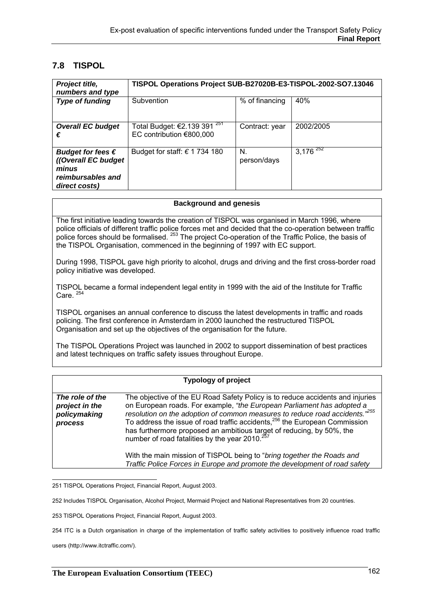# **7.8 TISPOL**

| Project title,<br>numbers and type                                                               | TISPOL Operations Project SUB-B27020B-E3-TISPOL-2002-SO7.13046      |                   |               |
|--------------------------------------------------------------------------------------------------|---------------------------------------------------------------------|-------------------|---------------|
| <b>Type of funding</b>                                                                           | Subvention                                                          | % of financing    | 40%           |
| <b>Overall EC budget</b><br>€                                                                    | Total Budget: €2.139 391 <sup>251</sup><br>EC contribution €800,000 | Contract: year    | 2002/2005     |
| Budget for fees $\epsilon$<br>((Overall EC budget<br>minus<br>reimbursables and<br>direct costs) | Budget for staff: $\epsilon$ 1 734 180                              | N.<br>person/days | $3,176^{252}$ |

#### **Background and genesis**

The first initiative leading towards the creation of TISPOL was organised in March 1996, where police officials of different traffic police forces met and decided that the co-operation between traffic police forces should be formalised. <sup>253</sup> The project Co-operation of the Traffic Police, the basis of the TISPOL Organisation, commenced in the beginning of 1997 with EC support.

During 1998, TISPOL gave high priority to alcohol, drugs and driving and the first cross-border road policy initiative was developed.

TISPOL became a formal independent legal entity in 1999 with the aid of the Institute for Traffic Care. $25$ 

TISPOL organises an annual conference to discuss the latest developments in traffic and roads policing. The first conference in Amsterdam in 2000 launched the restructured TISPOL Organisation and set up the objectives of the organisation for the future.

The TISPOL Operations Project was launched in 2002 to support dissemination of best practices and latest techniques on traffic safety issues throughout Europe.

# **Typology of project**

| The role of the<br>project in the<br>policymaking<br>process | The objective of the EU Road Safety Policy is to reduce accidents and injuries<br>on European roads. For example, "the European Parliament has adopted a<br>resolution on the adoption of common measures to reduce road accidents. <sup>255</sup><br>To address the issue of road traffic accidents, <sup>256</sup> the European Commission<br>has furthermore proposed an ambitious target of reducing, by 50%, the<br>number of road fatalities by the year 2010. <sup>257</sup> |
|--------------------------------------------------------------|-------------------------------------------------------------------------------------------------------------------------------------------------------------------------------------------------------------------------------------------------------------------------------------------------------------------------------------------------------------------------------------------------------------------------------------------------------------------------------------|
|                                                              | With the main mission of TISPOL being to "bring together the Roads and<br>Traffic Police Forces in Europe and promote the development of road safety                                                                                                                                                                                                                                                                                                                                |

251 TISPOL Operations Project, Financial Report, August 2003.

252 Includes TISPOL Organisation, Alcohol Project, Mermaid Project and National Representatives from 20 countries.

253 TISPOL Operations Project, Financial Report, August 2003.

254 ITC is a Dutch organisation in charge of the implementation of traffic safety activities to positively influence road traffic

users (http://www.itctraffic.com/).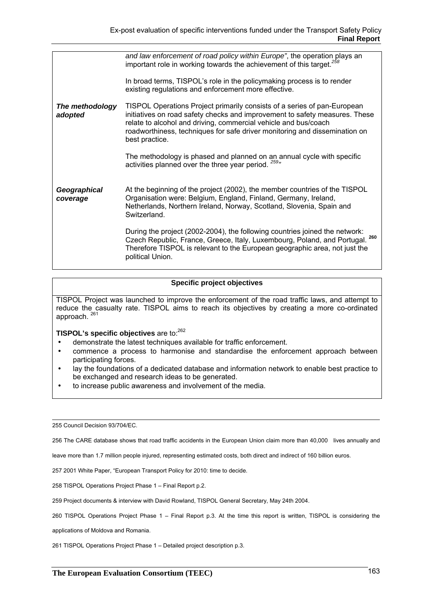|                            | and law enforcement of road policy within Europe", the operation plays an<br>important role in working towards the achievement of this target. <sup>258</sup>                                                                                                                                                              |
|----------------------------|----------------------------------------------------------------------------------------------------------------------------------------------------------------------------------------------------------------------------------------------------------------------------------------------------------------------------|
|                            | In broad terms, TISPOL's role in the policymaking process is to render<br>existing regulations and enforcement more effective.                                                                                                                                                                                             |
| The methodology<br>adopted | TISPOL Operations Project primarily consists of a series of pan-European<br>initiatives on road safety checks and improvement to safety measures. These<br>relate to alcohol and driving, commercial vehicle and bus/coach<br>roadworthiness, techniques for safe driver monitoring and dissemination on<br>best practice. |
|                            | The methodology is phased and planned on an annual cycle with specific<br>activities planned over the three year period. <sup>259</sup> "                                                                                                                                                                                  |
| Geographical<br>coverage   | At the beginning of the project (2002), the member countries of the TISPOL<br>Organisation were: Belgium, England, Finland, Germany, Ireland,<br>Netherlands, Northern Ireland, Norway, Scotland, Slovenia, Spain and<br>Switzerland.                                                                                      |
|                            | During the project (2002-2004), the following countries joined the network:<br>260<br>Czech Republic, France, Greece, Italy, Luxembourg, Poland, and Portugal.<br>Therefore TISPOL is relevant to the European geographic area, not just the<br>political Union.                                                           |

# **Specific project objectives**

TISPOL Project was launched to improve the enforcement of the road traffic laws, and attempt to reduce the casualty rate. TISPOL aims to reach its objectives by creating a more co-ordinated approach.  $^{261}$ 

# **TISPOL's specific objectives** are to:<sup>262</sup>

- demonstrate the latest techniques available for traffic enforcement.
- commence a process to harmonise and standardise the enforcement approach between participating forces.
- lay the foundations of a dedicated database and information network to enable best practice to be exchanged and research ideas to be generated.
- to increase public awareness and involvement of the media.

255 Council Decision 93/704/EC.

256 The CARE database shows that road traffic accidents in the European Union claim more than 40,000 lives annually and

leave more than 1.7 million people injured, representing estimated costs, both direct and indirect of 160 billion euros.

257 2001 White Paper, "European Transport Policy for 2010: time to decide.

258 TISPOL Operations Project Phase 1 – Final Report p.2.

259 Project documents & interview with David Rowland, TISPOL General Secretary, May 24th 2004.

260 TISPOL Operations Project Phase 1 – Final Report p.3. At the time this report is written, TISPOL is considering the

applications of Moldova and Romania.

261 TISPOL Operations Project Phase 1 – Detailed project description p.3.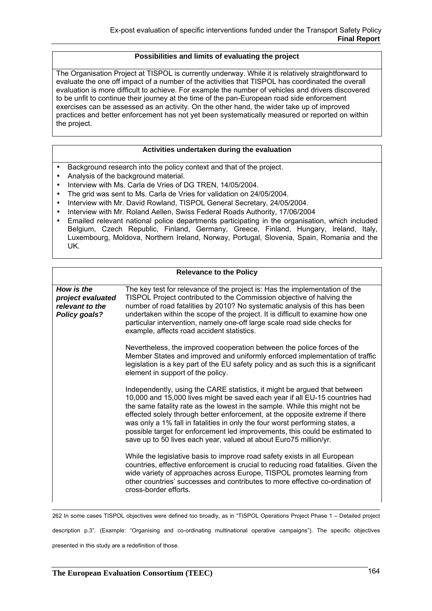# **Possibilities and limits of evaluating the project**

The Organisation Project at TISPOL is currently underway. While it is relatively straightforward to evaluate the one off impact of a number of the activities that TISPOL has coordinated the overall evaluation is more difficult to achieve. For example the number of vehicles and drivers discovered to be unfit to continue their journey at the time of the pan-European road side enforcement exercises can be assessed as an activity. On the other hand, the wider take up of improved practices and better enforcement has not yet been systematically measured or reported on within the project.

### **Activities undertaken during the evaluation**

- Background research into the policy context and that of the project.
- Analysis of the background material.
- Interview with Ms. Carla de Vries of DG TREN, 14/05/2004.
- The grid was sent to Ms. Carla de Vries for validation on 24/05/2004.
- Interview with Mr. David Rowland, TISPOL General Secretary, 24/05/2004.
- Interview with Mr. Roland Aellen, Swiss Federal Roads Authority, 17/06/2004
- Emailed relevant national police departments participating in the organisation, which included Belgium, Czech Republic, Finland, Germany, Greece, Finland, Hungary, Ireland, Italy, Luxembourg, Moldova, Northern Ireland, Norway, Portugal, Slovenia, Spain, Romania and the UK.

| <b>Relevance to the Policy</b>                                      |                                                                                                                                                                                                                                                                                                                                                                                                                                                                                                                                                              |  |  |
|---------------------------------------------------------------------|--------------------------------------------------------------------------------------------------------------------------------------------------------------------------------------------------------------------------------------------------------------------------------------------------------------------------------------------------------------------------------------------------------------------------------------------------------------------------------------------------------------------------------------------------------------|--|--|
| How is the<br>project evaluated<br>relevant to the<br>Policy goals? | The key test for relevance of the project is: Has the implementation of the<br>TISPOL Project contributed to the Commission objective of halving the<br>number of road fatalities by 2010? No systematic analysis of this has been<br>undertaken within the scope of the project. It is difficult to examine how one<br>particular intervention, namely one-off large scale road side checks for<br>example, affects road accident statistics.                                                                                                               |  |  |
|                                                                     | Nevertheless, the improved cooperation between the police forces of the<br>Member States and improved and uniformly enforced implementation of traffic<br>legislation is a key part of the EU safety policy and as such this is a significant<br>element in support of the policy.                                                                                                                                                                                                                                                                           |  |  |
|                                                                     | Independently, using the CARE statistics, it might be argued that between<br>10,000 and 15,000 lives might be saved each year if all EU-15 countries had<br>the same fatality rate as the lowest in the sample. While this might not be<br>effected solely through better enforcement, at the opposite extreme if there<br>was only a 1% fall in fatalities in only the four worst performing states, a<br>possible target for enforcement led improvements, this could be estimated to<br>save up to 50 lives each year, valued at about Euro75 million/yr. |  |  |
|                                                                     | While the legislative basis to improve road safety exists in all European<br>countries, effective enforcement is crucial to reducing road fatalities. Given the<br>wide variety of approaches across Europe, TISPOL promotes learning from<br>other countries' successes and contributes to more effective co-ordination of<br>cross-border efforts.                                                                                                                                                                                                         |  |  |

262 In some cases TISPOL objectives were defined too broadly, as in "TISPOL Operations Project Phase 1 – Detailed project

description p.3". (Example: "Organising and co-ordinating multinational operative campaigns"). The specific objectives presented in this study are a redefinition of those.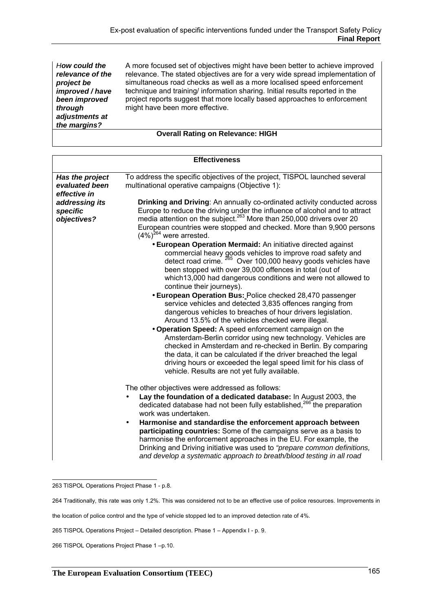*How could the relevance of the project be improved / have been improved through adjustments at the margins?*

A more focused set of objectives might have been better to achieve improved relevance. The stated objectives are for a very wide spread implementation of simultaneous road checks as well as a more localised speed enforcement technique and training/ information sharing. Initial results reported in the project reports suggest that more locally based approaches to enforcement might have been more effective.

# **Overall Rating on Relevance: HIGH**

| <b>Effectiveness</b>                              |                                                                                                                                                                                                                                                                                                                                                                                                                                                                                                                                                                                                                              |  |  |
|---------------------------------------------------|------------------------------------------------------------------------------------------------------------------------------------------------------------------------------------------------------------------------------------------------------------------------------------------------------------------------------------------------------------------------------------------------------------------------------------------------------------------------------------------------------------------------------------------------------------------------------------------------------------------------------|--|--|
| Has the project<br>evaluated been<br>effective in | To address the specific objectives of the project, TISPOL launched several<br>multinational operative campaigns (Objective 1):                                                                                                                                                                                                                                                                                                                                                                                                                                                                                               |  |  |
| addressing its<br>specific<br>objectives?         | Drinking and Driving: An annually co-ordinated activity conducted across<br>Europe to reduce the driving under the influence of alcohol and to attract<br>media attention on the subject. <sup>263</sup> More than 250,000 drivers over 20<br>European countries were stopped and checked. More than 9,900 persons<br>$(4\%)^{264}$ were arrested.                                                                                                                                                                                                                                                                           |  |  |
|                                                   | <b>• European Operation Mermaid:</b> An initiative directed against<br>commercial heavy goods vehicles to improve road safety and<br>detect road crime. 265 Over 100,000 heavy goods vehicles have<br>been stopped with over 39,000 offences in total (out of<br>which 13,000 had dangerous conditions and were not allowed to<br>continue their journeys).                                                                                                                                                                                                                                                                  |  |  |
|                                                   | • European Operation Bus: Police checked 28,470 passenger<br>service vehicles and detected 3,835 offences ranging from<br>dangerous vehicles to breaches of hour drivers legislation.<br>Around 13.5% of the vehicles checked were illegal.<br>. Operation Speed: A speed enforcement campaign on the<br>Amsterdam-Berlin corridor using new technology. Vehicles are<br>checked in Amsterdam and re-checked in Berlin. By comparing<br>the data, it can be calculated if the driver breached the legal<br>driving hours or exceeded the legal speed limit for his class of<br>vehicle. Results are not yet fully available. |  |  |
|                                                   | The other objectives were addressed as follows:<br>Lay the foundation of a dedicated database: In August 2003, the<br>dedicated database had not been fully established, <sup>266</sup> the preparation<br>work was undertaken.<br>Harmonise and standardise the enforcement approach between<br>$\bullet$<br>participating countries: Some of the campaigns serve as a basis to<br>harmonise the enforcement approaches in the EU. For example, the<br>Drinking and Driving initiative was used to "prepare common definitions,<br>and develop a systematic approach to breath/blood testing in all road                    |  |  |

 263 TISPOL Operations Project Phase 1 - p.8.

264 Traditionally, this rate was only 1.2%. This was considered not to be an effective use of police resources. Improvements in

the location of police control and the type of vehicle stopped led to an improved detection rate of 4%.

265 TISPOL Operations Project – Detailed description. Phase 1 – Appendix I - p. 9.

266 TISPOL Operations Project Phase 1 –p.10.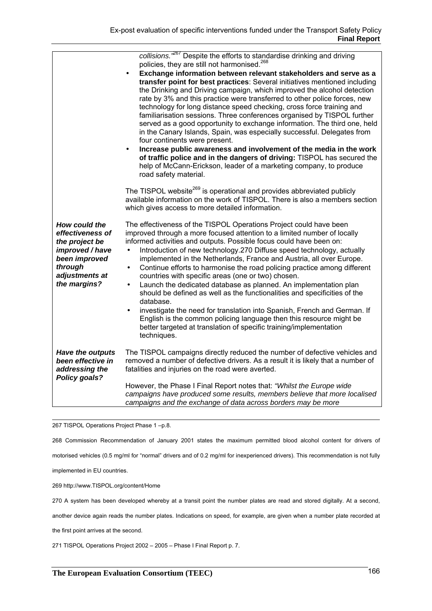|                                                                                                                                      | collisions. <sup>3267</sup> Despite the efforts to standardise drinking and driving<br>policies, they are still not harmonised. <sup>268</sup><br>Exchange information between relevant stakeholders and serve as a<br>transfer point for best practices: Several initiatives mentioned including<br>the Drinking and Driving campaign, which improved the alcohol detection<br>rate by 3% and this practice were transferred to other police forces, new<br>technology for long distance speed checking, cross force training and<br>familiarisation sessions. Three conferences organised by TISPOL further<br>served as a good opportunity to exchange information. The third one, held<br>in the Canary Islands, Spain, was especially successful. Delegates from<br>four continents were present.<br>Increase public awareness and involvement of the media in the work<br>of traffic police and in the dangers of driving: TISPOL has secured the<br>help of McCann-Erickson, leader of a marketing company, to produce<br>road safety material. |
|--------------------------------------------------------------------------------------------------------------------------------------|--------------------------------------------------------------------------------------------------------------------------------------------------------------------------------------------------------------------------------------------------------------------------------------------------------------------------------------------------------------------------------------------------------------------------------------------------------------------------------------------------------------------------------------------------------------------------------------------------------------------------------------------------------------------------------------------------------------------------------------------------------------------------------------------------------------------------------------------------------------------------------------------------------------------------------------------------------------------------------------------------------------------------------------------------------|
|                                                                                                                                      | The TISPOL website <sup>269</sup> is operational and provides abbreviated publicly<br>available information on the work of TISPOL. There is also a members section<br>which gives access to more detailed information.                                                                                                                                                                                                                                                                                                                                                                                                                                                                                                                                                                                                                                                                                                                                                                                                                                 |
| How could the<br>effectiveness of<br>the project be<br>improved / have<br>been improved<br>through<br>adjustments at<br>the margins? | The effectiveness of the TISPOL Operations Project could have been<br>improved through a more focused attention to a limited number of locally<br>informed activities and outputs. Possible focus could have been on:<br>Introduction of new technology.270 Diffuse speed technology, actually<br>$\bullet$<br>implemented in the Netherlands, France and Austria, all over Europe.<br>Continue efforts to harmonise the road policing practice among different<br>$\bullet$<br>countries with specific areas (one or two) chosen.<br>Launch the dedicated database as planned. An implementation plan<br>$\bullet$<br>should be defined as well as the functionalities and specificities of the<br>database.<br>investigate the need for translation into Spanish, French and German. If<br>English is the common policing language then this resource might be<br>better targeted at translation of specific training/implementation                                                                                                                 |
| Have the outputs<br>been effective in<br>addressing the<br>Policy goals?                                                             | techniques.<br>The TISPOL campaigns directly reduced the number of defective vehicles and<br>removed a number of defective drivers. As a result it is likely that a number of<br>fatalities and injuries on the road were averted.                                                                                                                                                                                                                                                                                                                                                                                                                                                                                                                                                                                                                                                                                                                                                                                                                     |
|                                                                                                                                      | However, the Phase I Final Report notes that: "Whilst the Europe wide<br>campaigns have produced some results, members believe that more localised<br>campaigns and the exchange of data across borders may be more                                                                                                                                                                                                                                                                                                                                                                                                                                                                                                                                                                                                                                                                                                                                                                                                                                    |

267 TISPOL Operations Project Phase 1 –p.8.

268 Commission Recommendation of January 2001 states the maximum permitted blood alcohol content for drivers of

motorised vehicles (0.5 mg/ml for "normal" drivers and of 0.2 mg/ml for inexperienced drivers). This recommendation is not fully

implemented in EU countries.

269 http://www.TISPOL.org/content/Home

270 A system has been developed whereby at a transit point the number plates are read and stored digitally. At a second,

another device again reads the number plates. Indications on speed, for example, are given when a number plate recorded at

the first point arrives at the second.

271 TISPOL Operations Project 2002 – 2005 – Phase I Final Report p. 7.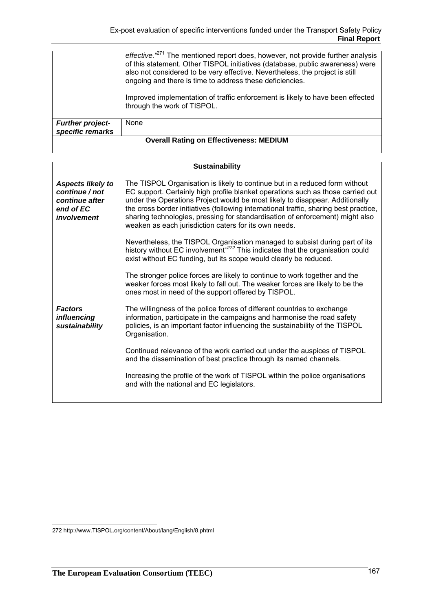|                                             | effective. <sup>271</sup> The mentioned report does, however, not provide further analysis<br>of this statement. Other TISPOL initiatives (database, public awareness) were<br>also not considered to be very effective. Nevertheless, the project is still<br>ongoing and there is time to address these deficiencies. |
|---------------------------------------------|-------------------------------------------------------------------------------------------------------------------------------------------------------------------------------------------------------------------------------------------------------------------------------------------------------------------------|
|                                             | Improved implementation of traffic enforcement is likely to have been effected<br>through the work of TISPOL.                                                                                                                                                                                                           |
| <b>Further project-</b><br>specific remarks | None                                                                                                                                                                                                                                                                                                                    |

| <b>Sustainability</b>                                                                    |                                                                                                                                                                                                                                                                                                                                                                                                                                                                                   |  |  |
|------------------------------------------------------------------------------------------|-----------------------------------------------------------------------------------------------------------------------------------------------------------------------------------------------------------------------------------------------------------------------------------------------------------------------------------------------------------------------------------------------------------------------------------------------------------------------------------|--|--|
| <b>Aspects likely to</b><br>continue / not<br>continue after<br>end of EC<br>involvement | The TISPOL Organisation is likely to continue but in a reduced form without<br>EC support. Certainly high profile blanket operations such as those carried out<br>under the Operations Project would be most likely to disappear. Additionally<br>the cross border initiatives (following international traffic, sharing best practice,<br>sharing technologies, pressing for standardisation of enforcement) might also<br>weaken as each jurisdiction caters for its own needs. |  |  |
|                                                                                          | Nevertheless, the TISPOL Organisation managed to subsist during part of its<br>history without EC involvement <sup>272</sup> This indicates that the organisation could<br>exist without EC funding, but its scope would clearly be reduced.                                                                                                                                                                                                                                      |  |  |
|                                                                                          | The stronger police forces are likely to continue to work together and the<br>weaker forces most likely to fall out. The weaker forces are likely to be the<br>ones most in need of the support offered by TISPOL.                                                                                                                                                                                                                                                                |  |  |
| <b>Factors</b><br><i>influencing</i><br>sustainability                                   | The willingness of the police forces of different countries to exchange<br>information, participate in the campaigns and harmonise the road safety<br>policies, is an important factor influencing the sustainability of the TISPOL<br>Organisation.                                                                                                                                                                                                                              |  |  |
|                                                                                          | Continued relevance of the work carried out under the auspices of TISPOL<br>and the dissemination of best practice through its named channels.                                                                                                                                                                                                                                                                                                                                    |  |  |
|                                                                                          | Increasing the profile of the work of TISPOL within the police organisations<br>and with the national and EC legislators.                                                                                                                                                                                                                                                                                                                                                         |  |  |
|                                                                                          |                                                                                                                                                                                                                                                                                                                                                                                                                                                                                   |  |  |

 272 http://www.TISPOL.org/content/About/lang/English/8.phtml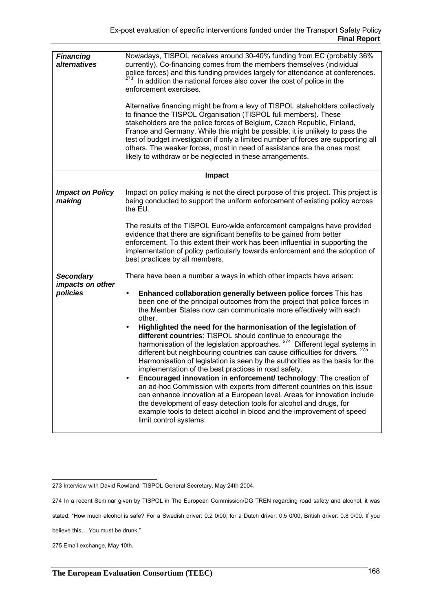| <b>Financing</b><br>alternatives                 | Nowadays, TISPOL receives around 30-40% funding from EC (probably 36%<br>currently). Co-financing comes from the members themselves (individual<br>police forces) and this funding provides largely for attendance at conferences.<br>In addition the national forces also cover the cost of police in the<br>enforcement exercises.<br>Alternative financing might be from a levy of TISPOL stakeholders collectively<br>to finance the TISPOL Organisation (TISPOL full members). These<br>stakeholders are the police forces of Belgium, Czech Republic, Finland,<br>France and Germany. While this might be possible, it is unlikely to pass the<br>test of budget investigation if only a limited number of forces are supporting all<br>others. The weaker forces, most in need of assistance are the ones most<br>likely to withdraw or be neglected in these arrangements.                                                                                                                                                                                                                                                                                       |
|--------------------------------------------------|--------------------------------------------------------------------------------------------------------------------------------------------------------------------------------------------------------------------------------------------------------------------------------------------------------------------------------------------------------------------------------------------------------------------------------------------------------------------------------------------------------------------------------------------------------------------------------------------------------------------------------------------------------------------------------------------------------------------------------------------------------------------------------------------------------------------------------------------------------------------------------------------------------------------------------------------------------------------------------------------------------------------------------------------------------------------------------------------------------------------------------------------------------------------------|
|                                                  | <b>Impact</b>                                                                                                                                                                                                                                                                                                                                                                                                                                                                                                                                                                                                                                                                                                                                                                                                                                                                                                                                                                                                                                                                                                                                                            |
| <b>Impact on Policy</b><br>making                | Impact on policy making is not the direct purpose of this project. This project is<br>being conducted to support the uniform enforcement of existing policy across<br>the EU.<br>The results of the TISPOL Euro-wide enforcement campaigns have provided<br>evidence that there are significant benefits to be gained from better<br>enforcement. To this extent their work has been influential in supporting the<br>implementation of policy particularly towards enforcement and the adoption of<br>best practices by all members.                                                                                                                                                                                                                                                                                                                                                                                                                                                                                                                                                                                                                                    |
| <b>Secondary</b><br>impacts on other<br>policies | There have been a number a ways in which other impacts have arisen:<br>Enhanced collaboration generally between police forces This has<br>been one of the principal outcomes from the project that police forces in<br>the Member States now can communicate more effectively with each<br>other.<br>Highlighted the need for the harmonisation of the legislation of<br>different countries: TISPOL should continue to encourage the<br>harmonisation of the legislation approaches. <sup>274</sup> Different legal systems in<br>different but neighbouring countries can cause difficulties for drivers. <sup>275</sup><br>Harmonisation of legislation is seen by the authorities as the basis for the<br>implementation of the best practices in road safety.<br>Encouraged innovation in enforcement/ technology: The creation of<br>an ad-hoc Commission with experts from different countries on this issue<br>can enhance innovation at a European level. Areas for innovation include<br>the development of easy detection tools for alcohol and drugs, for<br>example tools to detect alcohol in blood and the improvement of speed<br>limit control systems. |

274 In a recent Seminar given by TISPOL in The European Commission/DG TREN regarding road safety and alcohol, it was

stated: "How much alcohol is safe? For a Swedish driver: 0.2 0/00, for a Dutch driver: 0.5 0/00, British driver: 0.8 0/00. If you

 273 Interview with David Rowland, TISPOL General Secretary, May 24th 2004.

believe this….You must be drunk."

<sup>275</sup> Email exchange, May 10th.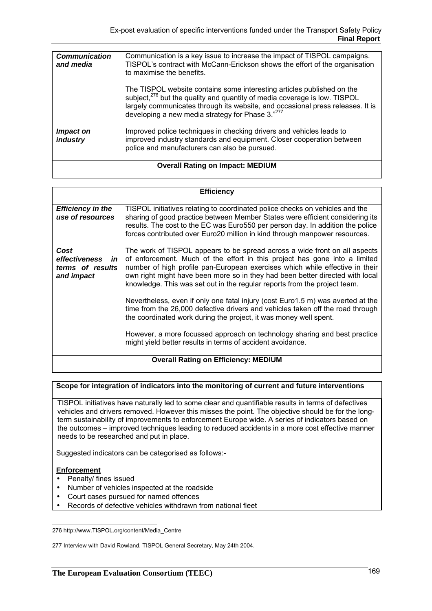| <b>Communication</b><br>and media       | Communication is a key issue to increase the impact of TISPOL campaigns.<br>TISPOL's contract with McCann-Erickson shows the effort of the organisation<br>to maximise the benefits.                                                                                                                  |  |
|-----------------------------------------|-------------------------------------------------------------------------------------------------------------------------------------------------------------------------------------------------------------------------------------------------------------------------------------------------------|--|
|                                         | The TISPOL website contains some interesting articles published on the<br>subject, <sup>276</sup> but the quality and quantity of media coverage is low. TISPOL<br>largely communicates through its website, and occasional press releases. It is<br>developing a new media strategy for Phase 3."277 |  |
| <i>Impact on</i><br>industry            | Improved police techniques in checking drivers and vehicles leads to<br>improved industry standards and equipment. Closer cooperation between<br>police and manufacturers can also be pursued.                                                                                                        |  |
| <b>Overall Rating on Impact: MEDIUM</b> |                                                                                                                                                                                                                                                                                                       |  |

| <b>Efficiency</b>                                          |                                                                                                                                                                                                                                                                                                                                                                                                        |  |  |
|------------------------------------------------------------|--------------------------------------------------------------------------------------------------------------------------------------------------------------------------------------------------------------------------------------------------------------------------------------------------------------------------------------------------------------------------------------------------------|--|--|
| <b>Efficiency in the</b><br>use of resources               | TISPOL initiatives relating to coordinated police checks on vehicles and the<br>sharing of good practice between Member States were efficient considering its<br>results. The cost to the EC was Euro550 per person day. In addition the police<br>forces contributed over Euro20 million in kind through manpower resources.                                                                          |  |  |
| Cost<br>effectiveness in<br>terms of results<br>and impact | The work of TISPOL appears to be spread across a wide front on all aspects<br>of enforcement. Much of the effort in this project has gone into a limited<br>number of high profile pan-European exercises which while effective in their<br>own right might have been more so in they had been better directed with local<br>knowledge. This was set out in the regular reports from the project team. |  |  |
|                                                            | Nevertheless, even if only one fatal injury (cost Euro1.5 m) was averted at the<br>time from the 26,000 defective drivers and vehicles taken off the road through<br>the coordinated work during the project, it was money well spent.                                                                                                                                                                 |  |  |
|                                                            | However, a more focussed approach on technology sharing and best practice<br>might yield better results in terms of accident avoidance.                                                                                                                                                                                                                                                                |  |  |
| <b>Overall Rating on Efficiency: MEDIUM</b>                |                                                                                                                                                                                                                                                                                                                                                                                                        |  |  |

# **Scope for integration of indicators into the monitoring of current and future interventions**

TISPOL initiatives have naturally led to some clear and quantifiable results in terms of defectives vehicles and drivers removed. However this misses the point. The objective should be for the longterm sustainability of improvements to enforcement Europe wide. A series of indicators based on the outcomes – improved techniques leading to reduced accidents in a more cost effective manner needs to be researched and put in place.

Suggested indicators can be categorised as follows:-

### **Enforcement**

- Penalty/ fines issued
- Number of vehicles inspected at the roadside
- Court cases pursued for named offences
- Records of defective vehicles withdrawn from national fleet

 276 http://www.TISPOL.org/content/Media\_Centre

<sup>277</sup> Interview with David Rowland, TISPOL General Secretary, May 24th 2004.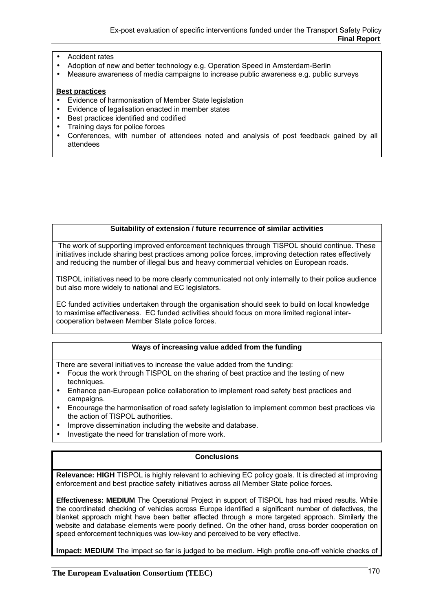- Accident rates
- Adoption of new and better technology e.g. Operation Speed in Amsterdam-Berlin
- Measure awareness of media campaigns to increase public awareness e.g. public surveys

#### **Best practices**

- Evidence of harmonisation of Member State legislation
- Evidence of legalisation enacted in member states
- Best practices identified and codified
- Training days for police forces
- Conferences, with number of attendees noted and analysis of post feedback gained by all attendees

#### **Suitability of extension / future recurrence of similar activities**

 The work of supporting improved enforcement techniques through TISPOL should continue. These initiatives include sharing best practices among police forces, improving detection rates effectively and reducing the number of illegal bus and heavy commercial vehicles on European roads.

TISPOL initiatives need to be more clearly communicated not only internally to their police audience but also more widely to national and EC legislators.

EC funded activities undertaken through the organisation should seek to build on local knowledge to maximise effectiveness. EC funded activities should focus on more limited regional intercooperation between Member State police forces.

# **Ways of increasing value added from the funding**

There are several initiatives to increase the value added from the funding:

- Focus the work through TISPOL on the sharing of best practice and the testing of new techniques.
- Enhance pan-European police collaboration to implement road safety best practices and campaigns.
- Encourage the harmonisation of road safety legislation to implement common best practices via the action of TISPOL authorities.
- Improve dissemination including the website and database.
- Investigate the need for translation of more work.

### **Conclusions**

**Relevance: HIGH** TISPOL is highly relevant to achieving EC policy goals. It is directed at improving enforcement and best practice safety initiatives across all Member State police forces.

**Effectiveness: MEDIUM** The Operational Project in support of TISPOL has had mixed results. While the coordinated checking of vehicles across Europe identified a significant number of defectives, the blanket approach might have been better affected through a more targeted approach. Similarly the website and database elements were poorly defined. On the other hand, cross border cooperation on speed enforcement techniques was low-key and perceived to be very effective.

**Impact: MEDIUM** The impact so far is judged to be medium. High profile one-off vehicle checks of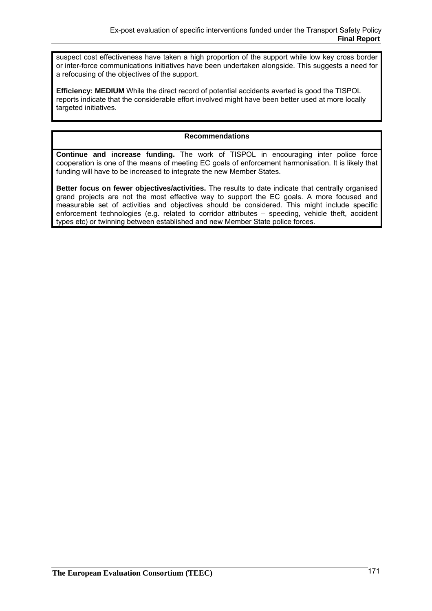suspect cost effectiveness have taken a high proportion of the support while low key cross border or inter-force communications initiatives have been undertaken alongside. This suggests a need for a refocusing of the objectives of the support.

**Efficiency: MEDIUM** While the direct record of potential accidents averted is good the TISPOL reports indicate that the considerable effort involved might have been better used at more locally targeted initiatives.

# **Recommendations**

**Continue and increase funding.** The work of TISPOL in encouraging inter police force cooperation is one of the means of meeting EC goals of enforcement harmonisation. It is likely that funding will have to be increased to integrate the new Member States.

**Better focus on fewer objectives/activities.** The results to date indicate that centrally organised grand projects are not the most effective way to support the EC goals. A more focused and measurable set of activities and objectives should be considered. This might include specific enforcement technologies (e.g. related to corridor attributes – speeding, vehicle theft, accident types etc) or twinning between established and new Member State police forces.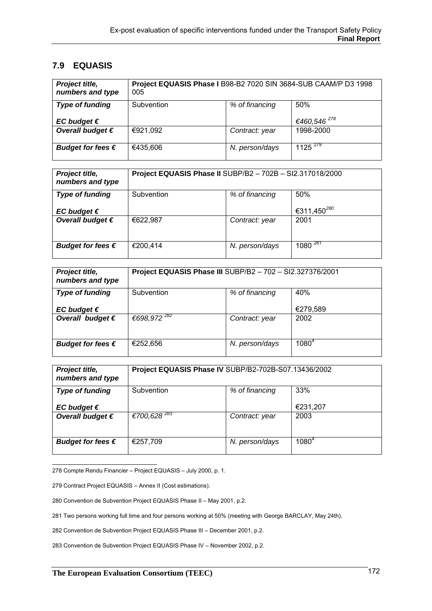# **7.9 EQUASIS**

| Project title,<br>numbers and type | Project EQUASIS Phase I B98-B2 7020 SIN 3684-SUB CAAM/P D3 1998<br>005 |                |                         |
|------------------------------------|------------------------------------------------------------------------|----------------|-------------------------|
| <b>Type of funding</b>             | Subvention                                                             | % of financing | 50%                     |
| EC budget $\epsilon$               |                                                                        |                | €460,546 <sup>278</sup> |
| Overall budget $\epsilon$          | €921,092                                                               | Contract: year | 1998-2000               |
| Budget for fees $\epsilon$         | €435,606                                                               | N. person/days | $1125^{279}$            |

| Project title,<br>numbers and type             | Project EQUASIS Phase II SUBP/B2 - 702B - SI2.317018/2000 |                |                                |
|------------------------------------------------|-----------------------------------------------------------|----------------|--------------------------------|
| <b>Type of funding</b><br>EC budget $\epsilon$ | Subvention                                                | % of financing | 50%<br>€311,450 <sup>280</sup> |
| Overall budget $\epsilon$                      | €622,987                                                  | Contract: year | 2001                           |
| Budget for fees $\epsilon$                     | €200,414                                                  | N. person/days | 108 $\overline{0}^{\,281}$     |

| Project title,<br>numbers and type                | Project EQUASIS Phase III SUBP/B2 - 702 - SI2.327376/2001 |                |                 |
|---------------------------------------------------|-----------------------------------------------------------|----------------|-----------------|
| <b>Type of funding</b>                            | Subvention                                                | % of financing | 40%<br>€279,589 |
| EC budget $\epsilon$<br>Overall budget $\epsilon$ | €698,972 <sup>282</sup>                                   | Contract: year | 2002            |
|                                                   |                                                           |                |                 |
| Budget for fees $\epsilon$                        | €252,656                                                  | N. person/days | $1080^{4}$      |

| Project title,<br>numbers and type                | Project EQUASIS Phase IV SUBP/B2-702B-S07.13436/2002 |                |                  |
|---------------------------------------------------|------------------------------------------------------|----------------|------------------|
| <b>Type of funding</b>                            | Subvention                                           | % of financing | 33%              |
| EC budget $\epsilon$<br>Overall budget $\epsilon$ | $€700,628$ <sup>283</sup>                            | Contract: year | €231,207<br>2003 |
| Budget for fees $\epsilon$                        | €257,709                                             | N. person/days | $1080^{4}$       |

278 Compte Rendu Financier – Project EQUASIS – July 2000, p. 1.

279 Contract Project EQUASIS – Annex II (Cost estimations).

280 Convention de Subvention Project EQUASIS Phase II – May 2001, p.2.

281 Two persons working full time and four persons working at 50% (meeting with George BARCLAY, May 24th).

282 Convention de Subvention Project EQUASIS Phase III – December 2001, p.2.

283 Convention de Subvention Project EQUASIS Phase IV – November 2002, p.2.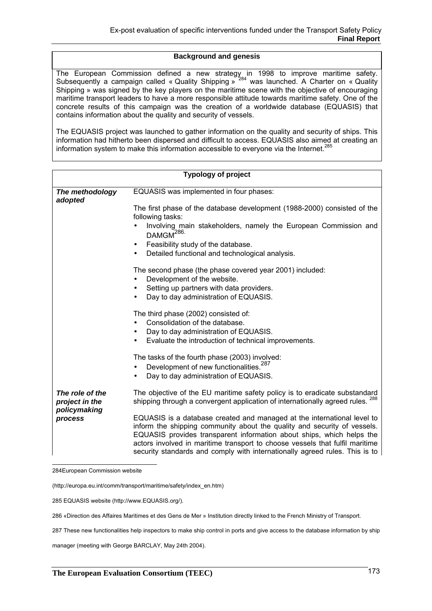## **Background and genesis**

The European Commission defined a new strategy in 1998 to improve maritime safety. Subsequently a campaign called « Quality Shipping »  $284$  was launched. A Charter on « Quality Shipping » was signed by the key players on the maritime scene with the objective of encouraging maritime transport leaders to have a more responsible attitude towards maritime safety. One of the concrete results of this campaign was the creation of a worldwide database (EQUASIS) that contains information about the quality and security of vessels.

The EQUASIS project was launched to gather information on the quality and security of ships. This information had hitherto been dispersed and difficult to access. EQUASIS also aimed at creating an information system to make this information accessible to evervone via the Internet.<sup>285</sup>

|                                   | <b>Typology of project</b>                                                                                                                                                                                                                                                                                                                                                                  |
|-----------------------------------|---------------------------------------------------------------------------------------------------------------------------------------------------------------------------------------------------------------------------------------------------------------------------------------------------------------------------------------------------------------------------------------------|
| The methodology<br>adopted        | EQUASIS was implemented in four phases:                                                                                                                                                                                                                                                                                                                                                     |
|                                   | The first phase of the database development (1988-2000) consisted of the<br>following tasks:                                                                                                                                                                                                                                                                                                |
|                                   | Involving main stakeholders, namely the European Commission and<br>DAMGM <sup>286.</sup>                                                                                                                                                                                                                                                                                                    |
|                                   | Feasibility study of the database.<br>Detailed functional and technological analysis.                                                                                                                                                                                                                                                                                                       |
|                                   | The second phase (the phase covered year 2001) included:<br>Development of the website.<br>Setting up partners with data providers.<br>Day to day administration of EQUASIS.                                                                                                                                                                                                                |
|                                   | The third phase (2002) consisted of:<br>Consolidation of the database.<br>Day to day administration of EQUASIS.<br>Evaluate the introduction of technical improvements.                                                                                                                                                                                                                     |
|                                   | The tasks of the fourth phase (2003) involved:<br>Development of new functionalities. <sup>287</sup><br>Day to day administration of EQUASIS.                                                                                                                                                                                                                                               |
| The role of the<br>project in the | The objective of the EU maritime safety policy is to eradicate substandard<br>shipping through a convergent application of internationally agreed rules. <sup>288</sup>                                                                                                                                                                                                                     |
| policymaking<br>process           | EQUASIS is a database created and managed at the international level to<br>inform the shipping community about the quality and security of vessels.<br>EQUASIS provides transparent information about ships, which helps the<br>actors involved in maritime transport to choose vessels that fulfil maritime<br>security standards and comply with internationally agreed rules. This is to |

284European Commission website

285 EQUASIS website (http://www.EQUASIS.org/).

286 «Direction des Affaires Maritimes et des Gens de Mer » Institution directly linked to the French Ministry of Transport.

287 These new functionalities help inspectors to make ship control in ports and give access to the database information by ship

manager (meeting with George BARCLAY, May 24th 2004).

<sup>(</sup>http://europa.eu.int/comm/transport/maritime/safety/index\_en.htm)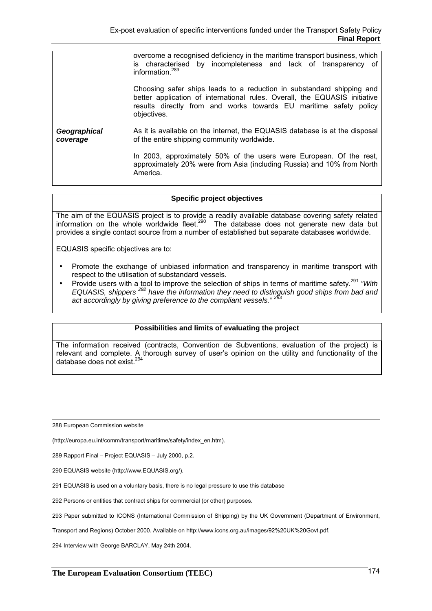|                             | overcome a recognised deficiency in the maritime transport business, which |  |  |  |
|-----------------------------|----------------------------------------------------------------------------|--|--|--|
|                             | is characterised by incompleteness and lack of transparency of             |  |  |  |
| information. <sup>289</sup> |                                                                            |  |  |  |

Choosing safer ships leads to a reduction in substandard shipping and better application of international rules. Overall, the EQUASIS initiative results directly from and works towards EU maritime safety policy objectives.

*Geographical coverage*  As it is available on the internet, the EQUASIS database is at the disposal of the entire shipping community worldwide.

> In 2003, approximately 50% of the users were European. Of the rest, approximately 20% were from Asia (including Russia) and 10% from North America.

#### **Specific project objectives**

The aim of the EQUASIS project is to provide a readily available database covering safety related information on the whole worldwide fleet.<sup>290</sup> The database does not generate new data but provides a single contact source from a number of established but separate databases worldwide.

EQUASIS specific objectives are to:

- Promote the exchange of unbiased information and transparency in maritime transport with respect to the utilisation of substandard vessels.
- Provide users with a tool to improve the selection of ships in terms of maritime safety.291 *"With EQUASIS, shippers 292 have the information they need to distinguish good ships from bad and act accordingly by giving preference to the compliant vessels." <sup>293</sup>*

### **Possibilities and limits of evaluating the project**

The information received (contracts, Convention de Subventions, evaluation of the project) is relevant and complete. A thorough survey of user's opinion on the utility and functionality of the database does not exist.<sup>294</sup>

288 European Commission website

(http://europa.eu.int/comm/transport/maritime/safety/index\_en.htm).

289 Rapport Final – Project EQUASIS – July 2000, p.2.

290 EQUASIS website (http://www.EQUASIS.org/).

291 EQUASIS is used on a voluntary basis, there is no legal pressure to use this database

292 Persons or entities that contract ships for commercial (or other) purposes.

293 Paper submitted to ICONS (International Commission of Shipping) by the UK Government (Department of Environment,

Transport and Regions) October 2000. Available on http://www.icons.org.au/images/92%20UK%20Govt.pdf.

294 Interview with George BARCLAY, May 24th 2004.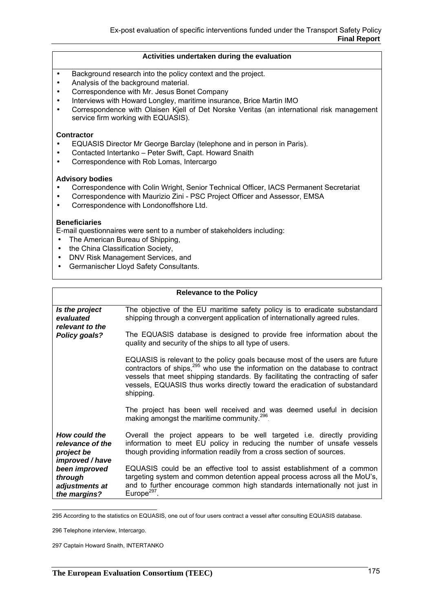#### **Activities undertaken during the evaluation**

- Background research into the policy context and the project.
- Analysis of the background material.
- Correspondence with Mr. Jesus Bonet Company
- Interviews with Howard Longley, maritime insurance, Brice Martin IMO
- Correspondence with Olaisen Kjell of Det Norske Veritas (an international risk management service firm working with EQUASIS).

#### **Contractor**

- EQUASIS Director Mr George Barclay (telephone and in person in Paris).
- Contacted Intertanko Peter Swift, Capt. Howard Snaith
- Correspondence with Rob Lomas, Intercargo

#### **Advisory bodies**

- Correspondence with Colin Wright, Senior Technical Officer, IACS Permanent Secretariat
- Correspondence with Maurizio Zini PSC Project Officer and Assessor, EMSA
- Correspondence with Londonoffshore Ltd.

#### **Beneficiaries**

E-mail questionnaires were sent to a number of stakeholders including:

- The American Bureau of Shipping,
- the China Classification Society.
- DNV Risk Management Services, and
- Germanischer Lloyd Safety Consultants.

|                                                                    | <b>Relevance to the Policy</b>                                                                                                                                                                                                                                                                                                                        |
|--------------------------------------------------------------------|-------------------------------------------------------------------------------------------------------------------------------------------------------------------------------------------------------------------------------------------------------------------------------------------------------------------------------------------------------|
| Is the project<br>evaluated<br>relevant to the                     | The objective of the EU maritime safety policy is to eradicate substandard<br>shipping through a convergent application of internationally agreed rules.                                                                                                                                                                                              |
| Policy goals?                                                      | The EQUASIS database is designed to provide free information about the<br>quality and security of the ships to all type of users.                                                                                                                                                                                                                     |
|                                                                    | EQUASIS is relevant to the policy goals because most of the users are future<br>contractors of ships, <sup>295</sup> who use the information on the database to contract<br>vessels that meet shipping standards. By facilitating the contracting of safer<br>vessels, EQUASIS thus works directly toward the eradication of substandard<br>shipping. |
|                                                                    | The project has been well received and was deemed useful in decision<br>making amongst the maritime community. <sup>296</sup>                                                                                                                                                                                                                         |
| How could the<br>relevance of the<br>project be<br>improved / have | Overall the project appears to be well targeted i.e. directly providing<br>information to meet EU policy in reducing the number of unsafe vessels<br>though providing information readily from a cross section of sources.                                                                                                                            |
| been improved<br>through<br>adjustments at<br>the margins?         | EQUASIS could be an effective tool to assist establishment of a common<br>targeting system and common detention appeal process across all the MoU's,<br>and to further encourage common high standards internationally not just in<br>Europe $297$                                                                                                    |

295 According to the statistics on EQUASIS, one out of four users contract a vessel after consulting EQUASIS database.

297 Captain Howard Snaith, INTERTANKO

<sup>296</sup> Telephone interview, Intercargo.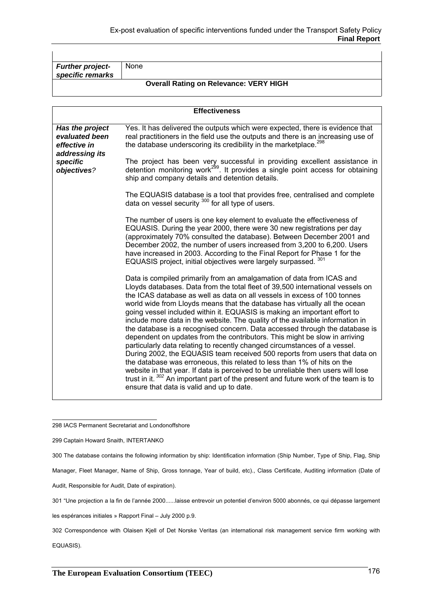| <b>Further project-</b> | <b>None</b>                                   |
|-------------------------|-----------------------------------------------|
| specific remarks        |                                               |
|                         |                                               |
|                         |                                               |
|                         | <b>Overall Rating on Relevance: VERY HIGH</b> |

|                                                                     | <b>Effectiveness</b>                                                                                                                                                                                                                                                                                                                                                                                                                                                                                                                                                                                                                                                                                                                                                                                                                                                                                                                                                                                                                                                                                       |
|---------------------------------------------------------------------|------------------------------------------------------------------------------------------------------------------------------------------------------------------------------------------------------------------------------------------------------------------------------------------------------------------------------------------------------------------------------------------------------------------------------------------------------------------------------------------------------------------------------------------------------------------------------------------------------------------------------------------------------------------------------------------------------------------------------------------------------------------------------------------------------------------------------------------------------------------------------------------------------------------------------------------------------------------------------------------------------------------------------------------------------------------------------------------------------------|
| Has the project<br>evaluated been<br>effective in<br>addressing its | Yes. It has delivered the outputs which were expected, there is evidence that<br>real practitioners in the field use the outputs and there is an increasing use of<br>the database underscoring its credibility in the marketplace. <sup>298</sup>                                                                                                                                                                                                                                                                                                                                                                                                                                                                                                                                                                                                                                                                                                                                                                                                                                                         |
| specific<br>objectives?                                             | The project has been very successful in providing excellent assistance in detention monitoring work <sup>299</sup> . It provides a single point access for obtaining<br>ship and company details and detention details.                                                                                                                                                                                                                                                                                                                                                                                                                                                                                                                                                                                                                                                                                                                                                                                                                                                                                    |
|                                                                     | The EQUASIS database is a tool that provides free, centralised and complete<br>data on vessel security 300 for all type of users.                                                                                                                                                                                                                                                                                                                                                                                                                                                                                                                                                                                                                                                                                                                                                                                                                                                                                                                                                                          |
|                                                                     | The number of users is one key element to evaluate the effectiveness of<br>EQUASIS. During the year 2000, there were 30 new registrations per day<br>(approximately 70% consulted the database). Between December 2001 and<br>December 2002, the number of users increased from 3,200 to 6,200. Users<br>have increased in 2003. According to the Final Report for Phase 1 for the<br>EQUASIS project, initial objectives were largely surpassed. 301                                                                                                                                                                                                                                                                                                                                                                                                                                                                                                                                                                                                                                                      |
|                                                                     | Data is compiled primarily from an amalgamation of data from ICAS and<br>Lloyds databases. Data from the total fleet of 39,500 international vessels on<br>the ICAS database as well as data on all vessels in excess of 100 tonnes<br>world wide from Lloyds means that the database has virtually all the ocean<br>going vessel included within it. EQUASIS is making an important effort to<br>include more data in the website. The quality of the available information in<br>the database is a recognised concern. Data accessed through the database is<br>dependent on updates from the contributors. This might be slow in arriving<br>particularly data relating to recently changed circumstances of a vessel.<br>During 2002, the EQUASIS team received 500 reports from users that data on<br>the database was erroneous, this related to less than 1% of hits on the<br>website in that year. If data is perceived to be unreliable then users will lose<br>trust in it. 302 An important part of the present and future work of the team is to<br>ensure that data is valid and up to date. |

298 IACS Permanent Secretariat and Londonoffshore

299 Captain Howard Snaith, INTERTANKO

300 The database contains the following information by ship: Identification information (Ship Number, Type of Ship, Flag, Ship

Manager, Fleet Manager, Name of Ship, Gross tonnage, Year of build, etc)., Class Certificate, Auditing information (Date of

Audit, Responsible for Audit, Date of expiration).

301 "Une projection a la fin de l'année 2000......laisse entrevoir un potentiel d'environ 5000 abonnés, ce qui dépasse largement

les espérances initiales » Rapport Final – July 2000 p.9.

302 Correspondence with Olaisen Kjell of Det Norske Veritas (an international risk management service firm working with

EQUASIS).

 $\mathbf{I}$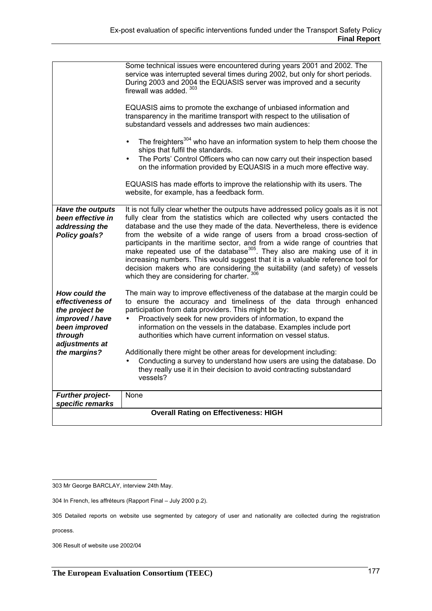|                                                                                                                                      | Some technical issues were encountered during years 2001 and 2002. The<br>service was interrupted several times during 2002, but only for short periods.<br>During 2003 and 2004 the EQUASIS server was improved and a security<br>firewall was added. 303                                                                                                                                                                                                                                                                                                                                                                                                                                                       |
|--------------------------------------------------------------------------------------------------------------------------------------|------------------------------------------------------------------------------------------------------------------------------------------------------------------------------------------------------------------------------------------------------------------------------------------------------------------------------------------------------------------------------------------------------------------------------------------------------------------------------------------------------------------------------------------------------------------------------------------------------------------------------------------------------------------------------------------------------------------|
|                                                                                                                                      | EQUASIS aims to promote the exchange of unbiased information and<br>transparency in the maritime transport with respect to the utilisation of<br>substandard vessels and addresses two main audiences:                                                                                                                                                                                                                                                                                                                                                                                                                                                                                                           |
|                                                                                                                                      | The freighters <sup>304</sup> who have an information system to help them choose the<br>$\bullet$<br>ships that fulfil the standards.<br>The Ports' Control Officers who can now carry out their inspection based<br>$\bullet$<br>on the information provided by EQUASIS in a much more effective way.                                                                                                                                                                                                                                                                                                                                                                                                           |
|                                                                                                                                      | EQUASIS has made efforts to improve the relationship with its users. The<br>website, for example, has a feedback form.                                                                                                                                                                                                                                                                                                                                                                                                                                                                                                                                                                                           |
| Have the outputs<br>been effective in<br>addressing the<br><b>Policy goals?</b>                                                      | It is not fully clear whether the outputs have addressed policy goals as it is not<br>fully clear from the statistics which are collected why users contacted the<br>database and the use they made of the data. Nevertheless, there is evidence<br>from the website of a wide range of users from a broad cross-section of<br>participants in the maritime sector, and from a wide range of countries that<br>make repeated use of the database <sup>305</sup> . They also are making use of it in<br>increasing numbers. This would suggest that it is a valuable reference tool for<br>decision makers who are considering the suitability (and safety) of vessels<br>which they are considering for charter. |
| How could the<br>effectiveness of<br>the project be<br>improved / have<br>been improved<br>through<br>adjustments at<br>the margins? | The main way to improve effectiveness of the database at the margin could be<br>to ensure the accuracy and timeliness of the data through enhanced<br>participation from data providers. This might be by:<br>Proactively seek for new providers of information, to expand the<br>$\bullet$<br>information on the vessels in the database. Examples include port<br>authorities which have current information on vessel status.<br>Additionally there might be other areas for development including:<br>Conducting a survey to understand how users are using the database. Do<br>they really use it in their decision to avoid contracting substandard<br>vessels?                                            |
| <b>Further project-</b><br>specific remarks                                                                                          | None                                                                                                                                                                                                                                                                                                                                                                                                                                                                                                                                                                                                                                                                                                             |
|                                                                                                                                      | <b>Overall Rating on Effectiveness: HIGH</b>                                                                                                                                                                                                                                                                                                                                                                                                                                                                                                                                                                                                                                                                     |

process.

306 Result of website use 2002/04

 303 Mr George BARCLAY, interview 24th May.

<sup>304</sup> In French, les affréteurs (Rapport Final – July 2000 p.2).

<sup>305</sup> Detailed reports on website use segmented by category of user and nationality are collected during the registration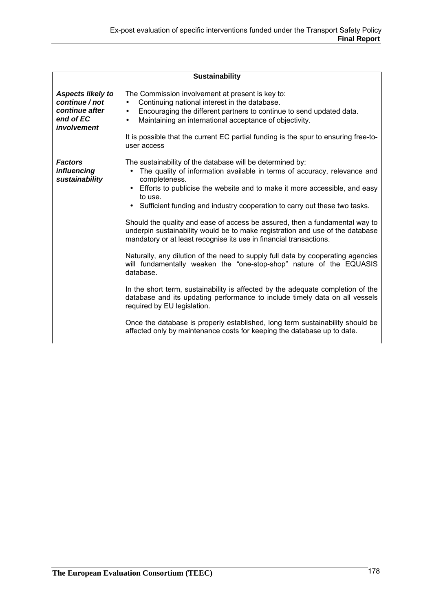|                                                                                   | <b>Sustainability</b>                                                                                                                                                                                                                                                                                                                                                                                                                                                                                                                                                                                                                                                                                                                                                                                                                                                                                                                                                                                                                                                                                   |
|-----------------------------------------------------------------------------------|---------------------------------------------------------------------------------------------------------------------------------------------------------------------------------------------------------------------------------------------------------------------------------------------------------------------------------------------------------------------------------------------------------------------------------------------------------------------------------------------------------------------------------------------------------------------------------------------------------------------------------------------------------------------------------------------------------------------------------------------------------------------------------------------------------------------------------------------------------------------------------------------------------------------------------------------------------------------------------------------------------------------------------------------------------------------------------------------------------|
| Aspects likely to<br>continue / not<br>continue after<br>end of EC<br>involvement | The Commission involvement at present is key to:<br>Continuing national interest in the database.<br>Encouraging the different partners to continue to send updated data.<br>$\bullet$<br>Maintaining an international acceptance of objectivity.<br>$\bullet$<br>It is possible that the current EC partial funding is the spur to ensuring free-to-<br>user access                                                                                                                                                                                                                                                                                                                                                                                                                                                                                                                                                                                                                                                                                                                                    |
| <b>Factors</b><br><i>influencing</i><br>sustainability                            | The sustainability of the database will be determined by:<br>The quality of information available in terms of accuracy, relevance and<br>completeness.<br>Efforts to publicise the website and to make it more accessible, and easy<br>to use.<br>• Sufficient funding and industry cooperation to carry out these two tasks.<br>Should the quality and ease of access be assured, then a fundamental way to<br>underpin sustainability would be to make registration and use of the database<br>mandatory or at least recognise its use in financial transactions.<br>Naturally, any dilution of the need to supply full data by cooperating agencies<br>will fundamentally weaken the "one-stop-shop" nature of the EQUASIS<br>database.<br>In the short term, sustainability is affected by the adequate completion of the<br>database and its updating performance to include timely data on all vessels<br>required by EU legislation.<br>Once the database is properly established, long term sustainability should be<br>affected only by maintenance costs for keeping the database up to date. |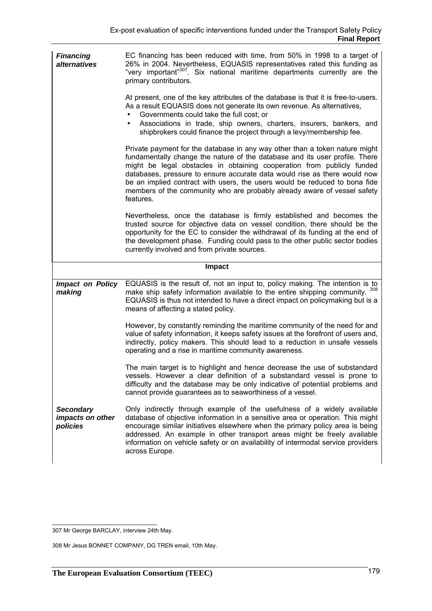| <b>Financing</b><br>alternatives  | EC financing has been reduced with time, from 50% in 1998 to a target of<br>26% in 2004. Nevertheless, EQUASIS representatives rated this funding as<br>"very important" <sup>307</sup> . Six national maritime departments currently are the<br>primary contributors.                                                                                                                                                                                                                   |
|-----------------------------------|------------------------------------------------------------------------------------------------------------------------------------------------------------------------------------------------------------------------------------------------------------------------------------------------------------------------------------------------------------------------------------------------------------------------------------------------------------------------------------------|
|                                   | At present, one of the key attributes of the database is that it is free-to-users.<br>As a result EQUASIS does not generate its own revenue. As alternatives,<br>Governments could take the full cost; or<br>Associations in trade, ship owners, charters, insurers, bankers, and<br>shipbrokers could finance the project through a levy/membership fee.                                                                                                                                |
|                                   | Private payment for the database in any way other than a token nature might<br>fundamentally change the nature of the database and its user profile. There<br>might be legal obstacles in obtaining cooperation from publicly funded<br>databases, pressure to ensure accurate data would rise as there would now<br>be an implied contract with users, the users would be reduced to bona fide<br>members of the community who are probably already aware of vessel safety<br>features. |
|                                   | Nevertheless, once the database is firmly established and becomes the<br>trusted source for objective data on vessel condition, there should be the<br>opportunity for the EC to consider the withdrawal of its funding at the end of<br>the development phase. Funding could pass to the other public sector bodies<br>currently involved and from private sources.                                                                                                                     |
|                                   |                                                                                                                                                                                                                                                                                                                                                                                                                                                                                          |
|                                   | <b>Impact</b>                                                                                                                                                                                                                                                                                                                                                                                                                                                                            |
| <b>Impact on Policy</b><br>making | EQUASIS is the result of, not an input to, policy making. The intention is to<br>make ship safety information available to the entire shipping community. 308<br>EQUASIS is thus not intended to have a direct impact on policymaking but is a<br>means of affecting a stated policy.                                                                                                                                                                                                    |
|                                   | However, by constantly reminding the maritime community of the need for and<br>value of safety information, it keeps safety issues at the forefront of users and,<br>indirectly, policy makers. This should lead to a reduction in unsafe vessels<br>operating and a rise in maritime community awareness.                                                                                                                                                                               |
|                                   | The main target is to highlight and hence decrease the use of substandard<br>vessels. However a clear definition of a substandard vessel is prone to<br>difficulty and the database may be only indicative of potential problems and<br>cannot provide guarantees as to seaworthiness of a vessel.                                                                                                                                                                                       |

 307 Mr George BARCLAY, interview 24th May.

<sup>308</sup> Mr Jesus BONNET COMPANY, DG TREN email, 10th May.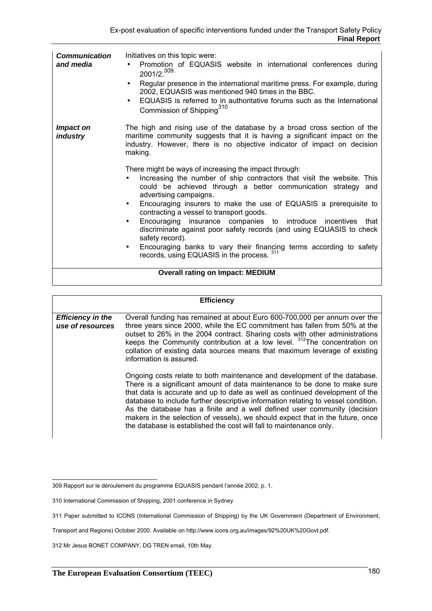| <b>Communication</b><br>and media | Initiatives on this topic were:<br>Promotion of EQUASIS website in international conferences during<br>2001/2. <sup>309</sup><br>Regular presence in the international maritime press. For example, during<br>2002, EQUASIS was mentioned 940 times in the BBC.<br>EQUASIS is referred to in authoritative forums such as the International<br>$\bullet$<br>Commission of Shipping <sup>310</sup>                                                                                                                                                                                                                                                                                                                                                                                                                                                                                                                 |
|-----------------------------------|-------------------------------------------------------------------------------------------------------------------------------------------------------------------------------------------------------------------------------------------------------------------------------------------------------------------------------------------------------------------------------------------------------------------------------------------------------------------------------------------------------------------------------------------------------------------------------------------------------------------------------------------------------------------------------------------------------------------------------------------------------------------------------------------------------------------------------------------------------------------------------------------------------------------|
| Impact on<br><i>industry</i>      | The high and rising use of the database by a broad cross section of the<br>maritime community suggests that it is having a significant impact on the<br>industry. However, there is no objective indicator of impact on decision<br>making.<br>There might be ways of increasing the impact through:<br>Increasing the number of ship contractors that visit the website. This<br>could be achieved through a better communication strategy and<br>advertising campaigns.<br>Encouraging insurers to make the use of EQUASIS a prerequisite to<br>$\bullet$<br>contracting a vessel to transport goods.<br>Encouraging insurance companies to introduce incentives that<br>$\bullet$<br>discriminate against poor safety records (and using EQUASIS to check<br>safety record).<br>Encouraging banks to vary their financing terms according to safety<br>$\bullet$<br>records, using EQUASIS in the process. 311 |
|                                   | <b>Overall rating on Impact: MEDIUM</b>                                                                                                                                                                                                                                                                                                                                                                                                                                                                                                                                                                                                                                                                                                                                                                                                                                                                           |

#### **Efficiency**

| <b>Efficiency in the</b><br>use of resources | Overall funding has remained at about Euro 600-700,000 per annum over the<br>three years since 2000, while the EC commitment has fallen from 50% at the<br>outset to 26% in the 2004 contract. Sharing costs with other administrations<br>keeps the Community contribution at a low level. <sup>312</sup> The concentration on<br>collation of existing data sources means that maximum leverage of existing<br>information is assured.                                                                                                                         |
|----------------------------------------------|------------------------------------------------------------------------------------------------------------------------------------------------------------------------------------------------------------------------------------------------------------------------------------------------------------------------------------------------------------------------------------------------------------------------------------------------------------------------------------------------------------------------------------------------------------------|
|                                              | Ongoing costs relate to both maintenance and development of the database.<br>There is a significant amount of data maintenance to be done to make sure<br>that data is accurate and up to date as well as continued development of the<br>database to include further descriptive information relating to vessel condition.<br>As the database has a finite and a well defined user community (decision<br>makers in the selection of vessels), we should expect that in the future, once<br>the database is established the cost will fall to maintenance only. |

 309 Rapport sur le déroulement du programme EQUASIS pendant l'année 2002, p. 1.

<sup>310</sup> International Commission of Shipping, 2001 conference in Sydney

<sup>311</sup> Paper submitted to ICONS (International Commission of Shipping) by the UK Government (Department of Environment,

Transport and Regions) October 2000. Available on http://www.icons.org.au/images/92%20UK%20Govt.pdf.

<sup>312</sup> Mr Jesus BONET COMPANY, DG TREN email, 10th May.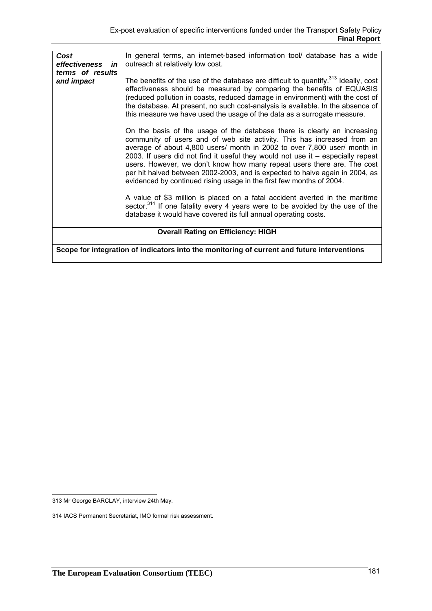| Cost<br>effectiveness in<br>terms of results | In general terms, an internet-based information tool/ database has a wide<br>outreach at relatively low cost.                                                                                                                                                                                                                                                                                                                                                                                                                                         |
|----------------------------------------------|-------------------------------------------------------------------------------------------------------------------------------------------------------------------------------------------------------------------------------------------------------------------------------------------------------------------------------------------------------------------------------------------------------------------------------------------------------------------------------------------------------------------------------------------------------|
| and impact                                   | The benefits of the use of the database are difficult to quantify. <sup>313</sup> Ideally, cost<br>effectiveness should be measured by comparing the benefits of EQUASIS<br>(reduced pollution in coasts, reduced damage in environment) with the cost of<br>the database. At present, no such cost-analysis is available. In the absence of<br>this measure we have used the usage of the data as a surrogate measure.                                                                                                                               |
|                                              | On the basis of the usage of the database there is clearly an increasing<br>community of users and of web site activity. This has increased from an<br>average of about 4,800 users/ month in 2002 to over 7,800 user/ month in<br>2003. If users did not find it useful they would not use it - especially repeat<br>users. However, we don't know how many repeat users there are. The cost<br>per hit halved between 2002-2003, and is expected to halve again in 2004, as<br>evidenced by continued rising usage in the first few months of 2004. |
|                                              | A value of \$3 million is placed on a fatal accident averted in the maritime<br>sector. <sup>314</sup> If one fatality every 4 years were to be avoided by the use of the<br>database it would have covered its full annual operating costs.                                                                                                                                                                                                                                                                                                          |
|                                              | <b>Overall Rating on Efficiency: HIGH</b>                                                                                                                                                                                                                                                                                                                                                                                                                                                                                                             |
|                                              | Scope for integration of indicators into the monitoring of current and future interventions                                                                                                                                                                                                                                                                                                                                                                                                                                                           |

 313 Mr George BARCLAY, interview 24th May.

<sup>314</sup> IACS Permanent Secretariat, IMO formal risk assessment.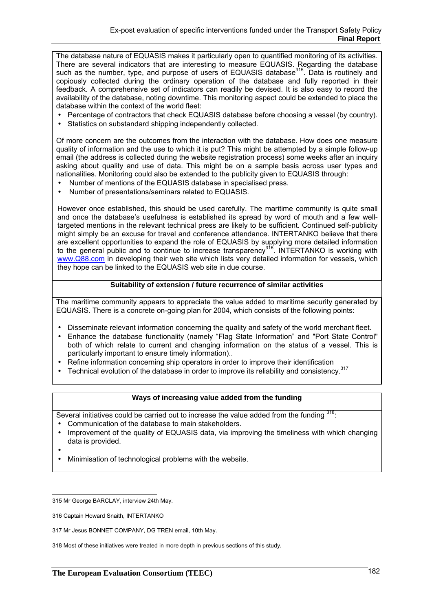The database nature of EQUASIS makes it particularly open to quantified monitoring of its activities. There are several indicators that are interesting to measure EQUASIS. Regarding the database such as the number, type, and purpose of users of EQUASIS database<sup>315</sup>. Data is routinely and copiously collected during the ordinary operation of the database and fully reported in their feedback. A comprehensive set of indicators can readily be devised. It is also easy to record the availability of the database, noting downtime. This monitoring aspect could be extended to place the database within the context of the world fleet:

- Percentage of contractors that check EQUASIS database before choosing a vessel (by country).
- Statistics on substandard shipping independently collected.

Of more concern are the outcomes from the interaction with the database. How does one measure quality of information and the use to which it is put? This might be attempted by a simple follow-up email (the address is collected during the website registration process) some weeks after an inquiry asking about quality and use of data. This might be on a sample basis across user types and nationalities. Monitoring could also be extended to the publicity given to EQUASIS through:

- Number of mentions of the EQUASIS database in specialised press.
- Number of presentations/seminars related to EQUASIS.

However once established, this should be used carefully. The maritime community is quite small and once the database's usefulness is established its spread by word of mouth and a few welltargeted mentions in the relevant technical press are likely to be sufficient. Continued self-publicity might simply be an excuse for travel and conference attendance. INTERTANKO believe that there are excellent opportunities to expand the role of EQUASIS by supplying more detailed information to the general public and to continue to increase transparency<sup>316</sup>. INTERTANKO is working with www.Q88.com in developing their web site which lists very detailed information for vessels, which they hope can be linked to the EQUASIS web site in due course.

#### **Suitability of extension / future recurrence of similar activities**

The maritime community appears to appreciate the value added to maritime security generated by EQUASIS. There is a concrete on-going plan for 2004, which consists of the following points:

- Disseminate relevant information concerning the quality and safety of the world merchant fleet.
- Enhance the database functionality (namely "Flag State Information" and "Port State Control" both of which relate to current and changing information on the status of a vessel. This is particularly important to ensure timely information)..
- Refine information concerning ship operators in order to improve their identification
- Technical evolution of the database in order to improve its reliability and consistency.<sup>317</sup>

#### **Ways of increasing value added from the funding**

Several initiatives could be carried out to increase the value added from the funding <sup>318</sup>:

- Communication of the database to main stakeholders.
- Improvement of the quality of EQUASIS data, via improving the timeliness with which changing data is provided.
- •
- Minimisation of technological problems with the website.

318 Most of these initiatives were treated in more depth in previous sections of this study.

 315 Mr George BARCLAY, interview 24th May.

<sup>316</sup> Captain Howard Snaith, INTERTANKO

<sup>317</sup> Mr Jesus BONNET COMPANY, DG TREN email, 10th May.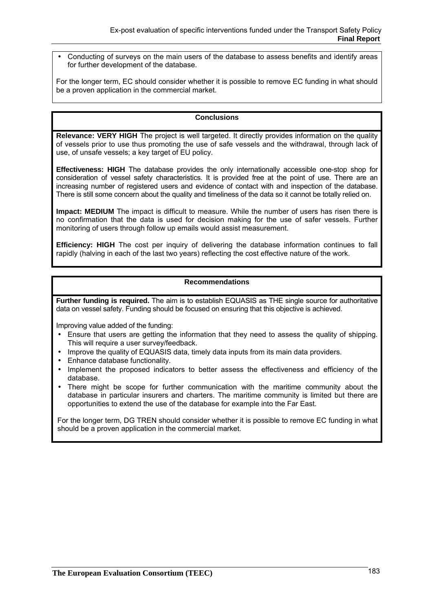• Conducting of surveys on the main users of the database to assess benefits and identify areas for further development of the database.

For the longer term, EC should consider whether it is possible to remove EC funding in what should be a proven application in the commercial market.

### **Conclusions**

**Relevance: VERY HIGH** The project is well targeted. It directly provides information on the quality of vessels prior to use thus promoting the use of safe vessels and the withdrawal, through lack of use, of unsafe vessels; a key target of EU policy.

**Effectiveness: HIGH** The database provides the only internationally accessible one-stop shop for consideration of vessel safety characteristics. It is provided free at the point of use. There are an increasing number of registered users and evidence of contact with and inspection of the database. There is still some concern about the quality and timeliness of the data so it cannot be totally relied on.

**Impact: MEDIUM** The impact is difficult to measure. While the number of users has risen there is no confirmation that the data is used for decision making for the use of safer vessels. Further monitoring of users through follow up emails would assist measurement.

**Efficiency: HIGH** The cost per inquiry of delivering the database information continues to fall rapidly (halving in each of the last two years) reflecting the cost effective nature of the work.

#### **Recommendations**

**Further funding is required.** The aim is to establish EQUASIS as THE single source for authoritative data on vessel safety. Funding should be focused on ensuring that this objective is achieved.

Improving value added of the funding:

- Ensure that users are getting the information that they need to assess the quality of shipping. This will require a user survey/feedback.
- Improve the quality of EQUASIS data, timely data inputs from its main data providers.
- Enhance database functionality.
- Implement the proposed indicators to better assess the effectiveness and efficiency of the database.
- There might be scope for further communication with the maritime community about the database in particular insurers and charters. The maritime community is limited but there are opportunities to extend the use of the database for example into the Far East.

For the longer term, DG TREN should consider whether it is possible to remove EC funding in what should be a proven application in the commercial market.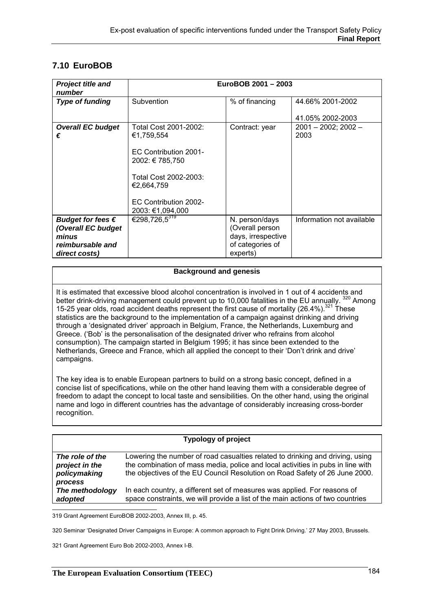# **7.10 EuroBOB**

| <b>Project title and</b><br>number                                                             |                                                                                                                                                                     | EuroBOB 2001 - 2003                                                                     |                                  |
|------------------------------------------------------------------------------------------------|---------------------------------------------------------------------------------------------------------------------------------------------------------------------|-----------------------------------------------------------------------------------------|----------------------------------|
| <b>Type of funding</b>                                                                         | Subvention                                                                                                                                                          | % of financing                                                                          | 44.66% 2001-2002                 |
|                                                                                                |                                                                                                                                                                     |                                                                                         | 41.05% 2002-2003                 |
| <b>Overall EC budget</b><br>€                                                                  | Total Cost 2001-2002:<br>€1,759,554<br>EC Contribution 2001-<br>2002: € 785,750<br>Total Cost 2002-2003:<br>€2,664,759<br>EC Contribution 2002-<br>2003: €1,094,000 | Contract: year                                                                          | $2001 - 2002$ ; $2002 -$<br>2003 |
| Budget for fees $\epsilon$<br>(Overall EC budget<br>minus<br>reimbursable and<br>direct costs) | €298,726,5 <sup>319</sup>                                                                                                                                           | N. person/days<br>(Overall person<br>days, irrespective<br>of categories of<br>experts) | Information not available        |

### **Background and genesis**

It is estimated that excessive blood alcohol concentration is involved in 1 out of 4 accidents and better drink-driving management could prevent up to 10,000 fatalities in the EU annually. <sup>320</sup> Among 15-25 year olds, road accident deaths represent the first cause of mortality (26.4%).<sup>321</sup> These statistics are the background to the implementation of a campaign against drinking and driving through a 'designated driver' approach in Belgium, France, the Netherlands, Luxemburg and Greece. ('Bob' is the personalisation of the designated driver who refrains from alcohol consumption). The campaign started in Belgium 1995; it has since been extended to the Netherlands, Greece and France, which all applied the concept to their 'Don't drink and drive' campaigns.

The key idea is to enable European partners to build on a strong basic concept, defined in a concise list of specifications, while on the other hand leaving them with a considerable degree of freedom to adapt the concept to local taste and sensibilities. On the other hand, using the original name and logo in different countries has the advantage of considerably increasing cross-border recognition.

|                                                   | <b>Typology of project</b>                                                                                                                                                                                                                      |
|---------------------------------------------------|-------------------------------------------------------------------------------------------------------------------------------------------------------------------------------------------------------------------------------------------------|
| The role of the<br>project in the<br>policymaking | Lowering the number of road casualties related to drinking and driving, using<br>the combination of mass media, police and local activities in pubs in line with<br>the objectives of the EU Council Resolution on Road Safety of 26 June 2000. |
| process<br>The methodology<br>adopted             | In each country, a different set of measures was applied. For reasons of<br>space constraints, we will provide a list of the main actions of two countries                                                                                      |

 319 Grant Agreement EuroBOB 2002-2003, Annex III, p. 45.

320 Seminar 'Designated Driver Campaigns in Europe: A common approach to Fight Drink Driving.' 27 May 2003, Brussels.

321 Grant Agreement Euro Bob 2002-2003, Annex I-B.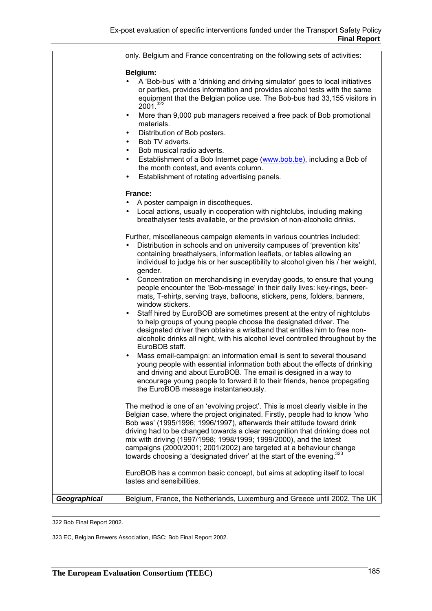only. Belgium and France concentrating on the following sets of activities:

#### **Belgium:**

- A 'Bob-bus' with a 'drinking and driving simulator' goes to local initiatives or parties, provides information and provides alcohol tests with the same equipment that the Belgian police use. The Bob-bus had 33,155 visitors in  $2001^{322}$
- More than 9,000 pub managers received a free pack of Bob promotional materials.
- Distribution of Bob posters.
- Bob TV adverts.
- Bob musical radio adverts.
- Establishment of a Bob Internet page (www.bob.be), including a Bob of the month contest, and events column.
- Establishment of rotating advertising panels.

#### **France:**

- A poster campaign in discotheques.
- Local actions, usually in cooperation with nightclubs, including making breathalyser tests available, or the provision of non-alcoholic drinks.

Further, miscellaneous campaign elements in various countries included:

- Distribution in schools and on university campuses of 'prevention kits' containing breathalysers, information leaflets, or tables allowing an individual to judge his or her susceptibility to alcohol given his / her weight, gender.
- Concentration on merchandising in everyday goods, to ensure that young people encounter the 'Bob-message' in their daily lives: key-rings, beermats, T-shirts, serving trays, balloons, stickers, pens, folders, banners, window stickers.
- Staff hired by EuroBOB are sometimes present at the entry of nightclubs to help groups of young people choose the designated driver. The designated driver then obtains a wristband that entitles him to free nonalcoholic drinks all night, with his alcohol level controlled throughout by the EuroBOB staff.
- Mass email-campaign: an information email is sent to several thousand young people with essential information both about the effects of drinking and driving and about EuroBOB. The email is designed in a way to encourage young people to forward it to their friends, hence propagating the EuroBOB message instantaneously.

The method is one of an 'evolving project'. This is most clearly visible in the Belgian case, where the project originated. Firstly, people had to know 'who Bob was' (1995/1996; 1996/1997), afterwards their attitude toward drink driving had to be changed towards a clear recognition that drinking does not mix with driving (1997/1998; 1998/1999; 1999/2000), and the latest campaigns (2000/2001; 2001/2002) are targeted at a behaviour change towards choosing a 'designated driver' at the start of the evening.<sup>3</sup>

EuroBOB has a common basic concept, but aims at adopting itself to local tastes and sensibilities.

*Geographical* Belgium, France, the Netherlands, Luxemburg and Greece until 2002. The UK

322 Bob Final Report 2002.

323 EC, Belgian Brewers Association, IBSC: Bob Final Report 2002.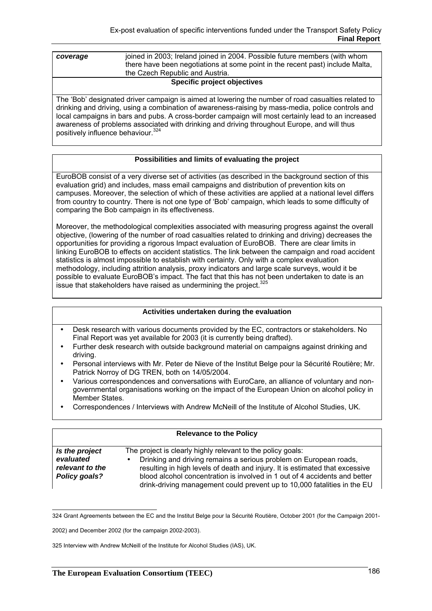| coverage | joined in 2003; Ireland joined in 2004. Possible future members (with whom    |
|----------|-------------------------------------------------------------------------------|
|          | there have been negotiations at some point in the recent past) include Malta, |
|          | the Czech Republic and Austria.                                               |
|          | $\sim$ $\sim$ $\sim$ $\sim$ $\sim$ $\sim$ $\sim$ $\sim$                       |

#### **Specific project objectives**

The 'Bob' designated driver campaign is aimed at lowering the number of road casualties related to drinking and driving, using a combination of awareness-raising by mass-media, police controls and local campaigns in bars and pubs. A cross-border campaign will most certainly lead to an increased awareness of problems associated with drinking and driving throughout Europe, and will thus positively influence behaviour.<sup>324</sup>

### **Possibilities and limits of evaluating the project**

EuroBOB consist of a very diverse set of activities (as described in the background section of this evaluation grid) and includes, mass email campaigns and distribution of prevention kits on campuses. Moreover, the selection of which of these activities are applied at a national level differs from country to country. There is not one type of 'Bob' campaign, which leads to some difficulty of comparing the Bob campaign in its effectiveness.

Moreover, the methodological complexities associated with measuring progress against the overall objective, (lowering of the number of road casualties related to drinking and driving) decreases the opportunities for providing a rigorous Impact evaluation of EuroBOB. There are clear limits in linking EuroBOB to effects on accident statistics. The link between the campaign and road accident statistics is almost impossible to establish with certainty. Only with a complex evaluation methodology, including attrition analysis, proxy indicators and large scale surveys, would it be possible to evaluate EuroBOB's impact. The fact that this has not been undertaken to date is an issue that stakeholders have raised as undermining the project. $325$ 

#### **Activities undertaken during the evaluation**

- Desk research with various documents provided by the EC, contractors or stakeholders. No Final Report was yet available for 2003 (it is currently being drafted).
- Further desk research with outside background material on campaigns against drinking and driving.
- Personal interviews with Mr. Peter de Nieve of the Institut Belge pour la Sécurité Routière; Mr. Patrick Norroy of DG TREN, both on 14/05/2004.
- Various correspondences and conversations with EuroCare, an alliance of voluntary and nongovernmental organisations working on the impact of the European Union on alcohol policy in Member States.
- Correspondences / Interviews with Andrew McNeill of the Institute of Alcohol Studies, UK.

|                                                                 | <b>Relevance to the Policy</b>                                                                                                                                                                                                                                                                                                                                             |
|-----------------------------------------------------------------|----------------------------------------------------------------------------------------------------------------------------------------------------------------------------------------------------------------------------------------------------------------------------------------------------------------------------------------------------------------------------|
| Is the project<br>evaluated<br>relevant to the<br>Policy goals? | The project is clearly highly relevant to the policy goals:<br>Drinking and driving remains a serious problem on European roads,<br>resulting in high levels of death and injury. It is estimated that excessive<br>blood alcohol concentration is involved in 1 out of 4 accidents and better<br>drink-driving management could prevent up to 10,000 fatalities in the EU |

 324 Grant Agreements between the EC and the Institut Belge pour la Sécurité Routière, October 2001 (for the Campaign 2001-

325 Interview with Andrew McNeill of the Institute for Alcohol Studies (IAS), UK.

<sup>2002)</sup> and December 2002 (for the campaign 2002-2003).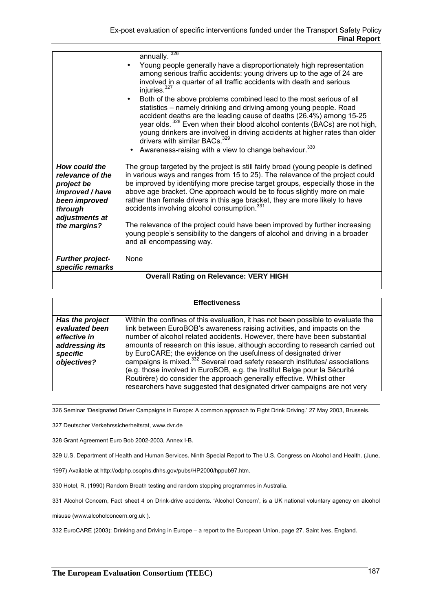|                                                                                                                                  | annually. $326$<br>Young people generally have a disproportionately high representation<br>among serious traffic accidents: young drivers up to the age of 24 are<br>involved in a quarter of all traffic accidents with death and serious<br>injuries. <sup>327</sup><br>Both of the above problems combined lead to the most serious of all<br>$\bullet$<br>statistics – namely drinking and driving among young people. Road<br>accident deaths are the leading cause of deaths (26.4%) among 15-25<br>year olds. <sup>328</sup> Even when their blood alcohol contents (BACs) are not high,<br>young drinkers are involved in driving accidents at higher rates than older<br>drivers with similar BACs. <sup>329</sup><br>Awareness-raising with a view to change behaviour. <sup>330</sup> |
|----------------------------------------------------------------------------------------------------------------------------------|--------------------------------------------------------------------------------------------------------------------------------------------------------------------------------------------------------------------------------------------------------------------------------------------------------------------------------------------------------------------------------------------------------------------------------------------------------------------------------------------------------------------------------------------------------------------------------------------------------------------------------------------------------------------------------------------------------------------------------------------------------------------------------------------------|
| How could the<br>relevance of the<br>project be<br>improved / have<br>been improved<br>through<br>adjustments at<br>the margins? | The group targeted by the project is still fairly broad (young people is defined<br>in various ways and ranges from 15 to 25). The relevance of the project could<br>be improved by identifying more precise target groups, especially those in the<br>above age bracket. One approach would be to focus slightly more on male<br>rather than female drivers in this age bracket, they are more likely to have<br>accidents involving alcohol consumption. <sup>331</sup><br>The relevance of the project could have been improved by further increasing<br>young people's sensibility to the dangers of alcohol and driving in a broader<br>and all encompassing way.                                                                                                                           |
| <b>Further project-</b><br>specific remarks                                                                                      | None                                                                                                                                                                                                                                                                                                                                                                                                                                                                                                                                                                                                                                                                                                                                                                                             |
|                                                                                                                                  | <b>Overall Rating on Relevance: VERY HIGH</b>                                                                                                                                                                                                                                                                                                                                                                                                                                                                                                                                                                                                                                                                                                                                                    |

#### **Effectiveness**

*Has the project evaluated been effective in addressing its specific objectives?* Within the confines of this evaluation, it has not been possible to evaluate the link between EuroBOB's awareness raising activities, and impacts on the number of alcohol related accidents. However, there have been substantial amounts of research on this issue, although according to research carried out by EuroCARE; the evidence on the usefulness of designated driver campaigns is mixed.332 Several road safety research institutes/ associations (e.g. those involved in EuroBOB, e.g. the Institut Belge pour la Sécurité Routirère) do consider the approach generally effective. Whilst other researchers have suggested that designated driver campaigns are not very

326 Seminar 'Designated Driver Campaigns in Europe: A common approach to Fight Drink Driving.' 27 May 2003, Brussels.

327 Deutscher Verkehrssicherheitsrat, www.dvr.de

328 Grant Agreement Euro Bob 2002-2003, Annex I-B.

329 U.S. Department of Health and Human Services. Ninth Special Report to The U.S. Congress on Alcohol and Health. (June,

1997) Available at http://odphp.osophs.dhhs.gov/pubs/HP2000/hppub97.htm.

330 Hotel, R. (1990) Random Breath testing and random stopping programmes in Australia.

331 Alcohol Concern, Fact sheet 4 on Drink-drive accidents. 'Alcohol Concern', is a UK national voluntary agency on alcohol

misuse (www.alcoholconcern.org.uk ).

332 EuroCARE (2003): Drinking and Driving in Europe – a report to the European Union, page 27. Saint Ives, England.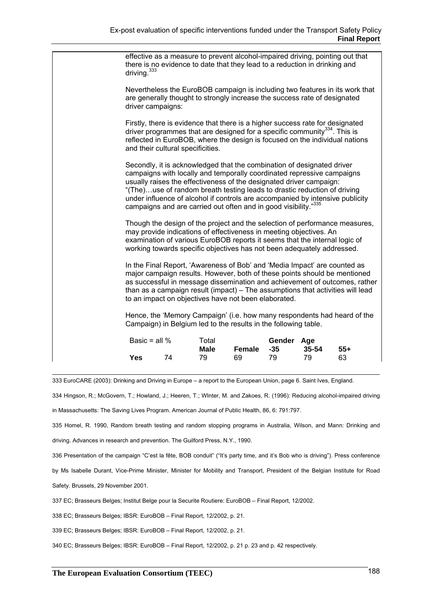| driving. <sup>333</sup> |                                   | effective as a measure to prevent alcohol-impaired driving, pointing out that<br>there is no evidence to date that they lead to a reduction in drinking and                                                                                                                                                                                                            |        |                     |           |                                                                                                                                                                                                                                           |
|-------------------------|-----------------------------------|------------------------------------------------------------------------------------------------------------------------------------------------------------------------------------------------------------------------------------------------------------------------------------------------------------------------------------------------------------------------|--------|---------------------|-----------|-------------------------------------------------------------------------------------------------------------------------------------------------------------------------------------------------------------------------------------------|
| driver campaigns:       |                                   | are generally thought to strongly increase the success rate of designated                                                                                                                                                                                                                                                                                              |        |                     |           | Nevertheless the EuroBOB campaign is including two features in its work that                                                                                                                                                              |
|                         | and their cultural specificities. | Firstly, there is evidence that there is a higher success rate for designated<br>driver programmes that are designed for a specific community <sup>334</sup> . This is<br>reflected in EuroBOB, where the design is focused on the individual nations                                                                                                                  |        |                     |           |                                                                                                                                                                                                                                           |
|                         |                                   | Secondly, it is acknowledged that the combination of designated driver<br>campaigns with locally and temporally coordinated repressive campaigns<br>usually raises the effectiveness of the designated driver campaign:<br>"(The)use of random breath testing leads to drastic reduction of driving<br>campaigns and are carried out often and in good visibility."335 |        |                     |           | under influence of alcohol if controls are accompanied by intensive publicity                                                                                                                                                             |
|                         |                                   | may provide indications of effectiveness in meeting objectives. An<br>examination of various EuroBOB reports it seems that the internal logic of<br>working towards specific objectives has not been adequately addressed.                                                                                                                                             |        |                     |           | Though the design of the project and the selection of performance measures,                                                                                                                                                               |
|                         |                                   | In the Final Report, 'Awareness of Bob' and 'Media Impact' are counted as<br>to an impact on objectives have not been elaborated.                                                                                                                                                                                                                                      |        |                     |           | major campaign results. However, both of these points should be mentioned<br>as successful in message dissemination and achievement of outcomes, rather<br>than as a campaign result (impact) - The assumptions that activities will lead |
|                         |                                   | Campaign) in Belgium led to the results in the following table.                                                                                                                                                                                                                                                                                                        |        |                     |           | Hence, the 'Memory Campaign' (i.e. how many respondents had heard of the                                                                                                                                                                  |
| Basic = all $%$         |                                   | Total<br>Male                                                                                                                                                                                                                                                                                                                                                          | Female | Gender Age<br>$-35$ | $35 - 54$ | $55+$                                                                                                                                                                                                                                     |
| <b>Yes</b>              | 74                                | 79                                                                                                                                                                                                                                                                                                                                                                     | 69     | 79                  | 79        | 63                                                                                                                                                                                                                                        |

333 EuroCARE (2003): Drinking and Driving in Europe – a report to the European Union, page 6. Saint Ives, England.

334 Hingson, R.; McGovern, T.; Howland, J.; Heeren, T.; WInter, M. and Zakoes, R. (1996): Reducing alcohol-impaired driving

in Massachusetts: The Saving Lives Program. American Journal of Public Health, 86, 6: 791:797.

335 Homel, R. 1990, Random breath testing and random stopping programs in Australia, Wilson, and Mann: Drinking and

driving. Advances in research and prevention. The Guilford Press, N.Y., 1990.

336 Presentation of the campaign "C'est la fête, BOB conduit" ("It's party time, and it's Bob who is driving"). Press conference

by Ms Isabelle Durant, Vice-Prime Minister, Minister for Mobility and Transport, President of the Belgian Institute for Road

Safety. Brussels, 29 November 2001.

337 EC; Brasseurs Belges; Institut Belge pour la Securite Routiere: EuroBOB – Final Report, 12/2002.

338 EC; Brasseurs Belges; IBSR: EuroBOB – Final Report, 12/2002, p. 21.

339 EC; Brasseurs Belges; IBSR: EuroBOB – Final Report, 12/2002, p. 21.

340 EC; Brasseurs Belges; IBSR: EuroBOB – Final Report, 12/2002, p. 21 p. 23 and p. 42 respectively.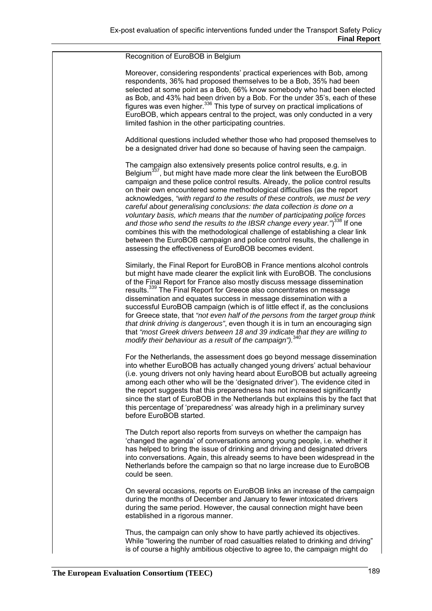#### Recognition of EuroBOB in Belgium

Moreover, considering respondents' practical experiences with Bob, among respondents, 36% had proposed themselves to be a Bob, 35% had been selected at some point as a Bob, 66% know somebody who had been elected as Bob, and 43% had been driven by a Bob. For the under 35's, each of these figures was even higher.<sup>336</sup> This type of survey on practical implications of EuroBOB, which appears central to the project, was only conducted in a very limited fashion in the other participating countries.

Additional questions included whether those who had proposed themselves to be a designated driver had done so because of having seen the campaign.

The campaign also extensively presents police control results, e.g. in Belgium<sup>337</sup>, but might have made more clear the link between the EuroBOB campaign and these police control results. Already, the police control results on their own encountered some methodological difficulties (as the report acknowledges, *"with regard to the results of these controls, we must be very careful about generalising conclusions: the data collection is done on a voluntary basis, which means that the number of participating police forces and those who send the results to the IBSR change every year."*) 338 If one combines this with the methodological challenge of establishing a clear link between the EuroBOB campaign and police control results, the challenge in assessing the effectiveness of EuroBOB becomes evident.

Similarly, the Final Report for EuroBOB in France mentions alcohol controls but might have made clearer the explicit link with EuroBOB. The conclusions of the Final Report for France also mostly discuss message dissemination results.339 The Final Report for Greece also concentrates on message dissemination and equates success in message dissemination with a successful EuroBOB campaign (which is of little effect if, as the conclusions for Greece state, that *"not even half of the persons from the target group think that drink driving is dangerous"*, even though it is in turn an encouraging sign that *"most Greek drivers between 18 and 39 indicate that they are willing to modify their behaviour as a result of the campaign").*340

For the Netherlands, the assessment does go beyond message dissemination into whether EuroBOB has actually changed young drivers' actual behaviour (i.e. young drivers not only having heard about EuroBOB but actually agreeing among each other who will be the 'designated driver'). The evidence cited in the report suggests that this preparedness has not increased significantly since the start of EuroBOB in the Netherlands but explains this by the fact that this percentage of 'preparedness' was already high in a preliminary survey before EuroBOB started.

The Dutch report also reports from surveys on whether the campaign has 'changed the agenda' of conversations among young people, i.e. whether it has helped to bring the issue of drinking and driving and designated drivers into conversations. Again, this already seems to have been widespread in the Netherlands before the campaign so that no large increase due to EuroBOB could be seen.

On several occasions, reports on EuroBOB links an increase of the campaign during the months of December and January to fewer intoxicated drivers during the same period. However, the causal connection might have been established in a rigorous manner.

Thus, the campaign can only show to have partly achieved its objectives. While "lowering the number of road casualties related to drinking and driving" is of course a highly ambitious objective to agree to, the campaign might do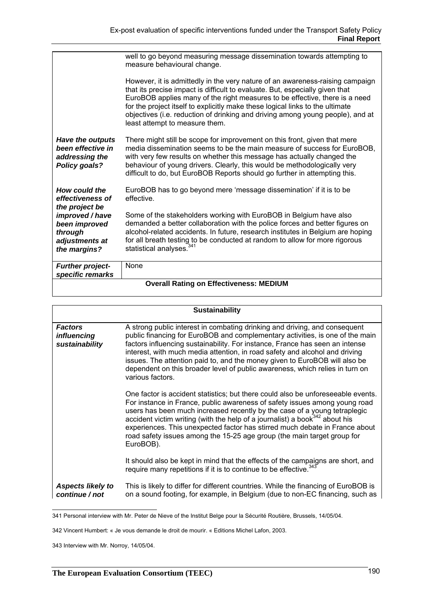| well to go beyond measuring message dissemination towards attempting to<br>measure behavioural change.                                                                                                                                                                                                                                                                                                                                                                       |  |  |
|------------------------------------------------------------------------------------------------------------------------------------------------------------------------------------------------------------------------------------------------------------------------------------------------------------------------------------------------------------------------------------------------------------------------------------------------------------------------------|--|--|
| However, it is admittedly in the very nature of an awareness-raising campaign<br>that its precise impact is difficult to evaluate. But, especially given that<br>EuroBOB applies many of the right measures to be effective, there is a need<br>for the project itself to explicitly make these logical links to the ultimate<br>objectives (i.e. reduction of drinking and driving among young people), and at<br>least attempt to measure them.                            |  |  |
| There might still be scope for improvement on this front, given that mere<br><b>Have the outputs</b><br>media dissemination seems to be the main measure of success for EuroBOB,<br>been effective in<br>with very few results on whether this message has actually changed the<br>addressing the<br>behaviour of young drivers. Clearly, this would be methodologically very<br>Policy goals?<br>difficult to do, but EuroBOB Reports should go further in attempting this. |  |  |
| How could the<br>EuroBOB has to go beyond mere 'message dissemination' if it is to be<br>effective.<br>effectiveness of                                                                                                                                                                                                                                                                                                                                                      |  |  |
| the project be<br>Some of the stakeholders working with EuroBOB in Belgium have also<br>improved / have<br>demanded a better collaboration with the police forces and better figures on<br>been improved<br>alcohol-related accidents. In future, research institutes in Belgium are hoping<br>through<br>for all breath testing to be conducted at random to allow for more rigorous<br>adjustments at<br>statistical analyses. <sup>341</sup><br>the margins?              |  |  |
| None<br><b>Further project-</b><br>specific remarks                                                                                                                                                                                                                                                                                                                                                                                                                          |  |  |
| <b>Overall Rating on Effectiveness: MEDIUM</b>                                                                                                                                                                                                                                                                                                                                                                                                                               |  |  |

|                                                        | <b>Sustainability</b>                                                                                                                                                                                                                                                                                                                                                                                                                                                                                        |
|--------------------------------------------------------|--------------------------------------------------------------------------------------------------------------------------------------------------------------------------------------------------------------------------------------------------------------------------------------------------------------------------------------------------------------------------------------------------------------------------------------------------------------------------------------------------------------|
| <b>Factors</b><br><i>influencing</i><br>sustainability | A strong public interest in combating drinking and driving, and consequent<br>public financing for EuroBOB and complementary activities, is one of the main<br>factors influencing sustainability. For instance, France has seen an intense<br>interest, with much media attention, in road safety and alcohol and driving<br>issues. The attention paid to, and the money given to EuroBOB will also be<br>dependent on this broader level of public awareness, which relies in turn on<br>various factors. |
|                                                        | One factor is accident statistics; but there could also be unforeseeable events.<br>For instance in France, public awareness of safety issues among young road<br>users has been much increased recently by the case of a young tetraplegic<br>accident victim writing (with the help of a journalist) a book $342$ about his<br>experiences. This unexpected factor has stirred much debate in France about<br>road safety issues among the 15-25 age group (the main target group for<br>EuroBOB).         |
|                                                        | It should also be kept in mind that the effects of the campaigns are short, and<br>require many repetitions if it is to continue to be effective. <sup>343</sup>                                                                                                                                                                                                                                                                                                                                             |
| <b>Aspects likely to</b><br>continue / not             | This is likely to differ for different countries. While the financing of EuroBOB is<br>on a sound footing, for example, in Belgium (due to non-EC financing, such as                                                                                                                                                                                                                                                                                                                                         |

 341 Personal interview with Mr. Peter de Nieve of the Institut Belge pour la Sécurité Routière, Brussels, 14/05/04.

343 Interview with Mr. Norroy, 14/05/04.

<sup>342</sup> Vincent Humbert: « Je vous demande le droit de mourir. « Editions Michel Lafon, 2003.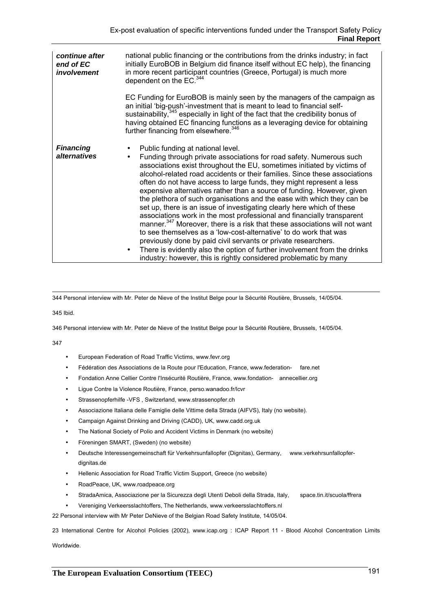| continue after<br>end of EC<br>involvement | national public financing or the contributions from the drinks industry; in fact<br>initially EuroBOB in Belgium did finance itself without EC help), the financing<br>in more recent participant countries (Greece, Portugal) is much more<br>dependent on the EC. <sup>344</sup>                                                                                                                                                                                                                                                                                                                                                                                                                                                                                                                                                                                                                                                                                                                                                                             |  |  |  |
|--------------------------------------------|----------------------------------------------------------------------------------------------------------------------------------------------------------------------------------------------------------------------------------------------------------------------------------------------------------------------------------------------------------------------------------------------------------------------------------------------------------------------------------------------------------------------------------------------------------------------------------------------------------------------------------------------------------------------------------------------------------------------------------------------------------------------------------------------------------------------------------------------------------------------------------------------------------------------------------------------------------------------------------------------------------------------------------------------------------------|--|--|--|
|                                            | EC Funding for EuroBOB is mainly seen by the managers of the campaign as<br>an initial 'big-push'-investment that is meant to lead to financial self-<br>sustainability, <sup>345</sup> especially in light of the fact that the credibility bonus of<br>having obtained EC financing functions as a leveraging device for obtaining<br>further financing from elsewhere. <sup>346</sup>                                                                                                                                                                                                                                                                                                                                                                                                                                                                                                                                                                                                                                                                       |  |  |  |
| <b>Financing</b><br>alternatives           | Public funding at national level.<br>Funding through private associations for road safety. Numerous such<br>$\bullet$<br>associations exist throughout the EU, sometimes initiated by victims of<br>alcohol-related road accidents or their families. Since these associations<br>often do not have access to large funds, they might represent a less<br>expensive alternatives rather than a source of funding. However, given<br>the plethora of such organisations and the ease with which they can be<br>set up, there is an issue of investigating clearly here which of these<br>associations work in the most professional and financially transparent<br>manner. <sup>347</sup> Moreover, there is a risk that these associations will not want<br>to see themselves as a 'low-cost-alternative' to do work that was<br>previously done by paid civil servants or private researchers.<br>There is evidently also the option of further involvement from the drinks<br>$\bullet$<br>industry: however, this is rightly considered problematic by many |  |  |  |

344 Personal interview with Mr. Peter de Nieve of the Institut Belge pour la Sécurité Routière, Brussels, 14/05/04.

345 Ibid.

346 Personal interview with Mr. Peter de Nieve of the Institut Belge pour la Sécurité Routière, Brussels, 14/05/04.

347

- European Federation of Road Traffic Victims, www.fevr.org
- Fédération des Associations de la Route pour l'Education, France, www.federation- fare.net
- Fondation Anne Cellier Contre l'Insécurité Routière, France, www.fondation- annecellier.org
- Ligue Contre la Violence Routière, France, perso.wanadoo.fr/lcvr
- Strassenopferhilfe -VFS, Switzerland, www.strassenopfer.ch
- Associazione Italiana delle Famiglie delle Vittime della Strada (AIFVS), Italy (no website).
- Campaign Against Drinking and Driving (CADD), UK, www.cadd.org.uk
- The National Society of Polio and Accident Victims in Denmark (no website)
- Föreningen SMART, (Sweden) (no website)
- Deutsche Interessengemeinschaft für Verkehrsunfallopfer (Dignitas), Germany, www.verkehrsunfallopferdignitas.de
- Hellenic Association for Road Traffic Victim Support, Greece (no website)
- RoadPeace, UK, www.roadpeace.org
- StradaAmica, Associazione per la Sicurezza degli Utenti Deboli della Strada, Italy, space.tin.it/scuola/ffrera
- Vereniging Verkeersslachtoffers, The Netherlands, www.verkeersslachtoffers.nl

22 Personal interview with Mr Peter DeNieve of the Belgian Road Safety Institute, 14/05/04.

23 International Centre for Alcohol Policies (2002), www.icap.org : ICAP Report 11 - Blood Alcohol Concentration Limits

Worldwide.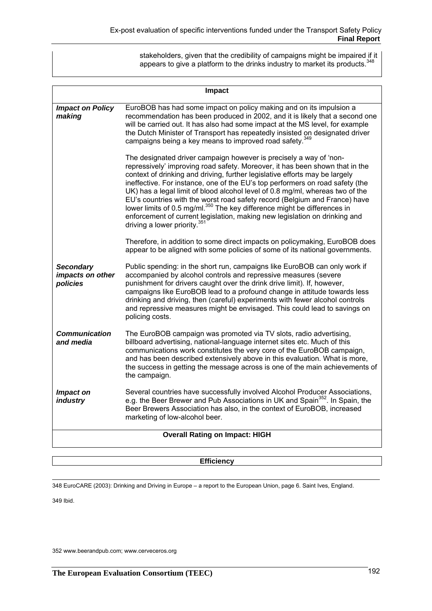stakeholders, given that the credibility of campaigns might be impaired if it appears to give a platform to the drinks industry to market its products.  $348$ 

| Impact                                           |                                                                                                                                                                                                                                                                                                                                                                                                                                                                                                                                                                                                                                                                                                     |  |  |  |  |  |
|--------------------------------------------------|-----------------------------------------------------------------------------------------------------------------------------------------------------------------------------------------------------------------------------------------------------------------------------------------------------------------------------------------------------------------------------------------------------------------------------------------------------------------------------------------------------------------------------------------------------------------------------------------------------------------------------------------------------------------------------------------------------|--|--|--|--|--|
| <b>Impact on Policy</b><br>making                | EuroBOB has had some impact on policy making and on its impulsion a<br>recommendation has been produced in 2002, and it is likely that a second one<br>will be carried out. It has also had some impact at the MS level, for example<br>the Dutch Minister of Transport has repeatedly insisted on designated driver<br>campaigns being a key means to improved road safety. <sup>349</sup>                                                                                                                                                                                                                                                                                                         |  |  |  |  |  |
|                                                  | The designated driver campaign however is precisely a way of 'non-<br>repressively' improving road safety. Moreover, it has been shown that in the<br>context of drinking and driving, further legislative efforts may be largely<br>ineffective. For instance, one of the EU's top performers on road safety (the<br>UK) has a legal limit of blood alcohol level of 0.8 mg/ml, whereas two of the<br>EU's countries with the worst road safety record (Belgium and France) have<br>lower limits of 0.5 mg/ml. <sup>350</sup> The key difference might be differences in<br>enforcement of current legislation, making new legislation on drinking and<br>driving a lower priority. <sup>351</sup> |  |  |  |  |  |
|                                                  | Therefore, in addition to some direct impacts on policymaking, EuroBOB does<br>appear to be aligned with some policies of some of its national governments.                                                                                                                                                                                                                                                                                                                                                                                                                                                                                                                                         |  |  |  |  |  |
| <b>Secondary</b><br>impacts on other<br>policies | Public spending: in the short run, campaigns like EuroBOB can only work if<br>accompanied by alcohol controls and repressive measures (severe<br>punishment for drivers caught over the drink drive limit). If, however,<br>campaigns like EuroBOB lead to a profound change in attitude towards less<br>drinking and driving, then (careful) experiments with fewer alcohol controls<br>and repressive measures might be envisaged. This could lead to savings on<br>policing costs.                                                                                                                                                                                                               |  |  |  |  |  |
| <b>Communication</b><br>and media                | The EuroBOB campaign was promoted via TV slots, radio advertising,<br>billboard advertising, national-language internet sites etc. Much of this<br>communications work constitutes the very core of the EuroBOB campaign,<br>and has been described extensively above in this evaluation. What is more,<br>the success in getting the message across is one of the main achievements of<br>the campaign.                                                                                                                                                                                                                                                                                            |  |  |  |  |  |
| Impact on<br><i>industry</i>                     | Several countries have successfully involved Alcohol Producer Associations,<br>e.g. the Beer Brewer and Pub Associations in UK and Spain <sup>352</sup> . In Spain, the<br>Beer Brewers Association has also, in the context of EuroBOB, increased<br>marketing of low-alcohol beer.                                                                                                                                                                                                                                                                                                                                                                                                                |  |  |  |  |  |
| <b>Overall Rating on Impact: HIGH</b>            |                                                                                                                                                                                                                                                                                                                                                                                                                                                                                                                                                                                                                                                                                                     |  |  |  |  |  |

### **Efficiency**

348 EuroCARE (2003): Drinking and Driving in Europe – a report to the European Union, page 6. Saint Ives, England.

349 Ibid.

352 www.beerandpub.com; www.cerveceros.org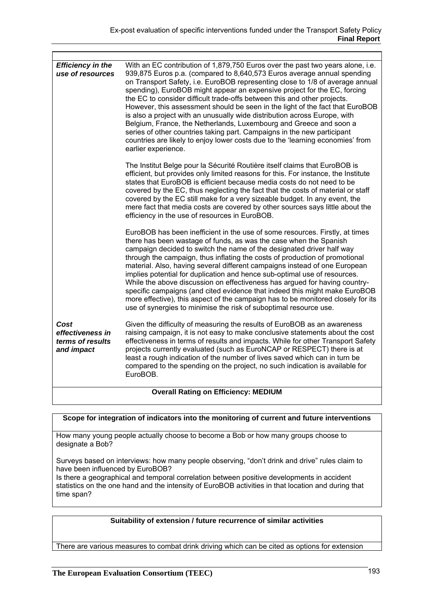| <b>Efficiency in the</b><br>use of resources               | With an EC contribution of 1,879,750 Euros over the past two years alone, i.e.<br>939,875 Euros p.a. (compared to 8,640,573 Euros average annual spending<br>on Transport Safety, i.e. EuroBOB representing close to 1/8 of average annual<br>spending), EuroBOB might appear an expensive project for the EC, forcing<br>the EC to consider difficult trade-offs between this and other projects.<br>However, this assessment should be seen in the light of the fact that EuroBOB<br>is also a project with an unusually wide distribution across Europe, with<br>Belgium, France, the Netherlands, Luxembourg and Greece and soon a<br>series of other countries taking part. Campaigns in the new participant<br>countries are likely to enjoy lower costs due to the 'learning economies' from<br>earlier experience. |  |  |  |  |  |
|------------------------------------------------------------|----------------------------------------------------------------------------------------------------------------------------------------------------------------------------------------------------------------------------------------------------------------------------------------------------------------------------------------------------------------------------------------------------------------------------------------------------------------------------------------------------------------------------------------------------------------------------------------------------------------------------------------------------------------------------------------------------------------------------------------------------------------------------------------------------------------------------|--|--|--|--|--|
|                                                            | The Institut Belge pour la Sécurité Routière itself claims that EuroBOB is<br>efficient, but provides only limited reasons for this. For instance, the Institute<br>states that EuroBOB is efficient because media costs do not need to be<br>covered by the EC, thus neglecting the fact that the costs of material or staff<br>covered by the EC still make for a very sizeable budget. In any event, the<br>mere fact that media costs are covered by other sources says little about the<br>efficiency in the use of resources in EuroBOB.                                                                                                                                                                                                                                                                             |  |  |  |  |  |
|                                                            | EuroBOB has been inefficient in the use of some resources. Firstly, at times<br>there has been wastage of funds, as was the case when the Spanish<br>campaign decided to switch the name of the designated driver half way<br>through the campaign, thus inflating the costs of production of promotional<br>material. Also, having several different campaigns instead of one European<br>implies potential for duplication and hence sub-optimal use of resources.<br>While the above discussion on effectiveness has argued for having country-<br>specific campaigns (and cited evidence that indeed this might make EuroBOB<br>more effective), this aspect of the campaign has to be monitored closely for its<br>use of synergies to minimise the risk of suboptimal resource use.                                  |  |  |  |  |  |
| Cost<br>effectiveness in<br>terms of results<br>and impact | Given the difficulty of measuring the results of EuroBOB as an awareness<br>raising campaign, it is not easy to make conclusive statements about the cost<br>effectiveness in terms of results and impacts. While for other Transport Safety<br>projects currently evaluated (such as EuroNCAP or RESPECT) there is at<br>least a rough indication of the number of lives saved which can in turn be<br>compared to the spending on the project, no such indication is available for<br>EuroBOB.                                                                                                                                                                                                                                                                                                                           |  |  |  |  |  |
| <b>Overall Rating on Efficiency: MEDIUM</b>                |                                                                                                                                                                                                                                                                                                                                                                                                                                                                                                                                                                                                                                                                                                                                                                                                                            |  |  |  |  |  |
|                                                            |                                                                                                                                                                                                                                                                                                                                                                                                                                                                                                                                                                                                                                                                                                                                                                                                                            |  |  |  |  |  |

### **Scope for integration of indicators into the monitoring of current and future interventions**

How many young people actually choose to become a Bob or how many groups choose to designate a Bob?

Surveys based on interviews: how many people observing, "don't drink and drive" rules claim to have been influenced by EuroBOB?

Is there a geographical and temporal correlation between positive developments in accident statistics on the one hand and the intensity of EuroBOB activities in that location and during that time span?

### **Suitability of extension / future recurrence of similar activities**

There are various measures to combat drink driving which can be cited as options for extension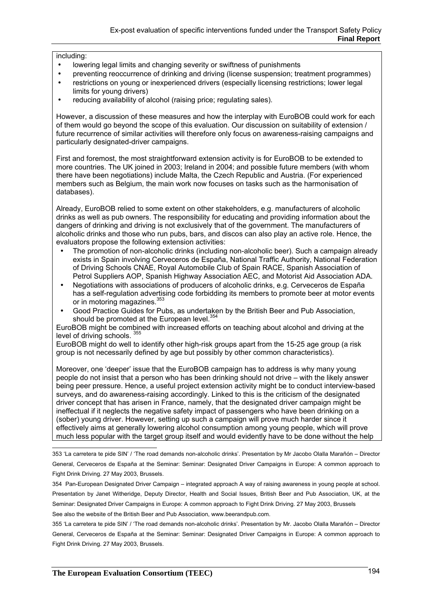### including:

- lowering legal limits and changing severity or swiftness of punishments
- preventing reoccurrence of drinking and driving (license suspension; treatment programmes)
- restrictions on young or inexperienced drivers (especially licensing restrictions; lower legal limits for young drivers)
- reducing availability of alcohol (raising price; regulating sales).

However, a discussion of these measures and how the interplay with EuroBOB could work for each of them would go beyond the scope of this evaluation. Our discussion on suitability of extension / future recurrence of similar activities will therefore only focus on awareness-raising campaigns and particularly designated-driver campaigns.

First and foremost, the most straightforward extension activity is for EuroBOB to be extended to more countries. The UK joined in 2003; Ireland in 2004; and possible future members (with whom there have been negotiations) include Malta, the Czech Republic and Austria. (For experienced members such as Belgium, the main work now focuses on tasks such as the harmonisation of databases).

Already, EuroBOB relied to some extent on other stakeholders, e.g. manufacturers of alcoholic drinks as well as pub owners. The responsibility for educating and providing information about the dangers of drinking and driving is not exclusively that of the government. The manufacturers of alcoholic drinks and those who run pubs, bars, and discos can also play an active role. Hence, the evaluators propose the following extension activities:

- The promotion of non-alcoholic drinks (including non-alcoholic beer). Such a campaign already exists in Spain involving Cerveceros de España, National Traffic Authority, National Federation of Driving Schools CNAE, Royal Automobile Club of Spain RACE, Spanish Association of Petrol Suppliers AOP, Spanish Highway Association AEC, and Motorist Aid Association ADA.
- Negotiations with associations of producers of alcoholic drinks, e.g. Cerveceros de España has a self-regulation advertising code forbidding its members to promote beer at motor events or in motoring magazines.<sup>353</sup>
- Good Practice Guides for Pubs, as undertaken by the British Beer and Pub Association, should be promoted at the European level.<sup>354</sup>

EuroBOB might be combined with increased efforts on teaching about alcohol and driving at the level of driving schools.

EuroBOB might do well to identify other high-risk groups apart from the 15-25 age group (a risk group is not necessarily defined by age but possibly by other common characteristics).

Moreover, one 'deeper' issue that the EuroBOB campaign has to address is why many young people do not insist that a person who has been drinking should not drive – with the likely answer being peer pressure. Hence, a useful project extension activity might be to conduct interview-based surveys, and do awareness-raising accordingly. Linked to this is the criticism of the designated driver concept that has arisen in France, namely, that the designated driver campaign might be ineffectual if it neglects the negative safety impact of passengers who have been drinking on a (sober) young driver. However, setting up such a campaign will prove much harder since it effectively aims at generally lowering alcohol consumption among young people, which will prove much less popular with the target group itself and would evidently have to be done without the help

See also the website of the British Beer and Pub Association, www.beerandpub.com.

355 'La carretera te pide SIN' / 'The road demands non-alcoholic drinks'. Presentation by Mr. Jacobo Olalla Marañón – Director General, Cerveceros de España at the Seminar: Seminar: Designated Driver Campaigns in Europe: A common approach to Fight Drink Driving. 27 May 2003, Brussels.

 353 'La carretera te pide SIN' / 'The road demands non-alcoholic drinks'. Presentation by Mr Jacobo Olalla Marañón – Director General, Cerveceros de España at the Seminar: Seminar: Designated Driver Campaigns in Europe: A common approach to Fight Drink Driving. 27 May 2003, Brussels.

<sup>354</sup> Pan-European Designated Driver Campaign – integrated approach A way of raising awareness in young people at school. Presentation by Janet Witheridge, Deputy Director, Health and Social Issues, British Beer and Pub Association, UK, at the Seminar: Designated Driver Campaigns in Europe: A common approach to Fight Drink Driving. 27 May 2003, Brussels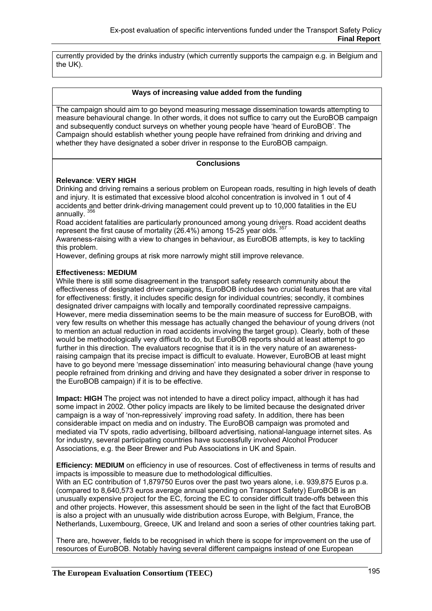currently provided by the drinks industry (which currently supports the campaign e.g. in Belgium and the UK).

#### **Ways of increasing value added from the funding**

The campaign should aim to go beyond measuring message dissemination towards attempting to measure behavioural change. In other words, it does not suffice to carry out the EuroBOB campaign and subsequently conduct surveys on whether young people have 'heard of EuroBOB'. The Campaign should establish whether young people have refrained from drinking and driving and whether they have designated a sober driver in response to the EuroBOB campaign.

### **Conclusions**

### **Relevance**: **VERY HIGH**

Drinking and driving remains a serious problem on European roads, resulting in high levels of death and injury. It is estimated that excessive blood alcohol concentration is involved in 1 out of 4 accidents and better drink-driving management could prevent up to 10,000 fatalities in the EU annually.

Road accident fatalities are particularly pronounced among young drivers. Road accident deaths represent the first cause of mortality (26.4%) among 15-25 year olds.  $357$ 

Awareness-raising with a view to changes in behaviour, as EuroBOB attempts, is key to tackling this problem.

However, defining groups at risk more narrowly might still improve relevance.

#### **Effectiveness: MEDIUM**

While there is still some disagreement in the transport safety research community about the effectiveness of designated driver campaigns, EuroBOB includes two crucial features that are vital for effectiveness: firstly, it includes specific design for individual countries; secondly, it combines designated driver campaigns with locally and temporally coordinated repressive campaigns. However, mere media dissemination seems to be the main measure of success for EuroBOB, with very few results on whether this message has actually changed the behaviour of young drivers (not to mention an actual reduction in road accidents involving the target group). Clearly, both of these would be methodologically very difficult to do, but EuroBOB reports should at least attempt to go further in this direction. The evaluators recognise that it is in the very nature of an awarenessraising campaign that its precise impact is difficult to evaluate. However, EuroBOB at least might have to go beyond mere 'message dissemination' into measuring behavioural change (have young people refrained from drinking and driving and have they designated a sober driver in response to the EuroBOB campaign) if it is to be effective.

**Impact: HIGH** The project was not intended to have a direct policy impact, although it has had some impact in 2002. Other policy impacts are likely to be limited because the designated driver campaign is a way of 'non-repressively' improving road safety. In addition, there has been considerable impact on media and on industry. The EuroBOB campaign was promoted and mediated via TV spots, radio advertising, billboard advertising, national-language internet sites. As for industry, several participating countries have successfully involved Alcohol Producer Associations, e.g. the Beer Brewer and Pub Associations in UK and Spain.

**Efficiency: MEDIUM** on efficiency in use of resources. Cost of effectiveness in terms of results and impacts is impossible to measure due to methodological difficulties.

With an EC contribution of 1,879750 Euros over the past two years alone, i.e. 939,875 Euros p.a. (compared to 8,640,573 euros average annual spending on Transport Safety) EuroBOB is an unusually expensive project for the EC, forcing the EC to consider difficult trade-offs between this and other projects. However, this assessment should be seen in the light of the fact that EuroBOB is also a project with an unusually wide distribution across Europe, with Belgium, France, the Netherlands, Luxembourg, Greece, UK and Ireland and soon a series of other countries taking part.

There are, however, fields to be recognised in which there is scope for improvement on the use of resources of EuroBOB. Notably having several different campaigns instead of one European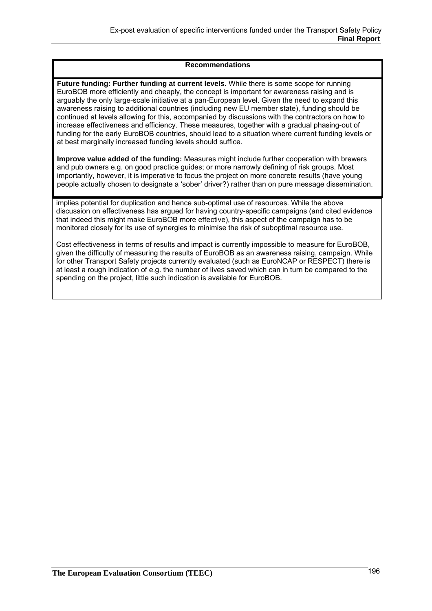#### **Recommendations**

**Future funding: Further funding at current levels.** While there is some scope for running EuroBOB more efficiently and cheaply, the concept is important for awareness raising and is arguably the only large-scale initiative at a pan-European level. Given the need to expand this awareness raising to additional countries (including new EU member state), funding should be continued at levels allowing for this, accompanied by discussions with the contractors on how to increase effectiveness and efficiency. These measures, together with a gradual phasing-out of funding for the early EuroBOB countries, should lead to a situation where current funding levels or at best marginally increased funding levels should suffice.

**Improve value added of the funding:** Measures might include further cooperation with brewers and pub owners e.g. on good practice guides; or more narrowly defining of risk groups. Most importantly, however, it is imperative to focus the project on more concrete results (have young people actually chosen to designate a 'sober' driver?) rather than on pure message dissemination.

implies potential for duplication and hence sub-optimal use of resources. While the above discussion on effectiveness has argued for having country-specific campaigns (and cited evidence that indeed this might make EuroBOB more effective), this aspect of the campaign has to be monitored closely for its use of synergies to minimise the risk of suboptimal resource use.

Cost effectiveness in terms of results and impact is currently impossible to measure for EuroBOB, given the difficulty of measuring the results of EuroBOB as an awareness raising, campaign. While for other Transport Safety projects currently evaluated (such as EuroNCAP or RESPECT) there is at least a rough indication of e.g. the number of lives saved which can in turn be compared to the spending on the project, little such indication is available for EuroBOB.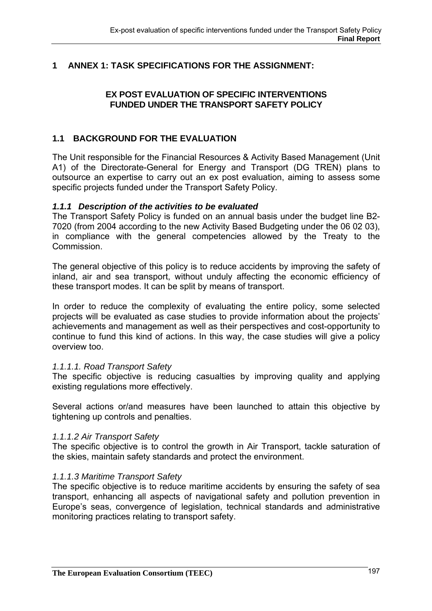# **1 ANNEX 1: TASK SPECIFICATIONS FOR THE ASSIGNMENT:**

# **EX POST EVALUATION OF SPECIFIC INTERVENTIONS FUNDED UNDER THE TRANSPORT SAFETY POLICY**

# **1.1 BACKGROUND FOR THE EVALUATION**

The Unit responsible for the Financial Resources & Activity Based Management (Unit A1) of the Directorate-General for Energy and Transport (DG TREN) plans to outsource an expertise to carry out an ex post evaluation, aiming to assess some specific projects funded under the Transport Safety Policy.

## *1.1.1 Description of the activities to be evaluated*

The Transport Safety Policy is funded on an annual basis under the budget line B2- 7020 (from 2004 according to the new Activity Based Budgeting under the 06 02 03), in compliance with the general competencies allowed by the Treaty to the Commission.

The general objective of this policy is to reduce accidents by improving the safety of inland, air and sea transport, without unduly affecting the economic efficiency of these transport modes. It can be split by means of transport.

In order to reduce the complexity of evaluating the entire policy, some selected projects will be evaluated as case studies to provide information about the projects' achievements and management as well as their perspectives and cost-opportunity to continue to fund this kind of actions. In this way, the case studies will give a policy overview too.

### *1.1.1.1. Road Transport Safety*

The specific objective is reducing casualties by improving quality and applying existing regulations more effectively.

Several actions or/and measures have been launched to attain this objective by tightening up controls and penalties.

### *1.1.1.2 Air Transport Safety*

The specific objective is to control the growth in Air Transport, tackle saturation of the skies, maintain safety standards and protect the environment.

### *1.1.1.3 Maritime Transport Safety*

The specific objective is to reduce maritime accidents by ensuring the safety of sea transport, enhancing all aspects of navigational safety and pollution prevention in Europe's seas, convergence of legislation, technical standards and administrative monitoring practices relating to transport safety.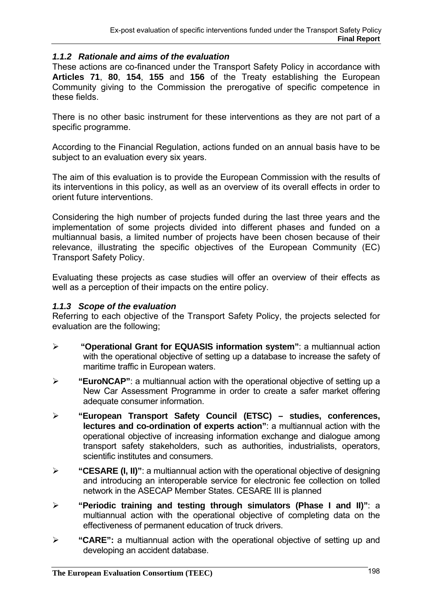## *1.1.2 Rationale and aims of the evaluation*

These actions are co-financed under the Transport Safety Policy in accordance with **Articles 71**, **80**, **154**, **155** and **156** of the Treaty establishing the European Community giving to the Commission the prerogative of specific competence in these fields.

There is no other basic instrument for these interventions as they are not part of a specific programme.

According to the Financial Regulation, actions funded on an annual basis have to be subject to an evaluation every six years.

The aim of this evaluation is to provide the European Commission with the results of its interventions in this policy, as well as an overview of its overall effects in order to orient future interventions.

Considering the high number of projects funded during the last three years and the implementation of some projects divided into different phases and funded on a multiannual basis, a limited number of projects have been chosen because of their relevance, illustrating the specific objectives of the European Community (EC) Transport Safety Policy.

Evaluating these projects as case studies will offer an overview of their effects as well as a perception of their impacts on the entire policy.

### *1.1.3 Scope of the evaluation*

Referring to each objective of the Transport Safety Policy, the projects selected for evaluation are the following;

- ¾ **"Operational Grant for EQUASIS information system"**: a multiannual action with the operational objective of setting up a database to increase the safety of maritime traffic in European waters.
- ¾ **"EuroNCAP"**: a multiannual action with the operational objective of setting up a New Car Assessment Programme in order to create a safer market offering adequate consumer information.
- ¾ **"European Transport Safety Council (ETSC) studies, conferences, lectures and co-ordination of experts action"**: a multiannual action with the operational objective of increasing information exchange and dialogue among transport safety stakeholders, such as authorities, industrialists, operators, scientific institutes and consumers.
- ¾ **"CESARE (I, II)"**: a multiannual action with the operational objective of designing and introducing an interoperable service for electronic fee collection on tolled network in the ASECAP Member States. CESARE III is planned
- ¾ **"Periodic training and testing through simulators (Phase I and II)"**: a multiannual action with the operational objective of completing data on the effectiveness of permanent education of truck drivers.
- ¾ **"CARE":** a multiannual action with the operational objective of setting up and developing an accident database.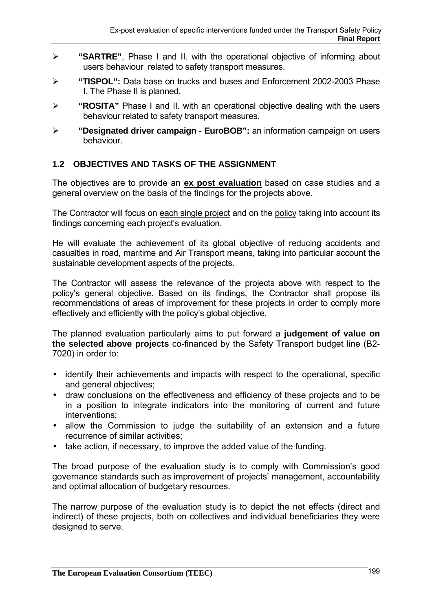- ¾ **"SARTRE"**, Phase I and II. with the operational objective of informing about users behaviour related to safety transport measures.
- ¾ **"TISPOL":** Data base on trucks and buses and Enforcement 2002-2003 Phase I. The Phase II is planned.
- ¾ **"ROSITA"** Phase I and II. with an operational objective dealing with the users behaviour related to safety transport measures.
- ¾ **"Designated driver campaign EuroBOB":** an information campaign on users behaviour.

# **1.2 OBJECTIVES AND TASKS OF THE ASSIGNMENT**

The objectives are to provide an **ex post evaluation** based on case studies and a general overview on the basis of the findings for the projects above.

The Contractor will focus on each single project and on the policy taking into account its findings concerning each project's evaluation.

He will evaluate the achievement of its global objective of reducing accidents and casualties in road, maritime and Air Transport means, taking into particular account the sustainable development aspects of the projects.

The Contractor will assess the relevance of the projects above with respect to the policy's general objective. Based on its findings, the Contractor shall propose its recommendations of areas of improvement for these projects in order to comply more effectively and efficiently with the policy's global objective.

The planned evaluation particularly aims to put forward a **judgement of value on the selected above projects** co-financed by the Safety Transport budget line (B2- 7020) in order to:

- identify their achievements and impacts with respect to the operational, specific and general objectives;
- draw conclusions on the effectiveness and efficiency of these projects and to be in a position to integrate indicators into the monitoring of current and future interventions;
- allow the Commission to judge the suitability of an extension and a future recurrence of similar activities;
- take action, if necessary, to improve the added value of the funding.

The broad purpose of the evaluation study is to comply with Commission's good governance standards such as improvement of projects' management, accountability and optimal allocation of budgetary resources.

The narrow purpose of the evaluation study is to depict the net effects (direct and indirect) of these projects, both on collectives and individual beneficiaries they were designed to serve.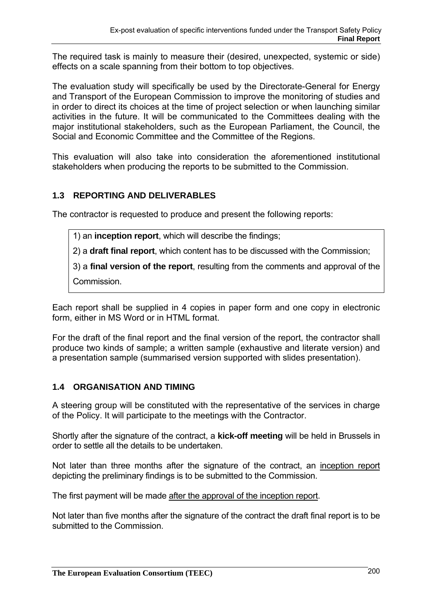The required task is mainly to measure their (desired, unexpected, systemic or side) effects on a scale spanning from their bottom to top objectives.

The evaluation study will specifically be used by the Directorate-General for Energy and Transport of the European Commission to improve the monitoring of studies and in order to direct its choices at the time of project selection or when launching similar activities in the future. It will be communicated to the Committees dealing with the major institutional stakeholders, such as the European Parliament, the Council, the Social and Economic Committee and the Committee of the Regions.

This evaluation will also take into consideration the aforementioned institutional stakeholders when producing the reports to be submitted to the Commission.

# **1.3 REPORTING AND DELIVERABLES**

The contractor is requested to produce and present the following reports:

1) an **inception report**, which will describe the findings;

2) a **draft final report**, which content has to be discussed with the Commission;

3) a **final version of the report**, resulting from the comments and approval of the Commission.

Each report shall be supplied in 4 copies in paper form and one copy in electronic form, either in MS Word or in HTML format.

For the draft of the final report and the final version of the report, the contractor shall produce two kinds of sample; a written sample (exhaustive and literate version) and a presentation sample (summarised version supported with slides presentation).

# **1.4 ORGANISATION AND TIMING**

A steering group will be constituted with the representative of the services in charge of the Policy. It will participate to the meetings with the Contractor.

Shortly after the signature of the contract, a **kick-off meeting** will be held in Brussels in order to settle all the details to be undertaken.

Not later than three months after the signature of the contract, an inception report depicting the preliminary findings is to be submitted to the Commission.

The first payment will be made after the approval of the inception report.

Not later than five months after the signature of the contract the draft final report is to be submitted to the Commission.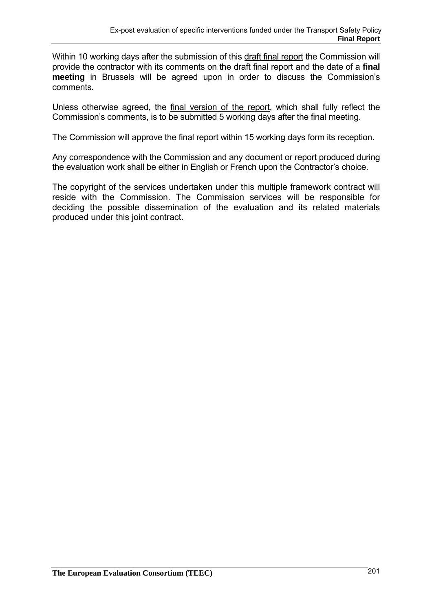Within 10 working days after the submission of this draft final report the Commission will provide the contractor with its comments on the draft final report and the date of a **final meeting** in Brussels will be agreed upon in order to discuss the Commission's comments.

Unless otherwise agreed, the final version of the report, which shall fully reflect the Commission's comments, is to be submitted 5 working days after the final meeting.

The Commission will approve the final report within 15 working days form its reception.

Any correspondence with the Commission and any document or report produced during the evaluation work shall be either in English or French upon the Contractor's choice.

The copyright of the services undertaken under this multiple framework contract will reside with the Commission. The Commission services will be responsible for deciding the possible dissemination of the evaluation and its related materials produced under this joint contract.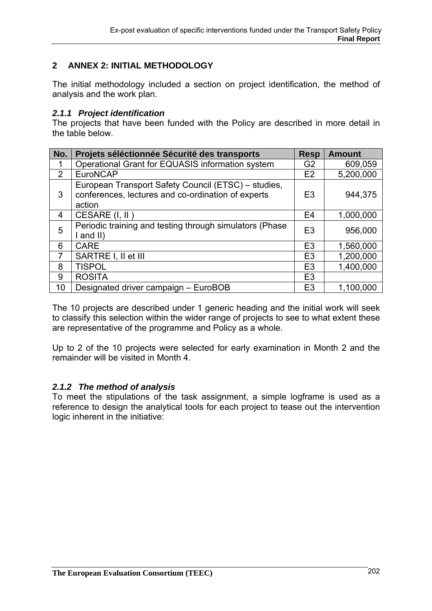## **2 ANNEX 2: INITIAL METHODOLOGY**

The initial methodology included a section on project identification, the method of analysis and the work plan.

### *2.1.1 Project identification*

The projects that have been funded with the Policy are described in more detail in the table below.

| No.            | Projets séléctionnée Sécurité des transports                                                                        | <b>Resp</b>    | <b>Amount</b> |
|----------------|---------------------------------------------------------------------------------------------------------------------|----------------|---------------|
| 1              | Operational Grant for EQUASIS information system                                                                    | G <sub>2</sub> | 609,059       |
| 2              | <b>EuroNCAP</b>                                                                                                     | E2             | 5,200,000     |
| 3              | European Transport Safety Council (ETSC) – studies,<br>conferences, lectures and co-ordination of experts<br>action | E <sub>3</sub> | 944,375       |
| 4              | CESARE (I, II)                                                                                                      | E <sub>4</sub> | 1,000,000     |
| 5              | Periodic training and testing through simulators (Phase<br>and II)                                                  | E <sub>3</sub> | 956,000       |
| 6              | <b>CARE</b>                                                                                                         | E <sub>3</sub> | 1,560,000     |
| $\overline{7}$ | SARTRE I, II et III                                                                                                 | E <sub>3</sub> | 1,200,000     |
| 8              | <b>TISPOL</b>                                                                                                       | E <sub>3</sub> | 1,400,000     |
| 9              | <b>ROSITA</b>                                                                                                       | E <sub>3</sub> |               |
| 10             | Designated driver campaign - EuroBOB                                                                                | E <sub>3</sub> | 1,100,000     |

The 10 projects are described under 1 generic heading and the initial work will seek to classify this selection within the wider range of projects to see to what extent these are representative of the programme and Policy as a whole.

Up to 2 of the 10 projects were selected for early examination in Month 2 and the remainder will be visited in Month 4.

### *2.1.2 The method of analysis*

To meet the stipulations of the task assignment, a simple logframe is used as a reference to design the analytical tools for each project to tease out the intervention logic inherent in the initiative: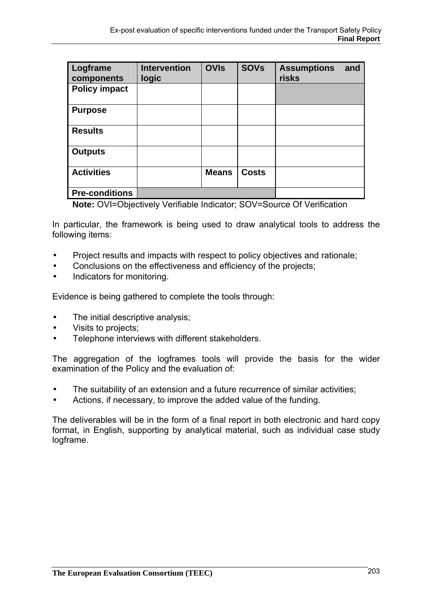| Logframe<br>components | <b>Intervention</b><br>logic | <b>OVIs</b>  | <b>SOVs</b>  | <b>Assumptions</b><br>risks | and |
|------------------------|------------------------------|--------------|--------------|-----------------------------|-----|
| <b>Policy impact</b>   |                              |              |              |                             |     |
| <b>Purpose</b>         |                              |              |              |                             |     |
| <b>Results</b>         |                              |              |              |                             |     |
| <b>Outputs</b>         |                              |              |              |                             |     |
| <b>Activities</b>      |                              | <b>Means</b> | <b>Costs</b> |                             |     |
| <b>Pre-conditions</b>  |                              |              |              |                             |     |

 **Note:** OVI=Objectively Verifiable Indicator; SOV=Source Of Verification

In particular, the framework is being used to draw analytical tools to address the following items:

- Project results and impacts with respect to policy objectives and rationale;
- Conclusions on the effectiveness and efficiency of the projects;
- Indicators for monitoring.

Evidence is being gathered to complete the tools through:

- The initial descriptive analysis;
- Visits to projects;
- Telephone interviews with different stakeholders.

The aggregation of the logframes tools will provide the basis for the wider examination of the Policy and the evaluation of:

- The suitability of an extension and a future recurrence of similar activities;
- Actions, if necessary, to improve the added value of the funding.

The deliverables will be in the form of a final report in both electronic and hard copy format, in English, supporting by analytical material, such as individual case study logframe.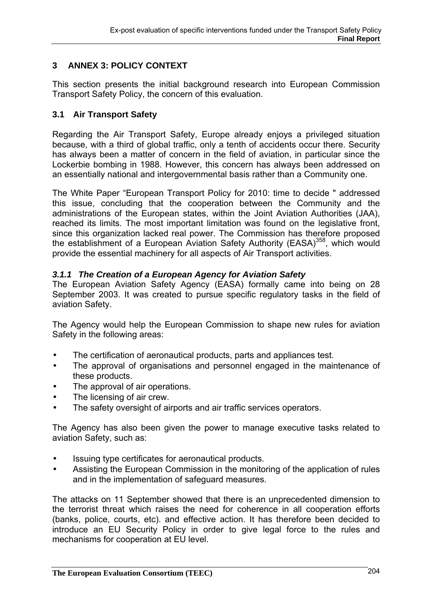# **3 ANNEX 3: POLICY CONTEXT**

This section presents the initial background research into European Commission Transport Safety Policy, the concern of this evaluation.

## **3.1 Air Transport Safety**

Regarding the Air Transport Safety, Europe already enjoys a privileged situation because, with a third of global traffic, only a tenth of accidents occur there. Security has always been a matter of concern in the field of aviation, in particular since the Lockerbie bombing in 1988. However, this concern has always been addressed on an essentially national and intergovernmental basis rather than a Community one.

The White Paper "European Transport Policy for 2010: time to decide " addressed this issue, concluding that the cooperation between the Community and the administrations of the European states, within the Joint Aviation Authorities (JAA), reached its limits. The most important limitation was found on the legislative front, since this organization lacked real power. The Commission has therefore proposed the establishment of a European Aviation Safety Authority (EASA)<sup>358</sup>, which would provide the essential machinery for all aspects of Air Transport activities.

## *3.1.1 The Creation of a European Agency for Aviation Safety*

The European Aviation Safety Agency (EASA) formally came into being on 28 September 2003. It was created to pursue specific regulatory tasks in the field of aviation Safety.

The Agency would help the European Commission to shape new rules for aviation Safety in the following areas:

- The certification of aeronautical products, parts and appliances test.
- The approval of organisations and personnel engaged in the maintenance of these products.
- The approval of air operations.
- The licensing of air crew.
- The safety oversight of airports and air traffic services operators.

The Agency has also been given the power to manage executive tasks related to aviation Safety, such as:

- Issuing type certificates for aeronautical products.
- Assisting the European Commission in the monitoring of the application of rules and in the implementation of safeguard measures.

The attacks on 11 September showed that there is an unprecedented dimension to the terrorist threat which raises the need for coherence in all cooperation efforts (banks, police, courts, etc). and effective action. It has therefore been decided to introduce an EU Security Policy in order to give legal force to the rules and mechanisms for cooperation at EU level.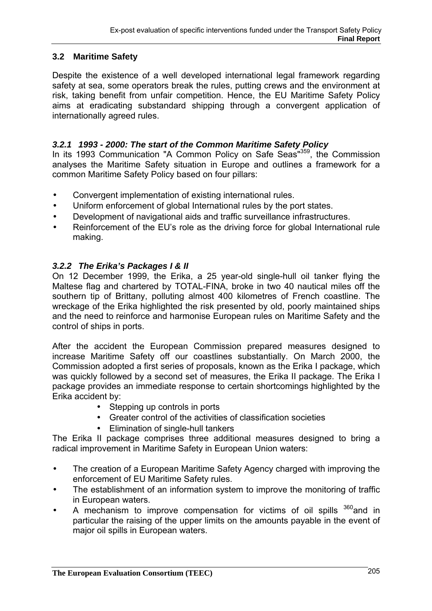# **3.2 Maritime Safety**

Despite the existence of a well developed international legal framework regarding safety at sea, some operators break the rules, putting crews and the environment at risk, taking benefit from unfair competition. Hence, the EU Maritime Safety Policy aims at eradicating substandard shipping through a convergent application of internationally agreed rules.

# *3.2.1 1993 - 2000: The start of the Common Maritime Safety Policy*

In its 1993 Communication "A Common Policy on Safe Seas"<sup>359</sup>, the Commission analyses the Maritime Safety situation in Europe and outlines a framework for a common Maritime Safety Policy based on four pillars:

- Convergent implementation of existing international rules.
- Uniform enforcement of global International rules by the port states.
- Development of navigational aids and traffic surveillance infrastructures.
- Reinforcement of the EU's role as the driving force for global International rule making.

# *3.2.2 The Erika's Packages I & II*

On 12 December 1999, the Erika, a 25 year-old single-hull oil tanker flying the Maltese flag and chartered by TOTAL-FINA, broke in two 40 nautical miles off the southern tip of Brittany, polluting almost 400 kilometres of French coastline. The wreckage of the Erika highlighted the risk presented by old, poorly maintained ships and the need to reinforce and harmonise European rules on Maritime Safety and the control of ships in ports.

After the accident the European Commission prepared measures designed to increase Maritime Safety off our coastlines substantially. On March 2000, the Commission adopted a first series of proposals, known as the Erika I package, which was quickly followed by a second set of measures, the Erika II package. The Erika I package provides an immediate response to certain shortcomings highlighted by the Erika accident by:

- Stepping up controls in ports
- Greater control of the activities of classification societies
- Elimination of single-hull tankers

The Erika II package comprises three additional measures designed to bring a radical improvement in Maritime Safety in European Union waters:

- The creation of a European Maritime Safety Agency charged with improving the enforcement of EU Maritime Safety rules.
- The establishment of an information system to improve the monitoring of traffic in European waters.
- A mechanism to improve compensation for victims of oil spills  $360$  and in particular the raising of the upper limits on the amounts payable in the event of major oil spills in European waters.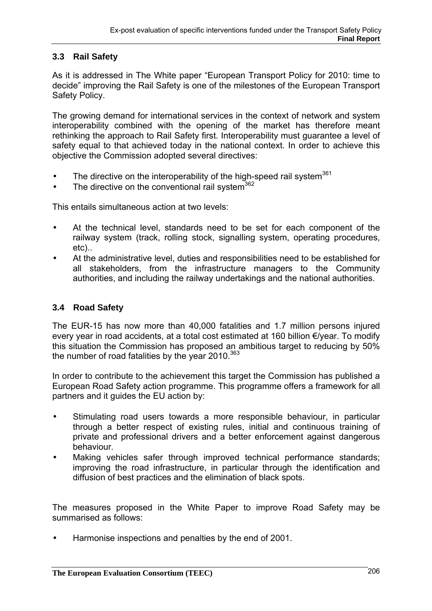# **3.3 Rail Safety**

As it is addressed in The White paper "European Transport Policy for 2010: time to decide" improving the Rail Safety is one of the milestones of the European Transport Safety Policy.

The growing demand for international services in the context of network and system interoperability combined with the opening of the market has therefore meant rethinking the approach to Rail Safety first. Interoperability must guarantee a level of safety equal to that achieved today in the national context. In order to achieve this objective the Commission adopted several directives:

- The directive on the interoperability of the high-speed rail system<sup>361</sup>
- The directive on the conventional rail system  $362$

This entails simultaneous action at two levels:

- At the technical level, standards need to be set for each component of the railway system (track, rolling stock, signalling system, operating procedures, etc)..
- At the administrative level, duties and responsibilities need to be established for all stakeholders, from the infrastructure managers to the Community authorities, and including the railway undertakings and the national authorities.

# **3.4 Road Safety**

The EUR-15 has now more than 40,000 fatalities and 1.7 million persons injured every year in road accidents, at a total cost estimated at 160 billion €/year. To modify this situation the Commission has proposed an ambitious target to reducing by 50% the number of road fatalities by the year 2010. $363$ 

In order to contribute to the achievement this target the Commission has published a European Road Safety action programme. This programme offers a framework for all partners and it guides the EU action by:

- Stimulating road users towards a more responsible behaviour, in particular through a better respect of existing rules, initial and continuous training of private and professional drivers and a better enforcement against dangerous behaviour.
- Making vehicles safer through improved technical performance standards; improving the road infrastructure, in particular through the identification and diffusion of best practices and the elimination of black spots.

The measures proposed in the White Paper to improve Road Safety may be summarised as follows:

• Harmonise inspections and penalties by the end of 2001.